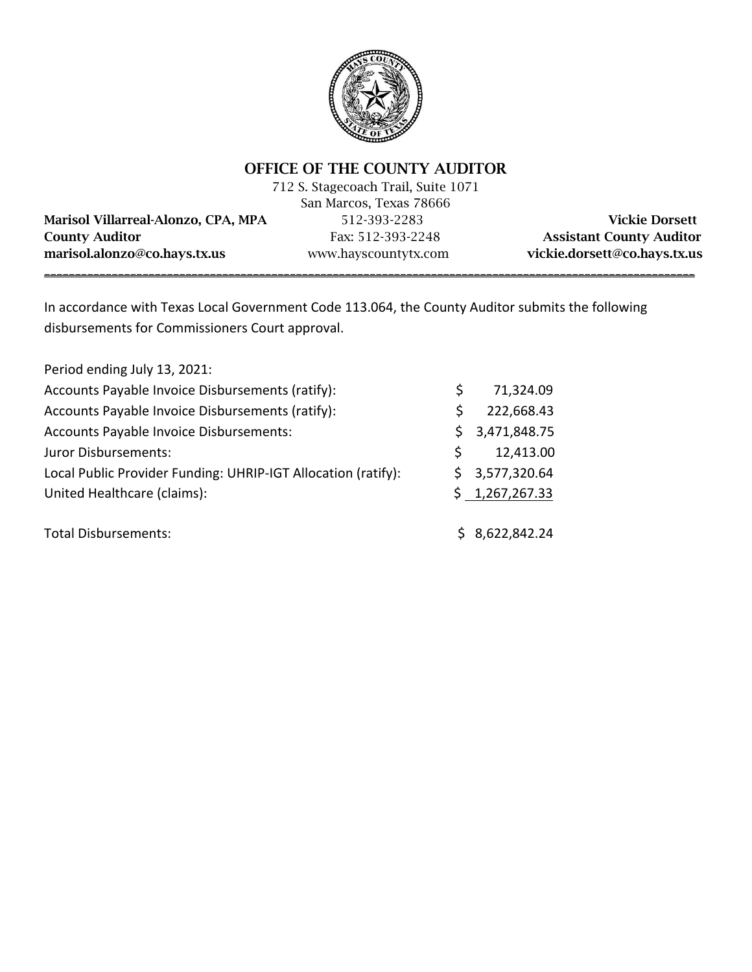

# OFFICE OF THE COUNTY AUDITOR

712 S. Stagecoach Trail, Suite 1071 San Marcos, Texas 78666

Marisol Villarreal-Alonzo, CPA, MPA 512-393-2283 Vickie Dorsett County Auditor Fax: 512-393-2248 Assistant County Auditor marisol.alonzo@co.hays.tx.us www.hayscountytx.com vickie.dorsett@co.hays.tx.us

\_\_\_\_\_\_\_\_\_\_\_\_\_\_\_\_\_\_\_\_\_\_\_\_\_\_\_\_\_\_\_\_\_\_\_\_\_\_\_\_\_\_\_\_\_\_\_\_\_\_\_\_\_\_\_\_\_\_\_\_\_\_\_\_\_\_\_\_\_\_\_\_\_\_\_\_\_\_\_\_\_\_\_\_\_\_\_\_\_\_\_\_\_\_\_\_\_\_\_\_\_\_\_\_\_\_

In accordance with Texas Local Government Code 113.064, the County Auditor submits the following disbursements for Commissioners Court approval.

| Period ending July 13, 2021:                                  |    |                |
|---------------------------------------------------------------|----|----------------|
| Accounts Payable Invoice Disbursements (ratify):              | S. | 71,324.09      |
| Accounts Payable Invoice Disbursements (ratify):              | \$ | 222,668.43     |
| Accounts Payable Invoice Disbursements:                       | S. | 3,471,848.75   |
| Juror Disbursements:                                          | Ś  | 12,413.00      |
| Local Public Provider Funding: UHRIP-IGT Allocation (ratify): |    | \$3,577,320.64 |
| United Healthcare (claims):                                   |    | \$1,267,267.33 |
| <b>Total Disbursements:</b>                                   |    | \$8,622,842.24 |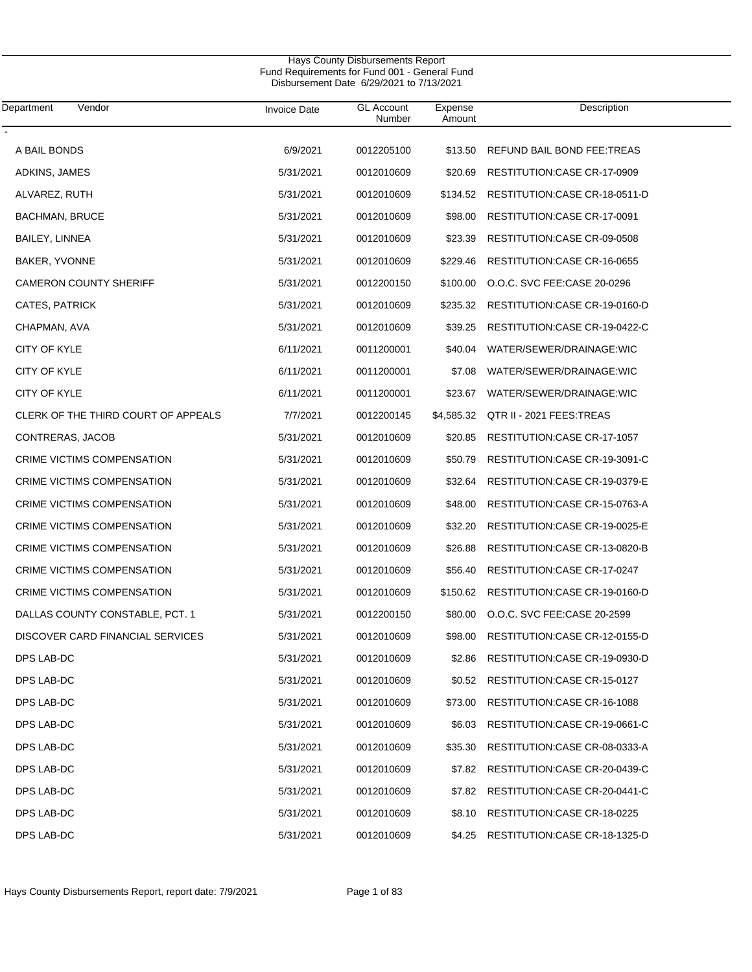| Department<br>Vendor                | <b>Invoice Date</b> | <b>GL Account</b><br>Number | Expense<br>Amount | Description                    |
|-------------------------------------|---------------------|-----------------------------|-------------------|--------------------------------|
| A BAIL BONDS                        | 6/9/2021            | 0012205100                  | \$13.50           | REFUND BAIL BOND FEE:TREAS     |
| ADKINS, JAMES                       | 5/31/2021           | 0012010609                  | \$20.69           | RESTITUTION: CASE CR-17-0909   |
| ALVAREZ, RUTH                       | 5/31/2021           | 0012010609                  | \$134.52          | RESTITUTION: CASE CR-18-0511-D |
| <b>BACHMAN, BRUCE</b>               | 5/31/2021           | 0012010609                  | \$98.00           | RESTITUTION: CASE CR-17-0091   |
| BAILEY, LINNEA                      | 5/31/2021           | 0012010609                  | \$23.39           | RESTITUTION: CASE CR-09-0508   |
| BAKER, YVONNE                       | 5/31/2021           | 0012010609                  | \$229.46          | RESTITUTION: CASE CR-16-0655   |
| <b>CAMERON COUNTY SHERIFF</b>       | 5/31/2021           | 0012200150                  | \$100.00          | O.O.C. SVC FEE:CASE 20-0296    |
| CATES, PATRICK                      | 5/31/2021           | 0012010609                  | \$235.32          | RESTITUTION: CASE CR-19-0160-D |
| CHAPMAN, AVA                        | 5/31/2021           | 0012010609                  | \$39.25           | RESTITUTION:CASE CR-19-0422-C  |
| <b>CITY OF KYLE</b>                 | 6/11/2021           | 0011200001                  | \$40.04           | WATER/SEWER/DRAINAGE:WIC       |
| CITY OF KYLE                        | 6/11/2021           | 0011200001                  | \$7.08            | WATER/SEWER/DRAINAGE:WIC       |
| <b>CITY OF KYLE</b>                 | 6/11/2021           | 0011200001                  | \$23.67           | WATER/SEWER/DRAINAGE:WIC       |
| CLERK OF THE THIRD COURT OF APPEALS | 7/7/2021            | 0012200145                  | \$4,585.32        | QTR II - 2021 FEES: TREAS      |
| CONTRERAS, JACOB                    | 5/31/2021           | 0012010609                  | \$20.85           | RESTITUTION: CASE CR-17-1057   |
| CRIME VICTIMS COMPENSATION          | 5/31/2021           | 0012010609                  | \$50.79           | RESTITUTION: CASE CR-19-3091-C |
| CRIME VICTIMS COMPENSATION          | 5/31/2021           | 0012010609                  | \$32.64           | RESTITUTION: CASE CR-19-0379-E |
| CRIME VICTIMS COMPENSATION          | 5/31/2021           | 0012010609                  | \$48.00           | RESTITUTION: CASE CR-15-0763-A |
| CRIME VICTIMS COMPENSATION          | 5/31/2021           | 0012010609                  | \$32.20           | RESTITUTION: CASE CR-19-0025-E |
| CRIME VICTIMS COMPENSATION          | 5/31/2021           | 0012010609                  | \$26.88           | RESTITUTION: CASE CR-13-0820-B |
| CRIME VICTIMS COMPENSATION          | 5/31/2021           | 0012010609                  | \$56.40           | RESTITUTION: CASE CR-17-0247   |
| CRIME VICTIMS COMPENSATION          | 5/31/2021           | 0012010609                  | \$150.62          | RESTITUTION: CASE CR-19-0160-D |
| DALLAS COUNTY CONSTABLE, PCT. 1     | 5/31/2021           | 0012200150                  | \$80.00           | O.O.C. SVC FEE:CASE 20-2599    |
| DISCOVER CARD FINANCIAL SERVICES    | 5/31/2021           | 0012010609                  | \$98.00           | RESTITUTION: CASE CR-12-0155-D |
| DPS LAB-DC                          | 5/31/2021           | 0012010609                  | \$2.86            | RESTITUTION:CASE CR-19-0930-D  |
| DPS LAB-DC                          | 5/31/2021           | 0012010609                  | \$0.52            | RESTITUTION: CASE CR-15-0127   |
| DPS LAB-DC                          | 5/31/2021           | 0012010609                  | \$73.00           | RESTITUTION: CASE CR-16-1088   |
| DPS LAB-DC                          | 5/31/2021           | 0012010609                  | \$6.03            | RESTITUTION:CASE CR-19-0661-C  |
| DPS LAB-DC                          | 5/31/2021           | 0012010609                  | \$35.30           | RESTITUTION:CASE CR-08-0333-A  |
| DPS LAB-DC                          | 5/31/2021           | 0012010609                  | \$7.82            | RESTITUTION:CASE CR-20-0439-C  |
| DPS LAB-DC                          | 5/31/2021           | 0012010609                  | \$7.82            | RESTITUTION: CASE CR-20-0441-C |
| DPS LAB-DC                          | 5/31/2021           | 0012010609                  | \$8.10            | RESTITUTION: CASE CR-18-0225   |
| DPS LAB-DC                          | 5/31/2021           | 0012010609                  | \$4.25            | RESTITUTION:CASE CR-18-1325-D  |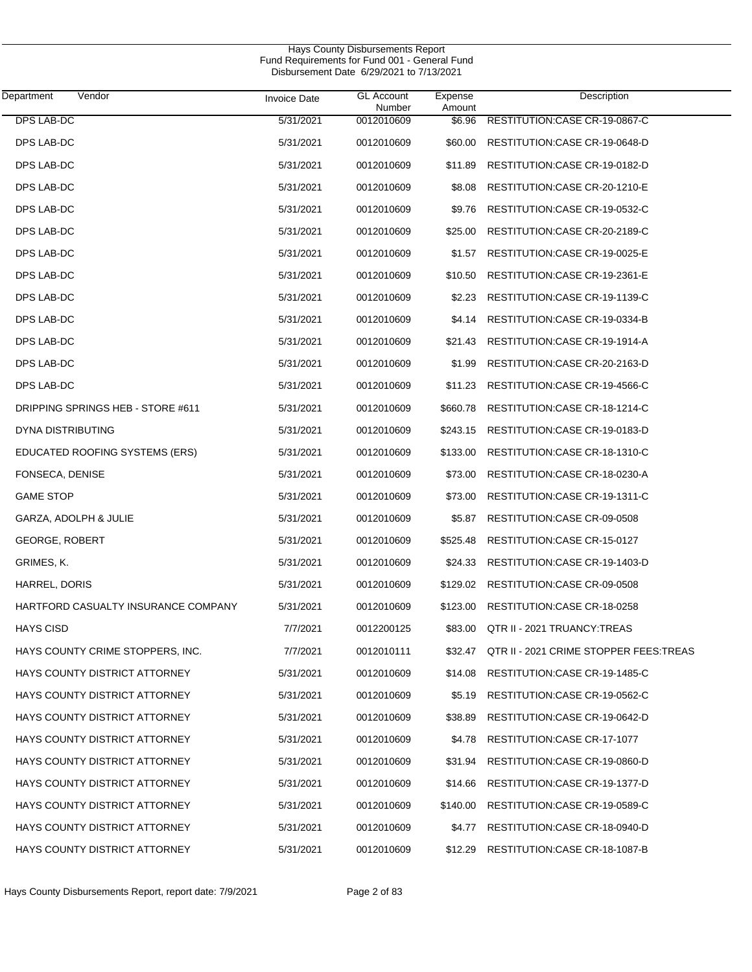$\overline{\phantom{0}}$ 

| Department<br>Vendor                 | <b>Invoice Date</b> | <b>GL Account</b><br>Number | Expense<br>Amount | Description                             |
|--------------------------------------|---------------------|-----------------------------|-------------------|-----------------------------------------|
| <b>DPS LAB-DC</b>                    | 5/31/2021           | 0012010609                  | \$6.96            | RESTITUTION: CASE CR-19-0867-C          |
| DPS LAB-DC                           | 5/31/2021           | 0012010609                  | \$60.00           | RESTITUTION: CASE CR-19-0648-D          |
| DPS LAB-DC                           | 5/31/2021           | 0012010609                  | \$11.89           | RESTITUTION:CASE CR-19-0182-D           |
| DPS LAB-DC                           | 5/31/2021           | 0012010609                  | \$8.08            | RESTITUTION: CASE CR-20-1210-E          |
| DPS LAB-DC                           | 5/31/2021           | 0012010609                  | \$9.76            | RESTITUTION:CASE CR-19-0532-C           |
| DPS LAB-DC                           | 5/31/2021           | 0012010609                  | \$25.00           | RESTITUTION: CASE CR-20-2189-C          |
| DPS LAB-DC                           | 5/31/2021           | 0012010609                  | \$1.57            | RESTITUTION: CASE CR-19-0025-E          |
| DPS LAB-DC                           | 5/31/2021           | 0012010609                  | \$10.50           | RESTITUTION: CASE CR-19-2361-E          |
| DPS LAB-DC                           | 5/31/2021           | 0012010609                  | \$2.23            | RESTITUTION:CASE CR-19-1139-C           |
| DPS LAB-DC                           | 5/31/2021           | 0012010609                  | \$4.14            | RESTITUTION:CASE CR-19-0334-B           |
| DPS LAB-DC                           | 5/31/2021           | 0012010609                  | \$21.43           | RESTITUTION:CASE CR-19-1914-A           |
| DPS LAB-DC                           | 5/31/2021           | 0012010609                  | \$1.99            | RESTITUTION: CASE CR-20-2163-D          |
| DPS LAB-DC                           | 5/31/2021           | 0012010609                  | \$11.23           | RESTITUTION:CASE CR-19-4566-C           |
| DRIPPING SPRINGS HEB - STORE #611    | 5/31/2021           | 0012010609                  | \$660.78          | RESTITUTION: CASE CR-18-1214-C          |
| DYNA DISTRIBUTING                    | 5/31/2021           | 0012010609                  | \$243.15          | RESTITUTION: CASE CR-19-0183-D          |
| EDUCATED ROOFING SYSTEMS (ERS)       | 5/31/2021           | 0012010609                  | \$133.00          | RESTITUTION: CASE CR-18-1310-C          |
| FONSECA, DENISE                      | 5/31/2021           | 0012010609                  | \$73.00           | RESTITUTION: CASE CR-18-0230-A          |
| <b>GAME STOP</b>                     | 5/31/2021           | 0012010609                  | \$73.00           | RESTITUTION: CASE CR-19-1311-C          |
| GARZA, ADOLPH & JULIE                | 5/31/2021           | 0012010609                  | \$5.87            | RESTITUTION: CASE CR-09-0508            |
| <b>GEORGE, ROBERT</b>                | 5/31/2021           | 0012010609                  | \$525.48          | RESTITUTION: CASE CR-15-0127            |
| GRIMES, K.                           | 5/31/2021           | 0012010609                  | \$24.33           | RESTITUTION: CASE CR-19-1403-D          |
| HARREL, DORIS                        | 5/31/2021           | 0012010609                  | \$129.02          | RESTITUTION:CASE CR-09-0508             |
| HARTFORD CASUALTY INSURANCE COMPANY  | 5/31/2021           | 0012010609                  | \$123.00          | RESTITUTION: CASE CR-18-0258            |
| <b>HAYS CISD</b>                     | 7/7/2021            | 0012200125                  | \$83.00           | QTR II - 2021 TRUANCY: TREAS            |
| HAYS COUNTY CRIME STOPPERS, INC.     | 7/7/2021            | 0012010111                  | \$32.47           | QTR II - 2021 CRIME STOPPER FEES: TREAS |
| <b>HAYS COUNTY DISTRICT ATTORNEY</b> | 5/31/2021           | 0012010609                  | \$14.08           | RESTITUTION: CASE CR-19-1485-C          |
| <b>HAYS COUNTY DISTRICT ATTORNEY</b> | 5/31/2021           | 0012010609                  | \$5.19            | RESTITUTION:CASE CR-19-0562-C           |
| HAYS COUNTY DISTRICT ATTORNEY        | 5/31/2021           | 0012010609                  | \$38.89           | RESTITUTION: CASE CR-19-0642-D          |
| HAYS COUNTY DISTRICT ATTORNEY        | 5/31/2021           | 0012010609                  | \$4.78            | RESTITUTION: CASE CR-17-1077            |
| HAYS COUNTY DISTRICT ATTORNEY        | 5/31/2021           | 0012010609                  | \$31.94           | RESTITUTION:CASE CR-19-0860-D           |
| HAYS COUNTY DISTRICT ATTORNEY        | 5/31/2021           | 0012010609                  | \$14.66           | RESTITUTION: CASE CR-19-1377-D          |
| HAYS COUNTY DISTRICT ATTORNEY        | 5/31/2021           | 0012010609                  | \$140.00          | RESTITUTION: CASE CR-19-0589-C          |
| HAYS COUNTY DISTRICT ATTORNEY        | 5/31/2021           | 0012010609                  | \$4.77            | RESTITUTION: CASE CR-18-0940-D          |
| HAYS COUNTY DISTRICT ATTORNEY        | 5/31/2021           | 0012010609                  |                   | \$12.29 RESTITUTION:CASE CR-18-1087-B   |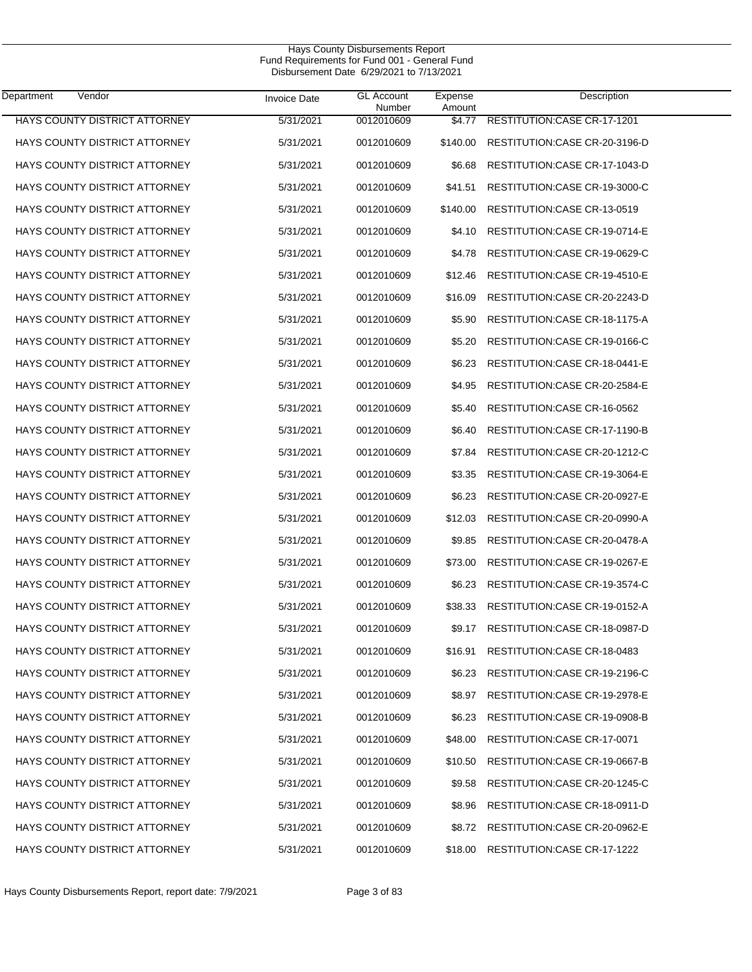| Department<br>Vendor                 | <b>Invoice Date</b> | <b>GL Account</b><br>Number | Expense<br>Amount | Description                        |
|--------------------------------------|---------------------|-----------------------------|-------------------|------------------------------------|
| <b>HAYS COUNTY DISTRICT ATTORNEY</b> | 5/31/2021           | 0012010609                  | \$4.77            | <b>RESTITUTION:CASE CR-17-1201</b> |
| <b>HAYS COUNTY DISTRICT ATTORNEY</b> | 5/31/2021           | 0012010609                  | \$140.00          | RESTITUTION:CASE CR-20-3196-D      |
| HAYS COUNTY DISTRICT ATTORNEY        | 5/31/2021           | 0012010609                  | \$6.68            | RESTITUTION: CASE CR-17-1043-D     |
| <b>HAYS COUNTY DISTRICT ATTORNEY</b> | 5/31/2021           | 0012010609                  | \$41.51           | RESTITUTION: CASE CR-19-3000-C     |
| <b>HAYS COUNTY DISTRICT ATTORNEY</b> | 5/31/2021           | 0012010609                  | \$140.00          | RESTITUTION: CASE CR-13-0519       |
| <b>HAYS COUNTY DISTRICT ATTORNEY</b> | 5/31/2021           | 0012010609                  | \$4.10            | RESTITUTION: CASE CR-19-0714-E     |
| <b>HAYS COUNTY DISTRICT ATTORNEY</b> | 5/31/2021           | 0012010609                  | \$4.78            | RESTITUTION: CASE CR-19-0629-C     |
| <b>HAYS COUNTY DISTRICT ATTORNEY</b> | 5/31/2021           | 0012010609                  | \$12.46           | RESTITUTION: CASE CR-19-4510-E     |
| HAYS COUNTY DISTRICT ATTORNEY        | 5/31/2021           | 0012010609                  | \$16.09           | RESTITUTION: CASE CR-20-2243-D     |
| <b>HAYS COUNTY DISTRICT ATTORNEY</b> | 5/31/2021           | 0012010609                  | \$5.90            | RESTITUTION: CASE CR-18-1175-A     |
| <b>HAYS COUNTY DISTRICT ATTORNEY</b> | 5/31/2021           | 0012010609                  | \$5.20            | RESTITUTION: CASE CR-19-0166-C     |
| HAYS COUNTY DISTRICT ATTORNEY        | 5/31/2021           | 0012010609                  | \$6.23            | RESTITUTION: CASE CR-18-0441-E     |
| <b>HAYS COUNTY DISTRICT ATTORNEY</b> | 5/31/2021           | 0012010609                  | \$4.95            | RESTITUTION: CASE CR-20-2584-E     |
| HAYS COUNTY DISTRICT ATTORNEY        | 5/31/2021           | 0012010609                  | \$5.40            | RESTITUTION:CASE CR-16-0562        |
| <b>HAYS COUNTY DISTRICT ATTORNEY</b> | 5/31/2021           | 0012010609                  | \$6.40            | RESTITUTION: CASE CR-17-1190-B     |
| <b>HAYS COUNTY DISTRICT ATTORNEY</b> | 5/31/2021           | 0012010609                  | \$7.84            | RESTITUTION: CASE CR-20-1212-C     |
| HAYS COUNTY DISTRICT ATTORNEY        | 5/31/2021           | 0012010609                  | \$3.35            | RESTITUTION: CASE CR-19-3064-E     |
| <b>HAYS COUNTY DISTRICT ATTORNEY</b> | 5/31/2021           | 0012010609                  | \$6.23            | RESTITUTION: CASE CR-20-0927-E     |
| <b>HAYS COUNTY DISTRICT ATTORNEY</b> | 5/31/2021           | 0012010609                  | \$12.03           | RESTITUTION: CASE CR-20-0990-A     |
| <b>HAYS COUNTY DISTRICT ATTORNEY</b> | 5/31/2021           | 0012010609                  | \$9.85            | RESTITUTION: CASE CR-20-0478-A     |
| HAYS COUNTY DISTRICT ATTORNEY        | 5/31/2021           | 0012010609                  | \$73.00           | RESTITUTION: CASE CR-19-0267-E     |
| HAYS COUNTY DISTRICT ATTORNEY        | 5/31/2021           | 0012010609                  | \$6.23            | RESTITUTION: CASE CR-19-3574-C     |
| HAYS COUNTY DISTRICT ATTORNEY        | 5/31/2021           | 0012010609                  | \$38.33           | RESTITUTION: CASE CR-19-0152-A     |
| <b>HAYS COUNTY DISTRICT ATTORNEY</b> | 5/31/2021           | 0012010609                  | \$9.17            | RESTITUTION: CASE CR-18-0987-D     |
| <b>HAYS COUNTY DISTRICT ATTORNEY</b> | 5/31/2021           | 0012010609                  | \$16.91           | RESTITUTION: CASE CR-18-0483       |
| HAYS COUNTY DISTRICT ATTORNEY        | 5/31/2021           | 0012010609                  | \$6.23            | RESTITUTION: CASE CR-19-2196-C     |
| HAYS COUNTY DISTRICT ATTORNEY        | 5/31/2021           | 0012010609                  | \$8.97            | RESTITUTION: CASE CR-19-2978-E     |
| HAYS COUNTY DISTRICT ATTORNEY        | 5/31/2021           | 0012010609                  | \$6.23            | RESTITUTION: CASE CR-19-0908-B     |
| <b>HAYS COUNTY DISTRICT ATTORNEY</b> | 5/31/2021           | 0012010609                  | \$48.00           | RESTITUTION:CASE CR-17-0071        |
| HAYS COUNTY DISTRICT ATTORNEY        | 5/31/2021           | 0012010609                  | \$10.50           | RESTITUTION: CASE CR-19-0667-B     |
| HAYS COUNTY DISTRICT ATTORNEY        | 5/31/2021           | 0012010609                  | \$9.58            | RESTITUTION:CASE CR-20-1245-C      |
| HAYS COUNTY DISTRICT ATTORNEY        | 5/31/2021           | 0012010609                  | \$8.96            | RESTITUTION: CASE CR-18-0911-D     |
| HAYS COUNTY DISTRICT ATTORNEY        | 5/31/2021           | 0012010609                  | \$8.72            | RESTITUTION:CASE CR-20-0962-E      |
| HAYS COUNTY DISTRICT ATTORNEY        | 5/31/2021           | 0012010609                  | \$18.00           | RESTITUTION: CASE CR-17-1222       |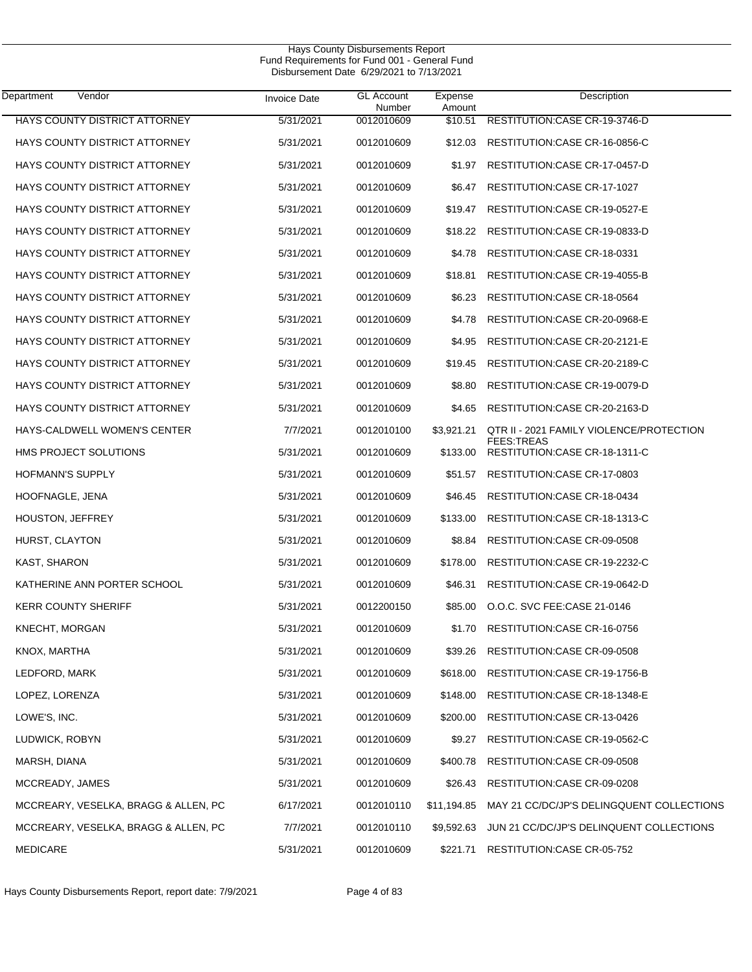| Department<br>Vendor                 | <b>Invoice Date</b> | <b>GL Account</b><br>Number | Expense<br>Amount | Description                                         |
|--------------------------------------|---------------------|-----------------------------|-------------------|-----------------------------------------------------|
| HAYS COUNTY DISTRICT ATTORNEY        | 5/31/2021           | 0012010609                  | \$10.51           | RESTITUTION:CASE CR-19-3746-D                       |
| HAYS COUNTY DISTRICT ATTORNEY        | 5/31/2021           | 0012010609                  | \$12.03           | RESTITUTION:CASE CR-16-0856-C                       |
| <b>HAYS COUNTY DISTRICT ATTORNEY</b> | 5/31/2021           | 0012010609                  | \$1.97            | RESTITUTION: CASE CR-17-0457-D                      |
| HAYS COUNTY DISTRICT ATTORNEY        | 5/31/2021           | 0012010609                  | \$6.47            | RESTITUTION: CASE CR-17-1027                        |
| HAYS COUNTY DISTRICT ATTORNEY        | 5/31/2021           | 0012010609                  | \$19.47           | RESTITUTION: CASE CR-19-0527-E                      |
| <b>HAYS COUNTY DISTRICT ATTORNEY</b> | 5/31/2021           | 0012010609                  | \$18.22           | RESTITUTION: CASE CR-19-0833-D                      |
| HAYS COUNTY DISTRICT ATTORNEY        | 5/31/2021           | 0012010609                  | \$4.78            | RESTITUTION: CASE CR-18-0331                        |
| HAYS COUNTY DISTRICT ATTORNEY        | 5/31/2021           | 0012010609                  | \$18.81           | RESTITUTION:CASE CR-19-4055-B                       |
| HAYS COUNTY DISTRICT ATTORNEY        | 5/31/2021           | 0012010609                  | \$6.23            | RESTITUTION: CASE CR-18-0564                        |
| HAYS COUNTY DISTRICT ATTORNEY        | 5/31/2021           | 0012010609                  | \$4.78            | RESTITUTION: CASE CR-20-0968-E                      |
| HAYS COUNTY DISTRICT ATTORNEY        | 5/31/2021           | 0012010609                  | \$4.95            | RESTITUTION: CASE CR-20-2121-E                      |
| HAYS COUNTY DISTRICT ATTORNEY        | 5/31/2021           | 0012010609                  | \$19.45           | RESTITUTION:CASE CR-20-2189-C                       |
| HAYS COUNTY DISTRICT ATTORNEY        | 5/31/2021           | 0012010609                  | \$8.80            | RESTITUTION:CASE CR-19-0079-D                       |
| HAYS COUNTY DISTRICT ATTORNEY        | 5/31/2021           | 0012010609                  | \$4.65            | RESTITUTION: CASE CR-20-2163-D                      |
| HAYS-CALDWELL WOMEN'S CENTER         | 7/7/2021            | 0012010100                  | \$3,921.21        | QTR II - 2021 FAMILY VIOLENCE/PROTECTION            |
| HMS PROJECT SOLUTIONS                | 5/31/2021           | 0012010609                  | \$133.00          | <b>FEES:TREAS</b><br>RESTITUTION: CASE CR-18-1311-C |
| HOFMANN'S SUPPLY                     | 5/31/2021           | 0012010609                  | \$51.57           | RESTITUTION: CASE CR-17-0803                        |
| HOOFNAGLE, JENA                      | 5/31/2021           | 0012010609                  | \$46.45           | RESTITUTION:CASE CR-18-0434                         |
| <b>HOUSTON, JEFFREY</b>              | 5/31/2021           | 0012010609                  | \$133.00          | RESTITUTION: CASE CR-18-1313-C                      |
| HURST, CLAYTON                       | 5/31/2021           | 0012010609                  | \$8.84            | RESTITUTION: CASE CR-09-0508                        |
| KAST, SHARON                         | 5/31/2021           | 0012010609                  | \$178.00          | RESTITUTION:CASE CR-19-2232-C                       |
| KATHERINE ANN PORTER SCHOOL          | 5/31/2021           | 0012010609                  | \$46.31           | RESTITUTION: CASE CR-19-0642-D                      |
| <b>KERR COUNTY SHERIFF</b>           | 5/31/2021           | 0012200150                  | \$85.00           | O.O.C. SVC FEE:CASE 21-0146                         |
| <b>KNECHT, MORGAN</b>                | 5/31/2021           | 0012010609                  | \$1.70            | <b>RESTITUTION:CASE CR-16-0756</b>                  |
| KNOX, MARTHA                         | 5/31/2021           | 0012010609                  | \$39.26           | RESTITUTION:CASE CR-09-0508                         |
| LEDFORD, MARK                        | 5/31/2021           | 0012010609                  | \$618.00          | RESTITUTION: CASE CR-19-1756-B                      |
| LOPEZ, LORENZA                       | 5/31/2021           | 0012010609                  | \$148.00          | RESTITUTION: CASE CR-18-1348-E                      |
| LOWE'S, INC.                         | 5/31/2021           | 0012010609                  | \$200.00          | RESTITUTION: CASE CR-13-0426                        |
| LUDWICK, ROBYN                       | 5/31/2021           | 0012010609                  | \$9.27            | RESTITUTION:CASE CR-19-0562-C                       |
| MARSH, DIANA                         | 5/31/2021           | 0012010609                  | \$400.78          | RESTITUTION: CASE CR-09-0508                        |
| MCCREADY, JAMES                      | 5/31/2021           | 0012010609                  | \$26.43           | RESTITUTION: CASE CR-09-0208                        |
| MCCREARY, VESELKA, BRAGG & ALLEN, PC | 6/17/2021           | 0012010110                  | \$11,194.85       | MAY 21 CC/DC/JP'S DELINGQUENT COLLECTIONS           |
| MCCREARY, VESELKA, BRAGG & ALLEN, PC | 7/7/2021            | 0012010110                  | \$9,592.63        | JUN 21 CC/DC/JP'S DELINQUENT COLLECTIONS            |
| <b>MEDICARE</b>                      | 5/31/2021           | 0012010609                  | \$221.71          | RESTITUTION:CASE CR-05-752                          |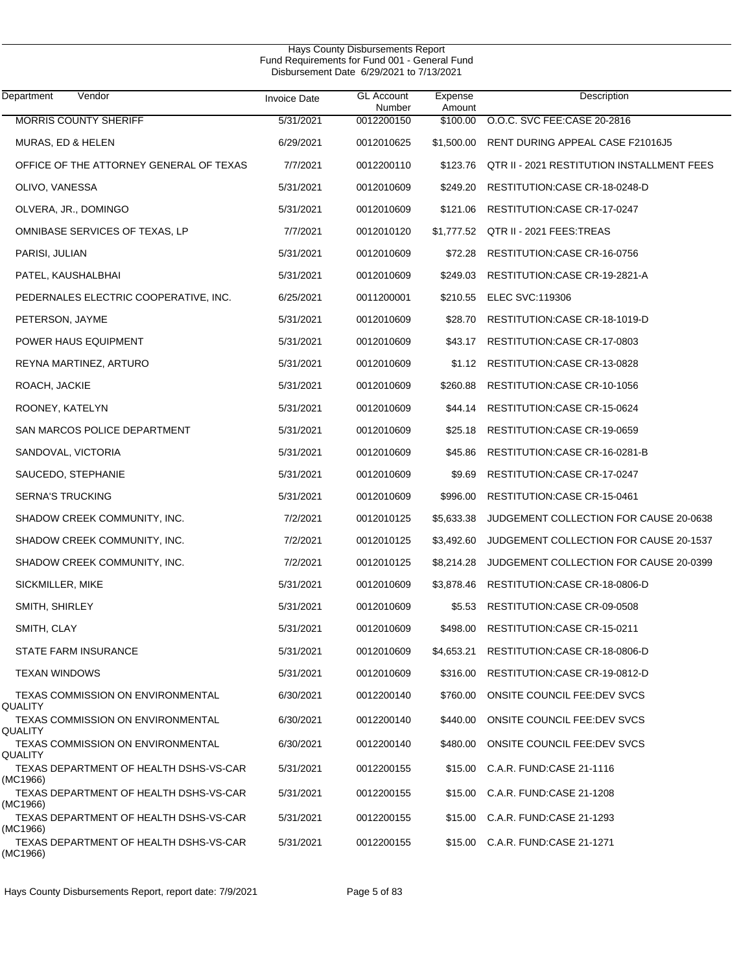| Department<br>Vendor                               | <b>Invoice Date</b> | <b>GL Account</b><br>Number | Expense<br>Amount | Description                                |
|----------------------------------------------------|---------------------|-----------------------------|-------------------|--------------------------------------------|
| <b>MORRIS COUNTY SHERIFF</b>                       | 5/31/2021           | 0012200150                  | \$100.00          | O.O.C. SVC FEE:CASE 20-2816                |
| MURAS, ED & HELEN                                  | 6/29/2021           | 0012010625                  | \$1,500.00        | RENT DURING APPEAL CASE F21016J5           |
| OFFICE OF THE ATTORNEY GENERAL OF TEXAS            | 7/7/2021            | 0012200110                  | \$123.76          | QTR II - 2021 RESTITUTION INSTALLMENT FEES |
| OLIVO, VANESSA                                     | 5/31/2021           | 0012010609                  | \$249.20          | RESTITUTION: CASE CR-18-0248-D             |
| OLVERA, JR., DOMINGO                               | 5/31/2021           | 0012010609                  | \$121.06          | RESTITUTION: CASE CR-17-0247               |
| OMNIBASE SERVICES OF TEXAS, LP                     | 7/7/2021            | 0012010120                  |                   | \$1,777.52 QTR II - 2021 FEES:TREAS        |
| PARISI, JULIAN                                     | 5/31/2021           | 0012010609                  | \$72.28           | RESTITUTION: CASE CR-16-0756               |
| PATEL, KAUSHALBHAI                                 | 5/31/2021           | 0012010609                  | \$249.03          | RESTITUTION: CASE CR-19-2821-A             |
| PEDERNALES ELECTRIC COOPERATIVE, INC.              | 6/25/2021           | 0011200001                  | \$210.55          | ELEC SVC:119306                            |
| PETERSON, JAYME                                    | 5/31/2021           | 0012010609                  | \$28.70           | RESTITUTION: CASE CR-18-1019-D             |
| POWER HAUS EQUIPMENT                               | 5/31/2021           | 0012010609                  | \$43.17           | RESTITUTION: CASE CR-17-0803               |
| REYNA MARTINEZ, ARTURO                             | 5/31/2021           | 0012010609                  |                   | \$1.12 RESTITUTION: CASE CR-13-0828        |
| ROACH, JACKIE                                      | 5/31/2021           | 0012010609                  | \$260.88          | RESTITUTION: CASE CR-10-1056               |
| ROONEY, KATELYN                                    | 5/31/2021           | 0012010609                  | \$44.14           | RESTITUTION: CASE CR-15-0624               |
| SAN MARCOS POLICE DEPARTMENT                       | 5/31/2021           | 0012010609                  | \$25.18           | RESTITUTION: CASE CR-19-0659               |
| SANDOVAL, VICTORIA                                 | 5/31/2021           | 0012010609                  | \$45.86           | RESTITUTION: CASE CR-16-0281-B             |
| SAUCEDO, STEPHANIE                                 | 5/31/2021           | 0012010609                  | \$9.69            | RESTITUTION: CASE CR-17-0247               |
| <b>SERNA'S TRUCKING</b>                            | 5/31/2021           | 0012010609                  | \$996.00          | RESTITUTION: CASE CR-15-0461               |
| SHADOW CREEK COMMUNITY, INC.                       | 7/2/2021            | 0012010125                  | \$5,633.38        | JUDGEMENT COLLECTION FOR CAUSE 20-0638     |
| SHADOW CREEK COMMUNITY, INC.                       | 7/2/2021            | 0012010125                  | \$3,492.60        | JUDGEMENT COLLECTION FOR CAUSE 20-1537     |
| SHADOW CREEK COMMUNITY, INC.                       | 7/2/2021            | 0012010125                  | \$8,214.28        | JUDGEMENT COLLECTION FOR CAUSE 20-0399     |
| SICKMILLER, MIKE                                   | 5/31/2021           | 0012010609                  | \$3,878.46        | RESTITUTION: CASE CR-18-0806-D             |
| SMITH, SHIRLEY                                     | 5/31/2021           | 0012010609                  | \$5.53            | RESTITUTION:CASE CR-09-0508                |
| SMITH, CLAY                                        | 5/31/2021           | 0012010609                  | \$498.00          | RESTITUTION: CASE CR-15-0211               |
| <b>STATE FARM INSURANCE</b>                        | 5/31/2021           | 0012010609                  | \$4,653.21        | RESTITUTION: CASE CR-18-0806-D             |
| <b>TEXAN WINDOWS</b>                               | 5/31/2021           | 0012010609                  | \$316.00          | RESTITUTION: CASE CR-19-0812-D             |
| TEXAS COMMISSION ON ENVIRONMENTAL<br>QUALITY       | 6/30/2021           | 0012200140                  | \$760.00          | ONSITE COUNCIL FEE:DEV SVCS                |
| TEXAS COMMISSION ON ENVIRONMENTAL                  | 6/30/2021           | 0012200140                  | \$440.00          | ONSITE COUNCIL FEE:DEV SVCS                |
| QUALITY<br>TEXAS COMMISSION ON ENVIRONMENTAL       | 6/30/2021           | 0012200140                  | \$480.00          | ONSITE COUNCIL FEE:DEV SVCS                |
| QUALITY<br>TEXAS DEPARTMENT OF HEALTH DSHS-VS-CAR  | 5/31/2021           | 0012200155                  | \$15.00           | C.A.R. FUND:CASE 21-1116                   |
| (MC1966)<br>TEXAS DEPARTMENT OF HEALTH DSHS-VS-CAR | 5/31/2021           | 0012200155                  | \$15.00           | C.A.R. FUND:CASE 21-1208                   |
| (MC1966)                                           |                     |                             |                   |                                            |
| TEXAS DEPARTMENT OF HEALTH DSHS-VS-CAR<br>(MC1966) | 5/31/2021           | 0012200155                  | \$15.00           | C.A.R. FUND:CASE 21-1293                   |
| TEXAS DEPARTMENT OF HEALTH DSHS-VS-CAR<br>(MC1966) | 5/31/2021           | 0012200155                  |                   | \$15.00 C.A.R. FUND:CASE 21-1271           |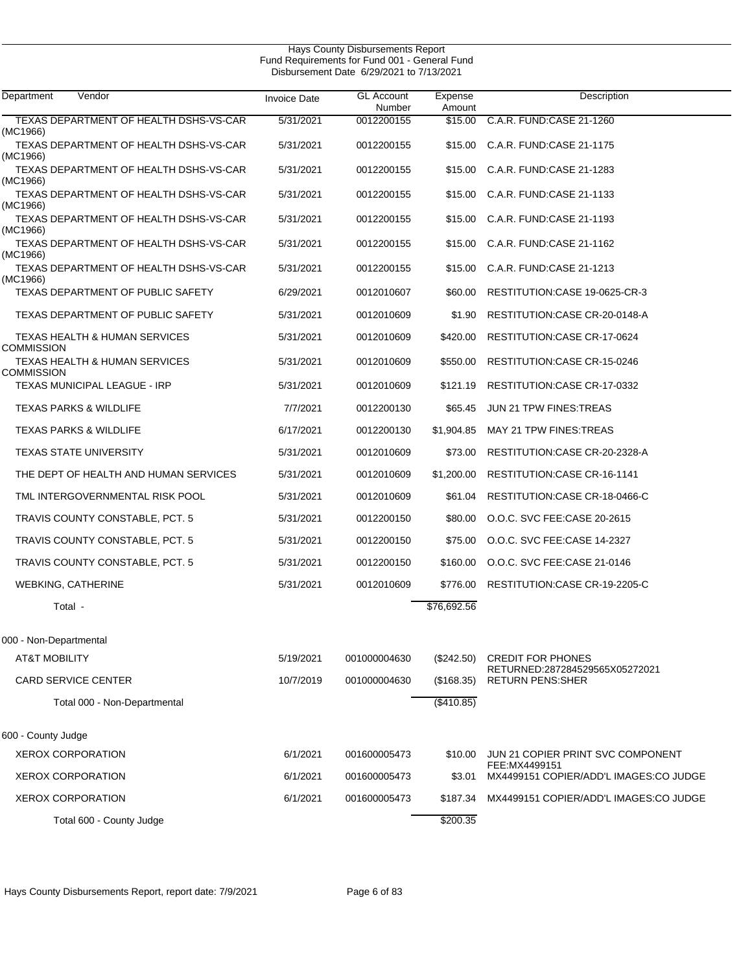| Department<br>Vendor                                   | <b>Invoice Date</b> | <b>GL Account</b><br>Number | Expense<br>Amount | Description                                                |
|--------------------------------------------------------|---------------------|-----------------------------|-------------------|------------------------------------------------------------|
| TEXAS DEPARTMENT OF HEALTH DSHS-VS-CAR<br>(MC1966)     | 5/31/2021           | 0012200155                  | \$15.00           | C.A.R. FUND:CASE 21-1260                                   |
| TEXAS DEPARTMENT OF HEALTH DSHS-VS-CAR<br>(MC1966)     | 5/31/2021           | 0012200155                  | \$15.00           | C.A.R. FUND:CASE 21-1175                                   |
| TEXAS DEPARTMENT OF HEALTH DSHS-VS-CAR<br>(MC1966)     | 5/31/2021           | 0012200155                  | \$15.00           | C.A.R. FUND:CASE 21-1283                                   |
| TEXAS DEPARTMENT OF HEALTH DSHS-VS-CAR<br>(MC1966)     | 5/31/2021           | 0012200155                  | \$15.00           | C.A.R. FUND CASE 21-1133                                   |
| TEXAS DEPARTMENT OF HEALTH DSHS-VS-CAR<br>(MC1966)     | 5/31/2021           | 0012200155                  | \$15.00           | C.A.R. FUND:CASE 21-1193                                   |
| TEXAS DEPARTMENT OF HEALTH DSHS-VS-CAR<br>(MC1966)     | 5/31/2021           | 0012200155                  | \$15.00           | C.A.R. FUND:CASE 21-1162                                   |
| TEXAS DEPARTMENT OF HEALTH DSHS-VS-CAR<br>(MC1966)     | 5/31/2021           | 0012200155                  | \$15.00           | C.A.R. FUND: CASE 21-1213                                  |
| TEXAS DEPARTMENT OF PUBLIC SAFETY                      | 6/29/2021           | 0012010607                  | \$60.00           | RESTITUTION: CASE 19-0625-CR-3                             |
| TEXAS DEPARTMENT OF PUBLIC SAFETY                      | 5/31/2021           | 0012010609                  | \$1.90            | RESTITUTION: CASE CR-20-0148-A                             |
| <b>TEXAS HEALTH &amp; HUMAN SERVICES</b><br>COMMISSION | 5/31/2021           | 0012010609                  | \$420.00          | RESTITUTION: CASE CR-17-0624                               |
| TEXAS HEALTH & HUMAN SERVICES<br><b>COMMISSION</b>     | 5/31/2021           | 0012010609                  | \$550.00          | RESTITUTION:CASE CR-15-0246                                |
| <b>TEXAS MUNICIPAL LEAGUE - IRP</b>                    | 5/31/2021           | 0012010609                  | \$121.19          | RESTITUTION: CASE CR-17-0332                               |
| <b>TEXAS PARKS &amp; WILDLIFE</b>                      | 7/7/2021            | 0012200130                  | \$65.45           | JUN 21 TPW FINES: TREAS                                    |
| <b>TEXAS PARKS &amp; WILDLIFE</b>                      | 6/17/2021           | 0012200130                  | \$1,904.85        | MAY 21 TPW FINES: TREAS                                    |
| <b>TEXAS STATE UNIVERSITY</b>                          | 5/31/2021           | 0012010609                  | \$73.00           | RESTITUTION:CASE CR-20-2328-A                              |
| THE DEPT OF HEALTH AND HUMAN SERVICES                  | 5/31/2021           | 0012010609                  | \$1,200.00        | RESTITUTION: CASE CR-16-1141                               |
| TML INTERGOVERNMENTAL RISK POOL                        | 5/31/2021           | 0012010609                  | \$61.04           | RESTITUTION: CASE CR-18-0466-C                             |
| TRAVIS COUNTY CONSTABLE, PCT. 5                        | 5/31/2021           | 0012200150                  | \$80.00           | O.O.C. SVC FEE:CASE 20-2615                                |
| TRAVIS COUNTY CONSTABLE, PCT. 5                        | 5/31/2021           | 0012200150                  | \$75.00           | O.O.C. SVC FEE:CASE 14-2327                                |
| TRAVIS COUNTY CONSTABLE, PCT. 5                        | 5/31/2021           | 0012200150                  | \$160.00          | O.O.C. SVC FEE:CASE 21-0146                                |
| <b>WEBKING, CATHERINE</b>                              | 5/31/2021           | 0012010609                  | \$776.00          | RESTITUTION:CASE CR-19-2205-C                              |
| Total -                                                |                     |                             | \$76,692.56       |                                                            |
| 000 - Non-Departmental                                 |                     |                             |                   |                                                            |
| <b>AT&amp;T MOBILITY</b>                               | 5/19/2021           | 001000004630                | $(\$242.50)$      | <b>CREDIT FOR PHONES</b>                                   |
| <b>CARD SERVICE CENTER</b>                             | 10/7/2019           | 001000004630                | (\$168.35)        | RETURNED:287284529565X05272021<br><b>RETURN PENS: SHER</b> |
| Total 000 - Non-Departmental                           |                     |                             | $($ \$410.85)     |                                                            |
| 600 - County Judge                                     |                     |                             |                   |                                                            |
| <b>XEROX CORPORATION</b>                               | 6/1/2021            | 001600005473                | \$10.00           | JUN 21 COPIER PRINT SVC COMPONENT<br>FEE: MX4499151        |
| <b>XEROX CORPORATION</b>                               | 6/1/2021            | 001600005473                | \$3.01            | MX4499151 COPIER/ADD'L IMAGES:CO JUDGE                     |
| <b>XEROX CORPORATION</b>                               | 6/1/2021            | 001600005473                | \$187.34          | MX4499151 COPIER/ADD'L IMAGES:CO JUDGE                     |
| Total 600 - County Judge                               |                     |                             | \$200.35          |                                                            |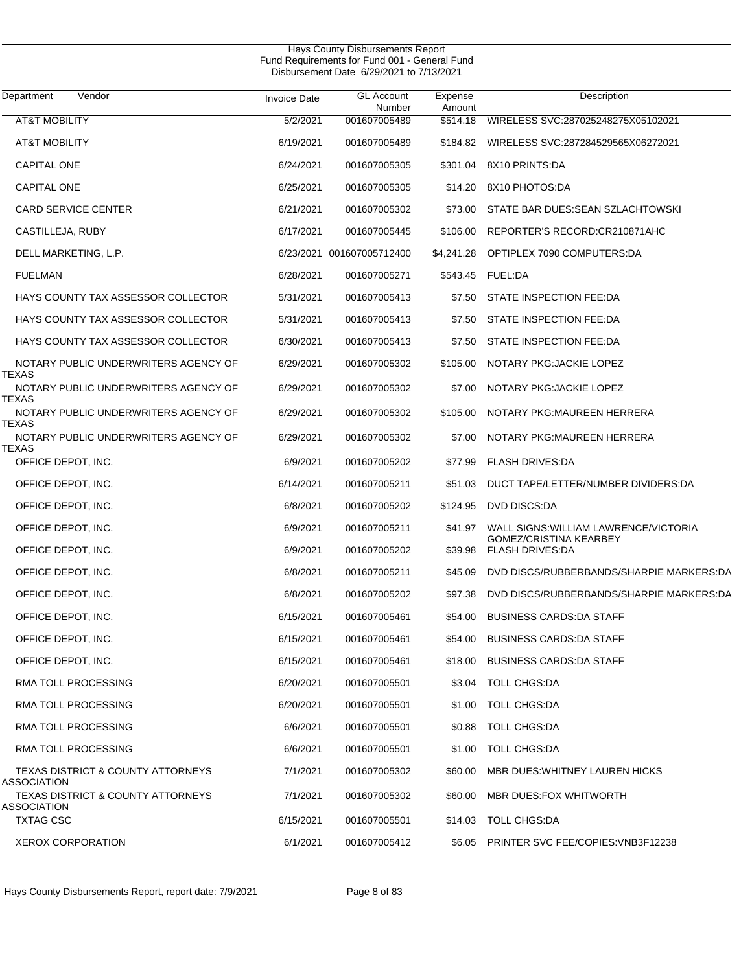| Department<br>Vendor                                        | <b>Invoice Date</b> | <b>GL Account</b><br>Number | Expense<br>Amount | Description                                      |
|-------------------------------------------------------------|---------------------|-----------------------------|-------------------|--------------------------------------------------|
| <b>AT&amp;T MOBILITY</b>                                    | 5/2/2021            | 001607005489                | \$514.18          | WIRELESS SVC:287025248275X05102021               |
| <b>AT&amp;T MOBILITY</b>                                    | 6/19/2021           | 001607005489                | \$184.82          | WIRELESS SVC:287284529565X06272021               |
| <b>CAPITAL ONE</b>                                          | 6/24/2021           | 001607005305                | \$301.04          | 8X10 PRINTS:DA                                   |
| <b>CAPITAL ONE</b>                                          | 6/25/2021           | 001607005305                | \$14.20           | 8X10 PHOTOS:DA                                   |
| <b>CARD SERVICE CENTER</b>                                  | 6/21/2021           | 001607005302                | \$73.00           | STATE BAR DUES: SEAN SZLACHTOWSKI                |
| CASTILLEJA, RUBY                                            | 6/17/2021           | 001607005445                | \$106.00          | REPORTER'S RECORD:CR210871AHC                    |
| DELL MARKETING, L.P.                                        | 6/23/2021           | 001607005712400             | \$4,241.28        | OPTIPLEX 7090 COMPUTERS:DA                       |
| <b>FUELMAN</b>                                              | 6/28/2021           | 001607005271                |                   | \$543.45 FUEL:DA                                 |
| HAYS COUNTY TAX ASSESSOR COLLECTOR                          | 5/31/2021           | 001607005413                | \$7.50            | STATE INSPECTION FEE:DA                          |
| HAYS COUNTY TAX ASSESSOR COLLECTOR                          | 5/31/2021           | 001607005413                | \$7.50            | STATE INSPECTION FEE:DA                          |
| HAYS COUNTY TAX ASSESSOR COLLECTOR                          | 6/30/2021           | 001607005413                | \$7.50            | STATE INSPECTION FEE:DA                          |
| NOTARY PUBLIC UNDERWRITERS AGENCY OF                        | 6/29/2021           | 001607005302                | \$105.00          | NOTARY PKG: JACKIE LOPEZ                         |
| TEXAS<br>NOTARY PUBLIC UNDERWRITERS AGENCY OF<br>TEXAS      | 6/29/2021           | 001607005302                | \$7.00            | NOTARY PKG: JACKIE LOPEZ                         |
| NOTARY PUBLIC UNDERWRITERS AGENCY OF                        | 6/29/2021           | 001607005302                | \$105.00          | NOTARY PKG: MAUREEN HERRERA                      |
| TEXAS<br>NOTARY PUBLIC UNDERWRITERS AGENCY OF<br>TEXAS      | 6/29/2021           | 001607005302                | \$7.00            | NOTARY PKG: MAUREEN HERRERA                      |
| OFFICE DEPOT, INC.                                          | 6/9/2021            | 001607005202                | \$77.99           | <b>FLASH DRIVES:DA</b>                           |
| OFFICE DEPOT, INC.                                          | 6/14/2021           | 001607005211                | \$51.03           | DUCT TAPE/LETTER/NUMBER DIVIDERS:DA              |
| OFFICE DEPOT, INC.                                          | 6/8/2021            | 001607005202                | \$124.95          | DVD DISCS:DA                                     |
| OFFICE DEPOT, INC.                                          | 6/9/2021            | 001607005211                | \$41.97           | WALL SIGNS: WILLIAM LAWRENCE/VICTORIA            |
| OFFICE DEPOT, INC.                                          | 6/9/2021            | 001607005202                | \$39.98           | GOMEZ/CRISTINA KEARBEY<br><b>FLASH DRIVES:DA</b> |
| OFFICE DEPOT, INC.                                          | 6/8/2021            | 001607005211                | \$45.09           | DVD DISCS/RUBBERBANDS/SHARPIE MARKERS:DA         |
| OFFICE DEPOT, INC.                                          | 6/8/2021            | 001607005202                | \$97.38           | DVD DISCS/RUBBERBANDS/SHARPIE MARKERS:DA         |
| OFFICE DEPOT, INC.                                          | 6/15/2021           | 001607005461                | \$54.00           | <b>BUSINESS CARDS: DA STAFF</b>                  |
| OFFICE DEPOT, INC.                                          | 6/15/2021           | 001607005461                |                   | \$54.00 BUSINESS CARDS:DA STAFF                  |
| OFFICE DEPOT, INC.                                          | 6/15/2021           | 001607005461                |                   | \$18.00 BUSINESS CARDS: DA STAFF                 |
| RMA TOLL PROCESSING                                         | 6/20/2021           | 001607005501                |                   | \$3.04 TOLL CHGS:DA                              |
| RMA TOLL PROCESSING                                         | 6/20/2021           | 001607005501                | \$1.00            | <b>TOLL CHGS:DA</b>                              |
| RMA TOLL PROCESSING                                         | 6/6/2021            | 001607005501                | \$0.88            | <b>TOLL CHGS:DA</b>                              |
| RMA TOLL PROCESSING                                         | 6/6/2021            | 001607005501                | \$1.00            | <b>TOLL CHGS:DA</b>                              |
| <b>TEXAS DISTRICT &amp; COUNTY ATTORNEYS</b><br>ASSOCIATION | 7/1/2021            | 001607005302                | \$60.00           | MBR DUES WHITNEY LAUREN HICKS                    |
| <b>TEXAS DISTRICT &amp; COUNTY ATTORNEYS</b><br>ASSOCIATION | 7/1/2021            | 001607005302                | \$60.00           | MBR DUES:FOX WHITWORTH                           |
| <b>TXTAG CSC</b>                                            | 6/15/2021           | 001607005501                | \$14.03           | TOLL CHGS:DA                                     |
| <b>XEROX CORPORATION</b>                                    | 6/1/2021            | 001607005412                | \$6.05            | <b>PRINTER SVC FEE/COPIES: VNB3F12238</b>        |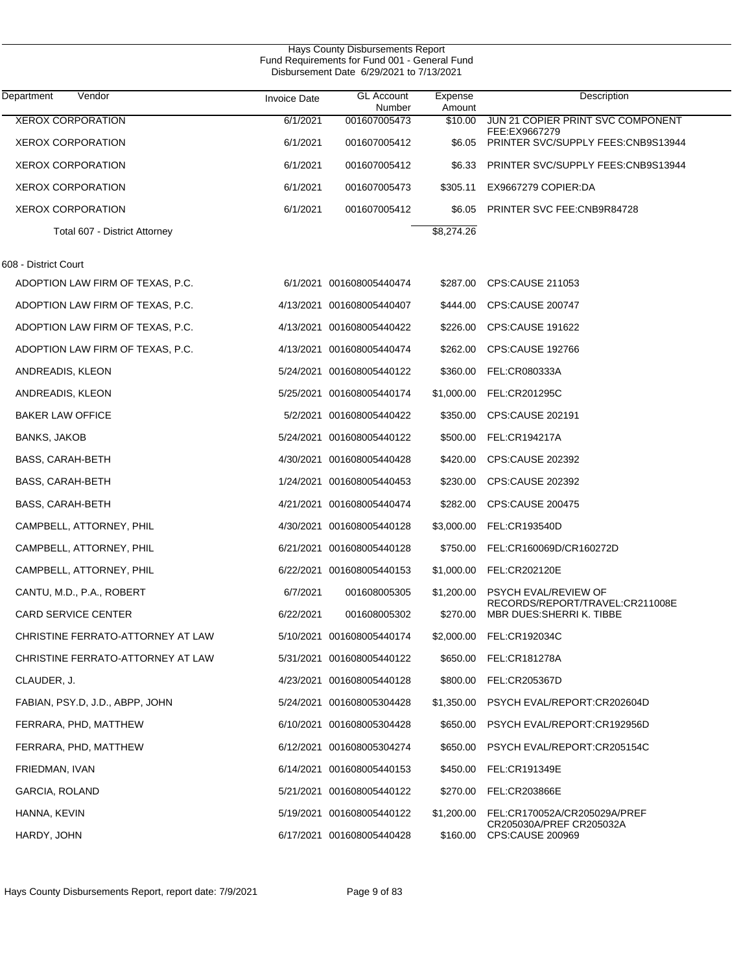| Hays County Disbursements Report<br>Fund Requirements for Fund 001 - General Fund<br>Disbursement Date 6/29/2021 to 7/13/2021 |                     |                             |                   |                                                              |  |  |
|-------------------------------------------------------------------------------------------------------------------------------|---------------------|-----------------------------|-------------------|--------------------------------------------------------------|--|--|
| Vendor<br>Department                                                                                                          | <b>Invoice Date</b> | <b>GL Account</b><br>Number | Expense<br>Amount | Description                                                  |  |  |
| <b>XEROX CORPORATION</b>                                                                                                      | 6/1/2021            | 001607005473                | \$10.00           | JUN 21 COPIER PRINT SVC COMPONENT<br>FEE:EX9667279           |  |  |
| <b>XEROX CORPORATION</b>                                                                                                      | 6/1/2021            | 001607005412                | \$6.05            | PRINTER SVC/SUPPLY FEES:CNB9S13944                           |  |  |
| <b>XEROX CORPORATION</b>                                                                                                      | 6/1/2021            | 001607005412                | \$6.33            | PRINTER SVC/SUPPLY FEES: CNB9S13944                          |  |  |
| <b>XEROX CORPORATION</b>                                                                                                      | 6/1/2021            | 001607005473                | \$305.11          | EX9667279 COPIER:DA                                          |  |  |
| <b>XEROX CORPORATION</b>                                                                                                      | 6/1/2021            | 001607005412                | \$6.05            | PRINTER SVC FEE: CNB9R84728                                  |  |  |
| Total 607 - District Attorney                                                                                                 |                     |                             | \$8,274.26        |                                                              |  |  |
| 608 - District Court                                                                                                          |                     |                             |                   |                                                              |  |  |
| ADOPTION LAW FIRM OF TEXAS, P.C.                                                                                              |                     | 6/1/2021 001608005440474    | \$287.00          | CPS:CAUSE 211053                                             |  |  |
| ADOPTION LAW FIRM OF TEXAS, P.C.                                                                                              |                     | 4/13/2021 001608005440407   | \$444.00          | <b>CPS:CAUSE 200747</b>                                      |  |  |
| ADOPTION LAW FIRM OF TEXAS, P.C.                                                                                              |                     | 4/13/2021 001608005440422   | \$226.00          | CPS:CAUSE 191622                                             |  |  |
| ADOPTION LAW FIRM OF TEXAS, P.C.                                                                                              |                     | 4/13/2021 001608005440474   | \$262.00          | <b>CPS:CAUSE 192766</b>                                      |  |  |
| ANDREADIS, KLEON                                                                                                              |                     | 5/24/2021 001608005440122   | \$360.00          | FEL:CR080333A                                                |  |  |
| ANDREADIS, KLEON                                                                                                              |                     | 5/25/2021 001608005440174   | \$1,000.00        | FEL:CR201295C                                                |  |  |
| <b>BAKER LAW OFFICE</b>                                                                                                       |                     | 5/2/2021 001608005440422    | \$350.00          | CPS:CAUSE 202191                                             |  |  |
| BANKS, JAKOB                                                                                                                  |                     | 5/24/2021 001608005440122   | \$500.00          | FEL:CR194217A                                                |  |  |
| BASS, CARAH-BETH                                                                                                              |                     | 4/30/2021 001608005440428   | \$420.00          | CPS:CAUSE 202392                                             |  |  |
| BASS, CARAH-BETH                                                                                                              |                     | 1/24/2021 001608005440453   | \$230.00          | CPS:CAUSE 202392                                             |  |  |
| <b>BASS, CARAH-BETH</b>                                                                                                       |                     | 4/21/2021 001608005440474   | \$282.00          | CPS:CAUSE 200475                                             |  |  |
| CAMPBELL, ATTORNEY, PHIL                                                                                                      |                     | 4/30/2021 001608005440128   | \$3,000.00        | FEL:CR193540D                                                |  |  |
| CAMPBELL, ATTORNEY, PHIL                                                                                                      |                     | 6/21/2021 001608005440128   | \$750.00          | FEL:CR160069D/CR160272D                                      |  |  |
| CAMPBELL, ATTORNEY, PHIL                                                                                                      |                     | 6/22/2021 001608005440153   | \$1,000.00        | FEL:CR202120E                                                |  |  |
| CANTU, M.D., P.A., ROBERT                                                                                                     | 6/7/2021            | 001608005305                | \$1,200.00        | <b>PSYCH FVAL/REVIEW OF</b>                                  |  |  |
| <b>CARD SERVICE CENTER</b>                                                                                                    | 6/22/2021           | 001608005302                | \$270.00          | RECORDS/REPORT/TRAVEL:CR211008E<br>MBR DUES: SHERRI K. TIBBE |  |  |
| CHRISTINE FERRATO-ATTORNEY AT LAW                                                                                             |                     | 5/10/2021 001608005440174   |                   | \$2,000.00 FEL:CR192034C                                     |  |  |
| CHRISTINE FERRATO-ATTORNEY AT LAW                                                                                             |                     | 5/31/2021 001608005440122   |                   | \$650.00 FEL:CR181278A                                       |  |  |
| CLAUDER, J.                                                                                                                   |                     | 4/23/2021 001608005440128   | \$800.00          | FEL:CR205367D                                                |  |  |
| FABIAN, PSY.D, J.D., ABPP, JOHN                                                                                               |                     | 5/24/2021 001608005304428   | \$1,350.00        | PSYCH EVAL/REPORT:CR202604D                                  |  |  |
| FERRARA, PHD, MATTHEW                                                                                                         |                     | 6/10/2021 001608005304428   | \$650.00          | PSYCH EVAL/REPORT:CR192956D                                  |  |  |
| FERRARA, PHD, MATTHEW                                                                                                         |                     | 6/12/2021 001608005304274   | \$650.00          | PSYCH EVAL/REPORT:CR205154C                                  |  |  |
| FRIEDMAN, IVAN                                                                                                                |                     | 6/14/2021 001608005440153   | \$450.00          | FEL:CR191349E                                                |  |  |
| GARCIA, ROLAND                                                                                                                |                     | 5/21/2021 001608005440122   | \$270.00          | FEL:CR203866E                                                |  |  |
| HANNA, KEVIN                                                                                                                  |                     | 5/19/2021 001608005440122   | \$1,200.00        | FEL:CR170052A/CR205029A/PREF                                 |  |  |
| HARDY, JOHN                                                                                                                   |                     | 6/17/2021 001608005440428   | \$160.00          | CR205030A/PREF CR205032A<br>CPS:CAUSE 200969                 |  |  |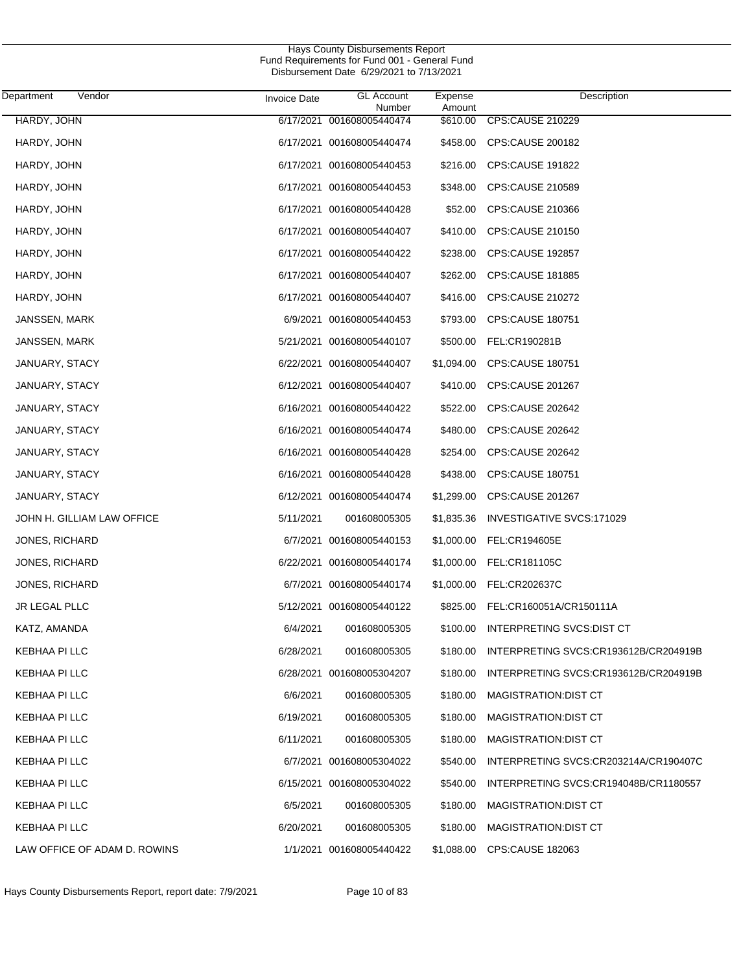| Department<br>Vendor         | <b>Invoice Date</b> | <b>GL Account</b><br>Number | Expense<br>Amount | Description                           |
|------------------------------|---------------------|-----------------------------|-------------------|---------------------------------------|
| HARDY, JOHN                  |                     | 6/17/2021 001608005440474   | \$610.00          | <b>CPS:CAUSE 210229</b>               |
| HARDY, JOHN                  |                     | 6/17/2021 001608005440474   | \$458.00          | CPS:CAUSE 200182                      |
| HARDY, JOHN                  |                     | 6/17/2021 001608005440453   | \$216.00          | <b>CPS:CAUSE 191822</b>               |
| HARDY, JOHN                  |                     | 6/17/2021 001608005440453   | \$348.00          | CPS:CAUSE 210589                      |
| HARDY, JOHN                  |                     | 6/17/2021 001608005440428   | \$52.00           | CPS:CAUSE 210366                      |
| HARDY, JOHN                  |                     | 6/17/2021 001608005440407   | \$410.00          | CPS:CAUSE 210150                      |
| HARDY, JOHN                  |                     | 6/17/2021 001608005440422   | \$238.00          | <b>CPS:CAUSE 192857</b>               |
| HARDY, JOHN                  |                     | 6/17/2021 001608005440407   | \$262.00          | <b>CPS:CAUSE 181885</b>               |
| HARDY, JOHN                  |                     | 6/17/2021 001608005440407   | \$416.00          | <b>CPS:CAUSE 210272</b>               |
| JANSSEN, MARK                |                     | 6/9/2021 001608005440453    | \$793.00          | CPS:CAUSE 180751                      |
| JANSSEN, MARK                |                     | 5/21/2021 001608005440107   | \$500.00          | FEL:CR190281B                         |
| JANUARY, STACY               |                     | 6/22/2021 001608005440407   | \$1,094.00        | CPS:CAUSE 180751                      |
| JANUARY, STACY               |                     | 6/12/2021 001608005440407   | \$410.00          | <b>CPS:CAUSE 201267</b>               |
| JANUARY, STACY               |                     | 6/16/2021 001608005440422   | \$522.00          | <b>CPS:CAUSE 202642</b>               |
| JANUARY, STACY               |                     | 6/16/2021 001608005440474   | \$480.00          | <b>CPS:CAUSE 202642</b>               |
| JANUARY, STACY               |                     | 6/16/2021 001608005440428   | \$254.00          | <b>CPS:CAUSE 202642</b>               |
| JANUARY, STACY               |                     | 6/16/2021 001608005440428   | \$438.00          | <b>CPS:CAUSE 180751</b>               |
| JANUARY, STACY               |                     | 6/12/2021 001608005440474   | \$1,299.00        | CPS:CAUSE 201267                      |
| JOHN H. GILLIAM LAW OFFICE   | 5/11/2021           | 001608005305                | \$1,835.36        | INVESTIGATIVE SVCS:171029             |
| JONES, RICHARD               |                     | 6/7/2021 001608005440153    | \$1,000.00        | FEL:CR194605E                         |
| JONES, RICHARD               |                     | 6/22/2021 001608005440174   | \$1,000.00        | FEL:CR181105C                         |
| <b>JONES, RICHARD</b>        |                     | 6/7/2021 001608005440174    | \$1,000.00        | FEL:CR202637C                         |
| JR LEGAL PLLC                |                     | 5/12/2021 001608005440122   | \$825.00          | FEL:CR160051A/CR150111A               |
| KATZ, AMANDA                 | 6/4/2021            | 001608005305                | \$100.00          | INTERPRETING SVCS:DIST CT             |
| KEBHAA PI LLC                | 6/28/2021           | 001608005305                | \$180.00          | INTERPRETING SVCS:CR193612B/CR204919B |
| KEBHAA PI LLC                |                     | 6/28/2021 001608005304207   | \$180.00          | INTERPRETING SVCS:CR193612B/CR204919B |
| KEBHAA PI LLC                | 6/6/2021            | 001608005305                | \$180.00          | <b>MAGISTRATION:DIST CT</b>           |
| KEBHAA PI LLC                | 6/19/2021           | 001608005305                | \$180.00          | <b>MAGISTRATION:DIST CT</b>           |
| KEBHAA PI LLC                | 6/11/2021           | 001608005305                | \$180.00          | <b>MAGISTRATION:DIST CT</b>           |
| KEBHAA PI LLC                |                     | 6/7/2021 001608005304022    | \$540.00          | INTERPRETING SVCS:CR203214A/CR190407C |
| KEBHAA PI LLC                |                     | 6/15/2021 001608005304022   | \$540.00          | INTERPRETING SVCS:CR194048B/CR1180557 |
| KEBHAA PI LLC                | 6/5/2021            | 001608005305                | \$180.00          | <b>MAGISTRATION:DIST CT</b>           |
| KEBHAA PI LLC                | 6/20/2021           | 001608005305                | \$180.00          | <b>MAGISTRATION:DIST CT</b>           |
| LAW OFFICE OF ADAM D. ROWINS |                     | 1/1/2021 001608005440422    | \$1,088.00        | <b>CPS:CAUSE 182063</b>               |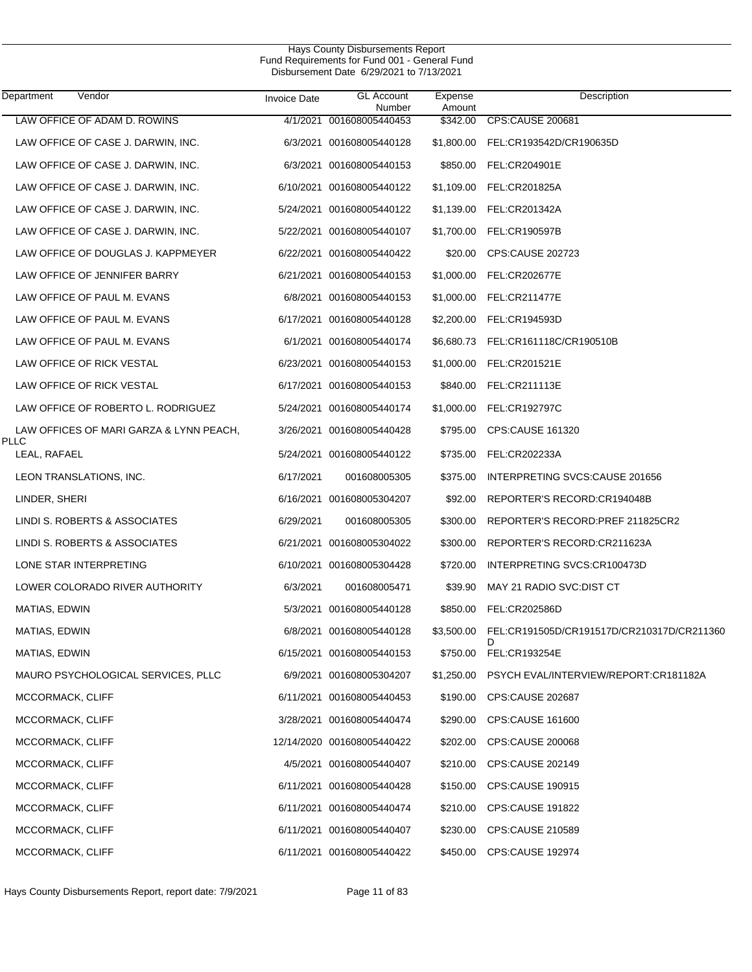| Department           | Vendor                                  | <b>Invoice Date</b> | <b>GL Account</b><br>Number | Expense<br>Amount | Description                                     |
|----------------------|-----------------------------------------|---------------------|-----------------------------|-------------------|-------------------------------------------------|
|                      | LAW OFFICE OF ADAM D. ROWINS            |                     | 4/1/2021 001608005440453    | \$342.00          | <b>CPS:CAUSE 200681</b>                         |
|                      | LAW OFFICE OF CASE J. DARWIN, INC.      |                     | 6/3/2021 001608005440128    | \$1,800.00        | FEL:CR193542D/CR190635D                         |
|                      | LAW OFFICE OF CASE J. DARWIN, INC.      |                     | 6/3/2021 001608005440153    | \$850.00          | FEL:CR204901E                                   |
|                      | LAW OFFICE OF CASE J. DARWIN, INC.      |                     | 6/10/2021 001608005440122   | \$1,109.00        | FEL:CR201825A                                   |
|                      | LAW OFFICE OF CASE J. DARWIN, INC.      |                     | 5/24/2021 001608005440122   | \$1,139.00        | FEL:CR201342A                                   |
|                      | LAW OFFICE OF CASE J. DARWIN, INC.      |                     | 5/22/2021 001608005440107   | \$1,700.00        | FEL:CR190597B                                   |
|                      | LAW OFFICE OF DOUGLAS J. KAPPMEYER      |                     | 6/22/2021 001608005440422   | \$20.00           | CPS:CAUSE 202723                                |
|                      | LAW OFFICE OF JENNIFER BARRY            |                     | 6/21/2021 001608005440153   | \$1,000.00        | <b>FEL:CR202677E</b>                            |
|                      | LAW OFFICE OF PAUL M. EVANS             |                     | 6/8/2021 001608005440153    | \$1,000.00        | <b>FEL:CR211477E</b>                            |
|                      | LAW OFFICE OF PAUL M. EVANS             |                     | 6/17/2021 001608005440128   | \$2,200.00        | FEL:CR194593D                                   |
|                      | LAW OFFICE OF PAUL M. EVANS             |                     | 6/1/2021 001608005440174    | \$6,680.73        | FEL:CR161118C/CR190510B                         |
|                      | LAW OFFICE OF RICK VESTAL               |                     | 6/23/2021 001608005440153   | \$1,000.00        | FEL:CR201521E                                   |
|                      | LAW OFFICE OF RICK VESTAL               |                     | 6/17/2021 001608005440153   | \$840.00          | FEL:CR211113E                                   |
|                      | LAW OFFICE OF ROBERTO L. RODRIGUEZ      |                     | 5/24/2021 001608005440174   | \$1,000.00        | FEL:CR192797C                                   |
| <b>PLLC</b>          | LAW OFFICES OF MARI GARZA & LYNN PEACH, |                     | 3/26/2021 001608005440428   | \$795.00          | CPS:CAUSE 161320                                |
| LEAL, RAFAEL         |                                         |                     | 5/24/2021 001608005440122   | \$735.00          | FEL:CR202233A                                   |
|                      | LEON TRANSLATIONS, INC.                 | 6/17/2021           | 001608005305                | \$375.00          | INTERPRETING SVCS:CAUSE 201656                  |
| LINDER, SHERI        |                                         |                     | 6/16/2021 001608005304207   | \$92.00           | REPORTER'S RECORD:CR194048B                     |
|                      | LINDI S. ROBERTS & ASSOCIATES           | 6/29/2021           | 001608005305                | \$300.00          | REPORTER'S RECORD:PREF 211825CR2                |
|                      | LINDI S. ROBERTS & ASSOCIATES           |                     | 6/21/2021 001608005304022   | \$300.00          | REPORTER'S RECORD:CR211623A                     |
|                      | LONE STAR INTERPRETING                  |                     | 6/10/2021 001608005304428   | \$720.00          | INTERPRETING SVCS:CR100473D                     |
|                      | LOWER COLORADO RIVER AUTHORITY          | 6/3/2021            | 001608005471                | \$39.90           | MAY 21 RADIO SVC:DIST CT                        |
| MATIAS, EDWIN        |                                         |                     | 5/3/2021 001608005440128    | \$850.00          | FEL:CR202586D                                   |
| <b>MATIAS, EDWIN</b> |                                         |                     | 6/8/2021 001608005440128    | \$3,500.00        | FEL:CR191505D/CR191517D/CR210317D/CR211360<br>D |
| MATIAS, EDWIN        |                                         |                     | 6/15/2021 001608005440153   | \$750.00          | FEL:CR193254E                                   |
|                      | MAURO PSYCHOLOGICAL SERVICES, PLLC      |                     | 6/9/2021 001608005304207    | \$1,250.00        | PSYCH EVAL/INTERVIEW/REPORT:CR181182A           |
| MCCORMACK, CLIFF     |                                         |                     | 6/11/2021 001608005440453   | \$190.00          | CPS:CAUSE 202687                                |
| MCCORMACK, CLIFF     |                                         |                     | 3/28/2021 001608005440474   | \$290.00          | <b>CPS:CAUSE 161600</b>                         |
| MCCORMACK, CLIFF     |                                         |                     | 12/14/2020 001608005440422  | \$202.00          | CPS:CAUSE 200068                                |
| MCCORMACK, CLIFF     |                                         |                     | 4/5/2021 001608005440407    | \$210.00          | CPS:CAUSE 202149                                |
| MCCORMACK, CLIFF     |                                         |                     | 6/11/2021 001608005440428   | \$150.00          | <b>CPS:CAUSE 190915</b>                         |
| MCCORMACK, CLIFF     |                                         |                     | 6/11/2021 001608005440474   | \$210.00          | <b>CPS:CAUSE 191822</b>                         |
| MCCORMACK, CLIFF     |                                         |                     | 6/11/2021 001608005440407   | \$230.00          | CPS:CAUSE 210589                                |
| MCCORMACK, CLIFF     |                                         |                     | 6/11/2021 001608005440422   | \$450.00          | CPS:CAUSE 192974                                |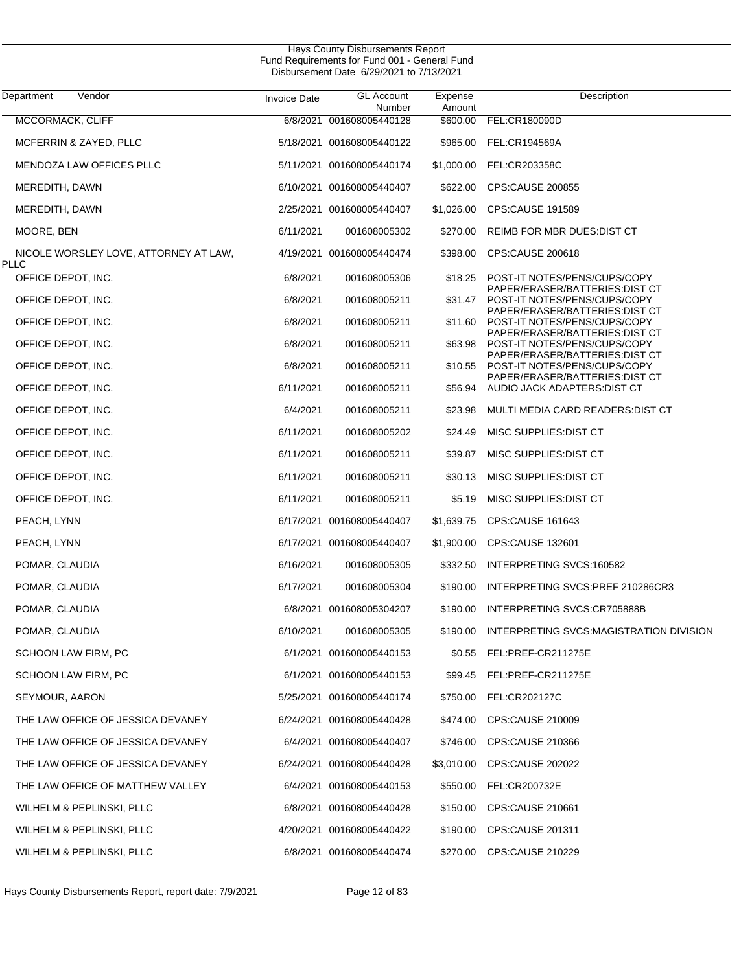| Department<br>Vendor                                 | <b>Invoice Date</b> | <b>GL Account</b><br>Number | Expense<br>Amount | Description                                                     |
|------------------------------------------------------|---------------------|-----------------------------|-------------------|-----------------------------------------------------------------|
| <b>MCCORMACK, CLIFF</b>                              |                     | 6/8/2021 001608005440128    | \$600.00          | FEL:CR180090D                                                   |
| MCFERRIN & ZAYED, PLLC                               |                     | 5/18/2021 001608005440122   | \$965.00          | FEL:CR194569A                                                   |
| MENDOZA LAW OFFICES PLLC                             |                     | 5/11/2021 001608005440174   | \$1,000.00        | FEL:CR203358C                                                   |
| MEREDITH, DAWN                                       |                     | 6/10/2021 001608005440407   | \$622.00          | <b>CPS:CAUSE 200855</b>                                         |
| MEREDITH, DAWN                                       |                     | 2/25/2021 001608005440407   | \$1,026.00        | <b>CPS:CAUSE 191589</b>                                         |
| MOORE, BEN                                           | 6/11/2021           | 001608005302                | \$270.00          | REIMB FOR MBR DUES: DIST CT                                     |
| NICOLE WORSLEY LOVE, ATTORNEY AT LAW,<br><b>PLLC</b> |                     | 4/19/2021 001608005440474   | \$398.00          | CPS:CAUSE 200618                                                |
| OFFICE DEPOT, INC.                                   | 6/8/2021            | 001608005306                | \$18.25           | POST-IT NOTES/PENS/CUPS/COPY                                    |
| OFFICE DEPOT, INC.                                   | 6/8/2021            | 001608005211                | \$31.47           | PAPER/ERASER/BATTERIES:DIST CT<br>POST-IT NOTES/PENS/CUPS/COPY  |
| OFFICE DEPOT, INC.                                   | 6/8/2021            | 001608005211                | \$11.60           | PAPER/ERASER/BATTERIES: DIST CT<br>POST-IT NOTES/PENS/CUPS/COPY |
| OFFICE DEPOT, INC.                                   | 6/8/2021            | 001608005211                | \$63.98           | PAPER/ERASER/BATTERIES:DIST CT<br>POST-IT NOTES/PENS/CUPS/COPY  |
| OFFICE DEPOT, INC.                                   | 6/8/2021            | 001608005211                | \$10.55           | PAPER/ERASER/BATTERIES:DIST CT<br>POST-IT NOTES/PENS/CUPS/COPY  |
| OFFICE DEPOT, INC.                                   | 6/11/2021           | 001608005211                | \$56.94           | PAPER/ERASER/BATTERIES:DIST CT<br>AUDIO JACK ADAPTERS: DIST CT  |
| OFFICE DEPOT, INC.                                   | 6/4/2021            | 001608005211                | \$23.98           | MULTI MEDIA CARD READERS: DIST CT                               |
| OFFICE DEPOT, INC.                                   | 6/11/2021           | 001608005202                | \$24.49           | MISC SUPPLIES: DIST CT                                          |
| OFFICE DEPOT, INC.                                   | 6/11/2021           | 001608005211                | \$39.87           | MISC SUPPLIES: DIST CT                                          |
| OFFICE DEPOT, INC.                                   | 6/11/2021           | 001608005211                | \$30.13           | MISC SUPPLIES: DIST CT                                          |
| OFFICE DEPOT, INC.                                   | 6/11/2021           | 001608005211                | \$5.19            | MISC SUPPLIES: DIST CT                                          |
| PEACH, LYNN                                          |                     | 6/17/2021 001608005440407   | \$1,639.75        | <b>CPS:CAUSE 161643</b>                                         |
| PEACH, LYNN                                          |                     | 6/17/2021 001608005440407   | \$1,900.00        | CPS:CAUSE 132601                                                |
| POMAR, CLAUDIA                                       | 6/16/2021           | 001608005305                | \$332.50          | INTERPRETING SVCS:160582                                        |
| POMAR, CLAUDIA                                       | 6/17/2021           | 001608005304                | \$190.00          | INTERPRETING SVCS:PREF 210286CR3                                |
| POMAR, CLAUDIA                                       |                     | 6/8/2021 001608005304207    | \$190.00          | INTERPRETING SVCS:CR705888B                                     |
| POMAR, CLAUDIA                                       | 6/10/2021           | 001608005305                | \$190.00          | INTERPRETING SVCS:MAGISTRATION DIVISION                         |
| SCHOON LAW FIRM, PC                                  |                     | 6/1/2021 001608005440153    |                   | \$0.55 FEL:PREF-CR211275E                                       |
| SCHOON LAW FIRM, PC                                  |                     | 6/1/2021 001608005440153    |                   | \$99.45 FEL:PREF-CR211275E                                      |
| SEYMOUR, AARON                                       |                     | 5/25/2021 001608005440174   |                   | \$750.00 FEL:CR202127C                                          |
| THE LAW OFFICE OF JESSICA DEVANEY                    |                     | 6/24/2021 001608005440428   |                   | \$474.00 CPS:CAUSE 210009                                       |
| THE LAW OFFICE OF JESSICA DEVANEY                    |                     | 6/4/2021 001608005440407    | \$746.00          | CPS:CAUSE 210366                                                |
| THE LAW OFFICE OF JESSICA DEVANEY                    |                     | 6/24/2021 001608005440428   | \$3,010.00        | <b>CPS:CAUSE 202022</b>                                         |
| THE LAW OFFICE OF MATTHEW VALLEY                     |                     | 6/4/2021 001608005440153    | \$550.00          | FEL:CR200732E                                                   |
| WILHELM & PEPLINSKI, PLLC                            |                     | 6/8/2021 001608005440428    | \$150.00          | CPS:CAUSE 210661                                                |
| WILHELM & PEPLINSKI, PLLC                            |                     | 4/20/2021 001608005440422   | \$190.00          | CPS:CAUSE 201311                                                |
| WILHELM & PEPLINSKI, PLLC                            |                     | 6/8/2021 001608005440474    |                   | \$270.00 CPS:CAUSE 210229                                       |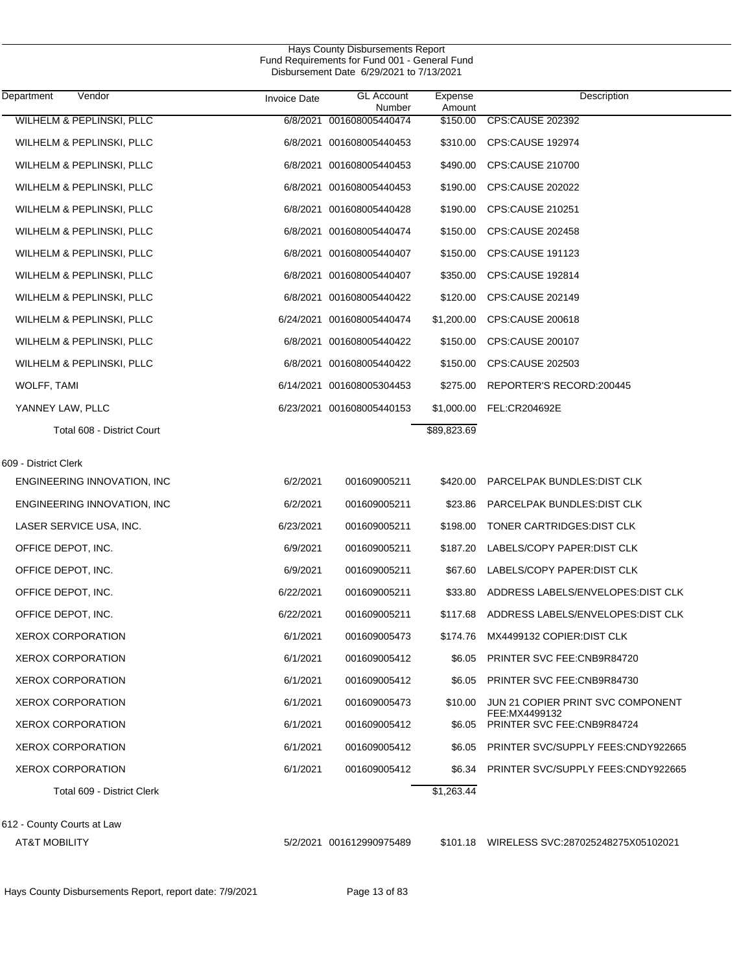| Department<br>Vendor        | <b>Invoice Date</b> | <b>GL Account</b><br>Number | Expense<br>Amount | Description                                 |
|-----------------------------|---------------------|-----------------------------|-------------------|---------------------------------------------|
| WILHELM & PEPLINSKI, PLLC   |                     | 6/8/2021 001608005440474    | \$150.00          | <b>CPS:CAUSE 202392</b>                     |
| WILHELM & PEPLINSKI, PLLC   |                     | 6/8/2021 001608005440453    |                   | \$310.00 CPS:CAUSE 192974                   |
| WILHELM & PEPLINSKI, PLLC   |                     | 6/8/2021 001608005440453    | \$490.00          | CPS:CAUSE 210700                            |
| WILHELM & PEPLINSKI, PLLC   |                     | 6/8/2021 001608005440453    | \$190.00          | CPS:CAUSE 202022                            |
| WILHELM & PEPLINSKI, PLLC   |                     | 6/8/2021 001608005440428    | \$190.00          | <b>CPS:CAUSE 210251</b>                     |
| WILHELM & PEPLINSKI, PLLC   |                     | 6/8/2021 001608005440474    | \$150.00          | CPS:CAUSE 202458                            |
| WILHELM & PEPLINSKI, PLLC   |                     | 6/8/2021 001608005440407    | \$150.00          | CPS:CAUSE 191123                            |
| WILHELM & PEPLINSKI, PLLC   |                     | 6/8/2021 001608005440407    | \$350.00          | CPS:CAUSE 192814                            |
| WILHELM & PEPLINSKI, PLLC   |                     | 6/8/2021 001608005440422    | \$120.00          | CPS:CAUSE 202149                            |
| WILHELM & PEPLINSKI, PLLC   |                     | 6/24/2021 001608005440474   | \$1,200.00        | CPS:CAUSE 200618                            |
| WILHELM & PEPLINSKI, PLLC   |                     | 6/8/2021 001608005440422    | \$150.00          | CPS:CAUSE 200107                            |
| WILHELM & PEPLINSKI, PLLC   |                     | 6/8/2021 001608005440422    | \$150.00          | CPS:CAUSE 202503                            |
| <b>WOLFF, TAMI</b>          |                     | 6/14/2021 001608005304453   | \$275.00          | REPORTER'S RECORD:200445                    |
| YANNEY LAW, PLLC            |                     | 6/23/2021 001608005440153   | \$1,000.00        | FEL:CR204692E                               |
| Total 608 - District Court  |                     |                             | \$89,823.69       |                                             |
| 609 - District Clerk        |                     |                             |                   |                                             |
| ENGINEERING INNOVATION, INC | 6/2/2021            | 001609005211                |                   | \$420.00 PARCELPAK BUNDLES: DIST CLK        |
| ENGINEERING INNOVATION, INC | 6/2/2021            | 001609005211                | \$23.86           | PARCELPAK BUNDLES: DIST CLK                 |
| LASER SERVICE USA, INC.     | 6/23/2021           | 001609005211                | \$198.00          | TONER CARTRIDGES: DIST CLK                  |
| OFFICE DEPOT, INC.          | 6/9/2021            | 001609005211                | \$187.20          | LABELS/COPY PAPER: DIST CLK                 |
| OFFICE DEPOT, INC.          | 6/9/2021            | 001609005211                | \$67.60           | LABELS/COPY PAPER: DIST CLK                 |
| OFFICE DEPOT, INC.          | 6/22/2021           | 001609005211                | \$33.80           | ADDRESS LABELS/ENVELOPES: DIST CLK          |
| OFFICE DEPOT, INC.          | 6/22/2021           | 001609005211                | \$117.68          | ADDRESS LABELS/ENVELOPES: DIST CLK          |
| <b>XEROX CORPORATION</b>    | 6/1/2021            | 001609005473                |                   | \$174.76 MX4499132 COPIER:DIST CLK          |
| <b>XEROX CORPORATION</b>    | 6/1/2021            | 001609005412                | \$6.05            | <b>PRINTER SVC FEE:CNB9R84720</b>           |
| <b>XEROX CORPORATION</b>    | 6/1/2021            | 001609005412                | \$6.05            | PRINTER SVC FEE: CNB9R84730                 |
| <b>XEROX CORPORATION</b>    | 6/1/2021            | 001609005473                | \$10.00           | JUN 21 COPIER PRINT SVC COMPONENT           |
| <b>XEROX CORPORATION</b>    | 6/1/2021            | 001609005412                | \$6.05            | FEE:MX4499132<br>PRINTER SVC FEE:CNB9R84724 |
| <b>XEROX CORPORATION</b>    | 6/1/2021            | 001609005412                | \$6.05            | PRINTER SVC/SUPPLY FEES:CNDY922665          |
| <b>XEROX CORPORATION</b>    | 6/1/2021            | 001609005412                | \$6.34            | PRINTER SVC/SUPPLY FEES:CNDY922665          |
| Total 609 - District Clerk  |                     |                             | \$1,263.44        |                                             |
| 612 - County Courts at Law  |                     |                             |                   |                                             |

AT&T MOBILITY 5/2/2021 001612990975489 \$101.18 WIRELESS SVC:287025248275X05102021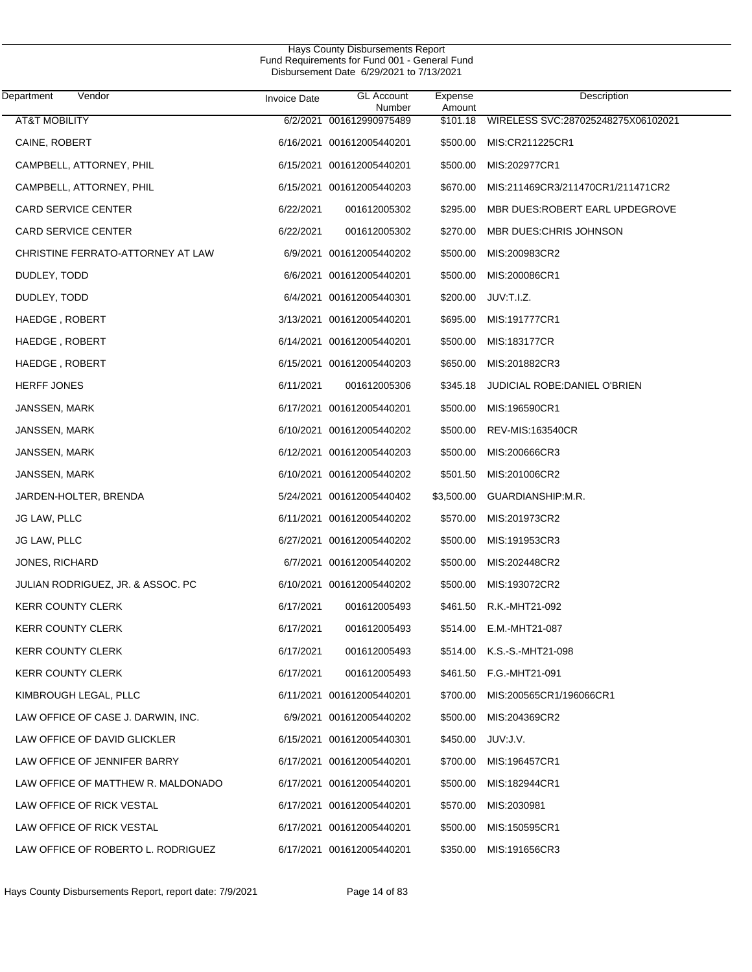$\overline{\phantom{0}}$ 

| Department<br>Vendor               | <b>Invoice Date</b> | <b>GL</b> Account<br>Number | Expense<br>Amount | Description                           |
|------------------------------------|---------------------|-----------------------------|-------------------|---------------------------------------|
| <b>AT&amp;T MOBILITY</b>           |                     | 6/2/2021 001612990975489    | \$101.18          | WIRELESS SVC:287025248275X06102021    |
| CAINE, ROBERT                      |                     | 6/16/2021 001612005440201   | \$500.00          | MIS:CR211225CR1                       |
| CAMPBELL, ATTORNEY, PHIL           |                     | 6/15/2021 001612005440201   | \$500.00          | MIS:202977CR1                         |
| CAMPBELL, ATTORNEY, PHIL           |                     | 6/15/2021 001612005440203   | \$670.00          | MIS:211469CR3/211470CR1/211471CR2     |
| <b>CARD SERVICE CENTER</b>         | 6/22/2021           | 001612005302                | \$295.00          | MBR DUES:ROBERT EARL UPDEGROVE        |
| <b>CARD SERVICE CENTER</b>         | 6/22/2021           | 001612005302                | \$270.00          | MBR DUES: CHRIS JOHNSON               |
| CHRISTINE FERRATO-ATTORNEY AT LAW  |                     | 6/9/2021 001612005440202    | \$500.00          | MIS:200983CR2                         |
| DUDLEY, TODD                       |                     | 6/6/2021 001612005440201    | \$500.00          | MIS:200086CR1                         |
| DUDLEY, TODD                       |                     | 6/4/2021 001612005440301    | \$200.00          | JUV:T.I.Z.                            |
| HAEDGE, ROBERT                     |                     | 3/13/2021 001612005440201   |                   | \$695.00 MIS:191777CR1                |
| HAEDGE, ROBERT                     |                     | 6/14/2021 001612005440201   | \$500.00          | MIS:183177CR                          |
| HAEDGE, ROBERT                     |                     | 6/15/2021 001612005440203   | \$650.00          | MIS:201882CR3                         |
| <b>HERFF JONES</b>                 | 6/11/2021           | 001612005306                |                   | \$345.18 JUDICIAL ROBE:DANIEL O'BRIEN |
| JANSSEN, MARK                      |                     | 6/17/2021 001612005440201   | \$500.00          | MIS:196590CR1                         |
| JANSSEN, MARK                      |                     | 6/10/2021 001612005440202   | \$500.00          | <b>REV-MIS:163540CR</b>               |
| JANSSEN, MARK                      |                     | 6/12/2021 001612005440203   | \$500.00          | MIS:200666CR3                         |
| JANSSEN, MARK                      |                     | 6/10/2021 001612005440202   | \$501.50          | MIS:201006CR2                         |
| JARDEN-HOLTER, BRENDA              |                     | 5/24/2021 001612005440402   | \$3,500.00        | GUARDIANSHIP:M.R.                     |
| JG LAW, PLLC                       |                     | 6/11/2021 001612005440202   | \$570.00          | MIS:201973CR2                         |
| JG LAW, PLLC                       |                     | 6/27/2021 001612005440202   | \$500.00          | MIS:191953CR3                         |
| <b>JONES, RICHARD</b>              |                     | 6/7/2021 001612005440202    | \$500.00          | MIS:202448CR2                         |
| JULIAN RODRIGUEZ, JR. & ASSOC. PC  |                     | 6/10/2021 001612005440202   | \$500.00          | MIS:193072CR2                         |
| <b>KERR COUNTY CLERK</b>           | 6/17/2021           | 001612005493                | \$461.50          | R.K.-MHT21-092                        |
| <b>KERR COUNTY CLERK</b>           | 6/17/2021           | 001612005493                |                   | \$514.00 E.M.-MHT21-087               |
| <b>KERR COUNTY CLERK</b>           | 6/17/2021           | 001612005493                |                   | \$514.00 K.S.-S.-MHT21-098            |
| <b>KERR COUNTY CLERK</b>           | 6/17/2021           | 001612005493                |                   | \$461.50 F.G.-MHT21-091               |
| KIMBROUGH LEGAL, PLLC              |                     | 6/11/2021 001612005440201   |                   | \$700.00 MIS:200565CR1/196066CR1      |
| LAW OFFICE OF CASE J. DARWIN, INC. |                     | 6/9/2021 001612005440202    |                   | \$500.00 MIS:204369CR2                |
| LAW OFFICE OF DAVID GLICKLER       |                     | 6/15/2021 001612005440301   |                   | \$450.00 JUV:J.V.                     |
| LAW OFFICE OF JENNIFER BARRY       |                     | 6/17/2021 001612005440201   |                   | \$700.00 MIS:196457CR1                |
| LAW OFFICE OF MATTHEW R. MALDONADO |                     | 6/17/2021 001612005440201   |                   | \$500.00 MIS:182944CR1                |
| LAW OFFICE OF RICK VESTAL          |                     | 6/17/2021 001612005440201   | \$570.00          | MIS:2030981                           |
| LAW OFFICE OF RICK VESTAL          |                     | 6/17/2021 001612005440201   |                   | \$500.00 MIS:150595CR1                |
| LAW OFFICE OF ROBERTO L. RODRIGUEZ |                     | 6/17/2021 001612005440201   |                   | \$350.00 MIS:191656CR3                |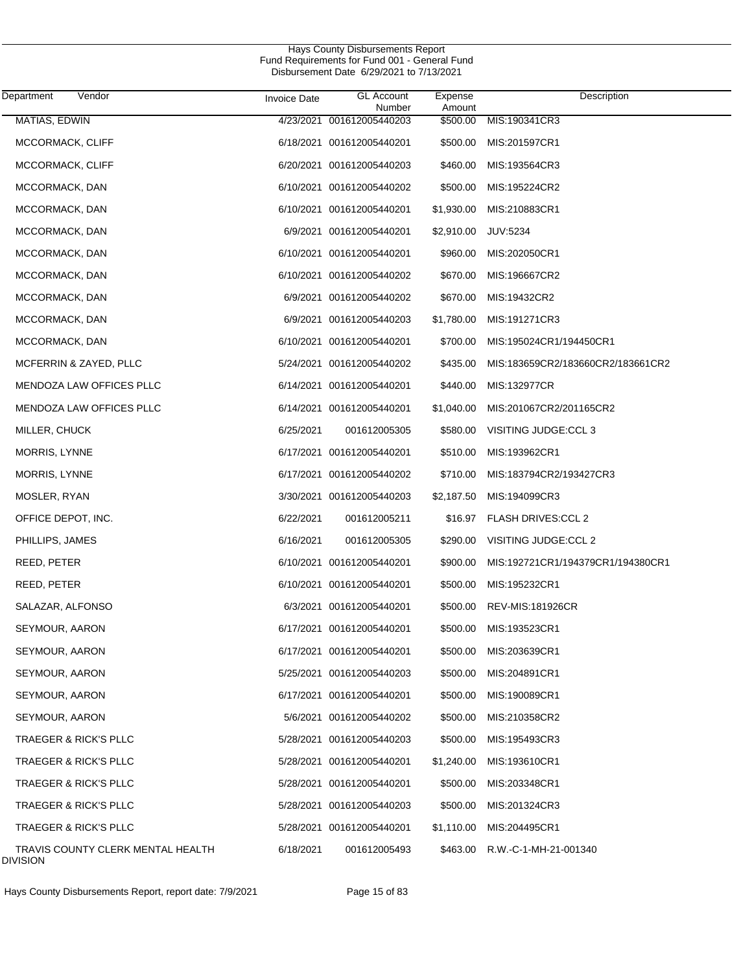| Department<br>Vendor                                 | <b>Invoice Date</b> | <b>GL Account</b><br>Number | Expense<br>Amount | Description                       |
|------------------------------------------------------|---------------------|-----------------------------|-------------------|-----------------------------------|
| MATIAS, EDWIN                                        |                     | 4/23/2021 001612005440203   | \$500.00          | MIS:190341CR3                     |
| MCCORMACK, CLIFF                                     |                     | 6/18/2021 001612005440201   | \$500.00          | MIS:201597CR1                     |
| MCCORMACK, CLIFF                                     |                     | 6/20/2021 001612005440203   | \$460.00          | MIS:193564CR3                     |
| MCCORMACK, DAN                                       |                     | 6/10/2021 001612005440202   | \$500.00          | MIS:195224CR2                     |
| MCCORMACK, DAN                                       |                     | 6/10/2021 001612005440201   | \$1,930.00        | MIS:210883CR1                     |
| MCCORMACK, DAN                                       |                     | 6/9/2021 001612005440201    | \$2,910.00        | <b>JUV:5234</b>                   |
| MCCORMACK, DAN                                       |                     | 6/10/2021 001612005440201   | \$960.00          | MIS:202050CR1                     |
| MCCORMACK, DAN                                       |                     | 6/10/2021 001612005440202   | \$670.00          | MIS:196667CR2                     |
| MCCORMACK, DAN                                       |                     | 6/9/2021 001612005440202    | \$670.00          | MIS:19432CR2                      |
| MCCORMACK, DAN                                       |                     | 6/9/2021 001612005440203    | \$1,780.00        | MIS:191271CR3                     |
| MCCORMACK, DAN                                       |                     | 6/10/2021 001612005440201   | \$700.00          | MIS:195024CR1/194450CR1           |
| MCFERRIN & ZAYED, PLLC                               |                     | 5/24/2021 001612005440202   | \$435.00          | MIS:183659CR2/183660CR2/183661CR2 |
| MENDOZA LAW OFFICES PLLC                             |                     | 6/14/2021 001612005440201   | \$440.00          | MIS:132977CR                      |
| MENDOZA LAW OFFICES PLLC                             |                     | 6/14/2021 001612005440201   | \$1,040.00        | MIS:201067CR2/201165CR2           |
| MILLER, CHUCK                                        | 6/25/2021           | 001612005305                | \$580.00          | VISITING JUDGE:CCL 3              |
| MORRIS, LYNNE                                        |                     | 6/17/2021 001612005440201   | \$510.00          | MIS:193962CR1                     |
| MORRIS, LYNNE                                        |                     | 6/17/2021 001612005440202   | \$710.00          | MIS:183794CR2/193427CR3           |
| MOSLER, RYAN                                         |                     | 3/30/2021 001612005440203   | \$2,187.50        | MIS:194099CR3                     |
| OFFICE DEPOT, INC.                                   | 6/22/2021           | 001612005211                | \$16.97           | <b>FLASH DRIVES:CCL 2</b>         |
| PHILLIPS, JAMES                                      | 6/16/2021           | 001612005305                | \$290.00          | VISITING JUDGE:CCL 2              |
| REED, PETER                                          |                     | 6/10/2021 001612005440201   | \$900.00          | MIS:192721CR1/194379CR1/194380CR1 |
| REED, PETER                                          |                     | 6/10/2021 001612005440201   | \$500.00          | MIS:195232CR1                     |
| SALAZAR, ALFONSO                                     |                     | 6/3/2021 001612005440201    | \$500.00          | REV-MIS:181926CR                  |
| SEYMOUR, AARON                                       |                     | 6/17/2021 001612005440201   | \$500.00          | MIS:193523CR1                     |
| SEYMOUR, AARON                                       |                     | 6/17/2021 001612005440201   | \$500.00          | MIS:203639CR1                     |
| SEYMOUR, AARON                                       |                     | 5/25/2021 001612005440203   | \$500.00          | MIS:204891CR1                     |
| SEYMOUR, AARON                                       |                     | 6/17/2021 001612005440201   | \$500.00          | MIS:190089CR1                     |
| SEYMOUR, AARON                                       |                     | 5/6/2021 001612005440202    | \$500.00          | MIS:210358CR2                     |
| <b>TRAEGER &amp; RICK'S PLLC</b>                     |                     | 5/28/2021 001612005440203   | \$500.00          | MIS:195493CR3                     |
| <b>TRAEGER &amp; RICK'S PLLC</b>                     |                     | 5/28/2021 001612005440201   | \$1,240.00        | MIS:193610CR1                     |
| <b>TRAEGER &amp; RICK'S PLLC</b>                     |                     | 5/28/2021 001612005440201   | \$500.00          | MIS:203348CR1                     |
| <b>TRAEGER &amp; RICK'S PLLC</b>                     |                     | 5/28/2021 001612005440203   | \$500.00          | MIS:201324CR3                     |
| <b>TRAEGER &amp; RICK'S PLLC</b>                     |                     | 5/28/2021 001612005440201   | \$1,110.00        | MIS:204495CR1                     |
| TRAVIS COUNTY CLERK MENTAL HEALTH<br><b>DIVISION</b> | 6/18/2021           | 001612005493                | \$463.00          | R.W.-C-1-MH-21-001340             |

Hays County Disbursements Report, report date: 7/9/2021 Page 15 of 83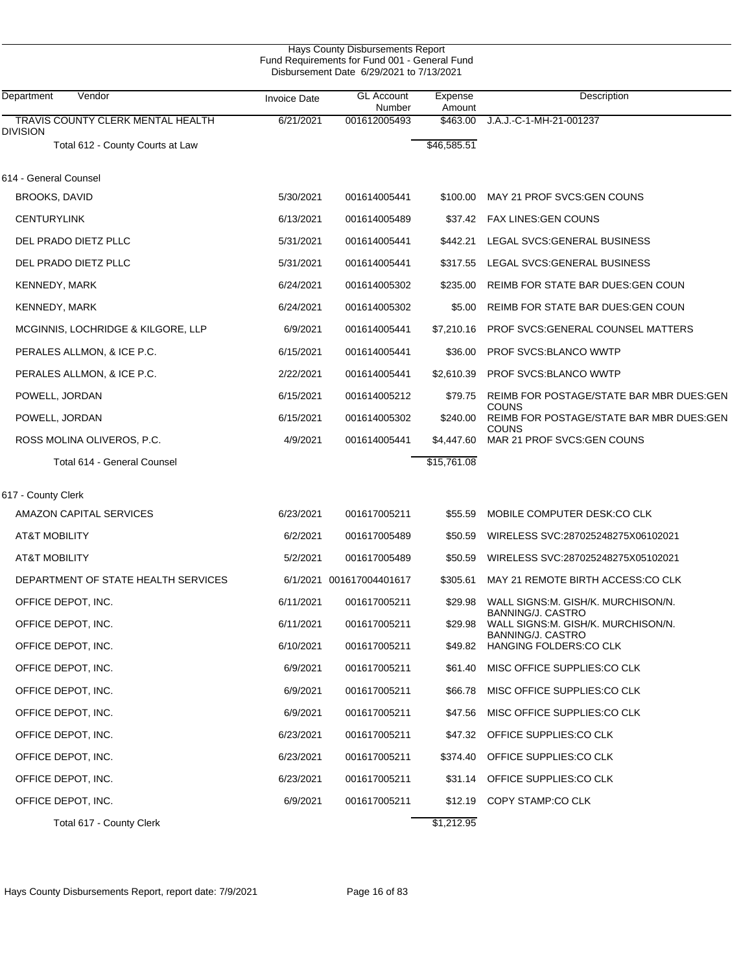| Hays County Disbursements Report<br>Fund Requirements for Fund 001 - General Fund<br>Disbursement Date 6/29/2021 to 7/13/2021 |                     |                             |                   |                                                         |  |  |
|-------------------------------------------------------------------------------------------------------------------------------|---------------------|-----------------------------|-------------------|---------------------------------------------------------|--|--|
| Department<br>Vendor                                                                                                          | <b>Invoice Date</b> | <b>GL Account</b><br>Number | Expense<br>Amount | Description                                             |  |  |
| TRAVIS COUNTY CLERK MENTAL HEALTH                                                                                             | 6/21/2021           | 001612005493                | \$463.00          | J.A.J.-C-1-MH-21-001237                                 |  |  |
| Division<br>Total 612 - County Courts at Law                                                                                  |                     |                             | \$46,585.51       |                                                         |  |  |
| 614 - General Counsel                                                                                                         |                     |                             |                   |                                                         |  |  |
| <b>BROOKS, DAVID</b>                                                                                                          | 5/30/2021           | 001614005441                | \$100.00          | MAY 21 PROF SVCS: GEN COUNS                             |  |  |
| <b>CENTURYLINK</b>                                                                                                            | 6/13/2021           | 001614005489                | \$37.42           | <b>FAX LINES: GEN COUNS</b>                             |  |  |
| DEL PRADO DIETZ PLLC                                                                                                          | 5/31/2021           | 001614005441                | \$442.21          | LEGAL SVCS: GENERAL BUSINESS                            |  |  |
| DEL PRADO DIETZ PLLC                                                                                                          | 5/31/2021           | 001614005441                | \$317.55          | LEGAL SVCS: GENERAL BUSINESS                            |  |  |
| <b>KENNEDY, MARK</b>                                                                                                          | 6/24/2021           | 001614005302                | \$235.00          | REIMB FOR STATE BAR DUES: GEN COUN                      |  |  |
| KENNEDY, MARK                                                                                                                 | 6/24/2021           | 001614005302                | \$5.00            | REIMB FOR STATE BAR DUES: GEN COUN                      |  |  |
| <b>MCGINNIS, LOCHRIDGE &amp; KILGORE, LLP</b>                                                                                 | 6/9/2021            | 001614005441                | \$7,210.16        | PROF SVCS: GENERAL COUNSEL MATTERS                      |  |  |
| PERALES ALLMON, & ICE P.C.                                                                                                    | 6/15/2021           | 001614005441                | \$36.00           | <b>PROF SVCS:BLANCO WWTP</b>                            |  |  |
| PERALES ALLMON, & ICE P.C.                                                                                                    | 2/22/2021           | 001614005441                | \$2,610.39        | <b>PROF SVCS:BLANCO WWTP</b>                            |  |  |
| POWELL, JORDAN                                                                                                                | 6/15/2021           | 001614005212                | \$79.75           | REIMB FOR POSTAGE/STATE BAR MBR DUES:GEN                |  |  |
| POWELL, JORDAN                                                                                                                | 6/15/2021           | 001614005302                | \$240.00          | COUNS<br>REIMB FOR POSTAGE/STATE BAR MBR DUES:GEN       |  |  |
| ROSS MOLINA OLIVEROS, P.C.                                                                                                    | 4/9/2021            | 001614005441                | \$4,447.60        | COUNS<br>MAR 21 PROF SVCS: GEN COUNS                    |  |  |
| Total 614 - General Counsel                                                                                                   |                     |                             | \$15,761.08       |                                                         |  |  |
| 617 - County Clerk                                                                                                            |                     |                             |                   |                                                         |  |  |
| AMAZON CAPITAL SERVICES                                                                                                       | 6/23/2021           | 001617005211                | \$55.59           | MOBILE COMPUTER DESK:CO CLK                             |  |  |
| AT&T MOBILITY                                                                                                                 | 6/2/2021            | 001617005489                | \$50.59           | WIRELESS SVC:287025248275X06102021                      |  |  |
| <b>AT&amp;T MOBILITY</b>                                                                                                      | 5/2/2021            | 001617005489                | \$50.59           | WIRELESS SVC:287025248275X05102021                      |  |  |
| DEPARTMENT OF STATE HEALTH SERVICES                                                                                           |                     | 6/1/2021 001617004401617    | \$305.61          | MAY 21 REMOTE BIRTH ACCESS:CO CLK                       |  |  |
| OFFICE DEPOT, INC.                                                                                                            | 6/11/2021           | 001617005211                | \$29.98           | WALL SIGNS:M. GISH/K. MURCHISON/N.                      |  |  |
| OFFICE DEPOT, INC.                                                                                                            | 6/11/2021           | 001617005211                | \$29.98           | BANNING/J. CASTRO<br>WALL SIGNS:M. GISH/K. MURCHISON/N. |  |  |
| OFFICE DEPOT, INC.                                                                                                            | 6/10/2021           | 001617005211                | \$49.82           | BANNING/J. CASTRO<br>HANGING FOLDERS:CO CLK             |  |  |
| OFFICE DEPOT, INC.                                                                                                            | 6/9/2021            | 001617005211                | \$61.40           | MISC OFFICE SUPPLIES:CO CLK                             |  |  |
| OFFICE DEPOT, INC.                                                                                                            | 6/9/2021            | 001617005211                | \$66.78           | MISC OFFICE SUPPLIES:CO CLK                             |  |  |
| OFFICE DEPOT, INC.                                                                                                            | 6/9/2021            | 001617005211                | \$47.56           | MISC OFFICE SUPPLIES:CO CLK                             |  |  |
| OFFICE DEPOT, INC.                                                                                                            | 6/23/2021           | 001617005211                |                   | \$47.32 OFFICE SUPPLIES:CO CLK                          |  |  |
| OFFICE DEPOT, INC.                                                                                                            | 6/23/2021           | 001617005211                | \$374.40          | OFFICE SUPPLIES:CO CLK                                  |  |  |
| OFFICE DEPOT, INC.                                                                                                            | 6/23/2021           | 001617005211                |                   | \$31.14 OFFICE SUPPLIES:CO CLK                          |  |  |
| OFFICE DEPOT, INC.                                                                                                            | 6/9/2021            | 001617005211                | \$12.19           | COPY STAMP:CO CLK                                       |  |  |
| Total 617 - County Clerk                                                                                                      |                     |                             | \$1,212.95        |                                                         |  |  |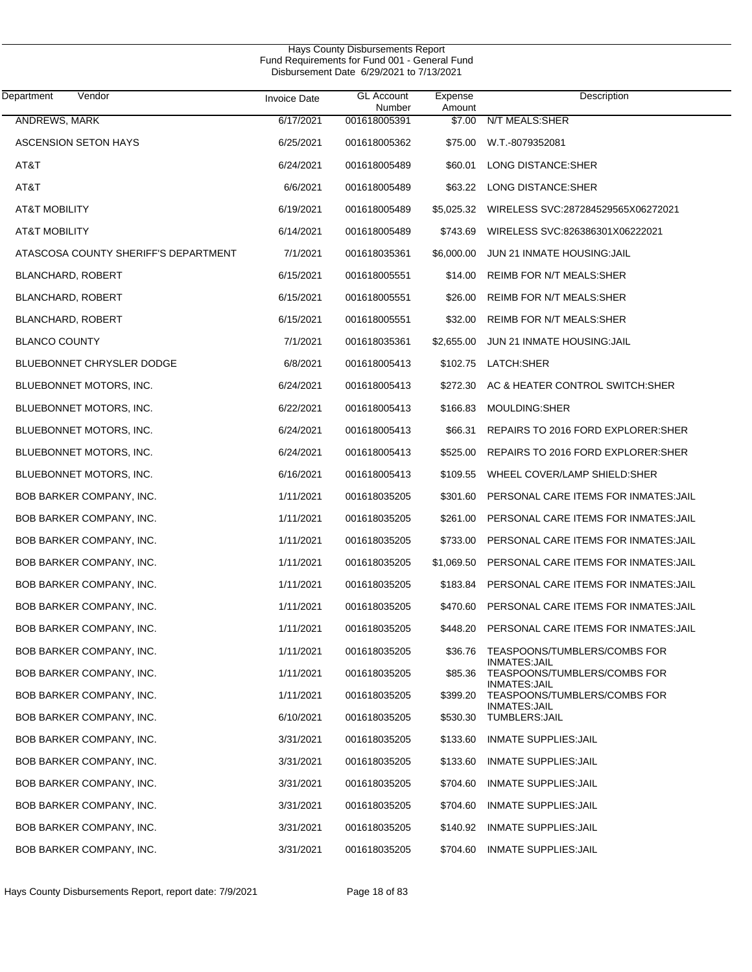| Department<br>Vendor                 | Invoice Date | <b>GL Account</b><br>Number | Expense<br>Amount | Description                                   |
|--------------------------------------|--------------|-----------------------------|-------------------|-----------------------------------------------|
| ANDREWS, MARK                        | 6/17/2021    | 001618005391                | \$7.00            | N/T MEALS: SHER                               |
| ASCENSION SETON HAYS                 | 6/25/2021    | 001618005362                | \$75.00           | W.T.-8079352081                               |
| AT&T                                 | 6/24/2021    | 001618005489                | \$60.01           | LONG DISTANCE:SHER                            |
| AT&T                                 | 6/6/2021     | 001618005489                | \$63.22           | LONG DISTANCE:SHER                            |
| <b>AT&amp;T MOBILITY</b>             | 6/19/2021    | 001618005489                | \$5,025.32        | WIRELESS SVC:287284529565X06272021            |
| <b>AT&amp;T MOBILITY</b>             | 6/14/2021    | 001618005489                | \$743.69          | WIRELESS SVC:826386301X06222021               |
| ATASCOSA COUNTY SHERIFF'S DEPARTMENT | 7/1/2021     | 001618035361                | \$6,000.00        | JUN 21 INMATE HOUSING: JAIL                   |
| BLANCHARD, ROBERT                    | 6/15/2021    | 001618005551                | \$14.00           | REIMB FOR N/T MEALS:SHER                      |
| <b>BLANCHARD, ROBERT</b>             | 6/15/2021    | 001618005551                | \$26.00           | REIMB FOR N/T MEALS:SHER                      |
| <b>BLANCHARD, ROBERT</b>             | 6/15/2021    | 001618005551                | \$32.00           | REIMB FOR N/T MEALS:SHER                      |
| <b>BLANCO COUNTY</b>                 | 7/1/2021     | 001618035361                | \$2,655.00        | <b>JUN 21 INMATE HOUSING: JAIL</b>            |
| <b>BLUEBONNET CHRYSLER DODGE</b>     | 6/8/2021     | 001618005413                | \$102.75          | LATCH:SHER                                    |
| BLUEBONNET MOTORS, INC.              | 6/24/2021    | 001618005413                | \$272.30          | AC & HEATER CONTROL SWITCH:SHER               |
| BLUEBONNET MOTORS, INC.              | 6/22/2021    | 001618005413                | \$166.83          | MOULDING:SHER                                 |
| BLUEBONNET MOTORS, INC.              | 6/24/2021    | 001618005413                | \$66.31           | REPAIRS TO 2016 FORD EXPLORER: SHER           |
| BLUEBONNET MOTORS, INC.              | 6/24/2021    | 001618005413                | \$525.00          | REPAIRS TO 2016 FORD EXPLORER: SHER           |
| BLUEBONNET MOTORS, INC.              | 6/16/2021    | 001618005413                | \$109.55          | WHEEL COVER/LAMP SHIELD:SHER                  |
| BOB BARKER COMPANY, INC.             | 1/11/2021    | 001618035205                | \$301.60          | PERSONAL CARE ITEMS FOR INMATES: JAIL         |
| BOB BARKER COMPANY, INC.             | 1/11/2021    | 001618035205                | \$261.00          | PERSONAL CARE ITEMS FOR INMATES: JAIL         |
| BOB BARKER COMPANY, INC.             | 1/11/2021    | 001618035205                | \$733.00          | PERSONAL CARE ITEMS FOR INMATES: JAIL         |
| <b>BOB BARKER COMPANY, INC.</b>      | 1/11/2021    | 001618035205                | \$1,069.50        | PERSONAL CARE ITEMS FOR INMATES: JAIL         |
| BOB BARKER COMPANY, INC.             | 1/11/2021    | 001618035205                | \$183.84          | PERSONAL CARE ITEMS FOR INMATES: JAIL         |
| <b>BOB BARKER COMPANY, INC.</b>      | 1/11/2021    | 001618035205                | \$470.60          | PERSONAL CARE ITEMS FOR INMATES: JAIL         |
| BOB BARKER COMPANY, INC.             | 1/11/2021    | 001618035205                | \$448.20          | PERSONAL CARE ITEMS FOR INMATES: JAIL         |
| BOB BARKER COMPANY, INC.             | 1/11/2021    | 001618035205                | \$36.76           | TEASPOONS/TUMBLERS/COMBS FOR<br>INMATES:JAIL  |
| BOB BARKER COMPANY, INC.             | 1/11/2021    | 001618035205                | \$85.36           | TEASPOONS/TUMBLERS/COMBS FOR<br>INMATES: JAIL |
| BOB BARKER COMPANY, INC.             | 1/11/2021    | 001618035205                | \$399.20          | TEASPOONS/TUMBLERS/COMBS FOR<br>INMATES: JAIL |
| BOB BARKER COMPANY, INC.             | 6/10/2021    | 001618035205                | \$530.30          | TUMBLERS: JAIL                                |
| BOB BARKER COMPANY, INC.             | 3/31/2021    | 001618035205                | \$133.60          | <b>INMATE SUPPLIES: JAIL</b>                  |
| BOB BARKER COMPANY, INC.             | 3/31/2021    | 001618035205                | \$133.60          | <b>INMATE SUPPLIES: JAIL</b>                  |
| BOB BARKER COMPANY, INC.             | 3/31/2021    | 001618035205                | \$704.60          | INMATE SUPPLIES: JAIL                         |
| BOB BARKER COMPANY, INC.             | 3/31/2021    | 001618035205                | \$704.60          | INMATE SUPPLIES: JAIL                         |
| BOB BARKER COMPANY, INC.             | 3/31/2021    | 001618035205                | \$140.92          | INMATE SUPPLIES: JAIL                         |
| BOB BARKER COMPANY, INC.             | 3/31/2021    | 001618035205                | \$704.60          | <b>INMATE SUPPLIES: JAIL</b>                  |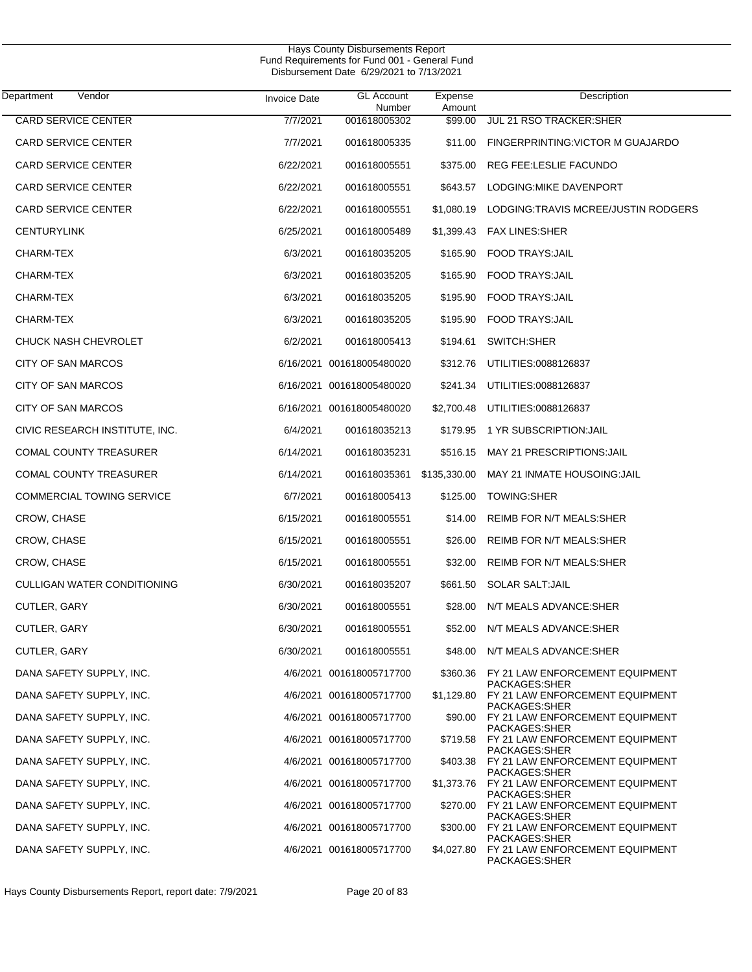| Department<br>Vendor           | <b>Invoice Date</b> | <b>GL Account</b>         | Expense           | Description                                                  |
|--------------------------------|---------------------|---------------------------|-------------------|--------------------------------------------------------------|
| <b>CARD SERVICE CENTER</b>     | 7/7/2021            | Number<br>001618005302    | Amount<br>\$99.00 | <b>JUL 21 RSO TRACKER:SHER</b>                               |
| <b>CARD SERVICE CENTER</b>     | 7/7/2021            | 001618005335              | \$11.00           | FINGERPRINTING: VICTOR M GUAJARDO                            |
| <b>CARD SERVICE CENTER</b>     | 6/22/2021           | 001618005551              | \$375.00          | REG FEE:LESLIE FACUNDO                                       |
| <b>CARD SERVICE CENTER</b>     | 6/22/2021           | 001618005551              |                   | \$643.57 LODGING: MIKE DAVENPORT                             |
| <b>CARD SERVICE CENTER</b>     | 6/22/2021           | 001618005551              | \$1,080.19        | LODGING:TRAVIS MCREE/JUSTIN RODGERS                          |
| <b>CENTURYLINK</b>             | 6/25/2021           | 001618005489              |                   | \$1,399.43 FAX LINES:SHER                                    |
| CHARM-TEX                      | 6/3/2021            | 001618035205              | \$165.90          | <b>FOOD TRAYS:JAIL</b>                                       |
| CHARM-TEX                      | 6/3/2021            | 001618035205              |                   | \$165.90 FOOD TRAYS: JAIL                                    |
| CHARM-TEX                      | 6/3/2021            | 001618035205              | \$195.90          | <b>FOOD TRAYS:JAIL</b>                                       |
| CHARM-TEX                      | 6/3/2021            | 001618035205              | \$195.90          | <b>FOOD TRAYS:JAIL</b>                                       |
| <b>CHUCK NASH CHEVROLET</b>    | 6/2/2021            | 001618005413              | \$194.61          | SWITCH:SHER                                                  |
| CITY OF SAN MARCOS             |                     | 6/16/2021 001618005480020 |                   | \$312.76 UTILITIES:0088126837                                |
| CITY OF SAN MARCOS             |                     | 6/16/2021 001618005480020 |                   | \$241.34 UTILITIES:0088126837                                |
| CITY OF SAN MARCOS             |                     | 6/16/2021 001618005480020 |                   | \$2,700.48 UTILITIES:0088126837                              |
| CIVIC RESEARCH INSTITUTE, INC. | 6/4/2021            | 001618035213              | \$179.95          | 1 YR SUBSCRIPTION:JAIL                                       |
| <b>COMAL COUNTY TREASURER</b>  | 6/14/2021           | 001618035231              | \$516.15          | MAY 21 PRESCRIPTIONS: JAIL                                   |
| <b>COMAL COUNTY TREASURER</b>  | 6/14/2021           | 001618035361              | \$135,330.00      | MAY 21 INMATE HOUSOING: JAIL                                 |
| COMMERCIAL TOWING SERVICE      | 6/7/2021            | 001618005413              | \$125.00          | TOWING:SHER                                                  |
| CROW, CHASE                    | 6/15/2021           | 001618005551              | \$14.00           | REIMB FOR N/T MEALS:SHER                                     |
| CROW, CHASE                    | 6/15/2021           | 001618005551              | \$26.00           | REIMB FOR N/T MEALS:SHER                                     |
| CROW, CHASE                    | 6/15/2021           | 001618005551              | \$32.00           | <b>REIMB FOR N/T MEALS:SHER</b>                              |
| CULLIGAN WATER CONDITIONING    | 6/30/2021           | 001618035207              |                   | \$661.50 SOLAR SALT:JAIL                                     |
| CUTLER, GARY                   | 6/30/2021           | 001618005551              | \$28.00           | N/T MEALS ADVANCE:SHER                                       |
| CUTLER, GARY                   | 6/30/2021           | 001618005551              | \$52.00           | N/T MEALS ADVANCE:SHER                                       |
| CUTLER, GARY                   | 6/30/2021           | 001618005551              |                   | \$48.00 N/T MEALS ADVANCE:SHER                               |
| DANA SAFETY SUPPLY, INC.       |                     | 4/6/2021 001618005717700  |                   | \$360.36 FY 21 LAW ENFORCEMENT EQUIPMENT<br>PACKAGES: SHER   |
| DANA SAFETY SUPPLY, INC.       |                     | 4/6/2021 001618005717700  |                   | \$1,129.80 FY 21 LAW ENFORCEMENT EQUIPMENT<br>PACKAGES:SHER  |
| DANA SAFETY SUPPLY, INC.       |                     | 4/6/2021 001618005717700  |                   | \$90.00 FY 21 LAW ENFORCEMENT EQUIPMENT<br>PACKAGES:SHER     |
| DANA SAFETY SUPPLY, INC.       |                     | 4/6/2021 001618005717700  |                   | \$719.58 FY 21 LAW ENFORCEMENT EQUIPMENT<br>PACKAGES: SHER   |
| DANA SAFETY SUPPLY, INC.       |                     | 4/6/2021 001618005717700  |                   | \$403.38 FY 21 LAW ENFORCEMENT EQUIPMENT<br>PACKAGES:SHER    |
| DANA SAFETY SUPPLY, INC.       |                     | 4/6/2021 001618005717700  |                   | \$1,373.76 FY 21 LAW ENFORCEMENT EQUIPMENT<br>PACKAGES: SHER |
| DANA SAFETY SUPPLY, INC.       |                     | 4/6/2021 001618005717700  |                   | \$270.00 FY 21 LAW ENFORCEMENT EQUIPMENT<br>PACKAGES:SHER    |
| DANA SAFETY SUPPLY, INC.       |                     | 4/6/2021 001618005717700  |                   | \$300.00 FY 21 LAW ENFORCEMENT EQUIPMENT<br>PACKAGES:SHER    |
| DANA SAFETY SUPPLY, INC.       |                     | 4/6/2021 001618005717700  |                   | \$4,027.80 FY 21 LAW ENFORCEMENT EQUIPMENT<br>PACKAGES:SHER  |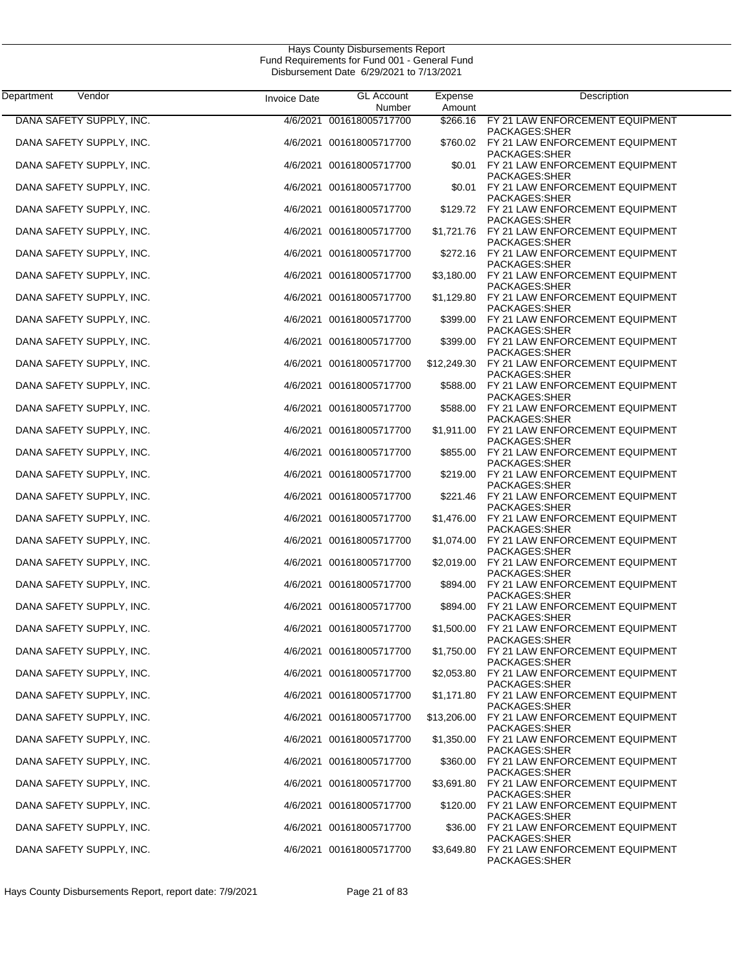| Department<br>Vendor                                 | <b>Invoice Date</b> | <b>GL Account</b>                                    | Expense                | Description                                                                         |
|------------------------------------------------------|---------------------|------------------------------------------------------|------------------------|-------------------------------------------------------------------------------------|
| DANA SAFETY SUPPLY, INC.                             | 4/6/2021            | Number<br>001618005717700                            | Amount<br>\$266.16     | FY 21 LAW ENFORCEMENT EQUIPMENT                                                     |
| DANA SAFETY SUPPLY, INC.                             |                     | 4/6/2021 001618005717700                             | \$760.02               | PACKAGES:SHER<br>FY 21 LAW ENFORCEMENT EQUIPMENT                                    |
| DANA SAFETY SUPPLY, INC.                             |                     | 4/6/2021 001618005717700                             | \$0.01                 | PACKAGES:SHER<br>FY 21 LAW ENFORCEMENT EQUIPMENT<br>PACKAGES:SHER                   |
| DANA SAFETY SUPPLY, INC.                             |                     | 4/6/2021 001618005717700                             | \$0.01                 | FY 21 LAW ENFORCEMENT EQUIPMENT<br>PACKAGES:SHER                                    |
| DANA SAFETY SUPPLY, INC.                             |                     | 4/6/2021 001618005717700                             |                        | \$129.72 FY 21 LAW ENFORCEMENT EQUIPMENT<br>PACKAGES:SHER                           |
| DANA SAFETY SUPPLY, INC.                             |                     | 4/6/2021 001618005717700                             |                        | \$1,721.76 FY 21 LAW ENFORCEMENT EQUIPMENT<br>PACKAGES: SHER                        |
| DANA SAFETY SUPPLY, INC.                             |                     | 4/6/2021 001618005717700                             |                        | \$272.16 FY 21 LAW ENFORCEMENT EQUIPMENT<br>PACKAGES:SHER                           |
| DANA SAFETY SUPPLY, INC.                             |                     | 4/6/2021 001618005717700                             | \$3,180.00             | FY 21 LAW ENFORCEMENT EQUIPMENT<br>PACKAGES:SHER                                    |
| DANA SAFETY SUPPLY, INC.                             |                     | 4/6/2021 001618005717700                             | \$1,129.80             | FY 21 LAW ENFORCEMENT EQUIPMENT<br>PACKAGES:SHER                                    |
| DANA SAFETY SUPPLY, INC.                             |                     | 4/6/2021 001618005717700                             | \$399.00               | FY 21 LAW ENFORCEMENT EQUIPMENT<br>PACKAGES:SHER                                    |
| DANA SAFETY SUPPLY, INC.                             |                     | 4/6/2021 001618005717700                             | \$399.00               | FY 21 LAW ENFORCEMENT EQUIPMENT<br>PACKAGES:SHER                                    |
| DANA SAFETY SUPPLY, INC.                             |                     | 4/6/2021 001618005717700                             | \$12,249.30            | FY 21 LAW ENFORCEMENT EQUIPMENT<br>PACKAGES:SHER                                    |
| DANA SAFETY SUPPLY, INC.                             |                     | 4/6/2021 001618005717700                             | \$588.00               | FY 21 LAW ENFORCEMENT EQUIPMENT<br>PACKAGES:SHER                                    |
| DANA SAFETY SUPPLY, INC.<br>DANA SAFETY SUPPLY, INC. |                     | 4/6/2021 001618005717700<br>4/6/2021 001618005717700 | \$588.00<br>\$1,911.00 | FY 21 LAW ENFORCEMENT EQUIPMENT<br>PACKAGES:SHER<br>FY 21 LAW ENFORCEMENT EQUIPMENT |
| DANA SAFETY SUPPLY, INC.                             |                     | 4/6/2021 001618005717700                             | \$855.00               | PACKAGES:SHER<br>FY 21 LAW ENFORCEMENT EQUIPMENT                                    |
| DANA SAFETY SUPPLY, INC.                             |                     | 4/6/2021 001618005717700                             | \$219.00               | PACKAGES:SHER<br>FY 21 LAW ENFORCEMENT EQUIPMENT                                    |
| DANA SAFETY SUPPLY, INC.                             |                     | 4/6/2021 001618005717700                             | \$221.46               | PACKAGES:SHER<br>FY 21 LAW ENFORCEMENT EQUIPMENT                                    |
| DANA SAFETY SUPPLY, INC.                             |                     | 4/6/2021 001618005717700                             | \$1,476.00             | PACKAGES:SHER<br>FY 21 LAW ENFORCEMENT EQUIPMENT                                    |
| DANA SAFETY SUPPLY, INC.                             |                     | 4/6/2021 001618005717700                             | \$1,074.00             | PACKAGES:SHER<br>FY 21 LAW ENFORCEMENT EQUIPMENT                                    |
| DANA SAFETY SUPPLY, INC.                             |                     | 4/6/2021 001618005717700                             | \$2,019.00             | PACKAGES:SHER<br>FY 21 LAW ENFORCEMENT EQUIPMENT                                    |
| DANA SAFETY SUPPLY, INC.                             |                     | 4/6/2021 001618005717700                             | \$894.00               | PACKAGES:SHER<br>FY 21 LAW ENFORCEMENT EQUIPMENT                                    |
| DANA SAFETY SUPPLY, INC.                             |                     | 4/6/2021 001618005717700                             | \$894.00               | PACKAGES: SHER<br>FY 21 LAW ENFORCEMENT EQUIPMENT                                   |
| DANA SAFETY SUPPLY, INC.                             |                     | 4/6/2021 001618005717700                             | \$1,500.00             | PACKAGES:SHER<br>FY 21 LAW ENFORCEMENT EQUIPMENT<br>PACKAGES:SHER                   |
| DANA SAFETY SUPPLY, INC.                             |                     | 4/6/2021 001618005717700                             | \$1,750.00             | FY 21 LAW ENFORCEMENT EQUIPMENT<br>PACKAGES:SHER                                    |
| DANA SAFETY SUPPLY, INC.                             |                     | 4/6/2021 001618005717700                             | \$2,053.80             | FY 21 LAW ENFORCEMENT EQUIPMENT<br>PACKAGES:SHER                                    |
| DANA SAFETY SUPPLY, INC.                             |                     | 4/6/2021 001618005717700                             |                        | \$1,171.80 FY 21 LAW ENFORCEMENT EQUIPMENT<br>PACKAGES:SHER                         |
| DANA SAFETY SUPPLY, INC.                             |                     | 4/6/2021 001618005717700                             | \$13,206.00            | FY 21 LAW ENFORCEMENT EQUIPMENT<br>PACKAGES:SHER                                    |
| DANA SAFETY SUPPLY, INC.                             |                     | 4/6/2021 001618005717700                             | \$1,350.00             | FY 21 LAW ENFORCEMENT EQUIPMENT<br>PACKAGES:SHER                                    |
| DANA SAFETY SUPPLY, INC.                             |                     | 4/6/2021 001618005717700                             | \$360.00               | FY 21 LAW ENFORCEMENT EQUIPMENT<br>PACKAGES:SHER                                    |
| DANA SAFETY SUPPLY, INC.                             |                     | 4/6/2021 001618005717700                             |                        | \$3,691.80 FY 21 LAW ENFORCEMENT EQUIPMENT<br>PACKAGES:SHER                         |
| DANA SAFETY SUPPLY, INC.                             |                     | 4/6/2021 001618005717700                             | \$120.00               | FY 21 LAW ENFORCEMENT EQUIPMENT<br>PACKAGES:SHER                                    |
| DANA SAFETY SUPPLY, INC.                             |                     | 4/6/2021 001618005717700                             |                        | \$36.00 FY 21 LAW ENFORCEMENT EQUIPMENT<br>PACKAGES:SHER                            |
| DANA SAFETY SUPPLY, INC.                             |                     | 4/6/2021 001618005717700                             | \$3,649.80             | FY 21 LAW ENFORCEMENT EQUIPMENT<br>PACKAGES:SHER                                    |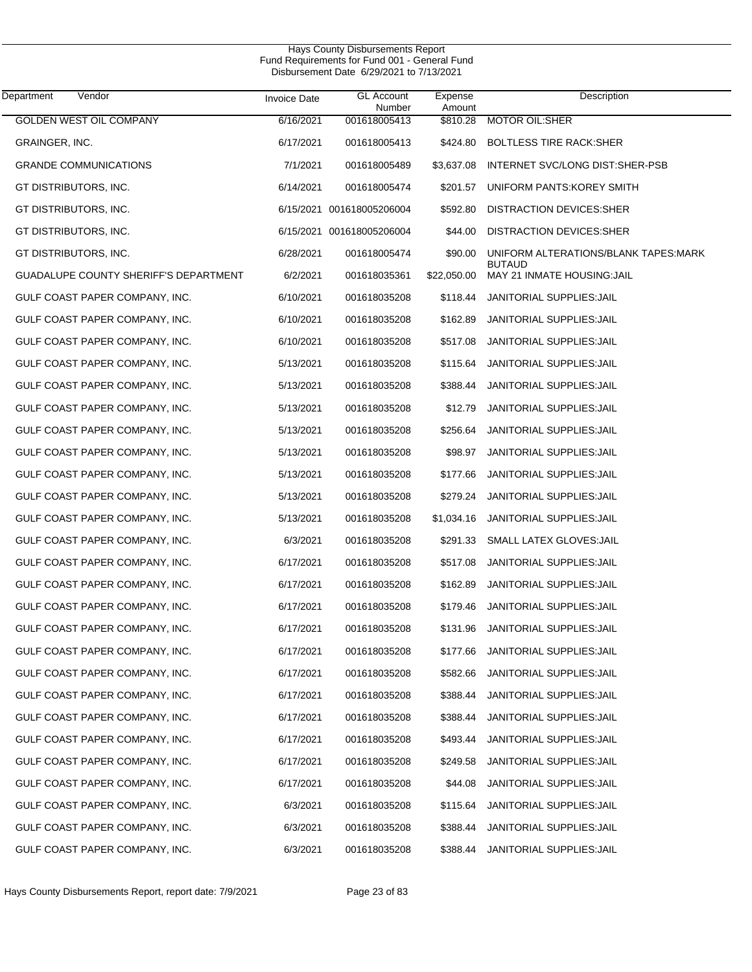| Department<br>Vendor                         | <b>Invoice Date</b> | <b>GL Account</b>         | Expense            | Description                                            |
|----------------------------------------------|---------------------|---------------------------|--------------------|--------------------------------------------------------|
| <b>GOLDEN WEST OIL COMPANY</b>               | 6/16/2021           | Number<br>001618005413    | Amount<br>\$810.28 | <b>MOTOR OIL:SHER</b>                                  |
| GRAINGER, INC.                               | 6/17/2021           | 001618005413              | \$424.80           | <b>BOLTLESS TIRE RACK:SHER</b>                         |
| <b>GRANDE COMMUNICATIONS</b>                 | 7/1/2021            | 001618005489              | \$3,637.08         | INTERNET SVC/LONG DIST:SHER-PSB                        |
| GT DISTRIBUTORS, INC.                        | 6/14/2021           | 001618005474              | \$201.57           | UNIFORM PANTS: KOREY SMITH                             |
| GT DISTRIBUTORS, INC.                        |                     | 6/15/2021 001618005206004 | \$592.80           | DISTRACTION DEVICES:SHER                               |
| GT DISTRIBUTORS, INC.                        |                     | 6/15/2021 001618005206004 | \$44.00            | DISTRACTION DEVICES: SHER                              |
| GT DISTRIBUTORS, INC.                        | 6/28/2021           | 001618005474              | \$90.00            | UNIFORM ALTERATIONS/BLANK TAPES: MARK<br><b>BUTAUD</b> |
| <b>GUADALUPE COUNTY SHERIFF'S DEPARTMENT</b> | 6/2/2021            | 001618035361              | \$22,050.00        | MAY 21 INMATE HOUSING: JAIL                            |
| GULF COAST PAPER COMPANY, INC.               | 6/10/2021           | 001618035208              | \$118.44           | JANITORIAL SUPPLIES: JAIL                              |
| GULF COAST PAPER COMPANY, INC.               | 6/10/2021           | 001618035208              | \$162.89           | JANITORIAL SUPPLIES: JAIL                              |
| GULF COAST PAPER COMPANY, INC.               | 6/10/2021           | 001618035208              | \$517.08           | JANITORIAL SUPPLIES: JAIL                              |
| GULF COAST PAPER COMPANY, INC.               | 5/13/2021           | 001618035208              | \$115.64           | JANITORIAL SUPPLIES: JAIL                              |
| GULF COAST PAPER COMPANY, INC.               | 5/13/2021           | 001618035208              | \$388.44           | <b>JANITORIAL SUPPLIES: JAIL</b>                       |
| GULF COAST PAPER COMPANY, INC.               | 5/13/2021           | 001618035208              | \$12.79            | JANITORIAL SUPPLIES: JAIL                              |
| GULF COAST PAPER COMPANY, INC.               | 5/13/2021           | 001618035208              | \$256.64           | JANITORIAL SUPPLIES: JAIL                              |
| GULF COAST PAPER COMPANY, INC.               | 5/13/2021           | 001618035208              | \$98.97            | JANITORIAL SUPPLIES: JAIL                              |
| GULF COAST PAPER COMPANY, INC.               | 5/13/2021           | 001618035208              | \$177.66           | JANITORIAL SUPPLIES: JAIL                              |
| GULF COAST PAPER COMPANY, INC.               | 5/13/2021           | 001618035208              | \$279.24           | JANITORIAL SUPPLIES: JAIL                              |
| GULF COAST PAPER COMPANY, INC.               | 5/13/2021           | 001618035208              | \$1,034.16         | JANITORIAL SUPPLIES: JAIL                              |
| GULF COAST PAPER COMPANY, INC.               | 6/3/2021            | 001618035208              | \$291.33           | SMALL LATEX GLOVES: JAIL                               |
| GULF COAST PAPER COMPANY, INC.               | 6/17/2021           | 001618035208              | \$517.08           | JANITORIAL SUPPLIES: JAIL                              |
| GULF COAST PAPER COMPANY, INC.               | 6/17/2021           | 001618035208              | \$162.89           | JANITORIAL SUPPLIES: JAIL                              |
| GULF COAST PAPER COMPANY, INC.               | 6/17/2021           | 001618035208              | \$179.46           | JANITORIAL SUPPLIES: JAIL                              |
| GULF COAST PAPER COMPANY, INC.               | 6/17/2021           | 001618035208              | \$131.96           | JANITORIAL SUPPLIES: JAIL                              |
| GULF COAST PAPER COMPANY, INC.               | 6/17/2021           | 001618035208              | \$177.66           | JANITORIAL SUPPLIES: JAIL                              |
| GULF COAST PAPER COMPANY, INC.               | 6/17/2021           | 001618035208              | \$582.66           | <b>JANITORIAL SUPPLIES: JAIL</b>                       |
| GULF COAST PAPER COMPANY, INC.               | 6/17/2021           | 001618035208              | \$388.44           | <b>JANITORIAL SUPPLIES: JAIL</b>                       |
| GULF COAST PAPER COMPANY, INC.               | 6/17/2021           | 001618035208              | \$388.44           | <b>JANITORIAL SUPPLIES: JAIL</b>                       |
| GULF COAST PAPER COMPANY, INC.               | 6/17/2021           | 001618035208              | \$493.44           | <b>JANITORIAL SUPPLIES: JAIL</b>                       |
| GULF COAST PAPER COMPANY, INC.               | 6/17/2021           | 001618035208              | \$249.58           | <b>JANITORIAL SUPPLIES: JAIL</b>                       |
| GULF COAST PAPER COMPANY, INC.               | 6/17/2021           | 001618035208              | \$44.08            | <b>JANITORIAL SUPPLIES: JAIL</b>                       |
| GULF COAST PAPER COMPANY, INC.               | 6/3/2021            | 001618035208              | \$115.64           | JANITORIAL SUPPLIES: JAIL                              |
| GULF COAST PAPER COMPANY, INC.               | 6/3/2021            | 001618035208              | \$388.44           | JANITORIAL SUPPLIES: JAIL                              |
| GULF COAST PAPER COMPANY, INC.               | 6/3/2021            | 001618035208              | \$388.44           | JANITORIAL SUPPLIES: JAIL                              |
|                                              |                     |                           |                    |                                                        |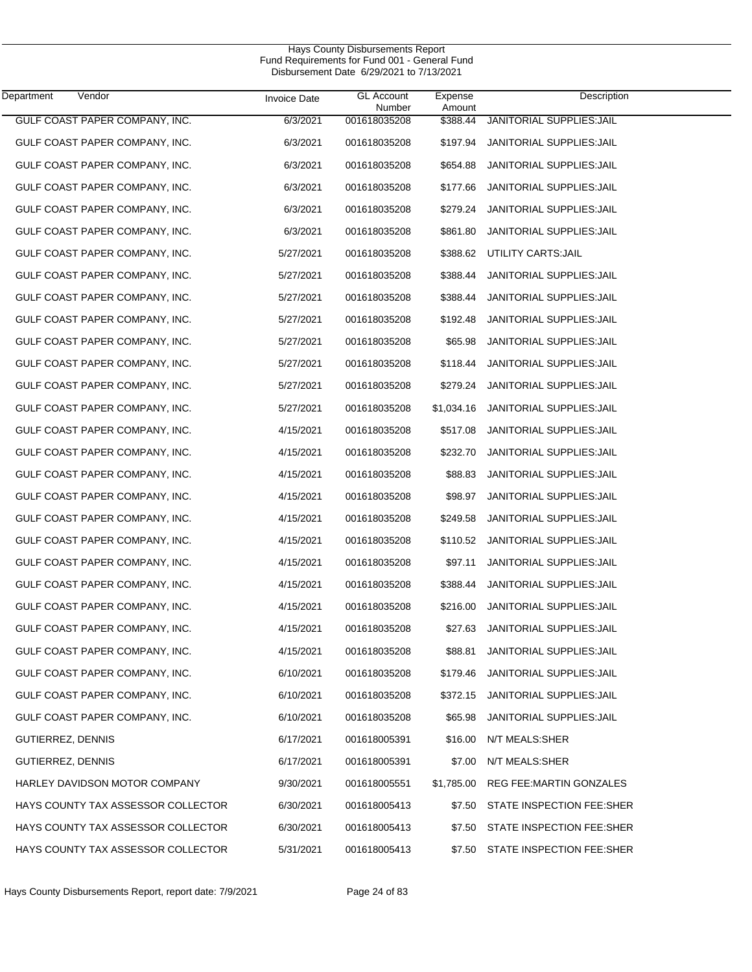| Department<br>Vendor               | <b>Invoice Date</b> | <b>GL Account</b><br>Number | Expense<br>Amount | Description                      |
|------------------------------------|---------------------|-----------------------------|-------------------|----------------------------------|
| GULF COAST PAPER COMPANY, INC.     | 6/3/2021            | 001618035208                | \$388.44          | JANITORIAL SUPPLIES: JAIL        |
| GULF COAST PAPER COMPANY, INC.     | 6/3/2021            | 001618035208                | \$197.94          | JANITORIAL SUPPLIES: JAIL        |
| GULF COAST PAPER COMPANY, INC.     | 6/3/2021            | 001618035208                | \$654.88          | <b>JANITORIAL SUPPLIES: JAIL</b> |
| GULF COAST PAPER COMPANY, INC.     | 6/3/2021            | 001618035208                | \$177.66          | JANITORIAL SUPPLIES: JAIL        |
| GULF COAST PAPER COMPANY, INC.     | 6/3/2021            | 001618035208                | \$279.24          | JANITORIAL SUPPLIES: JAIL        |
| GULF COAST PAPER COMPANY, INC.     | 6/3/2021            | 001618035208                | \$861.80          | JANITORIAL SUPPLIES: JAIL        |
| GULF COAST PAPER COMPANY, INC.     | 5/27/2021           | 001618035208                | \$388.62          | UTILITY CARTS: JAIL              |
| GULF COAST PAPER COMPANY, INC.     | 5/27/2021           | 001618035208                | \$388.44          | JANITORIAL SUPPLIES: JAIL        |
| GULF COAST PAPER COMPANY, INC.     | 5/27/2021           | 001618035208                | \$388.44          | JANITORIAL SUPPLIES: JAIL        |
| GULF COAST PAPER COMPANY, INC.     | 5/27/2021           | 001618035208                | \$192.48          | JANITORIAL SUPPLIES: JAIL        |
| GULF COAST PAPER COMPANY, INC.     | 5/27/2021           | 001618035208                | \$65.98           | <b>JANITORIAL SUPPLIES: JAIL</b> |
| GULF COAST PAPER COMPANY, INC.     | 5/27/2021           | 001618035208                | \$118.44          | JANITORIAL SUPPLIES: JAIL        |
| GULF COAST PAPER COMPANY, INC.     | 5/27/2021           | 001618035208                | \$279.24          | <b>JANITORIAL SUPPLIES: JAIL</b> |
| GULF COAST PAPER COMPANY, INC.     | 5/27/2021           | 001618035208                | \$1,034.16        | JANITORIAL SUPPLIES: JAIL        |
| GULF COAST PAPER COMPANY, INC.     | 4/15/2021           | 001618035208                | \$517.08          | JANITORIAL SUPPLIES: JAIL        |
| GULF COAST PAPER COMPANY, INC.     | 4/15/2021           | 001618035208                | \$232.70          | JANITORIAL SUPPLIES: JAIL        |
| GULF COAST PAPER COMPANY, INC.     | 4/15/2021           | 001618035208                | \$88.83           | JANITORIAL SUPPLIES: JAIL        |
| GULF COAST PAPER COMPANY, INC.     | 4/15/2021           | 001618035208                | \$98.97           | JANITORIAL SUPPLIES: JAIL        |
| GULF COAST PAPER COMPANY, INC.     | 4/15/2021           | 001618035208                | \$249.58          | JANITORIAL SUPPLIES: JAIL        |
| GULF COAST PAPER COMPANY, INC.     | 4/15/2021           | 001618035208                | \$110.52          | JANITORIAL SUPPLIES: JAIL        |
| GULF COAST PAPER COMPANY, INC.     | 4/15/2021           | 001618035208                | \$97.11           | JANITORIAL SUPPLIES: JAIL        |
| GULF COAST PAPER COMPANY, INC.     | 4/15/2021           | 001618035208                | \$388.44          | JANITORIAL SUPPLIES: JAIL        |
| GULF COAST PAPER COMPANY, INC.     | 4/15/2021           | 001618035208                | \$216.00          | JANITORIAL SUPPLIES: JAIL        |
| GULF COAST PAPER COMPANY, INC.     | 4/15/2021           | 001618035208                | \$27.63           | <b>JANITORIAL SUPPLIES: JAIL</b> |
| GULF COAST PAPER COMPANY, INC.     | 4/15/2021           | 001618035208                | \$88.81           | JANITORIAL SUPPLIES: JAIL        |
| GULF COAST PAPER COMPANY, INC.     | 6/10/2021           | 001618035208                | \$179.46          | JANITORIAL SUPPLIES: JAIL        |
| GULF COAST PAPER COMPANY, INC.     | 6/10/2021           | 001618035208                | \$372.15          | JANITORIAL SUPPLIES: JAIL        |
| GULF COAST PAPER COMPANY, INC.     | 6/10/2021           | 001618035208                | \$65.98           | JANITORIAL SUPPLIES: JAIL        |
| GUTIERREZ, DENNIS                  | 6/17/2021           | 001618005391                | \$16.00           | N/T MEALS:SHER                   |
| GUTIERREZ, DENNIS                  | 6/17/2021           | 001618005391                | \$7.00            | N/T MEALS:SHER                   |
| HARLEY DAVIDSON MOTOR COMPANY      | 9/30/2021           | 001618005551                | \$1,785.00        | REG FEE: MARTIN GONZALES         |
| HAYS COUNTY TAX ASSESSOR COLLECTOR | 6/30/2021           | 001618005413                | \$7.50            | STATE INSPECTION FEE:SHER        |
| HAYS COUNTY TAX ASSESSOR COLLECTOR | 6/30/2021           | 001618005413                | \$7.50            | STATE INSPECTION FEE:SHER        |
| HAYS COUNTY TAX ASSESSOR COLLECTOR | 5/31/2021           | 001618005413                | \$7.50            | STATE INSPECTION FEE:SHER        |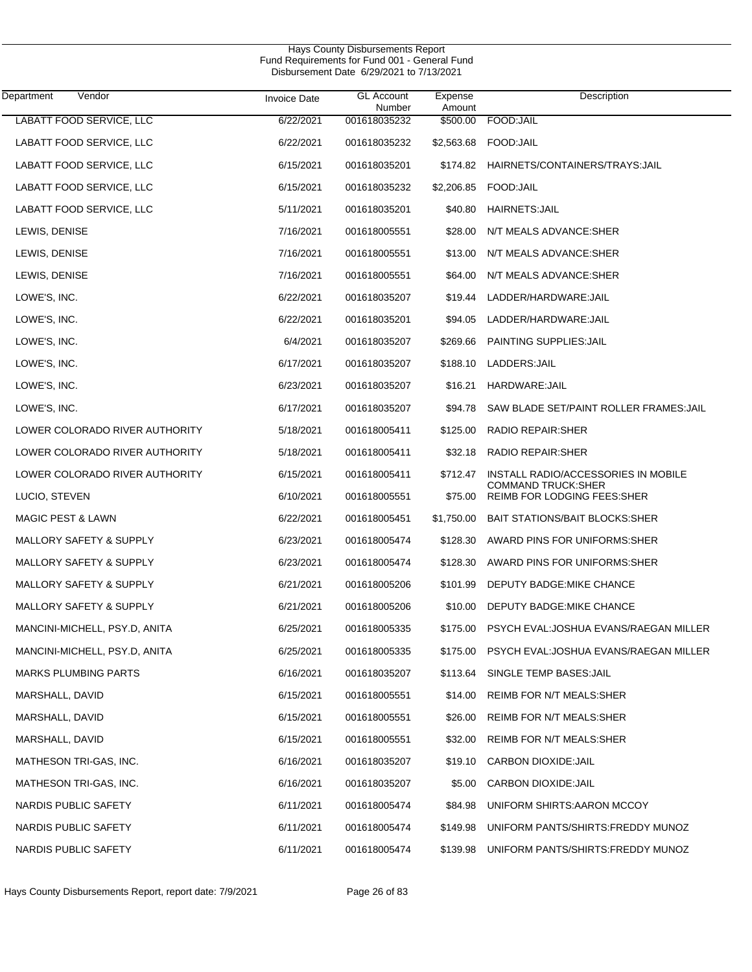| Department<br>Vendor           | <b>Invoice Date</b> | <b>GL Account</b><br>Number | Expense<br>Amount | Description                                                      |
|--------------------------------|---------------------|-----------------------------|-------------------|------------------------------------------------------------------|
| LABATT FOOD SERVICE, LLC       | 6/22/2021           | 001618035232                | \$500.00          | FOOD: JAIL                                                       |
| LABATT FOOD SERVICE, LLC       | 6/22/2021           | 001618035232                | \$2,563.68        | FOOD:JAIL                                                        |
| LABATT FOOD SERVICE, LLC       | 6/15/2021           | 001618035201                | \$174.82          | HAIRNETS/CONTAINERS/TRAYS: JAIL                                  |
| LABATT FOOD SERVICE, LLC       | 6/15/2021           | 001618035232                | \$2,206.85        | FOOD:JAIL                                                        |
| LABATT FOOD SERVICE, LLC       | 5/11/2021           | 001618035201                | \$40.80           | <b>HAIRNETS: JAIL</b>                                            |
| LEWIS, DENISE                  | 7/16/2021           | 001618005551                | \$28.00           | N/T MEALS ADVANCE: SHER                                          |
| LEWIS, DENISE                  | 7/16/2021           | 001618005551                | \$13.00           | N/T MEALS ADVANCE:SHER                                           |
| LEWIS, DENISE                  | 7/16/2021           | 001618005551                | \$64.00           | N/T MEALS ADVANCE: SHER                                          |
| LOWE'S, INC.                   | 6/22/2021           | 001618035207                | \$19.44           | LADDER/HARDWARE:JAIL                                             |
| LOWE'S, INC.                   | 6/22/2021           | 001618035201                | \$94.05           | LADDER/HARDWARE:JAIL                                             |
| LOWE'S, INC.                   | 6/4/2021            | 001618035207                | \$269.66          | PAINTING SUPPLIES: JAIL                                          |
| LOWE'S, INC.                   | 6/17/2021           | 001618035207                | \$188.10          | LADDERS:JAIL                                                     |
| LOWE'S, INC.                   | 6/23/2021           | 001618035207                | \$16.21           | HARDWARE:JAIL                                                    |
| LOWE'S, INC.                   | 6/17/2021           | 001618035207                | \$94.78           | SAW BLADE SET/PAINT ROLLER FRAMES: JAIL                          |
| LOWER COLORADO RIVER AUTHORITY | 5/18/2021           | 001618005411                | \$125.00          | RADIO REPAIR: SHER                                               |
| LOWER COLORADO RIVER AUTHORITY | 5/18/2021           | 001618005411                | \$32.18           | RADIO REPAIR: SHER                                               |
| LOWER COLORADO RIVER AUTHORITY | 6/15/2021           | 001618005411                | \$712.47          | INSTALL RADIO/ACCESSORIES IN MOBILE<br><b>COMMAND TRUCK:SHER</b> |
| LUCIO, STEVEN                  | 6/10/2021           | 001618005551                | \$75.00           | REIMB FOR LODGING FEES: SHER                                     |
| <b>MAGIC PEST &amp; LAWN</b>   | 6/22/2021           | 001618005451                | \$1,750.00        | <b>BAIT STATIONS/BAIT BLOCKS:SHER</b>                            |
| MALLORY SAFETY & SUPPLY        | 6/23/2021           | 001618005474                | \$128.30          | AWARD PINS FOR UNIFORMS:SHER                                     |
| MALLORY SAFETY & SUPPLY        | 6/23/2021           | 001618005474                | \$128.30          | AWARD PINS FOR UNIFORMS: SHER                                    |
| MALLORY SAFETY & SUPPLY        | 6/21/2021           | 001618005206                | \$101.99          | DEPUTY BADGE: MIKE CHANCE                                        |
| MALLORY SAFETY & SUPPLY        | 6/21/2021           | 001618005206                | \$10.00           | DEPUTY BADGE: MIKE CHANCE                                        |
| MANCINI-MICHELL, PSY.D, ANITA  | 6/25/2021           | 001618005335                | \$175.00          | PSYCH EVAL: JOSHUA EVANS/RAEGAN MILLER                           |
| MANCINI-MICHELL, PSY.D, ANITA  | 6/25/2021           | 001618005335                | \$175.00          | PSYCH EVAL:JOSHUA EVANS/RAEGAN MILLER                            |
| <b>MARKS PLUMBING PARTS</b>    | 6/16/2021           | 001618035207                | \$113.64          | SINGLE TEMP BASES: JAIL                                          |
| MARSHALL, DAVID                | 6/15/2021           | 001618005551                | \$14.00           | REIMB FOR N/T MEALS:SHER                                         |
| MARSHALL, DAVID                | 6/15/2021           | 001618005551                | \$26.00           | REIMB FOR N/T MEALS:SHER                                         |
| MARSHALL, DAVID                | 6/15/2021           | 001618005551                | \$32.00           | REIMB FOR N/T MEALS:SHER                                         |
| MATHESON TRI-GAS, INC.         | 6/16/2021           | 001618035207                | \$19.10           | <b>CARBON DIOXIDE: JAIL</b>                                      |
| MATHESON TRI-GAS, INC.         | 6/16/2021           | 001618035207                | \$5.00            | CARBON DIOXIDE: JAIL                                             |
| NARDIS PUBLIC SAFETY           | 6/11/2021           | 001618005474                | \$84.98           | UNIFORM SHIRTS: AARON MCCOY                                      |
| NARDIS PUBLIC SAFETY           | 6/11/2021           | 001618005474                | \$149.98          | UNIFORM PANTS/SHIRTS: FREDDY MUNOZ                               |
| NARDIS PUBLIC SAFETY           | 6/11/2021           | 001618005474                | \$139.98          | UNIFORM PANTS/SHIRTS: FREDDY MUNOZ                               |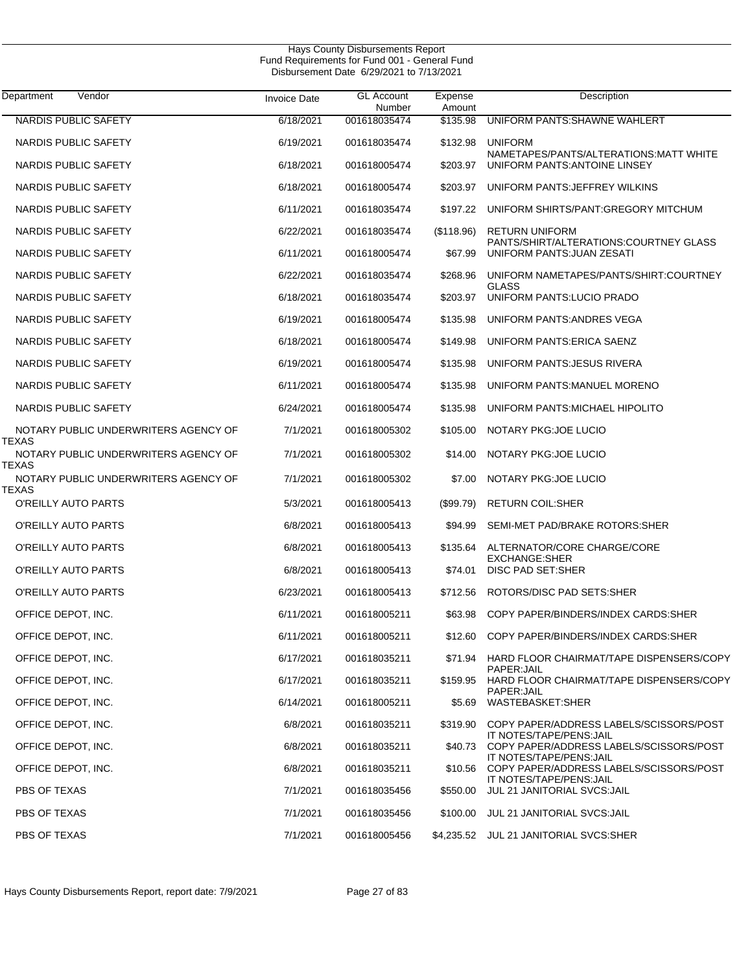| Department<br>Vendor                                   | <b>Invoice Date</b> | <b>GL Account</b><br>Number | Expense<br>Amount | Description                                                             |
|--------------------------------------------------------|---------------------|-----------------------------|-------------------|-------------------------------------------------------------------------|
| <b>NARDIS PUBLIC SAFETY</b>                            | 6/18/2021           | 001618035474                | \$135.98          | UNIFORM PANTS: SHAWNE WAHLERT                                           |
| NARDIS PUBLIC SAFETY                                   | 6/19/2021           | 001618035474                | \$132.98          | <b>UNIFORM</b>                                                          |
| NARDIS PUBLIC SAFETY                                   | 6/18/2021           | 001618005474                | \$203.97          | NAMETAPES/PANTS/ALTERATIONS:MATT WHITE<br>UNIFORM PANTS: ANTOINE LINSEY |
| NARDIS PUBLIC SAFETY                                   | 6/18/2021           | 001618005474                | \$203.97          | UNIFORM PANTS: JEFFREY WILKINS                                          |
| NARDIS PUBLIC SAFETY                                   | 6/11/2021           | 001618035474                | \$197.22          | UNIFORM SHIRTS/PANT:GREGORY MITCHUM                                     |
| NARDIS PUBLIC SAFETY                                   | 6/22/2021           | 001618035474                | (\$118.96)        | <b>RETURN UNIFORM</b>                                                   |
| NARDIS PUBLIC SAFETY                                   | 6/11/2021           | 001618005474                | \$67.99           | PANTS/SHIRT/ALTERATIONS:COURTNEY GLASS<br>UNIFORM PANTS: JUAN ZESATI    |
| NARDIS PUBLIC SAFETY                                   | 6/22/2021           | 001618035474                | \$268.96          | UNIFORM NAMETAPES/PANTS/SHIRT:COURTNEY                                  |
| NARDIS PUBLIC SAFETY                                   | 6/18/2021           | 001618035474                | \$203.97          | <b>GLASS</b><br>UNIFORM PANTS: LUCIO PRADO                              |
| NARDIS PUBLIC SAFETY                                   | 6/19/2021           | 001618005474                | \$135.98          | UNIFORM PANTS: ANDRES VEGA                                              |
| NARDIS PUBLIC SAFETY                                   | 6/18/2021           | 001618005474                | \$149.98          | UNIFORM PANTS: ERICA SAENZ                                              |
| NARDIS PUBLIC SAFETY                                   | 6/19/2021           | 001618005474                | \$135.98          | UNIFORM PANTS: JESUS RIVERA                                             |
| NARDIS PUBLIC SAFETY                                   | 6/11/2021           | 001618005474                | \$135.98          | UNIFORM PANTS: MANUEL MORENO                                            |
| NARDIS PUBLIC SAFETY                                   | 6/24/2021           | 001618005474                | \$135.98          | UNIFORM PANTS: MICHAEL HIPOLITO                                         |
| NOTARY PUBLIC UNDERWRITERS AGENCY OF                   | 7/1/2021            | 001618005302                | \$105.00          | NOTARY PKG: JOE LUCIO                                                   |
| TEXAS<br>NOTARY PUBLIC UNDERWRITERS AGENCY OF<br>TEXAS | 7/1/2021            | 001618005302                | \$14.00           | NOTARY PKG: JOE LUCIO                                                   |
| NOTARY PUBLIC UNDERWRITERS AGENCY OF                   | 7/1/2021            | 001618005302                | \$7.00            | NOTARY PKG: JOE LUCIO                                                   |
| TEXAS<br>O'REILLY AUTO PARTS                           | 5/3/2021            | 001618005413                | (\$99.79)         | <b>RETURN COIL:SHER</b>                                                 |
| O'REILLY AUTO PARTS                                    | 6/8/2021            | 001618005413                | \$94.99           | SEMI-MET PAD/BRAKE ROTORS:SHER                                          |
| O'REILLY AUTO PARTS                                    | 6/8/2021            | 001618005413                | \$135.64          | ALTERNATOR/CORE CHARGE/CORE                                             |
| O'REILLY AUTO PARTS                                    | 6/8/2021            | 001618005413                | \$74.01           | <b>EXCHANGE:SHER</b><br>DISC PAD SET:SHER                               |
| O'REILLY AUTO PARTS                                    | 6/23/2021           | 001618005413                | \$712.56          | ROTORS/DISC PAD SETS:SHER                                               |
| OFFICE DEPOT, INC.                                     | 6/11/2021           | 001618005211                | \$63.98           | COPY PAPER/BINDERS/INDEX CARDS:SHER                                     |
| OFFICE DEPOT, INC.                                     | 6/11/2021           | 001618005211                |                   | \$12.60 COPY PAPER/BINDERS/INDEX CARDS:SHER                             |
| OFFICE DEPOT, INC.                                     | 6/17/2021           | 001618035211                | \$71.94           | HARD FLOOR CHAIRMAT/TAPE DISPENSERS/COPY                                |
| OFFICE DEPOT, INC.                                     | 6/17/2021           | 001618035211                | \$159.95          | PAPER: JAIL<br>HARD FLOOR CHAIRMAT/TAPE DISPENSERS/COPY                 |
| OFFICE DEPOT, INC.                                     | 6/14/2021           | 001618005211                | \$5.69            | PAPER: JAIL<br>WASTEBASKET:SHER                                         |
| OFFICE DEPOT, INC.                                     | 6/8/2021            | 001618035211                | \$319.90          | COPY PAPER/ADDRESS LABELS/SCISSORS/POST                                 |
| OFFICE DEPOT, INC.                                     | 6/8/2021            | 001618035211                | \$40.73           | IT NOTES/TAPE/PENS: JAIL<br>COPY PAPER/ADDRESS LABELS/SCISSORS/POST     |
| OFFICE DEPOT, INC.                                     | 6/8/2021            | 001618035211                | \$10.56           | IT NOTES/TAPE/PENS:JAIL<br>COPY PAPER/ADDRESS LABELS/SCISSORS/POST      |
| PBS OF TEXAS                                           | 7/1/2021            | 001618035456                | \$550.00          | IT NOTES/TAPE/PENS: JAIL<br>JUL 21 JANITORIAL SVCS: JAIL                |
| PBS OF TEXAS                                           | 7/1/2021            | 001618035456                | \$100.00          | JUL 21 JANITORIAL SVCS: JAIL                                            |
| PBS OF TEXAS                                           | 7/1/2021            | 001618005456                | \$4,235.52        | JUL 21 JANITORIAL SVCS:SHER                                             |
|                                                        |                     |                             |                   |                                                                         |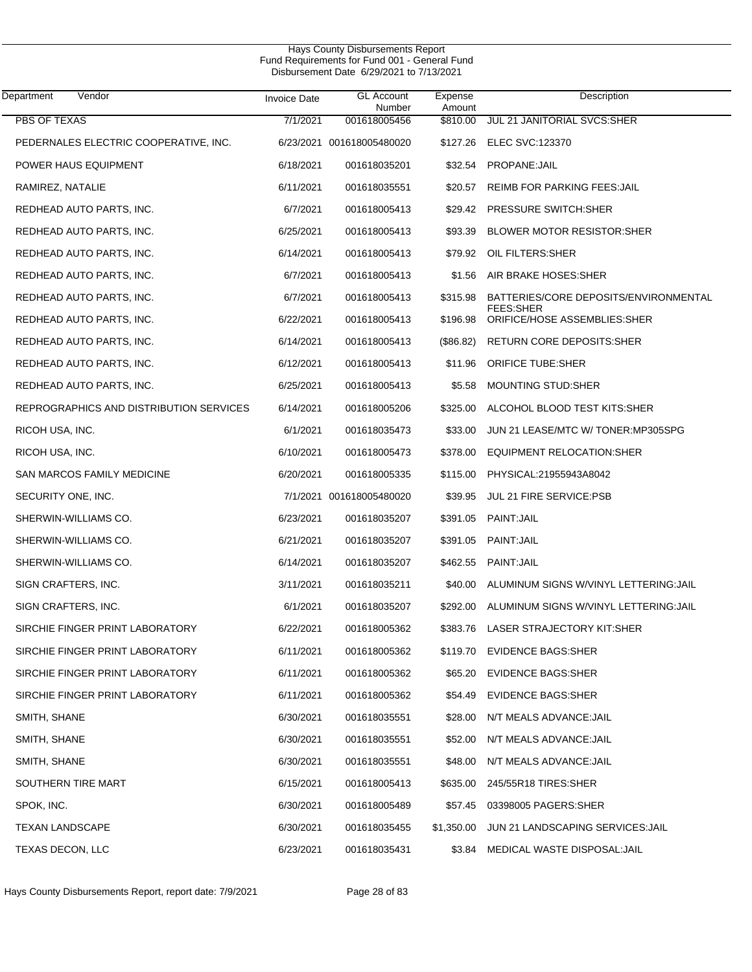$\overline{\phantom{0}}$ 

| Department<br>Vendor                    | <b>Invoice Date</b> | <b>GL</b> Account<br>Number | Expense<br>Amount | Description                                               |
|-----------------------------------------|---------------------|-----------------------------|-------------------|-----------------------------------------------------------|
| <b>PBS OF TEXAS</b>                     | 7/1/2021            | 001618005456                | \$810.00          | JUL 21 JANITORIAL SVCS:SHER                               |
| PEDERNALES ELECTRIC COOPERATIVE, INC.   |                     | 6/23/2021 001618005480020   |                   | \$127.26 ELEC SVC:123370                                  |
| POWER HAUS EQUIPMENT                    | 6/18/2021           | 001618035201                | \$32.54           | PROPANE: JAIL                                             |
| RAMIREZ, NATALIE                        | 6/11/2021           | 001618035551                | \$20.57           | <b>REIMB FOR PARKING FEES: JAIL</b>                       |
| REDHEAD AUTO PARTS, INC.                | 6/7/2021            | 001618005413                | \$29.42           | <b>PRESSURE SWITCH:SHER</b>                               |
| REDHEAD AUTO PARTS, INC.                | 6/25/2021           | 001618005413                | \$93.39           | <b>BLOWER MOTOR RESISTOR:SHER</b>                         |
| REDHEAD AUTO PARTS, INC.                | 6/14/2021           | 001618005413                | \$79.92           | OIL FILTERS: SHER                                         |
| REDHEAD AUTO PARTS, INC.                | 6/7/2021            | 001618005413                |                   | \$1.56 AIR BRAKE HOSES:SHER                               |
| REDHEAD AUTO PARTS, INC.                | 6/7/2021            | 001618005413                | \$315.98          | BATTERIES/CORE DEPOSITS/ENVIRONMENTAL<br><b>FEES:SHER</b> |
| REDHEAD AUTO PARTS, INC.                | 6/22/2021           | 001618005413                | \$196.98          | ORIFICE/HOSE ASSEMBLIES: SHER                             |
| REDHEAD AUTO PARTS, INC.                | 6/14/2021           | 001618005413                | (\$86.82)         | RETURN CORE DEPOSITS: SHER                                |
| REDHEAD AUTO PARTS, INC.                | 6/12/2021           | 001618005413                | \$11.96           | <b>ORIFICE TUBE:SHER</b>                                  |
| REDHEAD AUTO PARTS, INC.                | 6/25/2021           | 001618005413                | \$5.58            | <b>MOUNTING STUD:SHER</b>                                 |
| REPROGRAPHICS AND DISTRIBUTION SERVICES | 6/14/2021           | 001618005206                | \$325.00          | ALCOHOL BLOOD TEST KITS:SHER                              |
| RICOH USA, INC.                         | 6/1/2021            | 001618035473                | \$33.00           | JUN 21 LEASE/MTC W/ TONER:MP305SPG                        |
| RICOH USA, INC.                         | 6/10/2021           | 001618005473                | \$378.00          | EQUIPMENT RELOCATION: SHER                                |
| SAN MARCOS FAMILY MEDICINE              | 6/20/2021           | 001618005335                | \$115.00          | PHYSICAL:21955943A8042                                    |
| SECURITY ONE, INC.                      |                     | 7/1/2021 001618005480020    | \$39.95           | <b>JUL 21 FIRE SERVICE:PSB</b>                            |
| SHERWIN-WILLIAMS CO.                    | 6/23/2021           | 001618035207                | \$391.05          | PAINT: JAIL                                               |
| SHERWIN-WILLIAMS CO.                    | 6/21/2021           | 001618035207                | \$391.05          | PAINT: JAIL                                               |
| SHERWIN-WILLIAMS CO.                    | 6/14/2021           | 001618035207                | \$462.55          | PAINT: JAIL                                               |
| SIGN CRAFTERS, INC.                     | 3/11/2021           | 001618035211                | \$40.00           | ALUMINUM SIGNS W/VINYL LETTERING:JAIL                     |
| SIGN CRAFTERS, INC.                     | 6/1/2021            | 001618035207                | \$292.00          | ALUMINUM SIGNS W/VINYL LETTERING:JAIL                     |
| SIRCHIE FINGER PRINT LABORATORY         | 6/22/2021           | 001618005362                |                   | \$383.76 LASER STRAJECTORY KIT:SHER                       |
| SIRCHIE FINGER PRINT LABORATORY         | 6/11/2021           | 001618005362                |                   | \$119.70 EVIDENCE BAGS:SHER                               |
| SIRCHIE FINGER PRINT LABORATORY         | 6/11/2021           | 001618005362                |                   | \$65.20 EVIDENCE BAGS:SHER                                |
| SIRCHIE FINGER PRINT LABORATORY         | 6/11/2021           | 001618005362                |                   | \$54.49 EVIDENCE BAGS:SHER                                |
| SMITH, SHANE                            | 6/30/2021           | 001618035551                | \$28.00           | N/T MEALS ADVANCE: JAIL                                   |
| SMITH, SHANE                            | 6/30/2021           | 001618035551                | \$52.00           | N/T MEALS ADVANCE: JAIL                                   |
| SMITH, SHANE                            | 6/30/2021           | 001618035551                | \$48.00           | N/T MEALS ADVANCE: JAIL                                   |
| SOUTHERN TIRE MART                      | 6/15/2021           | 001618005413                |                   | \$635.00 245/55R18 TIRES:SHER                             |
| SPOK, INC.                              | 6/30/2021           | 001618005489                | \$57.45           | 03398005 PAGERS: SHER                                     |
| <b>TEXAN LANDSCAPE</b>                  | 6/30/2021           | 001618035455                | \$1,350.00        | JUN 21 LANDSCAPING SERVICES: JAIL                         |
| TEXAS DECON, LLC                        | 6/23/2021           | 001618035431                | \$3.84            | MEDICAL WASTE DISPOSAL: JAIL                              |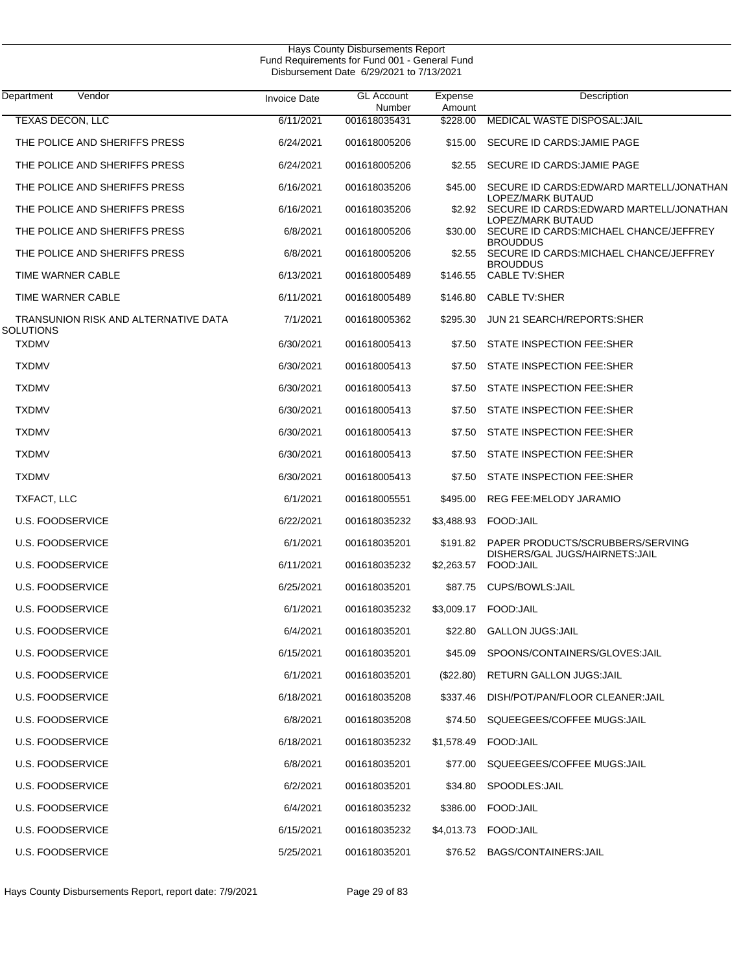| Department<br>Vendor                              | <b>Invoice Date</b> | <b>GL Account</b><br>Number | Expense<br>Amount | Description                                                         |
|---------------------------------------------------|---------------------|-----------------------------|-------------------|---------------------------------------------------------------------|
| <b>TEXAS DECON, LLC</b>                           | 6/11/2021           | 001618035431                | \$228.00          | MEDICAL WASTE DISPOSAL: JAIL                                        |
| THE POLICE AND SHERIFFS PRESS                     | 6/24/2021           | 001618005206                | \$15.00           | SECURE ID CARDS: JAMIE PAGE                                         |
| THE POLICE AND SHERIFFS PRESS                     | 6/24/2021           | 001618005206                | \$2.55            | SECURE ID CARDS: JAMIE PAGE                                         |
| THE POLICE AND SHERIFFS PRESS                     | 6/16/2021           | 001618035206                | \$45.00           | SECURE ID CARDS: EDWARD MARTELL/JONATHAN<br>LOPEZ/MARK BUTAUD       |
| THE POLICE AND SHERIFFS PRESS                     | 6/16/2021           | 001618035206                | \$2.92            | SECURE ID CARDS: EDWARD MARTELL/JONATHAN<br>LOPEZ/MARK BUTAUD       |
| THE POLICE AND SHERIFFS PRESS                     | 6/8/2021            | 001618005206                | \$30.00           | SECURE ID CARDS: MICHAEL CHANCE/JEFFREY<br><b>BROUDDUS</b>          |
| THE POLICE AND SHERIFFS PRESS                     | 6/8/2021            | 001618005206                | \$2.55            | SECURE ID CARDS: MICHAEL CHANCE/JEFFREY<br><b>BROUDDUS</b>          |
| TIME WARNER CABLE                                 | 6/13/2021           | 001618005489                | \$146.55          | <b>CABLE TV:SHER</b>                                                |
| TIME WARNER CABLE                                 | 6/11/2021           | 001618005489                | \$146.80          | <b>CABLE TV:SHER</b>                                                |
| TRANSUNION RISK AND ALTERNATIVE DATA<br>SOLUTIONS | 7/1/2021            | 001618005362                | \$295.30          | JUN 21 SEARCH/REPORTS:SHER                                          |
| <b>TXDMV</b>                                      | 6/30/2021           | 001618005413                | \$7.50            | STATE INSPECTION FEE:SHER                                           |
| <b>TXDMV</b>                                      | 6/30/2021           | 001618005413                | \$7.50            | STATE INSPECTION FEE:SHER                                           |
| <b>TXDMV</b>                                      | 6/30/2021           | 001618005413                | \$7.50            | STATE INSPECTION FEE:SHER                                           |
| <b>TXDMV</b>                                      | 6/30/2021           | 001618005413                | \$7.50            | STATE INSPECTION FEE:SHER                                           |
| <b>TXDMV</b>                                      | 6/30/2021           | 001618005413                | \$7.50            | STATE INSPECTION FEE:SHER                                           |
| <b>TXDMV</b>                                      | 6/30/2021           | 001618005413                | \$7.50            | STATE INSPECTION FEE:SHER                                           |
| <b>TXDMV</b>                                      | 6/30/2021           | 001618005413                | \$7.50            | STATE INSPECTION FEE:SHER                                           |
| TXFACT, LLC                                       | 6/1/2021            | 001618005551                | \$495.00          | REG FEE: MELODY JARAMIO                                             |
| U.S. FOODSERVICE                                  | 6/22/2021           | 001618035232                | \$3,488.93        | FOOD:JAIL                                                           |
| U.S. FOODSERVICE                                  | 6/1/2021            | 001618035201                | \$191.82          | PAPER PRODUCTS/SCRUBBERS/SERVING<br>DISHERS/GAL JUGS/HAIRNETS: JAIL |
| U.S. FOODSERVICE                                  | 6/11/2021           | 001618035232                | \$2,263.57        | FOOD: JAIL                                                          |
| U.S. FOODSERVICE                                  | 6/25/2021           | 001618035201                | \$87.75           | CUPS/BOWLS: JAIL                                                    |
| U.S. FOODSERVICE                                  | 6/1/2021            | 001618035232                | \$3,009.17        | FOOD:JAIL                                                           |
| U.S. FOODSERVICE                                  | 6/4/2021            | 001618035201                | \$22.80           | <b>GALLON JUGS:JAIL</b>                                             |
| U.S. FOODSERVICE                                  | 6/15/2021           | 001618035201                |                   | \$45.09 SPOONS/CONTAINERS/GLOVES:JAIL                               |
| U.S. FOODSERVICE                                  | 6/1/2021            | 001618035201                | (S22.80)          | RETURN GALLON JUGS: JAIL                                            |
| <b>U.S. FOODSERVICE</b>                           | 6/18/2021           | 001618035208                | \$337.46          | DISH/POT/PAN/FLOOR CLEANER:JAIL                                     |
| <b>U.S. FOODSERVICE</b>                           | 6/8/2021            | 001618035208                | \$74.50           | SQUEEGEES/COFFEE MUGS:JAIL                                          |
| U.S. FOODSERVICE                                  | 6/18/2021           | 001618035232                |                   | \$1,578.49 FOOD:JAIL                                                |
| U.S. FOODSERVICE                                  | 6/8/2021            | 001618035201                | \$77.00           | SQUEEGEES/COFFEE MUGS:JAIL                                          |
| U.S. FOODSERVICE                                  | 6/2/2021            | 001618035201                | \$34.80           | SPOODLES:JAIL                                                       |
| U.S. FOODSERVICE                                  | 6/4/2021            | 001618035232                |                   | \$386.00 FOOD:JAIL                                                  |
| U.S. FOODSERVICE                                  | 6/15/2021           | 001618035232                |                   | \$4,013.73 FOOD:JAIL                                                |
| U.S. FOODSERVICE                                  | 5/25/2021           | 001618035201                |                   | \$76.52 BAGS/CONTAINERS:JAIL                                        |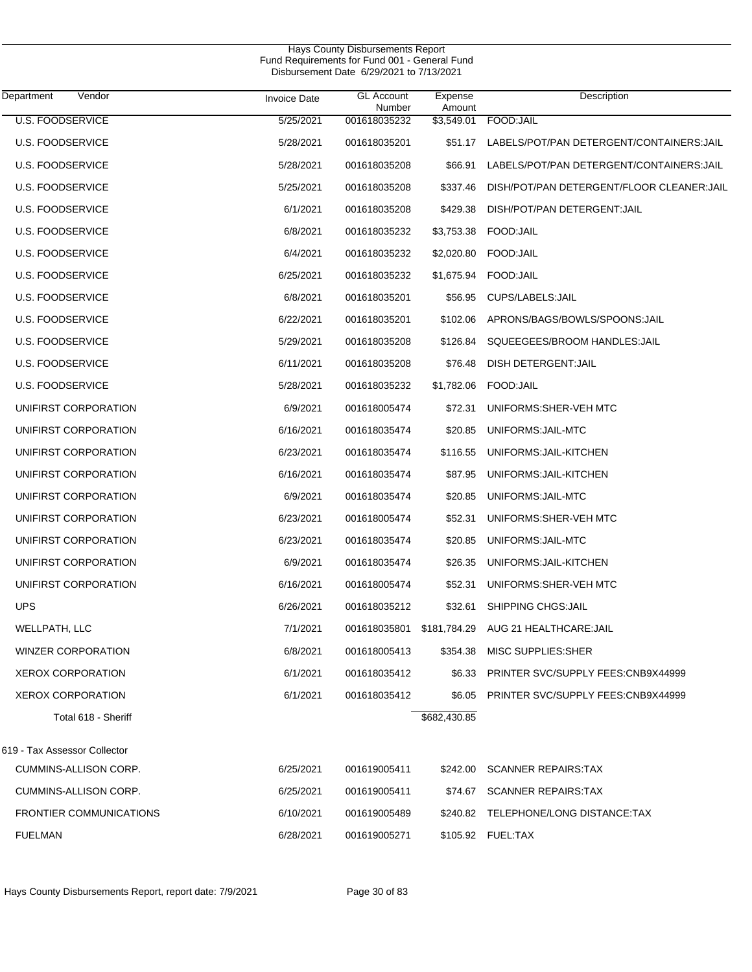|                                     |                     | Hays County Disbursements Report<br>Fund Requirements for Fund 001 - General Fund<br>Disbursement Date 6/29/2021 to 7/13/2021 |                   |                                            |  |
|-------------------------------------|---------------------|-------------------------------------------------------------------------------------------------------------------------------|-------------------|--------------------------------------------|--|
| Vendor<br>Department                | <b>Invoice Date</b> | <b>GL Account</b><br>Number                                                                                                   | Expense<br>Amount | Description                                |  |
| <b>U.S. FOODSERVICE</b>             | 5/25/2021           | 001618035232                                                                                                                  | \$3,549.01        | FOOD: JAIL                                 |  |
| <b>U.S. FOODSERVICE</b>             | 5/28/2021           | 001618035201                                                                                                                  | \$51.17           | LABELS/POT/PAN DETERGENT/CONTAINERS:JAIL   |  |
| <b>U.S. FOODSERVICE</b>             | 5/28/2021           | 001618035208                                                                                                                  | \$66.91           | LABELS/POT/PAN DETERGENT/CONTAINERS: JAIL  |  |
| <b>U.S. FOODSERVICE</b>             | 5/25/2021           | 001618035208                                                                                                                  | \$337.46          | DISH/POT/PAN DETERGENT/FLOOR CLEANER: JAIL |  |
| <b>U.S. FOODSERVICE</b>             | 6/1/2021            | 001618035208                                                                                                                  | \$429.38          | DISH/POT/PAN DETERGENT: JAIL               |  |
| <b>U.S. FOODSERVICE</b>             | 6/8/2021            | 001618035232                                                                                                                  | \$3,753.38        | FOOD:JAIL                                  |  |
| <b>U.S. FOODSERVICE</b>             | 6/4/2021            | 001618035232                                                                                                                  | \$2,020.80        | FOOD:JAIL                                  |  |
| U.S. FOODSERVICE                    | 6/25/2021           | 001618035232                                                                                                                  |                   | \$1,675.94     FOOD:JAIL                   |  |
| <b>U.S. FOODSERVICE</b>             | 6/8/2021            | 001618035201                                                                                                                  | \$56.95           | CUPS/LABELS: JAIL                          |  |
| <b>U.S. FOODSERVICE</b>             | 6/22/2021           | 001618035201                                                                                                                  | \$102.06          | APRONS/BAGS/BOWLS/SPOONS:JAIL              |  |
| <b>U.S. FOODSERVICE</b>             | 5/29/2021           | 001618035208                                                                                                                  | \$126.84          | SQUEEGEES/BROOM HANDLES: JAIL              |  |
| <b>U.S. FOODSERVICE</b>             | 6/11/2021           | 001618035208                                                                                                                  | \$76.48           | DISH DETERGENT: JAIL                       |  |
| <b>U.S. FOODSERVICE</b>             | 5/28/2021           | 001618035232                                                                                                                  | \$1,782.06        | FOOD: JAIL                                 |  |
| UNIFIRST CORPORATION                | 6/9/2021            | 001618005474                                                                                                                  | \$72.31           | UNIFORMS: SHER-VEH MTC                     |  |
| UNIFIRST CORPORATION                | 6/16/2021           | 001618035474                                                                                                                  | \$20.85           | UNIFORMS: JAIL-MTC                         |  |
| UNIFIRST CORPORATION                | 6/23/2021           | 001618035474                                                                                                                  | \$116.55          | UNIFORMS: JAIL-KITCHEN                     |  |
| UNIFIRST CORPORATION                | 6/16/2021           | 001618035474                                                                                                                  | \$87.95           | UNIFORMS: JAIL-KITCHEN                     |  |
| UNIFIRST CORPORATION                | 6/9/2021            | 001618035474                                                                                                                  | \$20.85           | UNIFORMS: JAIL-MTC                         |  |
| UNIFIRST CORPORATION                | 6/23/2021           | 001618005474                                                                                                                  | \$52.31           | UNIFORMS: SHER-VEH MTC                     |  |
| UNIFIRST CORPORATION                | 6/23/2021           | 001618035474                                                                                                                  | \$20.85           | UNIFORMS: JAIL-MTC                         |  |
| UNIFIRST CORPORATION                | 6/9/2021            | 001618035474                                                                                                                  | \$26.35           | UNIFORMS: JAIL-KITCHEN                     |  |
| UNIFIRST CORPORATION                | 6/16/2021           | 001618005474                                                                                                                  | \$52.31           | UNIFORMS: SHER-VEH MTC                     |  |
| <b>UPS</b>                          | 6/26/2021           | 001618035212                                                                                                                  | \$32.61           | SHIPPING CHGS: JAIL                        |  |
| WELLPATH, LLC                       | 7/1/2021            | 001618035801 \$181,784.29                                                                                                     |                   | AUG 21 HEALTHCARE:JAIL                     |  |
| <b>WINZER CORPORATION</b>           | 6/8/2021            | 001618005413                                                                                                                  | \$354.38          | MISC SUPPLIES:SHER                         |  |
| <b>XEROX CORPORATION</b>            | 6/1/2021            | 001618035412                                                                                                                  | \$6.33            | <b>PRINTER SVC/SUPPLY FEES:CNB9X44999</b>  |  |
| <b>XEROX CORPORATION</b>            | 6/1/2021            | 001618035412                                                                                                                  | \$6.05            | PRINTER SVC/SUPPLY FEES:CNB9X44999         |  |
| Total 618 - Sheriff                 |                     |                                                                                                                               | \$682,430.85      |                                            |  |
| 619 - Tax Assessor Collector        |                     |                                                                                                                               |                   |                                            |  |
| CUMMINS-ALLISON CORP.               | 6/25/2021           | 001619005411                                                                                                                  |                   | \$242.00 SCANNER REPAIRS:TAX               |  |
| $Q(1,1)$ $M(1,1)$ $Q(2,1)$ $Q(3,1)$ | 105/000             |                                                                                                                               |                   |                                            |  |

| CUMMINS-ALLISON CORP.          | 6/25/2021 | 001619005411 | \$74.67 SCANNER REPAIRS:TAX          |
|--------------------------------|-----------|--------------|--------------------------------------|
| <b>FRONTIER COMMUNICATIONS</b> | 6/10/2021 | 001619005489 | \$240.82 TELEPHONE/LONG DISTANCE:TAX |
| FUELMAN                        | 6/28/2021 | 001619005271 | \$105.92 FUEL:TAX                    |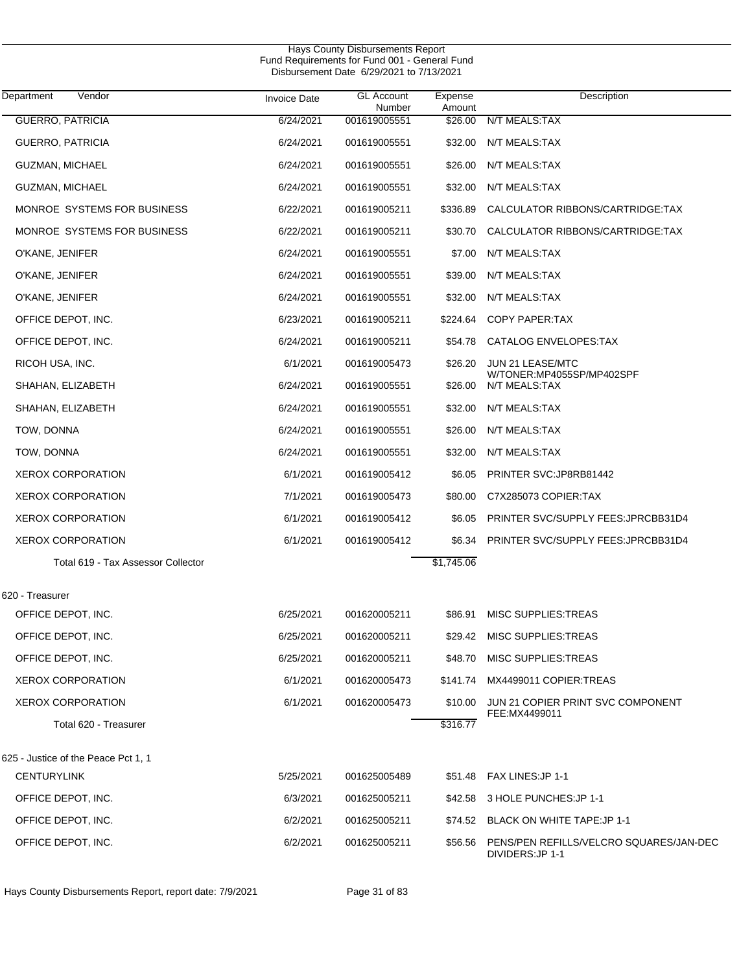| Department<br>Vendor                | <b>Invoice Date</b> | <b>GL Account</b><br>Number | Expense<br>Amount | Description                                                |
|-------------------------------------|---------------------|-----------------------------|-------------------|------------------------------------------------------------|
| <b>GUERRO, PATRICIA</b>             | 6/24/2021           | 001619005551                | \$26.00           | N/T MEALS:TAX                                              |
| <b>GUERRO, PATRICIA</b>             | 6/24/2021           | 001619005551                | \$32.00           | N/T MEALS:TAX                                              |
| <b>GUZMAN, MICHAEL</b>              | 6/24/2021           | 001619005551                | \$26.00           | N/T MEALS:TAX                                              |
| <b>GUZMAN, MICHAEL</b>              | 6/24/2021           | 001619005551                | \$32.00           | N/T MEALS:TAX                                              |
| MONROE SYSTEMS FOR BUSINESS         | 6/22/2021           | 001619005211                | \$336.89          | CALCULATOR RIBBONS/CARTRIDGE:TAX                           |
| MONROE SYSTEMS FOR BUSINESS         | 6/22/2021           | 001619005211                | \$30.70           | CALCULATOR RIBBONS/CARTRIDGE:TAX                           |
| O'KANE, JENIFER                     | 6/24/2021           | 001619005551                | \$7.00            | N/T MEALS:TAX                                              |
| O'KANE, JENIFER                     | 6/24/2021           | 001619005551                | \$39.00           | N/T MEALS:TAX                                              |
| O'KANE, JENIFER                     | 6/24/2021           | 001619005551                | \$32.00           | N/T MEALS:TAX                                              |
| OFFICE DEPOT, INC.                  | 6/23/2021           | 001619005211                | \$224.64          | <b>COPY PAPER:TAX</b>                                      |
| OFFICE DEPOT, INC.                  | 6/24/2021           | 001619005211                | \$54.78           | CATALOG ENVELOPES:TAX                                      |
| RICOH USA, INC.                     | 6/1/2021            | 001619005473                | \$26.20           | JUN 21 LEASE/MTC                                           |
| SHAHAN, ELIZABETH                   | 6/24/2021           | 001619005551                | \$26.00           | W/TONER:MP4055SP/MP402SPF<br>N/T MEALS:TAX                 |
| SHAHAN, ELIZABETH                   | 6/24/2021           | 001619005551                | \$32.00           | N/T MEALS:TAX                                              |
| TOW, DONNA                          | 6/24/2021           | 001619005551                | \$26.00           | N/T MEALS:TAX                                              |
| TOW, DONNA                          | 6/24/2021           | 001619005551                | \$32.00           | N/T MEALS:TAX                                              |
| <b>XEROX CORPORATION</b>            | 6/1/2021            | 001619005412                | \$6.05            | PRINTER SVC: JP8RB81442                                    |
| <b>XEROX CORPORATION</b>            | 7/1/2021            | 001619005473                | \$80.00           | C7X285073 COPIER:TAX                                       |
| <b>XEROX CORPORATION</b>            | 6/1/2021            | 001619005412                | \$6.05            | PRINTER SVC/SUPPLY FEES: JPRCBB31D4                        |
| <b>XEROX CORPORATION</b>            | 6/1/2021            | 001619005412                | \$6.34            | PRINTER SVC/SUPPLY FEES: JPRCBB31D4                        |
| Total 619 - Tax Assessor Collector  |                     |                             | \$1,745.06        |                                                            |
| 620 - Treasurer                     |                     |                             |                   |                                                            |
| OFFICE DEPOT, INC.                  | 6/25/2021           | 001620005211                | \$86.91           | <b>MISC SUPPLIES: TREAS</b>                                |
| OFFICE DEPOT, INC.                  | 6/25/2021           | 001620005211                |                   | \$29.42 MISC SUPPLIES:TREAS                                |
| OFFICE DEPOT, INC.                  | 6/25/2021           | 001620005211                | \$48.70           | MISC SUPPLIES: TREAS                                       |
| <b>XEROX CORPORATION</b>            | 6/1/2021            | 001620005473                |                   | \$141.74 MX4499011 COPIER:TREAS                            |
| <b>XEROX CORPORATION</b>            | 6/1/2021            | 001620005473                | \$10.00           | JUN 21 COPIER PRINT SVC COMPONENT                          |
| Total 620 - Treasurer               |                     |                             | \$316.77          | FEE:MX4499011                                              |
| 625 - Justice of the Peace Pct 1, 1 |                     |                             |                   |                                                            |
| <b>CENTURYLINK</b>                  | 5/25/2021           | 001625005489                | \$51.48           | FAX LINES:JP 1-1                                           |
| OFFICE DEPOT, INC.                  | 6/3/2021            | 001625005211                |                   | \$42.58 3 HOLE PUNCHES: JP 1-1                             |
| OFFICE DEPOT, INC.                  | 6/2/2021            | 001625005211                |                   | \$74.52 BLACK ON WHITE TAPE: JP 1-1                        |
| OFFICE DEPOT, INC.                  | 6/2/2021            | 001625005211                | \$56.56           | PENS/PEN REFILLS/VELCRO SQUARES/JAN-DEC<br>DIVIDERS:JP 1-1 |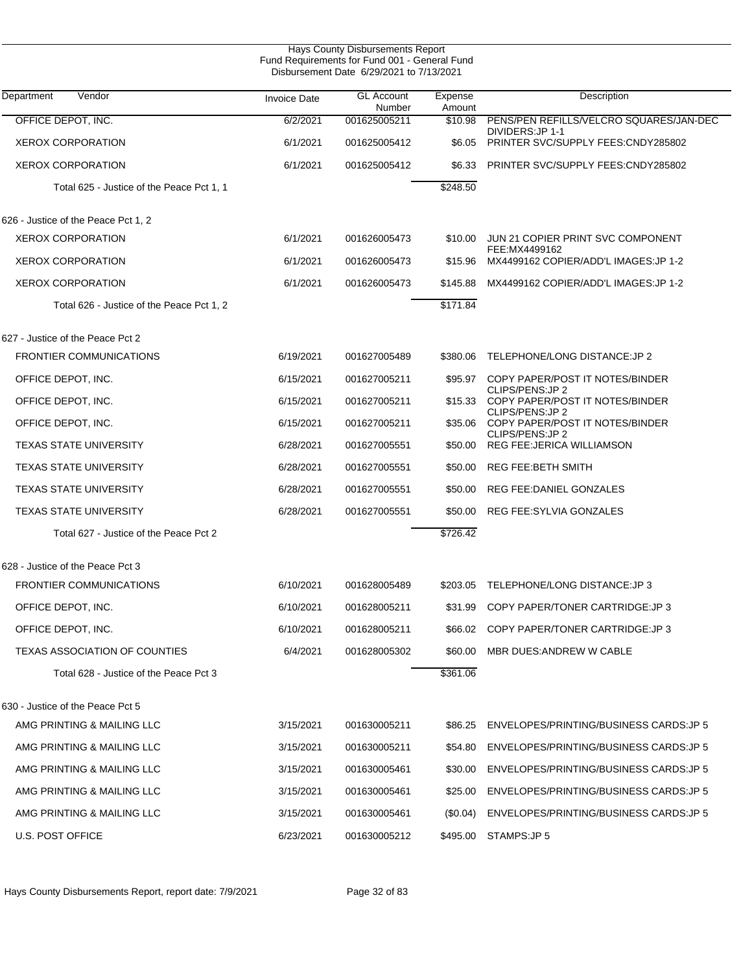| Hays County Disbursements Report<br>Fund Requirements for Fund 001 - General Fund<br>Disbursement Date 6/29/2021 to 7/13/2021 |                     |                             |                   |                                                        |  |
|-------------------------------------------------------------------------------------------------------------------------------|---------------------|-----------------------------|-------------------|--------------------------------------------------------|--|
| Vendor<br>Department                                                                                                          | <b>Invoice Date</b> | <b>GL Account</b><br>Number | Expense<br>Amount | Description                                            |  |
| OFFICE DEPOT, INC.                                                                                                            | 6/2/2021            | 001625005211                | \$10.98           | PENS/PEN REFILLS/VELCRO SQUARES/JAN-DEC                |  |
| <b>XEROX CORPORATION</b>                                                                                                      | 6/1/2021            | 001625005412                | \$6.05            | DIVIDERS: JP 1-1<br>PRINTER SVC/SUPPLY FEES:CNDY285802 |  |
| <b>XEROX CORPORATION</b>                                                                                                      | 6/1/2021            | 001625005412                | \$6.33            | PRINTER SVC/SUPPLY FEES:CNDY285802                     |  |
| Total 625 - Justice of the Peace Pct 1, 1                                                                                     |                     |                             | \$248.50          |                                                        |  |
| 626 - Justice of the Peace Pct 1, 2                                                                                           |                     |                             |                   |                                                        |  |
| <b>XEROX CORPORATION</b>                                                                                                      | 6/1/2021            | 001626005473                | \$10.00           | JUN 21 COPIER PRINT SVC COMPONENT                      |  |
| <b>XEROX CORPORATION</b>                                                                                                      | 6/1/2021            | 001626005473                | \$15.96           | FEE:MX4499162<br>MX4499162 COPIER/ADD'L IMAGES: JP 1-2 |  |
| <b>XEROX CORPORATION</b>                                                                                                      | 6/1/2021            | 001626005473                | \$145.88          | MX4499162 COPIER/ADD'L IMAGES: JP 1-2                  |  |
| Total 626 - Justice of the Peace Pct 1, 2                                                                                     |                     |                             | \$171.84          |                                                        |  |
| 627 - Justice of the Peace Pct 2                                                                                              |                     |                             |                   |                                                        |  |
| <b>FRONTIER COMMUNICATIONS</b>                                                                                                | 6/19/2021           | 001627005489                | \$380.06          | TELEPHONE/LONG DISTANCE: JP 2                          |  |
| OFFICE DEPOT, INC.                                                                                                            | 6/15/2021           | 001627005211                | \$95.97           | COPY PAPER/POST IT NOTES/BINDER<br>CLIPS/PENS: JP 2    |  |
| OFFICE DEPOT, INC.                                                                                                            | 6/15/2021           | 001627005211                | \$15.33           | COPY PAPER/POST IT NOTES/BINDER                        |  |
| OFFICE DEPOT, INC.                                                                                                            | 6/15/2021           | 001627005211                | \$35.06           | CLIPS/PENS: JP 2<br>COPY PAPER/POST IT NOTES/BINDER    |  |
| <b>TEXAS STATE UNIVERSITY</b>                                                                                                 | 6/28/2021           | 001627005551                | \$50.00           | CLIPS/PENS: JP 2<br><b>REG FEE: JERICA WILLIAMSON</b>  |  |
| <b>TEXAS STATE UNIVERSITY</b>                                                                                                 | 6/28/2021           | 001627005551                | \$50.00           | <b>REG FEE:BETH SMITH</b>                              |  |
| <b>TEXAS STATE UNIVERSITY</b>                                                                                                 | 6/28/2021           | 001627005551                | \$50.00           | REG FEE: DANIEL GONZALES                               |  |
| <b>TEXAS STATE UNIVERSITY</b>                                                                                                 | 6/28/2021           | 001627005551                | \$50.00           | REG FEE: SYLVIA GONZALES                               |  |
| Total 627 - Justice of the Peace Pct 2                                                                                        |                     |                             | \$726.42          |                                                        |  |
| 628 - Justice of the Peace Pct 3                                                                                              |                     |                             |                   |                                                        |  |
| <b>FRONTIER COMMUNICATIONS</b>                                                                                                | 6/10/2021           | 001628005489                |                   | \$203.05 TELEPHONE/LONG DISTANCE: JP 3                 |  |
| OFFICE DEPOT, INC.                                                                                                            | 6/10/2021           | 001628005211                | \$31.99           | COPY PAPER/TONER CARTRIDGE: JP 3                       |  |
| OFFICE DEPOT, INC.                                                                                                            | 6/10/2021           | 001628005211                | \$66.02           | COPY PAPER/TONER CARTRIDGE: JP 3                       |  |
| <b>TEXAS ASSOCIATION OF COUNTIES</b>                                                                                          | 6/4/2021            | 001628005302                | \$60.00           | MBR DUES: ANDREW W CABLE                               |  |
| Total 628 - Justice of the Peace Pct 3                                                                                        |                     |                             | \$361.06          |                                                        |  |
| 630 - Justice of the Peace Pct 5                                                                                              |                     |                             |                   |                                                        |  |
| AMG PRINTING & MAILING LLC                                                                                                    | 3/15/2021           | 001630005211                | \$86.25           | ENVELOPES/PRINTING/BUSINESS CARDS: JP 5                |  |
| AMG PRINTING & MAILING LLC                                                                                                    | 3/15/2021           | 001630005211                | \$54.80           | ENVELOPES/PRINTING/BUSINESS CARDS: JP 5                |  |
| AMG PRINTING & MAILING LLC                                                                                                    | 3/15/2021           | 001630005461                | \$30.00           | ENVELOPES/PRINTING/BUSINESS CARDS: JP 5                |  |
| AMG PRINTING & MAILING LLC                                                                                                    | 3/15/2021           | 001630005461                | \$25.00           | ENVELOPES/PRINTING/BUSINESS CARDS: JP 5                |  |
| AMG PRINTING & MAILING LLC                                                                                                    | 3/15/2021           | 001630005461                | (S0.04)           | ENVELOPES/PRINTING/BUSINESS CARDS:JP 5                 |  |
| U.S. POST OFFICE                                                                                                              | 6/23/2021           | 001630005212                |                   | \$495.00 STAMPS: JP 5                                  |  |

J.

Hays County Disbursements Report, report date: 7/9/2021 Page 32 of 83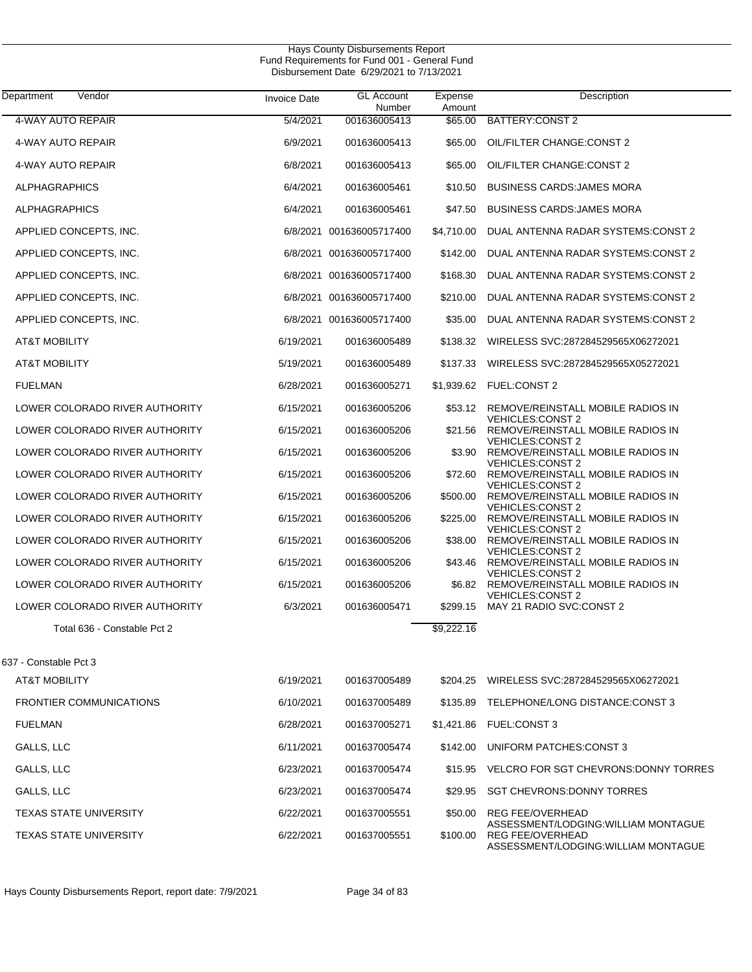| Vendor<br>Department           | <b>Invoice Date</b> | <b>GL Account</b><br>Number | Expense<br>Amount | Description                                                                                               |
|--------------------------------|---------------------|-----------------------------|-------------------|-----------------------------------------------------------------------------------------------------------|
| <b>4-WAY AUTO REPAIR</b>       | 5/4/2021            | 001636005413                | \$65.00           | <b>BATTERY: CONST 2</b>                                                                                   |
| 4-WAY AUTO REPAIR              | 6/9/2021            | 001636005413                | \$65.00           | OIL/FILTER CHANGE:CONST 2                                                                                 |
| 4-WAY AUTO REPAIR              | 6/8/2021            | 001636005413                | \$65.00           | OIL/FILTER CHANGE: CONST 2                                                                                |
| <b>ALPHAGRAPHICS</b>           | 6/4/2021            | 001636005461                | \$10.50           | <b>BUSINESS CARDS: JAMES MORA</b>                                                                         |
| <b>ALPHAGRAPHICS</b>           | 6/4/2021            | 001636005461                | \$47.50           | <b>BUSINESS CARDS: JAMES MORA</b>                                                                         |
| APPLIED CONCEPTS, INC.         |                     | 6/8/2021 001636005717400    | \$4,710.00        | DUAL ANTENNA RADAR SYSTEMS:CONST 2                                                                        |
| APPLIED CONCEPTS, INC.         |                     | 6/8/2021 001636005717400    | \$142.00          | DUAL ANTENNA RADAR SYSTEMS: CONST 2                                                                       |
| APPLIED CONCEPTS, INC.         |                     | 6/8/2021 001636005717400    | \$168.30          | DUAL ANTENNA RADAR SYSTEMS: CONST 2                                                                       |
| APPLIED CONCEPTS, INC.         | 6/8/2021            | 001636005717400             | \$210.00          | DUAL ANTENNA RADAR SYSTEMS:CONST 2                                                                        |
| APPLIED CONCEPTS, INC.         |                     | 6/8/2021 001636005717400    | \$35.00           | DUAL ANTENNA RADAR SYSTEMS:CONST 2                                                                        |
| <b>AT&amp;T MOBILITY</b>       | 6/19/2021           | 001636005489                | \$138.32          | WIRELESS SVC:287284529565X06272021                                                                        |
| <b>AT&amp;T MOBILITY</b>       | 5/19/2021           | 001636005489                | \$137.33          | WIRELESS SVC:287284529565X05272021                                                                        |
| <b>FUELMAN</b>                 | 6/28/2021           | 001636005271                |                   | \$1.939.62 FUEL:CONST 2                                                                                   |
| LOWER COLORADO RIVER AUTHORITY | 6/15/2021           | 001636005206                |                   | \$53.12 REMOVE/REINSTALL MOBILE RADIOS IN<br><b>VEHICLES:CONST 2</b>                                      |
| LOWER COLORADO RIVER AUTHORITY | 6/15/2021           | 001636005206                | \$21.56           | REMOVE/REINSTALL MOBILE RADIOS IN<br><b>VEHICLES:CONST 2</b>                                              |
| LOWER COLORADO RIVER AUTHORITY | 6/15/2021           | 001636005206                | \$3.90            | REMOVE/REINSTALL MOBILE RADIOS IN<br><b>VEHICLES:CONST 2</b>                                              |
| LOWER COLORADO RIVER AUTHORITY | 6/15/2021           | 001636005206                | \$72.60           | REMOVE/REINSTALL MOBILE RADIOS IN<br><b>VEHICLES:CONST 2</b>                                              |
| LOWER COLORADO RIVER AUTHORITY | 6/15/2021           | 001636005206                | \$500.00          | REMOVE/REINSTALL MOBILE RADIOS IN<br><b>VEHICLES:CONST 2</b>                                              |
| LOWER COLORADO RIVER AUTHORITY | 6/15/2021           | 001636005206                | \$225.00          | REMOVE/REINSTALL MOBILE RADIOS IN<br><b>VEHICLES:CONST 2</b>                                              |
| LOWER COLORADO RIVER AUTHORITY | 6/15/2021           | 001636005206                | \$38.00           | REMOVE/REINSTALL MOBILE RADIOS IN<br><b>VEHICLES:CONST 2</b>                                              |
| LOWER COLORADO RIVER AUTHORITY | 6/15/2021           | 001636005206                | \$43.46           | REMOVE/REINSTALL MOBILE RADIOS IN<br><b>VEHICLES:CONST 2</b>                                              |
| LOWER COLORADO RIVER AUTHORITY | 6/15/2021           | 001636005206                | \$6.82            | REMOVE/REINSTALL MOBILE RADIOS IN<br><b>VEHICLES:CONST 2</b>                                              |
| LOWER COLORADO RIVER AUTHORITY | 6/3/2021            | 001636005471                | \$299.15          | MAY 21 RADIO SVC:CONST 2                                                                                  |
| Total 636 - Constable Pct 2    |                     |                             | \$9,222.16        |                                                                                                           |
| 637 - Constable Pct 3          |                     |                             |                   |                                                                                                           |
| AT&T MOBILITY                  | 6/19/2021           | 001637005489                | \$204.25          | WIRELESS SVC:287284529565X06272021                                                                        |
| <b>FRONTIER COMMUNICATIONS</b> | 6/10/2021           | 001637005489                | \$135.89          | TELEPHONE/LONG DISTANCE:CONST 3                                                                           |
| <b>FUELMAN</b>                 | 6/28/2021           | 001637005271                |                   | \$1,421.86 FUEL:CONST 3                                                                                   |
| GALLS, LLC                     | 6/11/2021           | 001637005474                | \$142.00          | UNIFORM PATCHES:CONST 3                                                                                   |
| GALLS, LLC                     | 6/23/2021           | 001637005474                |                   | \$15.95 VELCRO FOR SGT CHEVRONS:DONNY TORRES                                                              |
| GALLS, LLC                     | 6/23/2021           | 001637005474                | \$29.95           | SGT CHEVRONS: DONNY TORRES                                                                                |
| <b>TEXAS STATE UNIVERSITY</b>  | 6/22/2021           | 001637005551                | \$50.00           | <b>REG FEE/OVERHEAD</b>                                                                                   |
| TEXAS STATE UNIVERSITY         | 6/22/2021           | 001637005551                |                   | ASSESSMENT/LODGING: WILLIAM MONTAGUE<br>\$100.00 REG FEE/OVERHEAD<br>ASSESSMENT/LODGING: WILLIAM MONTAGUE |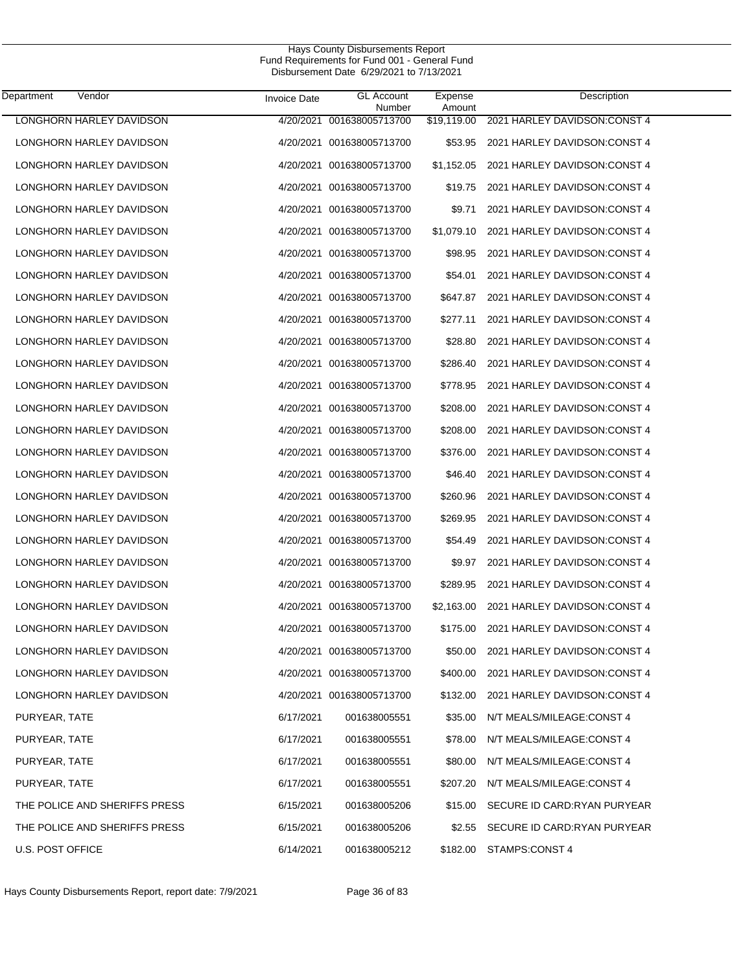| Department<br>Vendor          | <b>Invoice Date</b> | <b>GL Account</b><br>Number | Expense<br>Amount | Description                   |
|-------------------------------|---------------------|-----------------------------|-------------------|-------------------------------|
| LONGHORN HARLEY DAVIDSON      | 4/20/2021           | 001638005713700             | \$19,119.00       | 2021 HARLEY DAVIDSON: CONST 4 |
| LONGHORN HARLEY DAVIDSON      |                     | 4/20/2021 001638005713700   | \$53.95           | 2021 HARLEY DAVIDSON: CONST 4 |
| LONGHORN HARLEY DAVIDSON      |                     | 4/20/2021 001638005713700   | \$1,152.05        | 2021 HARLEY DAVIDSON: CONST 4 |
| LONGHORN HARLEY DAVIDSON      |                     | 4/20/2021 001638005713700   | \$19.75           | 2021 HARLEY DAVIDSON: CONST 4 |
| LONGHORN HARLEY DAVIDSON      |                     | 4/20/2021 001638005713700   | \$9.71            | 2021 HARLEY DAVIDSON: CONST 4 |
| LONGHORN HARLEY DAVIDSON      |                     | 4/20/2021 001638005713700   | \$1,079.10        | 2021 HARLEY DAVIDSON: CONST 4 |
| LONGHORN HARLEY DAVIDSON      |                     | 4/20/2021 001638005713700   | \$98.95           | 2021 HARLEY DAVIDSON: CONST 4 |
| LONGHORN HARLEY DAVIDSON      |                     | 4/20/2021 001638005713700   | \$54.01           | 2021 HARLEY DAVIDSON: CONST 4 |
| LONGHORN HARLEY DAVIDSON      |                     | 4/20/2021 001638005713700   | \$647.87          | 2021 HARLEY DAVIDSON: CONST 4 |
| LONGHORN HARLEY DAVIDSON      |                     | 4/20/2021 001638005713700   | \$277.11          | 2021 HARLEY DAVIDSON: CONST 4 |
| LONGHORN HARLEY DAVIDSON      |                     | 4/20/2021 001638005713700   | \$28.80           | 2021 HARLEY DAVIDSON: CONST 4 |
| LONGHORN HARLEY DAVIDSON      |                     | 4/20/2021 001638005713700   | \$286.40          | 2021 HARLEY DAVIDSON: CONST 4 |
| LONGHORN HARLEY DAVIDSON      |                     | 4/20/2021 001638005713700   | \$778.95          | 2021 HARLEY DAVIDSON: CONST 4 |
| LONGHORN HARLEY DAVIDSON      |                     | 4/20/2021 001638005713700   | \$208.00          | 2021 HARLEY DAVIDSON: CONST 4 |
| LONGHORN HARLEY DAVIDSON      |                     | 4/20/2021 001638005713700   | \$208.00          | 2021 HARLEY DAVIDSON: CONST 4 |
| LONGHORN HARLEY DAVIDSON      |                     | 4/20/2021 001638005713700   | \$376.00          | 2021 HARLEY DAVIDSON: CONST 4 |
| LONGHORN HARLEY DAVIDSON      |                     | 4/20/2021 001638005713700   | \$46.40           | 2021 HARLEY DAVIDSON: CONST 4 |
| LONGHORN HARLEY DAVIDSON      |                     | 4/20/2021 001638005713700   | \$260.96          | 2021 HARLEY DAVIDSON: CONST 4 |
| LONGHORN HARLEY DAVIDSON      |                     | 4/20/2021 001638005713700   | \$269.95          | 2021 HARLEY DAVIDSON: CONST 4 |
| LONGHORN HARLEY DAVIDSON      |                     | 4/20/2021 001638005713700   | \$54.49           | 2021 HARLEY DAVIDSON: CONST 4 |
| LONGHORN HARLEY DAVIDSON      |                     | 4/20/2021 001638005713700   | \$9.97            | 2021 HARLEY DAVIDSON: CONST 4 |
| LONGHORN HARLEY DAVIDSON      |                     | 4/20/2021 001638005713700   | \$289.95          | 2021 HARLEY DAVIDSON: CONST 4 |
| LONGHORN HARLEY DAVIDSON      |                     | 4/20/2021 001638005713700   | \$2,163.00        | 2021 HARLEY DAVIDSON: CONST 4 |
| LONGHORN HARLEY DAVIDSON      |                     | 4/20/2021 001638005713700   | \$175.00          | 2021 HARLEY DAVIDSON: CONST 4 |
| LONGHORN HARLEY DAVIDSON      |                     | 4/20/2021 001638005713700   | \$50.00           | 2021 HARLEY DAVIDSON: CONST 4 |
| LONGHORN HARLEY DAVIDSON      |                     | 4/20/2021 001638005713700   | \$400.00          | 2021 HARLEY DAVIDSON: CONST 4 |
| LONGHORN HARLEY DAVIDSON      |                     | 4/20/2021 001638005713700   | \$132.00          | 2021 HARLEY DAVIDSON: CONST 4 |
| PURYEAR, TATE                 | 6/17/2021           | 001638005551                | \$35.00           | N/T MEALS/MILEAGE:CONST 4     |
| PURYEAR, TATE                 | 6/17/2021           | 001638005551                | \$78.00           | N/T MEALS/MILEAGE:CONST 4     |
| PURYEAR, TATE                 | 6/17/2021           | 001638005551                | \$80.00           | N/T MEALS/MILEAGE:CONST 4     |
| PURYEAR, TATE                 | 6/17/2021           | 001638005551                | \$207.20          | N/T MEALS/MILEAGE:CONST 4     |
| THE POLICE AND SHERIFFS PRESS | 6/15/2021           | 001638005206                | \$15.00           | SECURE ID CARD:RYAN PURYEAR   |
| THE POLICE AND SHERIFFS PRESS | 6/15/2021           | 001638005206                | \$2.55            | SECURE ID CARD:RYAN PURYEAR   |
| U.S. POST OFFICE              | 6/14/2021           | 001638005212                | \$182.00          | STAMPS:CONST 4                |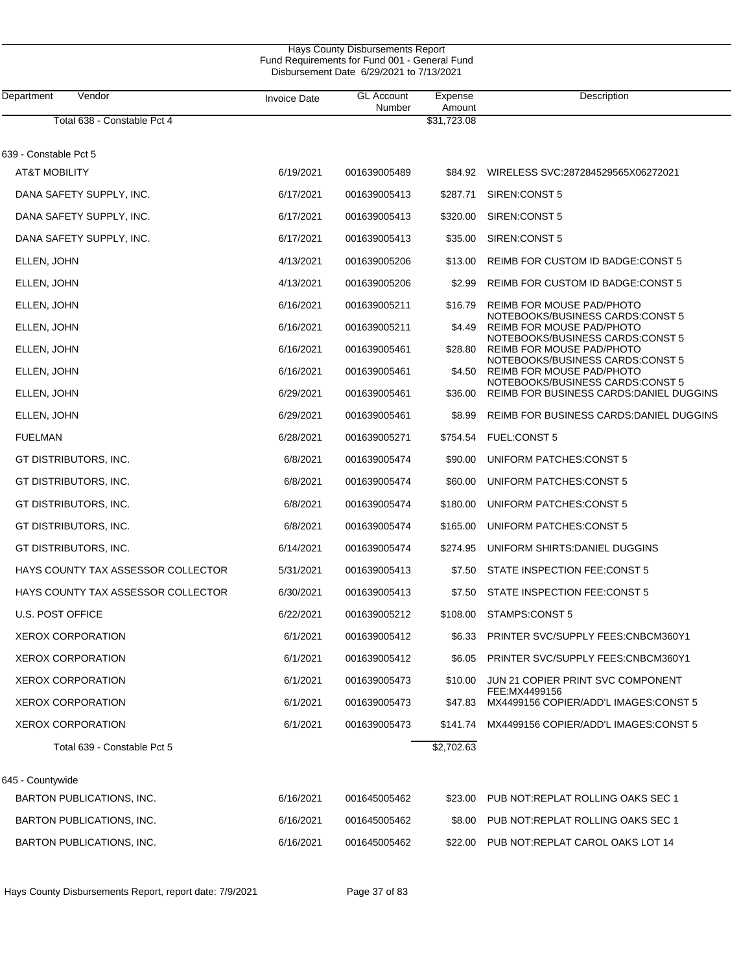| Hays County Disbursements Report<br>Fund Requirements for Fund 001 - General Fund<br>Disbursement Date 6/29/2021 to 7/13/2021 |                     |                             |                   |                                                                                     |  |  |
|-------------------------------------------------------------------------------------------------------------------------------|---------------------|-----------------------------|-------------------|-------------------------------------------------------------------------------------|--|--|
| Department<br>Vendor                                                                                                          | <b>Invoice Date</b> | <b>GL Account</b><br>Number | Expense<br>Amount | Description                                                                         |  |  |
| Total 638 - Constable Pct 4                                                                                                   |                     |                             | \$31,723.08       |                                                                                     |  |  |
| 639 - Constable Pct 5                                                                                                         |                     |                             |                   |                                                                                     |  |  |
| <b>AT&amp;T MOBILITY</b>                                                                                                      | 6/19/2021           | 001639005489                | \$84.92           | WIRELESS SVC:287284529565X06272021                                                  |  |  |
| DANA SAFETY SUPPLY, INC.                                                                                                      | 6/17/2021           | 001639005413                | \$287.71          | SIREN:CONST 5                                                                       |  |  |
| DANA SAFETY SUPPLY, INC.                                                                                                      | 6/17/2021           | 001639005413                | \$320.00          | SIREN:CONST 5                                                                       |  |  |
| DANA SAFETY SUPPLY, INC.                                                                                                      | 6/17/2021           | 001639005413                | \$35.00           | SIREN:CONST 5                                                                       |  |  |
| ELLEN, JOHN                                                                                                                   | 4/13/2021           | 001639005206                | \$13.00           | REIMB FOR CUSTOM ID BADGE:CONST 5                                                   |  |  |
| ELLEN, JOHN                                                                                                                   | 4/13/2021           | 001639005206                | \$2.99            | REIMB FOR CUSTOM ID BADGE:CONST 5                                                   |  |  |
| ELLEN, JOHN                                                                                                                   | 6/16/2021           | 001639005211                | \$16.79           | <b>REIMB FOR MOUSE PAD/PHOTO</b>                                                    |  |  |
| ELLEN, JOHN                                                                                                                   | 6/16/2021           | 001639005211                | \$4.49            | NOTEBOOKS/BUSINESS CARDS:CONST 5<br>REIMB FOR MOUSE PAD/PHOTO                       |  |  |
| ELLEN, JOHN                                                                                                                   | 6/16/2021           | 001639005461                | \$28.80           | NOTEBOOKS/BUSINESS CARDS:CONST 5<br>REIMB FOR MOUSE PAD/PHOTO                       |  |  |
| ELLEN, JOHN                                                                                                                   | 6/16/2021           | 001639005461                | \$4.50            | NOTEBOOKS/BUSINESS CARDS:CONST 5<br>REIMB FOR MOUSE PAD/PHOTO                       |  |  |
| ELLEN, JOHN                                                                                                                   | 6/29/2021           | 001639005461                | \$36.00           | NOTEBOOKS/BUSINESS CARDS:CONST 5<br><b>REIMB FOR BUSINESS CARDS: DANIEL DUGGINS</b> |  |  |
| ELLEN, JOHN                                                                                                                   | 6/29/2021           | 001639005461                | \$8.99            | REIMB FOR BUSINESS CARDS: DANIEL DUGGINS                                            |  |  |
| <b>FUELMAN</b>                                                                                                                | 6/28/2021           | 001639005271                | \$754.54          | <b>FUEL:CONST 5</b>                                                                 |  |  |
| GT DISTRIBUTORS, INC.                                                                                                         | 6/8/2021            | 001639005474                | \$90.00           | UNIFORM PATCHES: CONST 5                                                            |  |  |
| GT DISTRIBUTORS, INC.                                                                                                         | 6/8/2021            | 001639005474                | \$60.00           | UNIFORM PATCHES: CONST 5                                                            |  |  |
| GT DISTRIBUTORS, INC.                                                                                                         | 6/8/2021            | 001639005474                | \$180.00          | UNIFORM PATCHES: CONST 5                                                            |  |  |
| GT DISTRIBUTORS, INC.                                                                                                         | 6/8/2021            | 001639005474                | \$165.00          | UNIFORM PATCHES: CONST 5                                                            |  |  |
| GT DISTRIBUTORS, INC.                                                                                                         | 6/14/2021           | 001639005474                | \$274.95          | UNIFORM SHIRTS: DANIEL DUGGINS                                                      |  |  |
| HAYS COUNTY TAX ASSESSOR COLLECTOR                                                                                            | 5/31/2021           | 001639005413                | \$7.50            | STATE INSPECTION FEE:CONST 5                                                        |  |  |
| HAYS COUNTY TAX ASSESSOR COLLECTOR                                                                                            | 6/30/2021           | 001639005413                | \$7.50            | STATE INSPECTION FEE:CONST 5                                                        |  |  |
| <b>U.S. POST OFFICE</b>                                                                                                       | 6/22/2021           | 001639005212                | \$108.00          | STAMPS:CONST 5                                                                      |  |  |
| <b>XEROX CORPORATION</b>                                                                                                      | 6/1/2021            | 001639005412                | \$6.33            | PRINTER SVC/SUPPLY FEES:CNBCM360Y1                                                  |  |  |
| <b>XEROX CORPORATION</b>                                                                                                      | 6/1/2021            | 001639005412                | \$6.05            | PRINTER SVC/SUPPLY FEES:CNBCM360Y1                                                  |  |  |
| <b>XEROX CORPORATION</b>                                                                                                      | 6/1/2021            | 001639005473                | \$10.00           | JUN 21 COPIER PRINT SVC COMPONENT                                                   |  |  |
| <b>XEROX CORPORATION</b>                                                                                                      | 6/1/2021            | 001639005473                | \$47.83           | FEE:MX4499156<br>MX4499156 COPIER/ADD'L IMAGES: CONST 5                             |  |  |
| XEROX CORPORATION                                                                                                             | 6/1/2021            | 001639005473                | \$141.74          | MX4499156 COPIER/ADD'L IMAGES:CONST 5                                               |  |  |
| Total 639 - Constable Pct 5                                                                                                   |                     |                             | \$2,702.63        |                                                                                     |  |  |
| 645 - Countywide                                                                                                              |                     |                             |                   |                                                                                     |  |  |
| BARTON PUBLICATIONS, INC.                                                                                                     | 6/16/2021           | 001645005462                | \$23.00           | PUB NOT REPLAT ROLLING OAKS SEC 1                                                   |  |  |
| BARTON PUBLICATIONS, INC.                                                                                                     | 6/16/2021           | 001645005462                | \$8.00            | PUB NOT REPLAT ROLLING OAKS SEC 1                                                   |  |  |
| BARTON PUBLICATIONS, INC.                                                                                                     | 6/16/2021           | 001645005462                | \$22.00           | PUB NOT: REPLAT CAROL OAKS LOT 14                                                   |  |  |
|                                                                                                                               |                     |                             |                   |                                                                                     |  |  |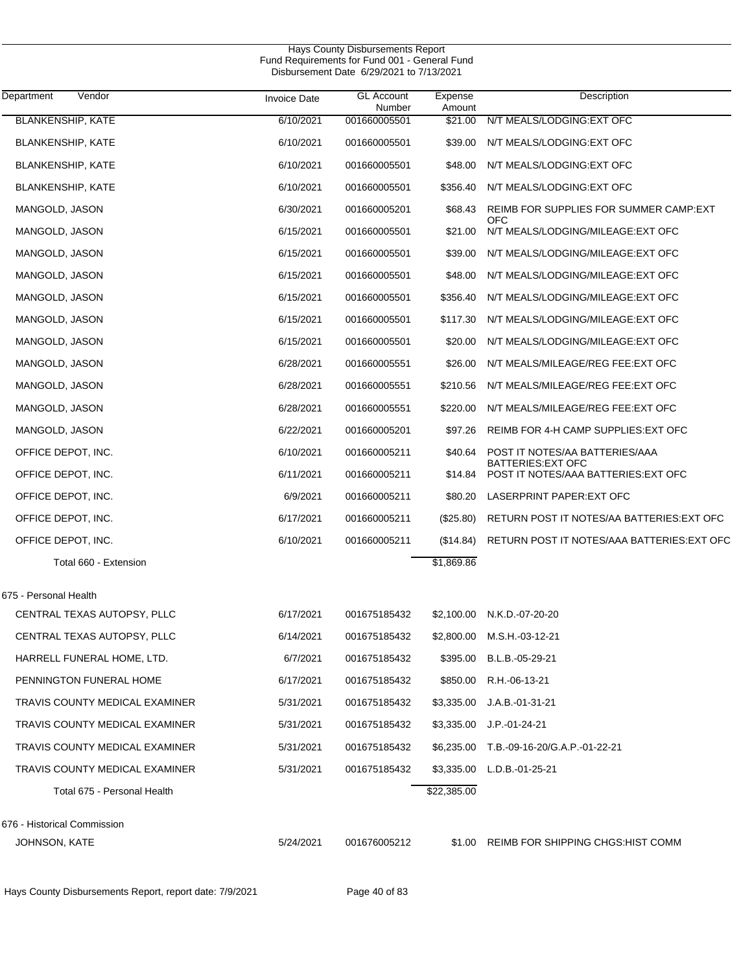| Department<br>Vendor           | <b>Invoice Date</b> | <b>GL Account</b><br>Number | Expense<br>Amount | Description                                                       |
|--------------------------------|---------------------|-----------------------------|-------------------|-------------------------------------------------------------------|
| <b>BLANKENSHIP, KATE</b>       | 6/10/2021           | 001660005501                | \$21.00           | N/T MEALS/LODGING: EXT OFC                                        |
| <b>BLANKENSHIP, KATE</b>       | 6/10/2021           | 001660005501                | \$39.00           | N/T MEALS/LODGING:EXT OFC                                         |
| <b>BLANKENSHIP, KATE</b>       | 6/10/2021           | 001660005501                | \$48.00           | N/T MEALS/LODGING:EXT OFC                                         |
| <b>BLANKENSHIP, KATE</b>       | 6/10/2021           | 001660005501                | \$356.40          | N/T MEALS/LODGING: EXT OFC                                        |
| MANGOLD, JASON                 | 6/30/2021           | 001660005201                | \$68.43           | REIMB FOR SUPPLIES FOR SUMMER CAMP:EXT<br>OFC                     |
| MANGOLD, JASON                 | 6/15/2021           | 001660005501                | \$21.00           | N/T MEALS/LODGING/MILEAGE: EXT OFC                                |
| MANGOLD, JASON                 | 6/15/2021           | 001660005501                | \$39.00           | N/T MEALS/LODGING/MILEAGE: EXT OFC                                |
| MANGOLD, JASON                 | 6/15/2021           | 001660005501                | \$48.00           | N/T MEALS/LODGING/MILEAGE: EXT OFC                                |
| MANGOLD, JASON                 | 6/15/2021           | 001660005501                | \$356.40          | N/T MEALS/LODGING/MILEAGE: EXT OFC                                |
| MANGOLD, JASON                 | 6/15/2021           | 001660005501                | \$117.30          | N/T MEALS/LODGING/MILEAGE: EXT OFC                                |
| MANGOLD, JASON                 | 6/15/2021           | 001660005501                | \$20.00           | N/T MEALS/LODGING/MILEAGE: EXT OFC                                |
| MANGOLD, JASON                 | 6/28/2021           | 001660005551                | \$26.00           | N/T MEALS/MILEAGE/REG FEE:EXT OFC                                 |
| MANGOLD, JASON                 | 6/28/2021           | 001660005551                | \$210.56          | N/T MEALS/MILEAGE/REG FEE:EXT OFC                                 |
| MANGOLD, JASON                 | 6/28/2021           | 001660005551                | \$220.00          | N/T MEALS/MILEAGE/REG FEE: EXT OFC                                |
| MANGOLD, JASON                 | 6/22/2021           | 001660005201                | \$97.26           | REIMB FOR 4-H CAMP SUPPLIES: EXT OFC                              |
| OFFICE DEPOT, INC.             | 6/10/2021           | 001660005211                | \$40.64           | POST IT NOTES/AA BATTERIES/AAA                                    |
| OFFICE DEPOT, INC.             | 6/11/2021           | 001660005211                | \$14.84           | <b>BATTERIES: EXT OFC</b><br>POST IT NOTES/AAA BATTERIES: EXT OFC |
| OFFICE DEPOT, INC.             | 6/9/2021            | 001660005211                |                   | \$80.20 LASERPRINT PAPER: EXT OFC                                 |
| OFFICE DEPOT, INC.             | 6/17/2021           | 001660005211                | $(\$25.80)$       | RETURN POST IT NOTES/AA BATTERIES: EXT OFC                        |
| OFFICE DEPOT, INC.             | 6/10/2021           | 001660005211                | (\$14.84)         | RETURN POST IT NOTES/AAA BATTERIES: EXT OFC                       |
| Total 660 - Extension          |                     |                             | \$1,869.86        |                                                                   |
| 675 - Personal Health          |                     |                             |                   |                                                                   |
| CENTRAL TEXAS AUTOPSY, PLLC    | 6/17/2021           | 001675185432                |                   | \$2,100.00 N.K.D.-07-20-20                                        |
| CENTRAL TEXAS AUTOPSY, PLLC    | 6/14/2021           | 001675185432                |                   | \$2,800.00 M.S.H.-03-12-21                                        |
| HARRELL FUNERAL HOME, LTD.     | 6/7/2021            | 001675185432                |                   | \$395.00 B.L.B.-05-29-21                                          |
| PENNINGTON FUNERAL HOME        | 6/17/2021           | 001675185432                |                   | \$850.00 R.H.-06-13-21                                            |
| TRAVIS COUNTY MEDICAL EXAMINER | 5/31/2021           | 001675185432                |                   | \$3,335.00 J.A.B.-01-31-21                                        |
| TRAVIS COUNTY MEDICAL EXAMINER | 5/31/2021           | 001675185432                |                   | \$3,335.00 J.P. 01-24-21                                          |
| TRAVIS COUNTY MEDICAL EXAMINER | 5/31/2021           | 001675185432                |                   | \$6,235.00 T.B.-09-16-20/G.A.P.-01-22-21                          |
| TRAVIS COUNTY MEDICAL EXAMINER | 5/31/2021           | 001675185432                |                   | \$3,335.00 L.D.B.-01-25-21                                        |
| Total 675 - Personal Health    |                     |                             | \$22,385.00       |                                                                   |
| 676 - Historical Commission    |                     |                             |                   |                                                                   |
| JOHNSON, KATE                  | 5/24/2021           | 001676005212                |                   | \$1.00 REIMB FOR SHIPPING CHGS: HIST COMM                         |
|                                |                     |                             |                   |                                                                   |

Hays County Disbursements Report, report date: 7/9/2021 Page 40 of 83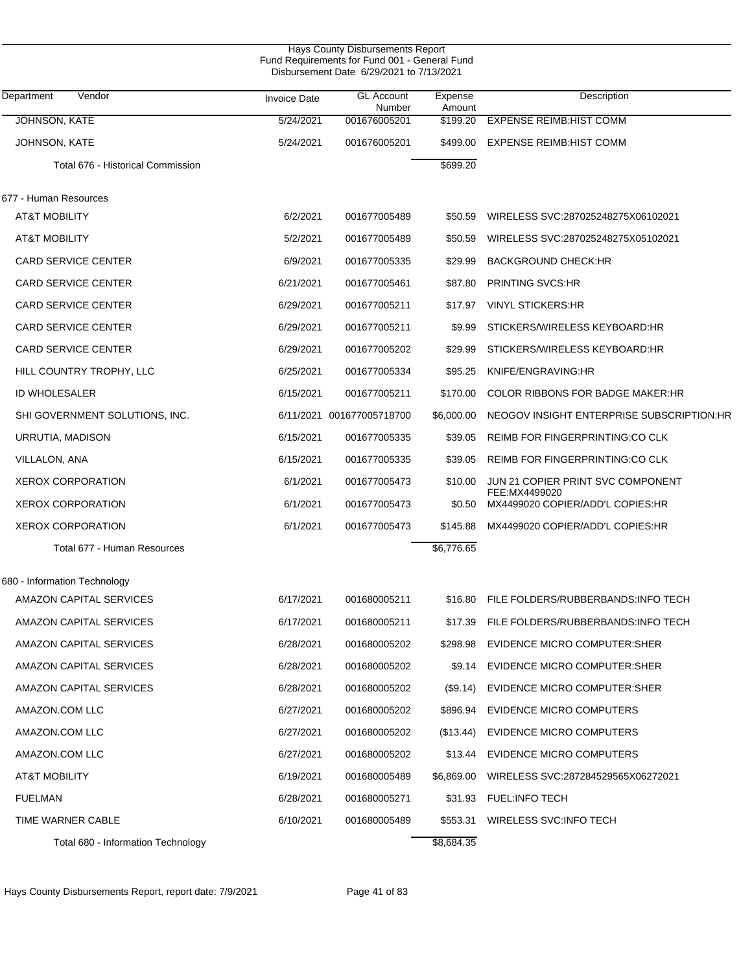| <b>Hays County Disbursements Report</b><br>Fund Requirements for Fund 001 - General Fund<br>Disbursement Date 6/29/2021 to 7/13/2021 |                     |                             |                   |                                                   |  |  |
|--------------------------------------------------------------------------------------------------------------------------------------|---------------------|-----------------------------|-------------------|---------------------------------------------------|--|--|
| Department<br>Vendor                                                                                                                 | <b>Invoice Date</b> | <b>GL Account</b><br>Number | Expense<br>Amount | Description                                       |  |  |
| <b>JOHNSON, KATE</b>                                                                                                                 | 5/24/2021           | 001676005201                | \$199.20          | <b>EXPENSE REIMB:HIST COMM</b>                    |  |  |
| JOHNSON, KATE                                                                                                                        | 5/24/2021           | 001676005201                | \$499.00          | <b>EXPENSE REIMB:HIST COMM</b>                    |  |  |
| Total 676 - Historical Commission                                                                                                    |                     |                             | \$699.20          |                                                   |  |  |
| 677 - Human Resources                                                                                                                |                     |                             |                   |                                                   |  |  |
| <b>AT&amp;T MOBILITY</b>                                                                                                             | 6/2/2021            | 001677005489                | \$50.59           | WIRELESS SVC:287025248275X06102021                |  |  |
| <b>AT&amp;T MOBILITY</b>                                                                                                             | 5/2/2021            | 001677005489                | \$50.59           | WIRELESS SVC:287025248275X05102021                |  |  |
| <b>CARD SERVICE CENTER</b>                                                                                                           | 6/9/2021            | 001677005335                | \$29.99           | <b>BACKGROUND CHECK:HR</b>                        |  |  |
| <b>CARD SERVICE CENTER</b>                                                                                                           | 6/21/2021           | 001677005461                | \$87.80           | <b>PRINTING SVCS:HR</b>                           |  |  |
| <b>CARD SERVICE CENTER</b>                                                                                                           | 6/29/2021           | 001677005211                | \$17.97           | <b>VINYL STICKERS:HR</b>                          |  |  |
| <b>CARD SERVICE CENTER</b>                                                                                                           | 6/29/2021           | 001677005211                | \$9.99            | STICKERS/WIRELESS KEYBOARD:HR                     |  |  |
| <b>CARD SERVICE CENTER</b>                                                                                                           | 6/29/2021           | 001677005202                | \$29.99           | STICKERS/WIRELESS KEYBOARD:HR                     |  |  |
| HILL COUNTRY TROPHY, LLC                                                                                                             | 6/25/2021           | 001677005334                | \$95.25           | KNIFE/ENGRAVING:HR                                |  |  |
| ID WHOLESALER                                                                                                                        | 6/15/2021           | 001677005211                | \$170.00          | <b>COLOR RIBBONS FOR BADGE MAKER:HR</b>           |  |  |
| SHI GOVERNMENT SOLUTIONS, INC.                                                                                                       |                     | 6/11/2021 001677005718700   | \$6,000.00        | NEOGOV INSIGHT ENTERPRISE SUBSCRIPTION:HR         |  |  |
| URRUTIA, MADISON                                                                                                                     | 6/15/2021           | 001677005335                | \$39.05           | REIMB FOR FINGERPRINTING:CO CLK                   |  |  |
| VILLALON, ANA                                                                                                                        | 6/15/2021           | 001677005335                | \$39.05           | REIMB FOR FINGERPRINTING:CO CLK                   |  |  |
| <b>XEROX CORPORATION</b>                                                                                                             | 6/1/2021            | 001677005473                | \$10.00           | JUN 21 COPIER PRINT SVC COMPONENT                 |  |  |
| <b>XEROX CORPORATION</b>                                                                                                             | 6/1/2021            | 001677005473                | \$0.50            | FEE:MX4499020<br>MX4499020 COPIER/ADD'L COPIES:HR |  |  |
| <b>XEROX CORPORATION</b>                                                                                                             | 6/1/2021            | 001677005473                | \$145.88          | MX4499020 COPIER/ADD'L COPIES:HR                  |  |  |
| Total 677 - Human Resources                                                                                                          |                     |                             | \$6,776.65        |                                                   |  |  |
| 680 - Information Technology                                                                                                         |                     |                             |                   |                                                   |  |  |
| AMAZON CAPITAL SERVICES                                                                                                              | 6/17/2021           | 001680005211                | \$16.80           | FILE FOLDERS/RUBBERBANDS:INFO TECH                |  |  |
| AMAZON CAPITAL SERVICES                                                                                                              | 6/17/2021           | 001680005211                | \$17.39           | FILE FOLDERS/RUBBERBANDS: INFO TECH               |  |  |
| AMAZON CAPITAL SERVICES                                                                                                              | 6/28/2021           | 001680005202                | \$298.98          | EVIDENCE MICRO COMPUTER:SHER                      |  |  |
| AMAZON CAPITAL SERVICES                                                                                                              | 6/28/2021           | 001680005202                | \$9.14            | EVIDENCE MICRO COMPUTER: SHER                     |  |  |
| AMAZON CAPITAL SERVICES                                                                                                              | 6/28/2021           | 001680005202                | (S9.14)           | DISC MICRO COMPUTER:SHER                          |  |  |
| AMAZON.COM LLC                                                                                                                       | 6/27/2021           | 001680005202                | \$896.94          | EVIDENCE MICRO COMPUTERS                          |  |  |
| AMAZON.COM LLC                                                                                                                       | 6/27/2021           | 001680005202                | (\$13.44)         | DISC EVIDENCE MICRO COMPUTERS                     |  |  |
| AMAZON.COM LLC                                                                                                                       | 6/27/2021           | 001680005202                | \$13.44           | EVIDENCE MICRO COMPUTERS                          |  |  |
| <b>AT&amp;T MOBILITY</b>                                                                                                             | 6/19/2021           | 001680005489                | \$6,869.00        | WIRELESS SVC:287284529565X06272021                |  |  |
| <b>FUELMAN</b>                                                                                                                       | 6/28/2021           | 001680005271                | \$31.93           | <b>FUEL:INFO TECH</b>                             |  |  |
| TIME WARNER CABLE                                                                                                                    | 6/10/2021           | 001680005489                | \$553.31          | WIRELESS SVC: INFO TECH                           |  |  |
| Total 680 - Information Technology                                                                                                   |                     |                             | \$8,684.35        |                                                   |  |  |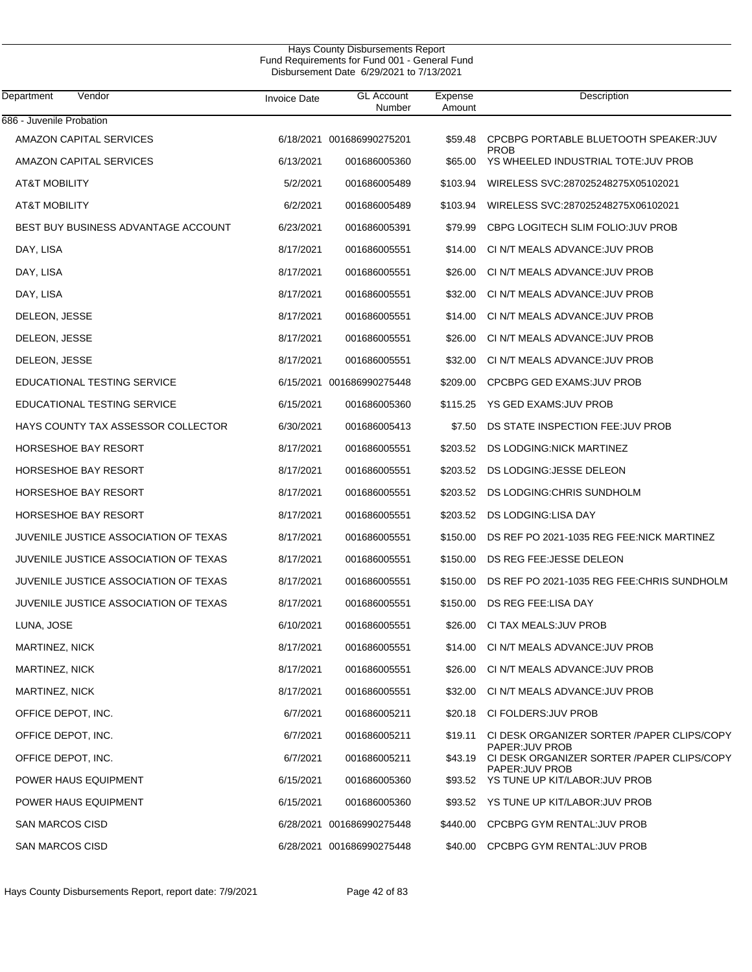| Hays County Disbursements Report              |  |
|-----------------------------------------------|--|
| Fund Requirements for Fund 001 - General Fund |  |
| Disbursement Date 6/29/2021 to 7/13/2021      |  |

| Department<br>Vendor                  | <b>Invoice Date</b> | <b>GL</b> Account<br>Number | Expense<br>Amount | Description                                                                       |
|---------------------------------------|---------------------|-----------------------------|-------------------|-----------------------------------------------------------------------------------|
| 686 - Juvenile Probation              |                     |                             |                   |                                                                                   |
| AMAZON CAPITAL SERVICES               |                     | 6/18/2021 001686990275201   | \$59.48           | CPCBPG PORTABLE BLUETOOTH SPEAKER: JUV<br><b>PROB</b>                             |
| AMAZON CAPITAL SERVICES               | 6/13/2021           | 001686005360                | \$65.00           | YS WHEELED INDUSTRIAL TOTE: JUV PROB                                              |
| <b>AT&amp;T MOBILITY</b>              | 5/2/2021            | 001686005489                | \$103.94          | WIRELESS SVC:287025248275X05102021                                                |
| <b>AT&amp;T MOBILITY</b>              | 6/2/2021            | 001686005489                | \$103.94          | WIRELESS SVC:287025248275X06102021                                                |
| BEST BUY BUSINESS ADVANTAGE ACCOUNT   | 6/23/2021           | 001686005391                | \$79.99           | CBPG LOGITECH SLIM FOLIO: JUV PROB                                                |
| DAY, LISA                             | 8/17/2021           | 001686005551                | \$14.00           | CI N/T MEALS ADVANCE: JUV PROB                                                    |
| DAY, LISA                             | 8/17/2021           | 001686005551                | \$26.00           | CI N/T MEALS ADVANCE: JUV PROB                                                    |
| DAY, LISA                             | 8/17/2021           | 001686005551                | \$32.00           | CI N/T MEALS ADVANCE: JUV PROB                                                    |
| DELEON, JESSE                         | 8/17/2021           | 001686005551                | \$14.00           | CI N/T MEALS ADVANCE: JUV PROB                                                    |
| DELEON, JESSE                         | 8/17/2021           | 001686005551                | \$26.00           | CI N/T MEALS ADVANCE: JUV PROB                                                    |
| DELEON, JESSE                         | 8/17/2021           | 001686005551                | \$32.00           | CI N/T MEALS ADVANCE: JUV PROB                                                    |
| EDUCATIONAL TESTING SERVICE           |                     | 6/15/2021 001686990275448   | \$209.00          | CPCBPG GED EXAMS: JUV PROB                                                        |
| EDUCATIONAL TESTING SERVICE           | 6/15/2021           | 001686005360                | \$115.25          | YS GED EXAMS: JUV PROB                                                            |
| HAYS COUNTY TAX ASSESSOR COLLECTOR    | 6/30/2021           | 001686005413                | \$7.50            | DS STATE INSPECTION FEE: JUV PROB                                                 |
| <b>HORSESHOE BAY RESORT</b>           | 8/17/2021           | 001686005551                | \$203.52          | DS LODGING: NICK MARTINEZ                                                         |
| <b>HORSESHOE BAY RESORT</b>           | 8/17/2021           | 001686005551                | \$203.52          | DS LODGING: JESSE DELEON                                                          |
| <b>HORSESHOE BAY RESORT</b>           | 8/17/2021           | 001686005551                | \$203.52          | DS LODGING: CHRIS SUNDHOLM                                                        |
| <b>HORSESHOE BAY RESORT</b>           | 8/17/2021           | 001686005551                | \$203.52          | DS LODGING:LISA DAY                                                               |
| JUVENILE JUSTICE ASSOCIATION OF TEXAS | 8/17/2021           | 001686005551                | \$150.00          | DS REF PO 2021-1035 REG FEE:NICK MARTINEZ                                         |
| JUVENILE JUSTICE ASSOCIATION OF TEXAS | 8/17/2021           | 001686005551                | \$150.00          | DS REG FEE: JESSE DELEON                                                          |
| JUVENILE JUSTICE ASSOCIATION OF TEXAS | 8/17/2021           | 001686005551                | \$150.00          | DS REF PO 2021-1035 REG FEE: CHRIS SUNDHOLM                                       |
| JUVENILE JUSTICE ASSOCIATION OF TEXAS | 8/17/2021           | 001686005551                | \$150.00          | DS REG FEE:LISA DAY                                                               |
| LUNA, JOSE                            | 6/10/2021           | 001686005551                | \$26.00           | CI TAX MEALS: JUV PROB                                                            |
| MARTINEZ, NICK                        | 8/17/2021           | 001686005551                | \$14.00           | CI N/T MEALS ADVANCE: JUV PROB                                                    |
| MARTINEZ, NICK                        | 8/17/2021           | 001686005551                | \$26.00           | CI N/T MEALS ADVANCE: JUV PROB                                                    |
| MARTINEZ, NICK                        | 8/17/2021           | 001686005551                | \$32.00           | CI N/T MEALS ADVANCE: JUV PROB                                                    |
| OFFICE DEPOT, INC.                    | 6/7/2021            | 001686005211                |                   | \$20.18 CI FOLDERS:JUV PROB                                                       |
| OFFICE DEPOT, INC.                    | 6/7/2021            | 001686005211                | \$19.11           | CI DESK ORGANIZER SORTER /PAPER CLIPS/COPY                                        |
| OFFICE DEPOT, INC.                    | 6/7/2021            | 001686005211                | \$43.19           | PAPER: JUV PROB<br>CI DESK ORGANIZER SORTER / PAPER CLIPS/COPY<br>PAPER: JUV PROB |
| POWER HAUS EQUIPMENT                  | 6/15/2021           | 001686005360                |                   | \$93.52 YS TUNE UP KIT/LABOR:JUV PROB                                             |
| POWER HAUS EQUIPMENT                  | 6/15/2021           | 001686005360                |                   | \$93.52 YS TUNE UP KIT/LABOR:JUV PROB                                             |
| SAN MARCOS CISD                       |                     | 6/28/2021 001686990275448   |                   | \$440.00 CPCBPG GYM RENTAL:JUV PROB                                               |
| SAN MARCOS CISD                       |                     | 6/28/2021 001686990275448   |                   | \$40.00 CPCBPG GYM RENTAL:JUV PROB                                                |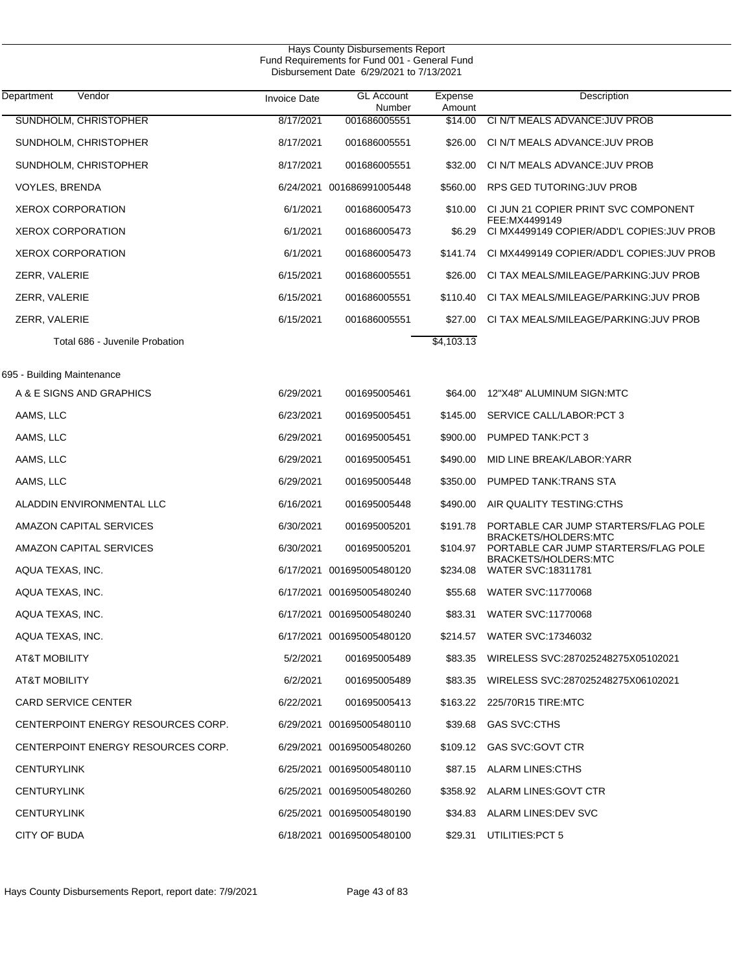| Department<br>Vendor               | <b>Invoice Date</b> | <b>GL Account</b><br>Number | Expense<br>Amount | Description                                                  |
|------------------------------------|---------------------|-----------------------------|-------------------|--------------------------------------------------------------|
| SUNDHOLM, CHRISTOPHER              | 8/17/2021           | 001686005551                | \$14.00           | CI N/T MEALS ADVANCE: JUV PROB                               |
| SUNDHOLM, CHRISTOPHER              | 8/17/2021           | 001686005551                | \$26.00           | CI N/T MEALS ADVANCE: JUV PROB                               |
| SUNDHOLM, CHRISTOPHER              | 8/17/2021           | 001686005551                | \$32.00           | CI N/T MEALS ADVANCE: JUV PROB                               |
| VOYLES, BRENDA                     |                     | 6/24/2021 001686991005448   | \$560.00          | RPS GED TUTORING: JUV PROB                                   |
| <b>XEROX CORPORATION</b>           | 6/1/2021            | 001686005473                | \$10.00           | CI JUN 21 COPIER PRINT SVC COMPONENT<br>FEE:MX4499149        |
| <b>XEROX CORPORATION</b>           | 6/1/2021            | 001686005473                | \$6.29            | CI MX4499149 COPIER/ADD'L COPIES: JUV PROB                   |
| <b>XEROX CORPORATION</b>           | 6/1/2021            | 001686005473                |                   | \$141.74 CI MX4499149 COPIER/ADD'L COPIES: JUV PROB          |
| ZERR, VALERIE                      | 6/15/2021           | 001686005551                | \$26.00           | CI TAX MEALS/MILEAGE/PARKING: JUV PROB                       |
| ZERR, VALERIE                      | 6/15/2021           | 001686005551                | \$110.40          | CI TAX MEALS/MILEAGE/PARKING: JUV PROB                       |
| ZERR, VALERIE                      | 6/15/2021           | 001686005551                | \$27.00           | CI TAX MEALS/MILEAGE/PARKING: JUV PROB                       |
| Total 686 - Juvenile Probation     |                     |                             | \$4,103.13        |                                                              |
| 695 - Building Maintenance         |                     |                             |                   |                                                              |
| A & E SIGNS AND GRAPHICS           | 6/29/2021           | 001695005461                | \$64.00           | 12"X48" ALUMINUM SIGN:MTC                                    |
| AAMS, LLC                          | 6/23/2021           | 001695005451                | \$145.00          | SERVICE CALL/LABOR:PCT 3                                     |
| AAMS, LLC                          | 6/29/2021           | 001695005451                | \$900.00          | PUMPED TANK:PCT 3                                            |
| AAMS, LLC                          | 6/29/2021           | 001695005451                | \$490.00          | MID LINE BREAK/LABOR:YARR                                    |
| AAMS, LLC                          | 6/29/2021           | 001695005448                | \$350.00          | PUMPED TANK: TRANS STA                                       |
| ALADDIN ENVIRONMENTAL LLC          | 6/16/2021           | 001695005448                | \$490.00          | AIR QUALITY TESTING:CTHS                                     |
| AMAZON CAPITAL SERVICES            | 6/30/2021           | 001695005201                | \$191.78          | PORTABLE CAR JUMP STARTERS/FLAG POLE                         |
| AMAZON CAPITAL SERVICES            | 6/30/2021           | 001695005201                | \$104.97          | BRACKETS/HOLDERS:MTC<br>PORTABLE CAR JUMP STARTERS/FLAG POLE |
| AQUA TEXAS, INC.                   |                     | 6/17/2021 001695005480120   |                   | BRACKETS/HOLDERS:MTC<br>\$234.08 WATER SVC:18311781          |
| AQUA TEXAS, INC.                   |                     | 6/17/2021 001695005480240   | \$55.68           | <b>WATER SVC:11770068</b>                                    |
| AQUA TEXAS, INC.                   |                     | 6/17/2021 001695005480240   | \$83.31           | <b>WATER SVC:11770068</b>                                    |
| AQUA TEXAS, INC.                   |                     | 6/17/2021 001695005480120   |                   | \$214.57 WATER SVC:17346032                                  |
| AT&T MOBILITY                      | 5/2/2021            | 001695005489                |                   | \$83.35 WIRELESS SVC:287025248275X05102021                   |
| AT&T MOBILITY                      | 6/2/2021            | 001695005489                |                   | \$83.35 WIRELESS SVC:287025248275X06102021                   |
| <b>CARD SERVICE CENTER</b>         | 6/22/2021           | 001695005413                |                   | \$163.22 225/70R15 TIRE:MTC                                  |
| CENTERPOINT ENERGY RESOURCES CORP. |                     | 6/29/2021 001695005480110   |                   | \$39.68 GAS SVC:CTHS                                         |
| CENTERPOINT ENERGY RESOURCES CORP. |                     | 6/29/2021 001695005480260   |                   | \$109.12 GAS SVC:GOVT CTR                                    |
| <b>CENTURYLINK</b>                 |                     | 6/25/2021 001695005480110   |                   | \$87.15 ALARM LINES:CTHS                                     |
| <b>CENTURYLINK</b>                 |                     | 6/25/2021 001695005480260   |                   | \$358.92 ALARM LINES: GOVT CTR                               |
| <b>CENTURYLINK</b>                 |                     | 6/25/2021 001695005480190   |                   | \$34.83 ALARM LINES:DEV SVC                                  |
| CITY OF BUDA                       |                     | 6/18/2021 001695005480100   |                   | \$29.31 UTILITIES:PCT 5                                      |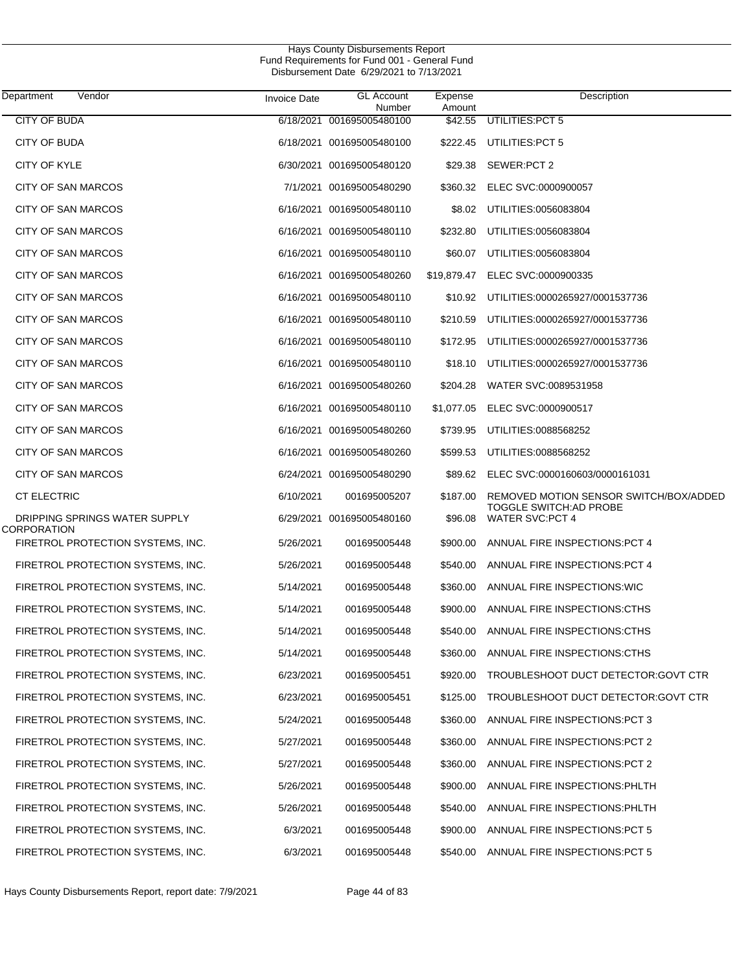| Department<br>Vendor                         | <b>Invoice Date</b> | <b>GL Account</b><br>Number | Expense<br>Amount | Description                                                       |
|----------------------------------------------|---------------------|-----------------------------|-------------------|-------------------------------------------------------------------|
| <b>CITY OF BUDA</b>                          |                     | 6/18/2021 001695005480100   | \$42.55           | UTILITIES: PCT 5                                                  |
| CITY OF BUDA                                 |                     | 6/18/2021 001695005480100   | \$222.45          | UTILITIES:PCT 5                                                   |
| <b>CITY OF KYLE</b>                          |                     | 6/30/2021 001695005480120   | \$29.38           | SEWER:PCT 2                                                       |
| CITY OF SAN MARCOS                           |                     | 7/1/2021 001695005480290    | \$360.32          | ELEC SVC:0000900057                                               |
| CITY OF SAN MARCOS                           |                     | 6/16/2021 001695005480110   | \$8.02            | UTILITIES:0056083804                                              |
| CITY OF SAN MARCOS                           |                     | 6/16/2021 001695005480110   | \$232.80          | UTILITIES:0056083804                                              |
| CITY OF SAN MARCOS                           |                     | 6/16/2021 001695005480110   | \$60.07           | UTILITIES:0056083804                                              |
| CITY OF SAN MARCOS                           |                     | 6/16/2021 001695005480260   | \$19,879.47       | ELEC SVC:0000900335                                               |
| CITY OF SAN MARCOS                           |                     | 6/16/2021 001695005480110   | \$10.92           | UTILITIES:0000265927/0001537736                                   |
| CITY OF SAN MARCOS                           |                     | 6/16/2021 001695005480110   | \$210.59          | UTILITIES:0000265927/0001537736                                   |
| CITY OF SAN MARCOS                           |                     | 6/16/2021 001695005480110   | \$172.95          | UTILITIES:0000265927/0001537736                                   |
| CITY OF SAN MARCOS                           |                     | 6/16/2021 001695005480110   | \$18.10           | UTILITIES:0000265927/0001537736                                   |
| CITY OF SAN MARCOS                           |                     | 6/16/2021 001695005480260   | \$204.28          | WATER SVC:0089531958                                              |
| CITY OF SAN MARCOS                           |                     | 6/16/2021 001695005480110   | \$1,077.05        | ELEC SVC:0000900517                                               |
| CITY OF SAN MARCOS                           |                     | 6/16/2021 001695005480260   | \$739.95          | UTILITIES:0088568252                                              |
| CITY OF SAN MARCOS                           |                     | 6/16/2021 001695005480260   | \$599.53          | UTILITIES:0088568252                                              |
| CITY OF SAN MARCOS                           |                     | 6/24/2021 001695005480290   | \$89.62           | ELEC SVC:0000160603/0000161031                                    |
| <b>CT ELECTRIC</b>                           | 6/10/2021           | 001695005207                | \$187.00          | REMOVED MOTION SENSOR SWITCH/BOX/ADDED<br>TOGGLE SWITCH: AD PROBE |
| DRIPPING SPRINGS WATER SUPPLY<br>CORPORATION |                     | 6/29/2021 001695005480160   | \$96.08           | <b>WATER SVC:PCT 4</b>                                            |
| FIRETROL PROTECTION SYSTEMS, INC.            | 5/26/2021           | 001695005448                | \$900.00          | ANNUAL FIRE INSPECTIONS PCT 4                                     |
| FIRETROL PROTECTION SYSTEMS, INC.            | 5/26/2021           | 001695005448                | \$540.00          | ANNUAL FIRE INSPECTIONS PCT 4                                     |
| FIRETROL PROTECTION SYSTEMS, INC.            | 5/14/2021           | 001695005448                | \$360.00          | ANNUAL FIRE INSPECTIONS: WIC                                      |
| FIRETROL PROTECTION SYSTEMS, INC.            | 5/14/2021           | 001695005448                | \$900.00          | ANNUAL FIRE INSPECTIONS CTHS                                      |
| FIRETROL PROTECTION SYSTEMS, INC.            | 5/14/2021           | 001695005448                | \$540.00          | ANNUAL FIRE INSPECTIONS CTHS                                      |
| FIRETROL PROTECTION SYSTEMS, INC.            | 5/14/2021           | 001695005448                |                   | \$360.00 ANNUAL FIRE INSPECTIONS:CTHS                             |
| FIRETROL PROTECTION SYSTEMS, INC.            | 6/23/2021           | 001695005451                |                   | \$920.00 TROUBLESHOOT DUCT DETECTOR:GOVT CTR                      |
| FIRETROL PROTECTION SYSTEMS, INC.            | 6/23/2021           | 001695005451                | \$125.00          | TROUBLESHOOT DUCT DETECTOR:GOVT CTR                               |
| FIRETROL PROTECTION SYSTEMS, INC.            | 5/24/2021           | 001695005448                | \$360.00          | ANNUAL FIRE INSPECTIONS: PCT 3                                    |
| FIRETROL PROTECTION SYSTEMS, INC.            | 5/27/2021           | 001695005448                | \$360.00          | ANNUAL FIRE INSPECTIONS: PCT 2                                    |
| FIRETROL PROTECTION SYSTEMS, INC.            | 5/27/2021           | 001695005448                | \$360.00          | ANNUAL FIRE INSPECTIONS: PCT 2                                    |
| FIRETROL PROTECTION SYSTEMS, INC.            | 5/26/2021           | 001695005448                | \$900.00          | ANNUAL FIRE INSPECTIONS: PHLTH                                    |
| FIRETROL PROTECTION SYSTEMS, INC.            | 5/26/2021           | 001695005448                | \$540.00          | ANNUAL FIRE INSPECTIONS: PHLTH                                    |
| FIRETROL PROTECTION SYSTEMS, INC.            | 6/3/2021            | 001695005448                | \$900.00          | ANNUAL FIRE INSPECTIONS: PCT 5                                    |
| FIRETROL PROTECTION SYSTEMS, INC.            | 6/3/2021            | 001695005448                |                   | \$540.00 ANNUAL FIRE INSPECTIONS:PCT 5                            |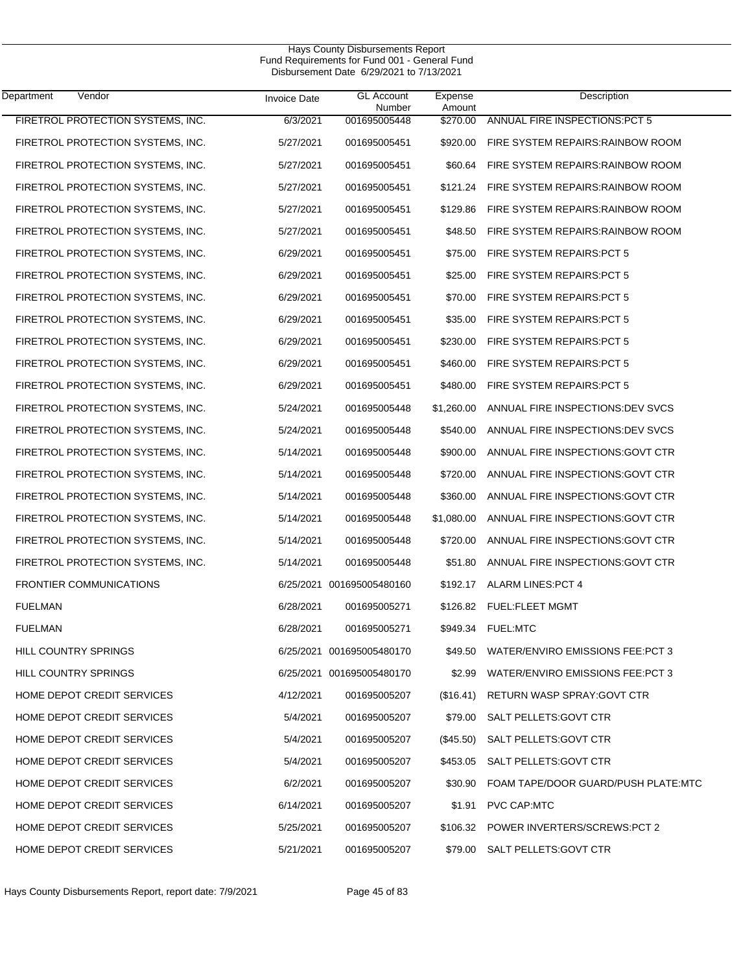| Department<br>Vendor              | <b>Invoice Date</b> | <b>GL Account</b><br>Number | Expense<br>Amount | Description                              |
|-----------------------------------|---------------------|-----------------------------|-------------------|------------------------------------------|
| FIRETROL PROTECTION SYSTEMS, INC. | 6/3/2021            | 001695005448                | \$270.00          | ANNUAL FIRE INSPECTIONS: PCT 5           |
| FIRETROL PROTECTION SYSTEMS, INC. | 5/27/2021           | 001695005451                | \$920.00          | FIRE SYSTEM REPAIRS: RAINBOW ROOM        |
| FIRETROL PROTECTION SYSTEMS, INC. | 5/27/2021           | 001695005451                | \$60.64           | FIRE SYSTEM REPAIRS: RAINBOW ROOM        |
| FIRETROL PROTECTION SYSTEMS, INC. | 5/27/2021           | 001695005451                | \$121.24          | FIRE SYSTEM REPAIRS: RAINBOW ROOM        |
| FIRETROL PROTECTION SYSTEMS, INC. | 5/27/2021           | 001695005451                | \$129.86          | FIRE SYSTEM REPAIRS: RAINBOW ROOM        |
| FIRETROL PROTECTION SYSTEMS, INC. | 5/27/2021           | 001695005451                | \$48.50           | FIRE SYSTEM REPAIRS: RAINBOW ROOM        |
| FIRETROL PROTECTION SYSTEMS, INC. | 6/29/2021           | 001695005451                | \$75.00           | FIRE SYSTEM REPAIRS: PCT 5               |
| FIRETROL PROTECTION SYSTEMS, INC. | 6/29/2021           | 001695005451                | \$25.00           | FIRE SYSTEM REPAIRS: PCT 5               |
| FIRETROL PROTECTION SYSTEMS, INC. | 6/29/2021           | 001695005451                | \$70.00           | FIRE SYSTEM REPAIRS: PCT 5               |
| FIRETROL PROTECTION SYSTEMS, INC. | 6/29/2021           | 001695005451                | \$35.00           | FIRE SYSTEM REPAIRS: PCT 5               |
| FIRETROL PROTECTION SYSTEMS, INC. | 6/29/2021           | 001695005451                | \$230.00          | FIRE SYSTEM REPAIRS: PCT 5               |
| FIRETROL PROTECTION SYSTEMS, INC. | 6/29/2021           | 001695005451                | \$460.00          | FIRE SYSTEM REPAIRS: PCT 5               |
| FIRETROL PROTECTION SYSTEMS, INC. | 6/29/2021           | 001695005451                | \$480.00          | FIRE SYSTEM REPAIRS: PCT 5               |
| FIRETROL PROTECTION SYSTEMS, INC. | 5/24/2021           | 001695005448                | \$1,260.00        | ANNUAL FIRE INSPECTIONS: DEV SVCS        |
| FIRETROL PROTECTION SYSTEMS, INC. | 5/24/2021           | 001695005448                | \$540.00          | ANNUAL FIRE INSPECTIONS: DEV SVCS        |
| FIRETROL PROTECTION SYSTEMS, INC. | 5/14/2021           | 001695005448                | \$900.00          | ANNUAL FIRE INSPECTIONS: GOVT CTR        |
| FIRETROL PROTECTION SYSTEMS, INC. | 5/14/2021           | 001695005448                | \$720.00          | ANNUAL FIRE INSPECTIONS: GOVT CTR        |
| FIRETROL PROTECTION SYSTEMS, INC. | 5/14/2021           | 001695005448                | \$360.00          | ANNUAL FIRE INSPECTIONS: GOVT CTR        |
| FIRETROL PROTECTION SYSTEMS, INC. | 5/14/2021           | 001695005448                | \$1,080.00        | ANNUAL FIRE INSPECTIONS: GOVT CTR        |
| FIRETROL PROTECTION SYSTEMS, INC. | 5/14/2021           | 001695005448                | \$720.00          | ANNUAL FIRE INSPECTIONS: GOVT CTR        |
| FIRETROL PROTECTION SYSTEMS, INC. | 5/14/2021           | 001695005448                | \$51.80           | ANNUAL FIRE INSPECTIONS: GOVT CTR        |
| <b>FRONTIER COMMUNICATIONS</b>    |                     | 6/25/2021 001695005480160   | \$192.17          | ALARM LINES: PCT 4                       |
| <b>FUELMAN</b>                    | 6/28/2021           | 001695005271                | \$126.82          | <b>FUEL:FLEET MGMT</b>                   |
| <b>FUELMAN</b>                    | 6/28/2021           | 001695005271                | \$949.34          | <b>FUEL:MTC</b>                          |
| <b>HILL COUNTRY SPRINGS</b>       |                     | 6/25/2021 001695005480170   |                   | \$49.50 WATER/ENVIRO EMISSIONS FEE:PCT 3 |
| <b>HILL COUNTRY SPRINGS</b>       |                     | 6/25/2021 001695005480170   | \$2.99            | WATER/ENVIRO EMISSIONS FEE: PCT 3        |
| HOME DEPOT CREDIT SERVICES        | 4/12/2021           | 001695005207                | (\$16.41)         | RETURN WASP SPRAY: GOVT CTR              |
| HOME DEPOT CREDIT SERVICES        | 5/4/2021            | 001695005207                | \$79.00           | SALT PELLETS: GOVT CTR                   |
| HOME DEPOT CREDIT SERVICES        | 5/4/2021            | 001695005207                | $(\$45.50)$       | SALT PELLETS: GOVT CTR                   |
| HOME DEPOT CREDIT SERVICES        | 5/4/2021            | 001695005207                | \$453.05          | SALT PELLETS: GOVT CTR                   |
| HOME DEPOT CREDIT SERVICES        | 6/2/2021            | 001695005207                | \$30.90           | FOAM TAPE/DOOR GUARD/PUSH PLATE:MTC      |
| HOME DEPOT CREDIT SERVICES        | 6/14/2021           | 001695005207                | \$1.91            | PVC CAP:MTC                              |
| HOME DEPOT CREDIT SERVICES        | 5/25/2021           | 001695005207                |                   | \$106.32 POWER INVERTERS/SCREWS:PCT 2    |
| HOME DEPOT CREDIT SERVICES        | 5/21/2021           | 001695005207                | \$79.00           | SALT PELLETS: GOVT CTR                   |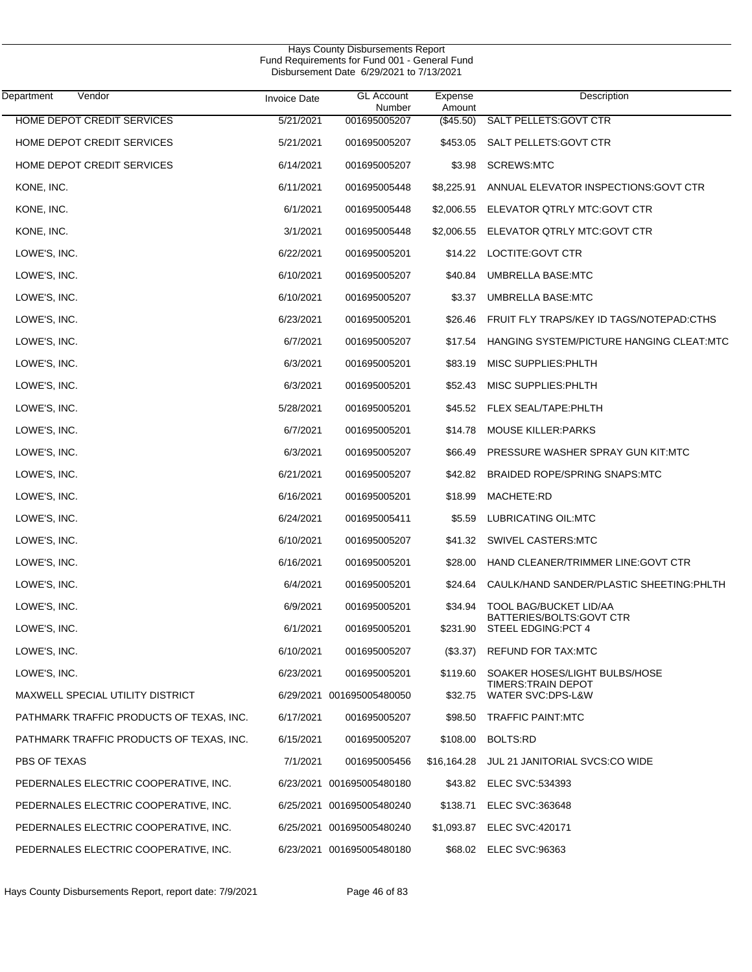| Hays County Disbursements Report<br>Fund Requirements for Fund 001 - General Fund<br>Disbursement Date 6/29/2021 to 7/13/2021 |                     |                             |                   |                                                  |  |  |
|-------------------------------------------------------------------------------------------------------------------------------|---------------------|-----------------------------|-------------------|--------------------------------------------------|--|--|
| Vendor<br>Department                                                                                                          | <b>Invoice Date</b> | <b>GL Account</b><br>Number | Expense<br>Amount | Description                                      |  |  |
| HOME DEPOT CREDIT SERVICES                                                                                                    | 5/21/2021           | 001695005207                | (\$45.50)         | <b>SALT PELLETS: GOVT CTR</b>                    |  |  |
| HOME DEPOT CREDIT SERVICES                                                                                                    | 5/21/2021           | 001695005207                | \$453.05          | SALT PELLETS: GOVT CTR                           |  |  |
| HOME DEPOT CREDIT SERVICES                                                                                                    | 6/14/2021           | 001695005207                | \$3.98            | <b>SCREWS:MTC</b>                                |  |  |
| KONE, INC.                                                                                                                    | 6/11/2021           | 001695005448                | \$8,225.91        | ANNUAL ELEVATOR INSPECTIONS: GOVT CTR            |  |  |
| KONE, INC.                                                                                                                    | 6/1/2021            | 001695005448                | \$2,006.55        | ELEVATOR QTRLY MTC:GOVT CTR                      |  |  |
| KONE, INC.                                                                                                                    | 3/1/2021            | 001695005448                | \$2,006.55        | ELEVATOR QTRLY MTC:GOVT CTR                      |  |  |
| LOWE'S, INC.                                                                                                                  | 6/22/2021           | 001695005201                | \$14.22           | LOCTITE: GOVT CTR                                |  |  |
| LOWE'S, INC.                                                                                                                  | 6/10/2021           | 001695005207                | \$40.84           | <b>UMBRELLA BASE:MTC</b>                         |  |  |
| LOWE'S, INC.                                                                                                                  | 6/10/2021           | 001695005207                | \$3.37            | UMBRELLA BASE:MTC                                |  |  |
| LOWE'S, INC.                                                                                                                  | 6/23/2021           | 001695005201                | \$26.46           | FRUIT FLY TRAPS/KEY ID TAGS/NOTEPAD:CTHS         |  |  |
| LOWE'S, INC.                                                                                                                  | 6/7/2021            | 001695005207                | \$17.54           | HANGING SYSTEM/PICTURE HANGING CLEAT:MTC         |  |  |
| LOWE'S, INC.                                                                                                                  | 6/3/2021            | 001695005201                | \$83.19           | MISC SUPPLIES: PHLTH                             |  |  |
| LOWE'S, INC.                                                                                                                  | 6/3/2021            | 001695005201                | \$52.43           | MISC SUPPLIES: PHLTH                             |  |  |
| LOWE'S, INC.                                                                                                                  | 5/28/2021           | 001695005201                | \$45.52           | FLEX SEAL/TAPE:PHLTH                             |  |  |
| LOWE'S, INC.                                                                                                                  | 6/7/2021            | 001695005201                | \$14.78           | <b>MOUSE KILLER: PARKS</b>                       |  |  |
| LOWE'S, INC.                                                                                                                  | 6/3/2021            | 001695005207                | \$66.49           | PRESSURE WASHER SPRAY GUN KIT:MTC                |  |  |
| LOWE'S, INC.                                                                                                                  | 6/21/2021           | 001695005207                | \$42.82           | BRAIDED ROPE/SPRING SNAPS:MTC                    |  |  |
| LOWE'S, INC.                                                                                                                  | 6/16/2021           | 001695005201                | \$18.99           | MACHETE:RD                                       |  |  |
| LOWE'S, INC.                                                                                                                  | 6/24/2021           | 001695005411                | \$5.59            | LUBRICATING OIL:MTC                              |  |  |
| LOWE'S, INC.                                                                                                                  | 6/10/2021           | 001695005207                | \$41.32           | SWIVEL CASTERS:MTC                               |  |  |
| LOWE'S, INC.                                                                                                                  | 6/16/2021           | 001695005201                | \$28.00           | HAND CLEANER/TRIMMER LINE: GOVT CTR              |  |  |
| LOWE'S, INC.                                                                                                                  | 6/4/2021            | 001695005201                | \$24.64           | CAULK/HAND SANDER/PLASTIC SHEETING: PHLTH        |  |  |
| LOWE'S, INC.                                                                                                                  | 6/9/2021            | 001695005201                |                   | \$34.94 TOOL BAG/BUCKET LID/AA                   |  |  |
| LOWE'S, INC.                                                                                                                  | 6/1/2021            | 001695005201                | \$231.90          | BATTERIES/BOLTS: GOVT CTR<br>STEEL EDGING: PCT 4 |  |  |
| LOWE'S, INC.                                                                                                                  | 6/10/2021           | 001695005207                | $(\$3.37)$        | <b>REFUND FOR TAX:MTC</b>                        |  |  |
| LOWE'S, INC.                                                                                                                  | 6/23/2021           | 001695005201                | \$119.60          | SOAKER HOSES/LIGHT BULBS/HOSE                    |  |  |
| MAXWELL SPECIAL UTILITY DISTRICT                                                                                              |                     | 6/29/2021 001695005480050   | \$32.75           | TIMERS:TRAIN DEPOT<br>WATER SVC:DPS-L&W          |  |  |
| PATHMARK TRAFFIC PRODUCTS OF TEXAS, INC.                                                                                      | 6/17/2021           | 001695005207                | \$98.50           | <b>TRAFFIC PAINT:MTC</b>                         |  |  |
| PATHMARK TRAFFIC PRODUCTS OF TEXAS, INC.                                                                                      | 6/15/2021           | 001695005207                | \$108.00          | BOLTS:RD                                         |  |  |
| PBS OF TEXAS                                                                                                                  | 7/1/2021            | 001695005456                | \$16,164.28       | JUL 21 JANITORIAL SVCS:CO WIDE                   |  |  |
| PEDERNALES ELECTRIC COOPERATIVE, INC.                                                                                         |                     | 6/23/2021 001695005480180   |                   | \$43.82 ELEC SVC:534393                          |  |  |
| PEDERNALES ELECTRIC COOPERATIVE, INC.                                                                                         |                     | 6/25/2021 001695005480240   | \$138.71          | ELEC SVC:363648                                  |  |  |
| PEDERNALES ELECTRIC COOPERATIVE, INC.                                                                                         |                     | 6/25/2021 001695005480240   | \$1,093.87        | <b>ELEC SVC:420171</b>                           |  |  |
| PEDERNALES ELECTRIC COOPERATIVE, INC.                                                                                         |                     | 6/23/2021 001695005480180   |                   | \$68.02 ELEC SVC:96363                           |  |  |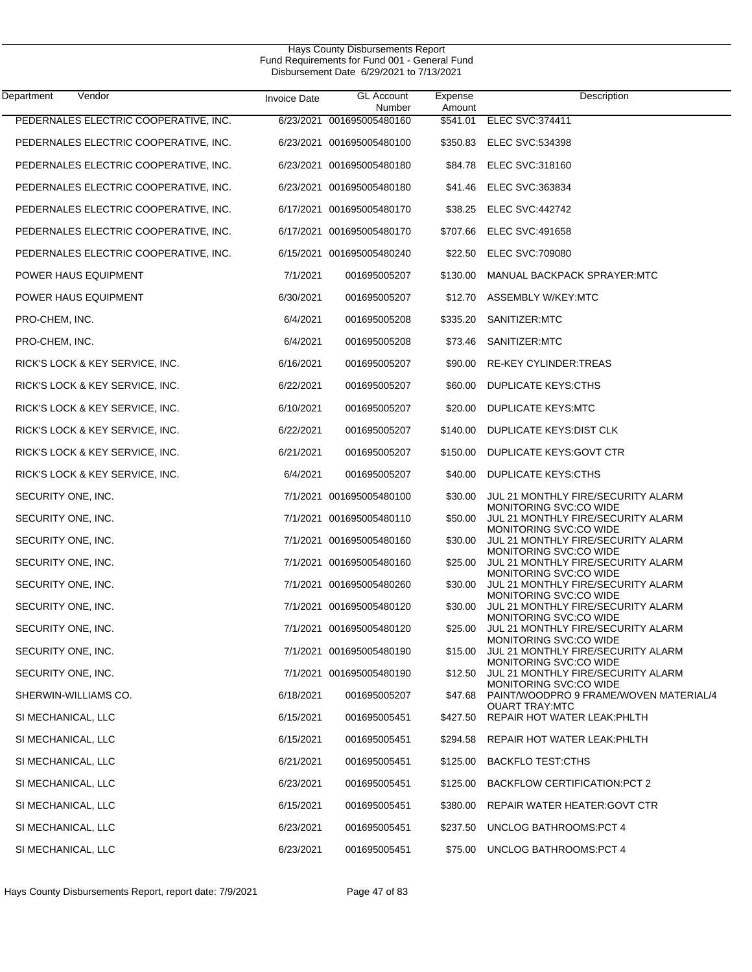| Department<br>Vendor                  | <b>Invoice Date</b> | <b>GL Account</b><br>Number | Expense<br>Amount | Description                                                                            |
|---------------------------------------|---------------------|-----------------------------|-------------------|----------------------------------------------------------------------------------------|
| PEDERNALES ELECTRIC COOPERATIVE, INC. | 6/23/2021           | 001695005480160             | \$541.01          | ELEC SVC:374411                                                                        |
| PEDERNALES ELECTRIC COOPERATIVE, INC. |                     | 6/23/2021 001695005480100   | \$350.83          | <b>ELEC SVC:534398</b>                                                                 |
| PEDERNALES ELECTRIC COOPERATIVE, INC. |                     | 6/23/2021 001695005480180   | \$84.78           | <b>ELEC SVC:318160</b>                                                                 |
| PEDERNALES ELECTRIC COOPERATIVE, INC. |                     | 6/23/2021 001695005480180   | \$41.46           | <b>ELEC SVC:363834</b>                                                                 |
| PEDERNALES ELECTRIC COOPERATIVE, INC. |                     | 6/17/2021 001695005480170   | \$38.25           | <b>ELEC SVC:442742</b>                                                                 |
| PEDERNALES ELECTRIC COOPERATIVE, INC. |                     | 6/17/2021 001695005480170   | \$707.66          | <b>ELEC SVC:491658</b>                                                                 |
| PEDERNALES ELECTRIC COOPERATIVE, INC. |                     | 6/15/2021 001695005480240   | \$22.50           | <b>ELEC SVC:709080</b>                                                                 |
| POWER HAUS EQUIPMENT                  | 7/1/2021            | 001695005207                | \$130.00          | MANUAL BACKPACK SPRAYER:MTC                                                            |
| POWER HAUS EQUIPMENT                  | 6/30/2021           | 001695005207                | \$12.70           | ASSEMBLY W/KEY:MTC                                                                     |
| PRO-CHEM, INC.                        | 6/4/2021            | 001695005208                | \$335.20          | SANITIZER:MTC                                                                          |
| PRO-CHEM, INC.                        | 6/4/2021            | 001695005208                | \$73.46           | SANITIZER:MTC                                                                          |
| RICK'S LOCK & KEY SERVICE, INC.       | 6/16/2021           | 001695005207                | \$90.00           | RE-KEY CYLINDER:TREAS                                                                  |
| RICK'S LOCK & KEY SERVICE, INC.       | 6/22/2021           | 001695005207                | \$60.00           | <b>DUPLICATE KEYS:CTHS</b>                                                             |
| RICK'S LOCK & KEY SERVICE, INC.       | 6/10/2021           | 001695005207                | \$20.00           | <b>DUPLICATE KEYS:MTC</b>                                                              |
| RICK'S LOCK & KEY SERVICE, INC.       | 6/22/2021           | 001695005207                | \$140.00          | DUPLICATE KEYS: DIST CLK                                                               |
| RICK'S LOCK & KEY SERVICE, INC.       | 6/21/2021           | 001695005207                | \$150.00          | DUPLICATE KEYS: GOVT CTR                                                               |
| RICK'S LOCK & KEY SERVICE, INC.       | 6/4/2021            | 001695005207                | \$40.00           | <b>DUPLICATE KEYS:CTHS</b>                                                             |
| SECURITY ONE, INC.                    |                     | 7/1/2021 001695005480100    | \$30.00           | JUL 21 MONTHLY FIRE/SECURITY ALARM                                                     |
| SECURITY ONE, INC.                    |                     | 7/1/2021 001695005480110    | \$50.00           | MONITORING SVC:CO WIDE<br>JUL 21 MONTHLY FIRE/SECURITY ALARM<br>MONITORING SVC:CO WIDE |
| SECURITY ONE, INC.                    |                     | 7/1/2021 001695005480160    | \$30.00           | JUL 21 MONTHLY FIRE/SECURITY ALARM<br>MONITORING SVC:CO WIDE                           |
| SECURITY ONE, INC.                    |                     | 7/1/2021 001695005480160    | \$25.00           | JUL 21 MONTHLY FIRE/SECURITY ALARM<br>MONITORING SVC:CO WIDE                           |
| SECURITY ONE, INC.                    |                     | 7/1/2021 001695005480260    | \$30.00           | JUL 21 MONTHLY FIRE/SECURITY ALARM<br>MONITORING SVC:CO WIDE                           |
| SECURITY ONE, INC.                    |                     | 7/1/2021 001695005480120    | \$30.00           | JUL 21 MONTHLY FIRE/SECURITY ALARM<br>MONITORING SVC:CO WIDE                           |
| SECURITY ONE, INC.                    |                     | 7/1/2021 001695005480120    | \$25.00           | JUL 21 MONTHLY FIRE/SECURITY ALARM                                                     |
| SECURITY ONE, INC.                    |                     | 7/1/2021 001695005480190    | \$15.00           | MONITORING SVC:CO WIDE<br>JUL 21 MONTHLY FIRE/SECURITY ALARM<br>MONITORING SVC:CO WIDE |
| SECURITY ONE, INC.                    |                     | 7/1/2021 001695005480190    | \$12.50           | JUL 21 MONTHLY FIRE/SECURITY ALARM<br>MONITORING SVC:CO WIDE                           |
| SHERWIN-WILLIAMS CO.                  | 6/18/2021           | 001695005207                | \$47.68           | PAINT/WOODPRO 9 FRAME/WOVEN MATERIAL/4<br><b>QUART TRAY:MTC</b>                        |
| SI MECHANICAL, LLC                    | 6/15/2021           | 001695005451                | \$427.50          | REPAIR HOT WATER LEAK: PHLTH                                                           |
| SI MECHANICAL, LLC                    | 6/15/2021           | 001695005451                | \$294.58          | REPAIR HOT WATER LEAK: PHLTH                                                           |
| SI MECHANICAL, LLC                    | 6/21/2021           | 001695005451                | \$125.00          | <b>BACKFLO TEST:CTHS</b>                                                               |
| SI MECHANICAL, LLC                    | 6/23/2021           | 001695005451                | \$125.00          | BACKFLOW CERTIFICATION: PCT 2                                                          |
| SI MECHANICAL, LLC                    | 6/15/2021           | 001695005451                | \$380.00          | REPAIR WATER HEATER: GOVT CTR                                                          |
| SI MECHANICAL, LLC                    | 6/23/2021           | 001695005451                | \$237.50          | UNCLOG BATHROOMS: PCT 4                                                                |
| SI MECHANICAL, LLC                    | 6/23/2021           | 001695005451                | \$75.00           | <b>UNCLOG BATHROOMS: PCT 4</b>                                                         |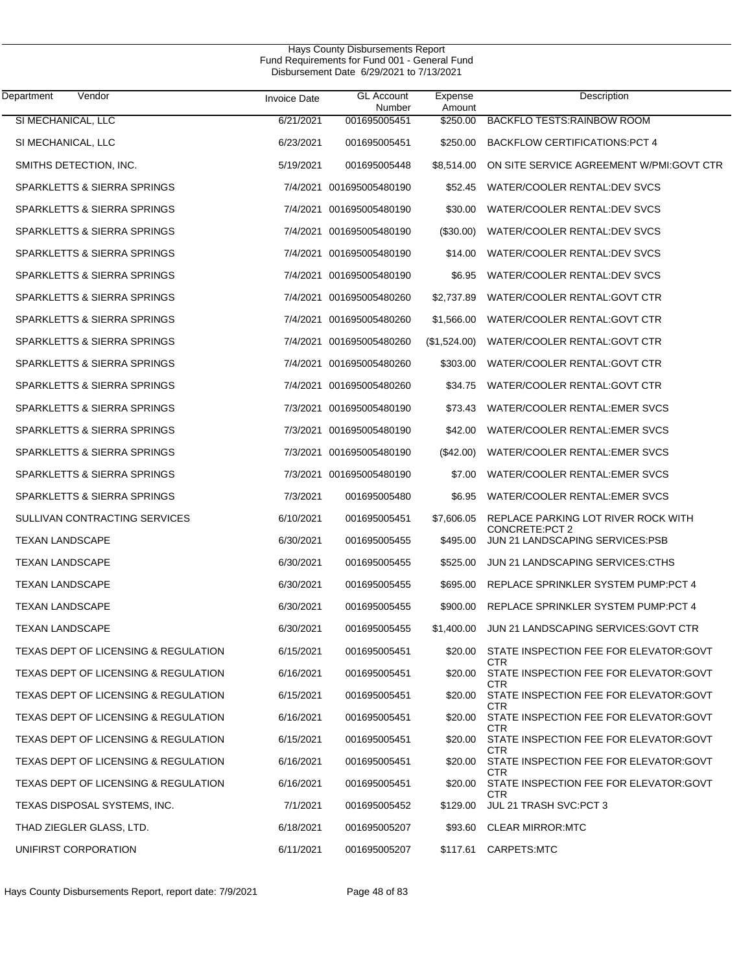| Department<br>Vendor                 | <b>Invoice Date</b> | <b>GL Account</b><br>Number | Expense<br>Amount | Description                                            |
|--------------------------------------|---------------------|-----------------------------|-------------------|--------------------------------------------------------|
| SI MECHANICAL, LLC                   | 6/21/2021           | 001695005451                | \$250.00          | <b>BACKFLO TESTS:RAINBOW ROOM</b>                      |
| SI MECHANICAL, LLC                   | 6/23/2021           | 001695005451                | \$250.00          | <b>BACKFLOW CERTIFICATIONS:PCT 4</b>                   |
| SMITHS DETECTION, INC.               | 5/19/2021           | 001695005448                | \$8,514.00        | ON SITE SERVICE AGREEMENT W/PMI:GOVT CTR               |
| SPARKLETTS & SIERRA SPRINGS          |                     | 7/4/2021 001695005480190    | \$52.45           | WATER/COOLER RENTAL:DEV SVCS                           |
| SPARKLETTS & SIERRA SPRINGS          |                     | 7/4/2021 001695005480190    | \$30.00           | WATER/COOLER RENTAL:DEV SVCS                           |
| SPARKLETTS & SIERRA SPRINGS          |                     | 7/4/2021 001695005480190    | (\$30.00)         | WATER/COOLER RENTAL:DEV SVCS                           |
| SPARKLETTS & SIERRA SPRINGS          |                     | 7/4/2021 001695005480190    | \$14.00           | WATER/COOLER RENTAL: DEV SVCS                          |
| SPARKLETTS & SIERRA SPRINGS          |                     | 7/4/2021 001695005480190    | \$6.95            | WATER/COOLER RENTAL:DEV SVCS                           |
| SPARKLETTS & SIERRA SPRINGS          |                     | 7/4/2021 001695005480260    | \$2,737.89        | WATER/COOLER RENTAL:GOVT CTR                           |
| SPARKLETTS & SIERRA SPRINGS          |                     | 7/4/2021 001695005480260    | \$1,566.00        | WATER/COOLER RENTAL:GOVT CTR                           |
| SPARKLETTS & SIERRA SPRINGS          |                     | 7/4/2021 001695005480260    | (\$1,524.00)      | WATER/COOLER RENTAL:GOVT CTR                           |
| SPARKLETTS & SIERRA SPRINGS          |                     | 7/4/2021 001695005480260    | \$303.00          | WATER/COOLER RENTAL:GOVT CTR                           |
| SPARKLETTS & SIERRA SPRINGS          |                     | 7/4/2021 001695005480260    | \$34.75           | WATER/COOLER RENTAL:GOVT CTR                           |
| SPARKLETTS & SIERRA SPRINGS          |                     | 7/3/2021 001695005480190    | \$73.43           | WATER/COOLER RENTAL: EMER SVCS                         |
| SPARKLETTS & SIERRA SPRINGS          |                     | 7/3/2021 001695005480190    | \$42.00           | WATER/COOLER RENTAL: EMER SVCS                         |
| SPARKLETTS & SIERRA SPRINGS          |                     | 7/3/2021 001695005480190    | $(\$42.00)$       | WATER/COOLER RENTAL:EMER SVCS                          |
| SPARKLETTS & SIERRA SPRINGS          |                     | 7/3/2021 001695005480190    | \$7.00            | WATER/COOLER RENTAL: EMER SVCS                         |
| SPARKLETTS & SIERRA SPRINGS          | 7/3/2021            | 001695005480                | \$6.95            | WATER/COOLER RENTAL:EMER SVCS                          |
| SULLIVAN CONTRACTING SERVICES        | 6/10/2021           | 001695005451                | \$7,606.05        | REPLACE PARKING LOT RIVER ROCK WITH<br>CONCRETE: PCT 2 |
| <b>TEXAN LANDSCAPE</b>               | 6/30/2021           | 001695005455                | \$495.00          | JUN 21 LANDSCAPING SERVICES:PSB                        |
| <b>TEXAN LANDSCAPE</b>               | 6/30/2021           | 001695005455                | \$525.00          | JUN 21 LANDSCAPING SERVICES:CTHS                       |
| <b>TEXAN LANDSCAPE</b>               | 6/30/2021           | 001695005455                | \$695.00          | REPLACE SPRINKLER SYSTEM PUMP.PCT 4                    |
| <b>TEXAN LANDSCAPE</b>               | 6/30/2021           | 001695005455                | \$900.00          | REPLACE SPRINKLER SYSTEM PUMP:PCT 4                    |
| <b>TEXAN LANDSCAPE</b>               | 6/30/2021           | 001695005455                | \$1,400.00        | JUN 21 LANDSCAPING SERVICES: GOVT CTR                  |
| TEXAS DEPT OF LICENSING & REGULATION | 6/15/2021           | 001695005451                |                   | \$20.00 STATE INSPECTION FEE FOR ELEVATOR:GOVT<br>CTR  |
| TEXAS DEPT OF LICENSING & REGULATION | 6/16/2021           | 001695005451                | \$20.00           | STATE INSPECTION FEE FOR ELEVATOR:GOVT<br>CTR          |
| TEXAS DEPT OF LICENSING & REGULATION | 6/15/2021           | 001695005451                | \$20.00           | STATE INSPECTION FEE FOR ELEVATOR: GOVT<br>CTR         |
| TEXAS DEPT OF LICENSING & REGULATION | 6/16/2021           | 001695005451                | \$20.00           | STATE INSPECTION FEE FOR ELEVATOR:GOVT<br>CTR.         |
| TEXAS DEPT OF LICENSING & REGULATION | 6/15/2021           | 001695005451                | \$20.00           | STATE INSPECTION FEE FOR ELEVATOR: GOVT<br>CTR         |
| TEXAS DEPT OF LICENSING & REGULATION | 6/16/2021           | 001695005451                | \$20.00           | STATE INSPECTION FEE FOR ELEVATOR:GOVT<br>CTR          |
| TEXAS DEPT OF LICENSING & REGULATION | 6/16/2021           | 001695005451                | \$20.00           | STATE INSPECTION FEE FOR ELEVATOR: GOVT<br>CTR.        |
| TEXAS DISPOSAL SYSTEMS, INC.         | 7/1/2021            | 001695005452                | \$129.00          | JUL 21 TRASH SVC:PCT 3                                 |
| THAD ZIEGLER GLASS, LTD.             | 6/18/2021           | 001695005207                | \$93.60           | <b>CLEAR MIRROR:MTC</b>                                |
| UNIFIRST CORPORATION                 | 6/11/2021           | 001695005207                | \$117.61          | CARPETS:MTC                                            |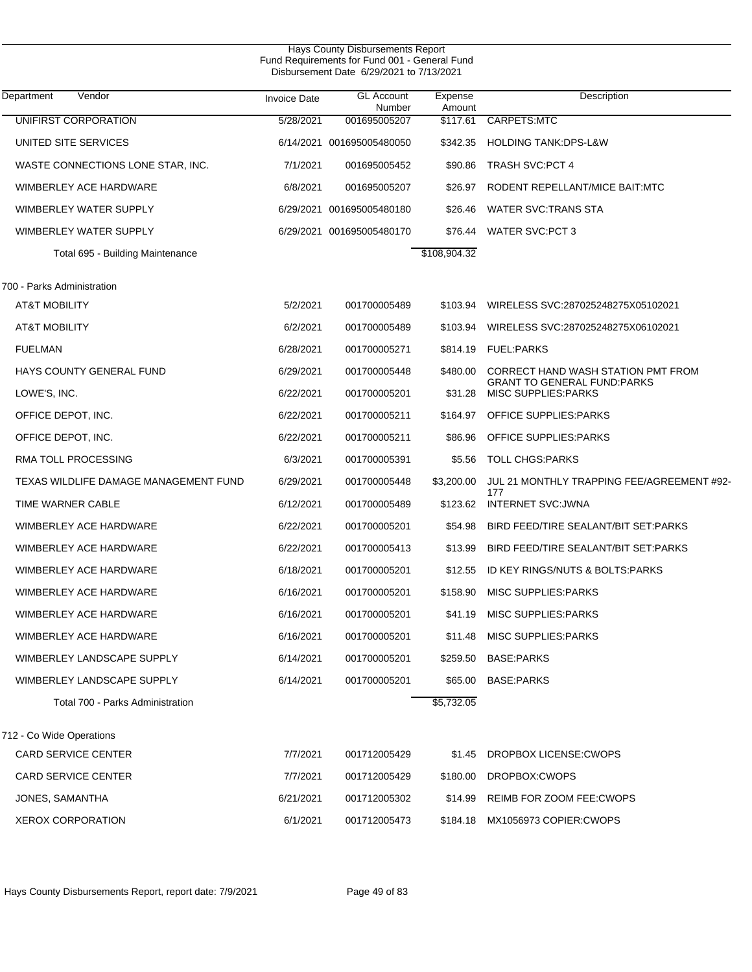| Hays County Disbursements Report<br>Fund Requirements for Fund 001 - General Fund<br>Disbursement Date 6/29/2021 to 7/13/2021 |                     |                             |                   |                                                                          |  |  |  |
|-------------------------------------------------------------------------------------------------------------------------------|---------------------|-----------------------------|-------------------|--------------------------------------------------------------------------|--|--|--|
| Vendor<br>Department                                                                                                          | <b>Invoice Date</b> | <b>GL Account</b><br>Number | Expense<br>Amount | Description                                                              |  |  |  |
| UNIFIRST CORPORATION                                                                                                          | 5/28/2021           | 001695005207                | \$117.61          | CARPETS:MTC                                                              |  |  |  |
| UNITED SITE SERVICES                                                                                                          |                     | 6/14/2021 001695005480050   | \$342.35          | <b>HOLDING TANK:DPS-L&amp;W</b>                                          |  |  |  |
| WASTE CONNECTIONS LONE STAR, INC.                                                                                             | 7/1/2021            | 001695005452                | \$90.86           | <b>TRASH SVC:PCT 4</b>                                                   |  |  |  |
| WIMBERLEY ACE HARDWARE                                                                                                        | 6/8/2021            | 001695005207                | \$26.97           | RODENT REPELLANT/MICE BAIT:MTC                                           |  |  |  |
| WIMBERLEY WATER SUPPLY                                                                                                        | 6/29/2021           | 001695005480180             | \$26.46           | WATER SVC: TRANS STA                                                     |  |  |  |
| WIMBERLEY WATER SUPPLY                                                                                                        |                     | 6/29/2021 001695005480170   | \$76.44           | <b>WATER SVC:PCT 3</b>                                                   |  |  |  |
| Total 695 - Building Maintenance                                                                                              |                     |                             | \$108,904.32      |                                                                          |  |  |  |
| 700 - Parks Administration                                                                                                    |                     |                             |                   |                                                                          |  |  |  |
| <b>AT&amp;T MOBILITY</b>                                                                                                      | 5/2/2021            | 001700005489                | \$103.94          | WIRELESS SVC:287025248275X05102021                                       |  |  |  |
| <b>AT&amp;T MOBILITY</b>                                                                                                      | 6/2/2021            | 001700005489                | \$103.94          | WIRELESS SVC:287025248275X06102021                                       |  |  |  |
| <b>FUELMAN</b>                                                                                                                | 6/28/2021           | 001700005271                | \$814.19          | <b>FUEL:PARKS</b>                                                        |  |  |  |
| HAYS COUNTY GENERAL FUND                                                                                                      | 6/29/2021           | 001700005448                | \$480.00          | CORRECT HAND WASH STATION PMT FROM<br><b>GRANT TO GENERAL FUND:PARKS</b> |  |  |  |
| LOWE'S, INC.                                                                                                                  | 6/22/2021           | 001700005201                | \$31.28           | <b>MISC SUPPLIES: PARKS</b>                                              |  |  |  |
| OFFICE DEPOT, INC.                                                                                                            | 6/22/2021           | 001700005211                | \$164.97          | OFFICE SUPPLIES: PARKS                                                   |  |  |  |
| OFFICE DEPOT, INC.                                                                                                            | 6/22/2021           | 001700005211                | \$86.96           | OFFICE SUPPLIES: PARKS                                                   |  |  |  |
| RMA TOLL PROCESSING                                                                                                           | 6/3/2021            | 001700005391                | \$5.56            | <b>TOLL CHGS:PARKS</b>                                                   |  |  |  |
| TEXAS WILDLIFE DAMAGE MANAGEMENT FUND                                                                                         | 6/29/2021           | 001700005448                | \$3,200.00        | JUL 21 MONTHLY TRAPPING FEE/AGREEMENT #92-<br>177                        |  |  |  |
| TIME WARNER CABLE                                                                                                             | 6/12/2021           | 001700005489                | \$123.62          | <b>INTERNET SVC:JWNA</b>                                                 |  |  |  |
| WIMBERLEY ACE HARDWARE                                                                                                        | 6/22/2021           | 001700005201                | \$54.98           | BIRD FEED/TIRE SEALANT/BIT SET:PARKS                                     |  |  |  |
| WIMBERLEY ACE HARDWARE                                                                                                        | 6/22/2021           | 001700005413                | \$13.99           | BIRD FEED/TIRE SEALANT/BIT SET:PARKS                                     |  |  |  |
| WIMBERLEY ACE HARDWARE                                                                                                        | 6/18/2021           | 001700005201                | \$12.55           | ID KEY RINGS/NUTS & BOLTS: PARKS                                         |  |  |  |
| WIMBERLEY ACE HARDWARE                                                                                                        | 6/16/2021           | 001700005201                |                   | \$158.90 MISC SUPPLIES:PARKS                                             |  |  |  |
| WIMBERLEY ACE HARDWARE                                                                                                        | 6/16/2021           | 001700005201                | \$41.19           | <b>MISC SUPPLIES: PARKS</b>                                              |  |  |  |
| WIMBERLEY ACE HARDWARE                                                                                                        | 6/16/2021           | 001700005201                | \$11.48           | MISC SUPPLIES: PARKS                                                     |  |  |  |
| WIMBERLEY LANDSCAPE SUPPLY                                                                                                    | 6/14/2021           | 001700005201                | \$259.50          | <b>BASE:PARKS</b>                                                        |  |  |  |
| WIMBERLEY LANDSCAPE SUPPLY                                                                                                    | 6/14/2021           | 001700005201                | \$65.00           | <b>BASE:PARKS</b>                                                        |  |  |  |
| Total 700 - Parks Administration                                                                                              |                     |                             | \$5,732.05        |                                                                          |  |  |  |
| 712 - Co Wide Operations                                                                                                      |                     |                             |                   |                                                                          |  |  |  |
| <b>CARD SERVICE CENTER</b>                                                                                                    | 7/7/2021            | 001712005429                | \$1.45            | DROPBOX LICENSE: CWOPS                                                   |  |  |  |
| <b>CARD SERVICE CENTER</b>                                                                                                    | 7/7/2021            | 001712005429                | \$180.00          | DROPBOX:CWOPS                                                            |  |  |  |
| JONES, SAMANTHA                                                                                                               | 6/21/2021           | 001712005302                | \$14.99           | REIMB FOR ZOOM FEE: CWOPS                                                |  |  |  |
| <b>XEROX CORPORATION</b>                                                                                                      | 6/1/2021            | 001712005473                |                   | \$184.18 MX1056973 COPIER:CWOPS                                          |  |  |  |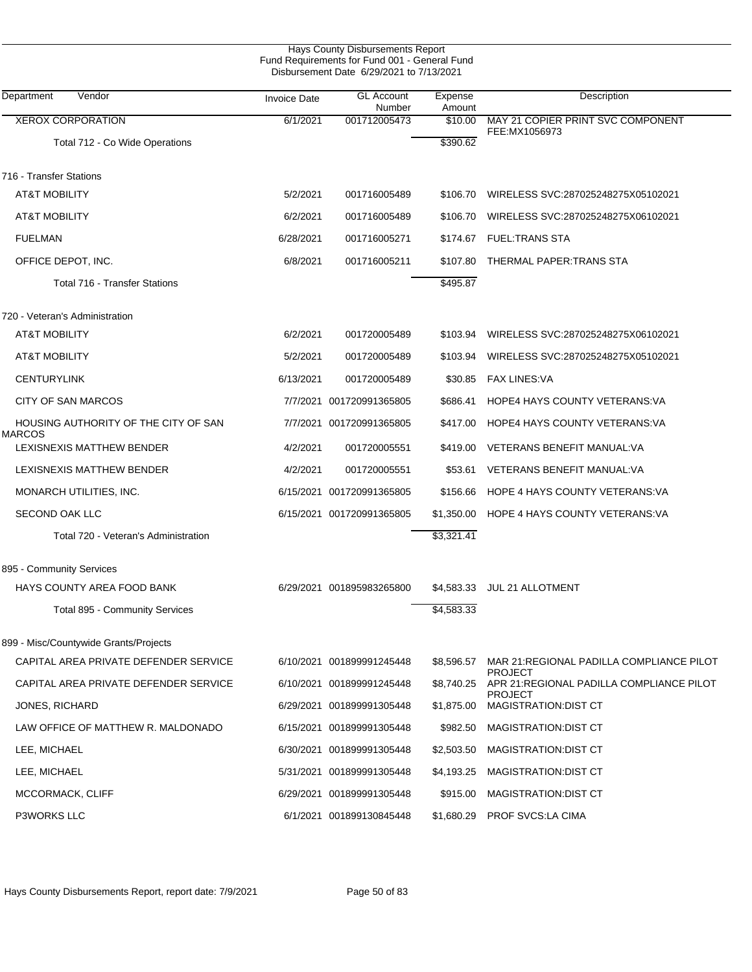|                                                       |                     | Hays County Disbursements Report<br>Fund Requirements for Fund 001 - General Fund<br>Disbursement Date 6/29/2021 to 7/13/2021 |                   |                                                      |
|-------------------------------------------------------|---------------------|-------------------------------------------------------------------------------------------------------------------------------|-------------------|------------------------------------------------------|
| Vendor<br>Department                                  | <b>Invoice Date</b> | <b>GL Account</b><br>Number                                                                                                   | Expense<br>Amount | Description                                          |
| <b>XEROX CORPORATION</b>                              | 6/1/2021            | 001712005473                                                                                                                  | \$10.00           | MAY 21 COPIER PRINT SVC COMPONENT                    |
| Total 712 - Co Wide Operations                        |                     |                                                                                                                               | \$390.62          | FEE:MX1056973                                        |
| 716 - Transfer Stations                               |                     |                                                                                                                               |                   |                                                      |
| <b>AT&amp;T MOBILITY</b>                              | 5/2/2021            | 001716005489                                                                                                                  | \$106.70          | WIRELESS SVC:287025248275X05102021                   |
| <b>AT&amp;T MOBILITY</b>                              | 6/2/2021            | 001716005489                                                                                                                  | \$106.70          | WIRELESS SVC:287025248275X06102021                   |
| <b>FUELMAN</b>                                        | 6/28/2021           | 001716005271                                                                                                                  | \$174.67          | <b>FUEL:TRANS STA</b>                                |
| OFFICE DEPOT, INC.                                    | 6/8/2021            | 001716005211                                                                                                                  | \$107.80          | THERMAL PAPER:TRANS STA                              |
| <b>Total 716 - Transfer Stations</b>                  |                     |                                                                                                                               | \$495.87          |                                                      |
| 720 - Veteran's Administration                        |                     |                                                                                                                               |                   |                                                      |
| AT&T MOBILITY                                         | 6/2/2021            | 001720005489                                                                                                                  | \$103.94          | WIRELESS SVC:287025248275X06102021                   |
| <b>AT&amp;T MOBILITY</b>                              | 5/2/2021            | 001720005489                                                                                                                  | \$103.94          | WIRELESS SVC:287025248275X05102021                   |
| <b>CENTURYLINK</b>                                    | 6/13/2021           | 001720005489                                                                                                                  |                   | \$30.85 FAX LINES: VA                                |
| <b>CITY OF SAN MARCOS</b>                             |                     | 7/7/2021 001720991365805                                                                                                      | \$686.41          | HOPE4 HAYS COUNTY VETERANS: VA                       |
| HOUSING AUTHORITY OF THE CITY OF SAN<br><b>MARCOS</b> |                     | 7/7/2021 001720991365805                                                                                                      | \$417.00          | HOPE4 HAYS COUNTY VETERANS: VA                       |
| LEXISNEXIS MATTHEW BENDER                             | 4/2/2021            | 001720005551                                                                                                                  | \$419.00          | VETERANS BENEFIT MANUAL: VA                          |
| LEXISNEXIS MATTHEW BENDER                             | 4/2/2021            | 001720005551                                                                                                                  | \$53.61           | VETERANS BENEFIT MANUAL: VA                          |
| MONARCH UTILITIES, INC.                               | 6/15/2021           | 001720991365805                                                                                                               | \$156.66          | HOPE 4 HAYS COUNTY VETERANS: VA                      |
| <b>SECOND OAK LLC</b>                                 |                     | 6/15/2021 001720991365805                                                                                                     | \$1,350.00        | HOPE 4 HAYS COUNTY VETERANS: VA                      |
| Total 720 - Veteran's Administration                  |                     |                                                                                                                               | \$3,321.41        |                                                      |
| 895 - Community Services                              |                     |                                                                                                                               |                   |                                                      |
| HAYS COUNTY AREA FOOD BANK                            |                     | 6/29/2021 001895983265800                                                                                                     |                   | \$4,583.33 JUL 21 ALLOTMENT                          |
| Total 895 - Community Services                        |                     |                                                                                                                               | \$4,583.33        |                                                      |
| 899 - Misc/Countywide Grants/Projects                 |                     |                                                                                                                               |                   |                                                      |
| CAPITAL AREA PRIVATE DEFENDER SERVICE                 |                     | 6/10/2021 001899991245448                                                                                                     | \$8,596.57        | MAR 21: REGIONAL PADILLA COMPLIANCE PILOT<br>PROJECT |
| CAPITAL AREA PRIVATE DEFENDER SERVICE                 |                     | 6/10/2021 001899991245448                                                                                                     | \$8,740.25        | APR 21:REGIONAL PADILLA COMPLIANCE PILOT<br>PROJECT  |
| JONES, RICHARD                                        |                     | 6/29/2021 001899991305448                                                                                                     | \$1,875.00        | MAGISTRATION: DIST CT                                |
| LAW OFFICE OF MATTHEW R. MALDONADO                    |                     | 6/15/2021 001899991305448                                                                                                     | \$982.50          | MAGISTRATION: DIST CT                                |
| LEE, MICHAEL                                          |                     | 6/30/2021 001899991305448                                                                                                     | \$2,503.50        | MAGISTRATION: DIST CT                                |
| LEE, MICHAEL                                          |                     | 5/31/2021 001899991305448                                                                                                     | \$4,193.25        | MAGISTRATION: DIST CT                                |
| MCCORMACK, CLIFF                                      |                     | 6/29/2021 001899991305448                                                                                                     | \$915.00          | MAGISTRATION: DIST CT                                |
| P3WORKS LLC                                           |                     | 6/1/2021 001899130845448                                                                                                      | \$1,680.29        | PROF SVCS:LA CIMA                                    |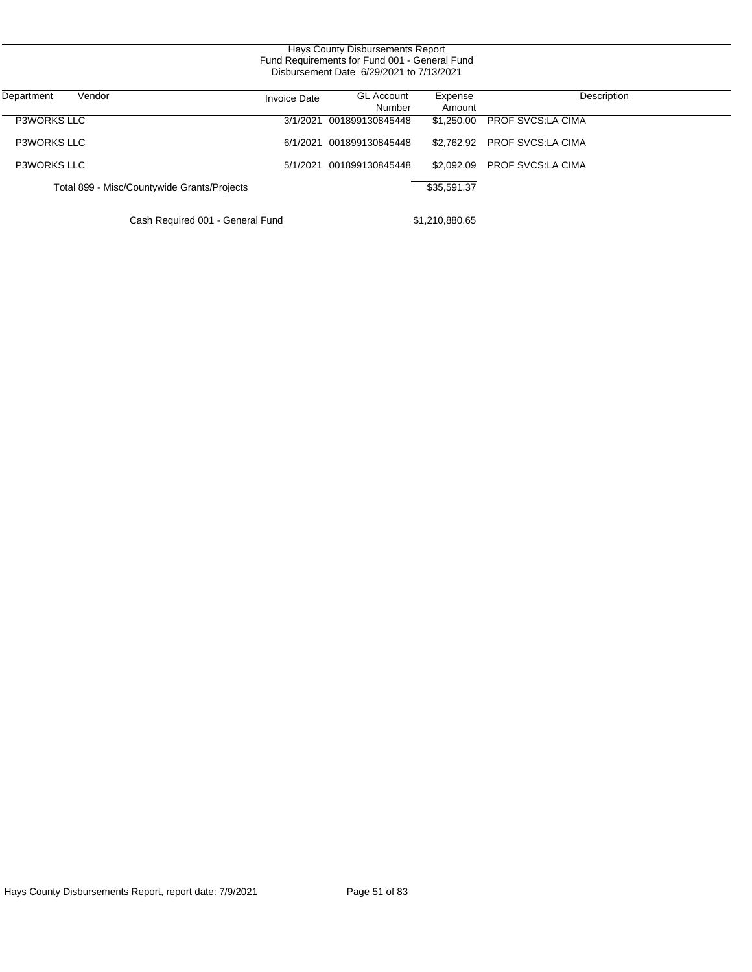| Hays County Disbursements Report              |
|-----------------------------------------------|
| Fund Requirements for Fund 001 - General Fund |
| Disbursement Date 6/29/2021 to 7/13/2021      |

| Vendor<br>Department                        | <b>Invoice Date</b> | <b>GL Account</b><br>Number | Expense<br>Amount | Description                  |
|---------------------------------------------|---------------------|-----------------------------|-------------------|------------------------------|
| <b>P3WORKS LLC</b>                          |                     | 3/1/2021 001899130845448    |                   | \$1.250.00 PROF SVCS:LA CIMA |
| <b>P3WORKS LLC</b>                          |                     | 6/1/2021 001899130845448    |                   | \$2.762.92 PROF SVCS:LA CIMA |
| <b>P3WORKS LLC</b>                          |                     | 5/1/2021 001899130845448    |                   | \$2.092.09 PROF SVCS:LA CIMA |
| Total 899 - Misc/Countywide Grants/Projects |                     |                             | \$35,591.37       |                              |
|                                             |                     |                             |                   |                              |

Cash Required 001 - General Fund \$1,210,880.65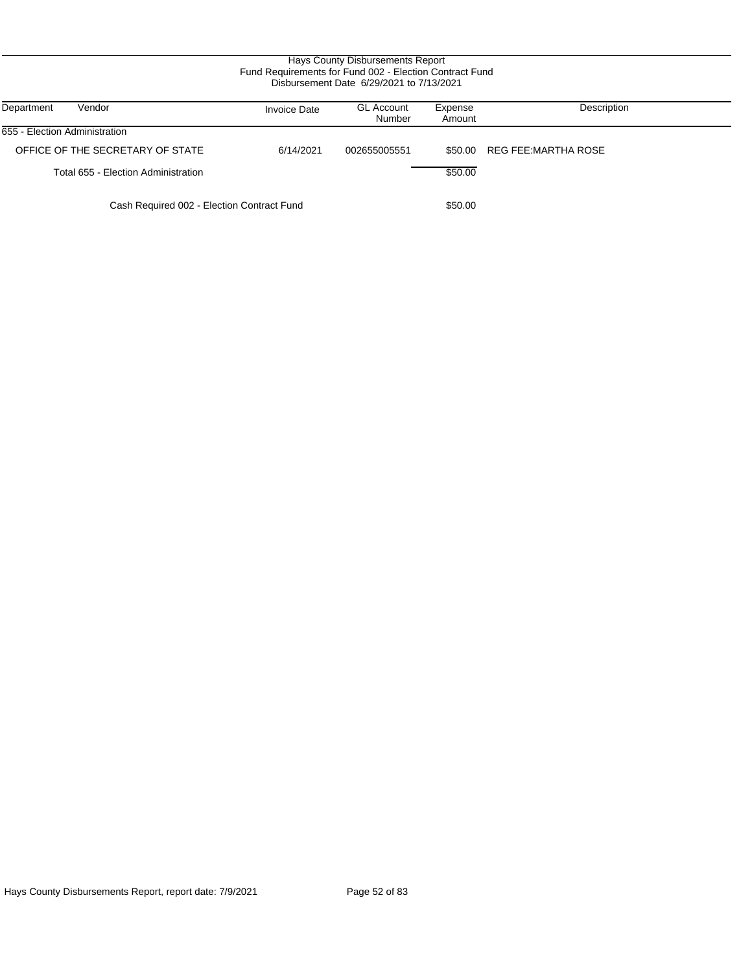| Department<br>Vendor                       | <b>Invoice Date</b> | <b>GL Account</b><br>Number | Expense<br>Amount | Description         |
|--------------------------------------------|---------------------|-----------------------------|-------------------|---------------------|
| 655 - Election Administration              |                     |                             |                   |                     |
| OFFICE OF THE SECRETARY OF STATE           | 6/14/2021           | 002655005551                | \$50.00           | REG FEE:MARTHA ROSE |
| Total 655 - Election Administration        |                     |                             | \$50.00           |                     |
| Cash Required 002 - Election Contract Fund |                     |                             | \$50.00           |                     |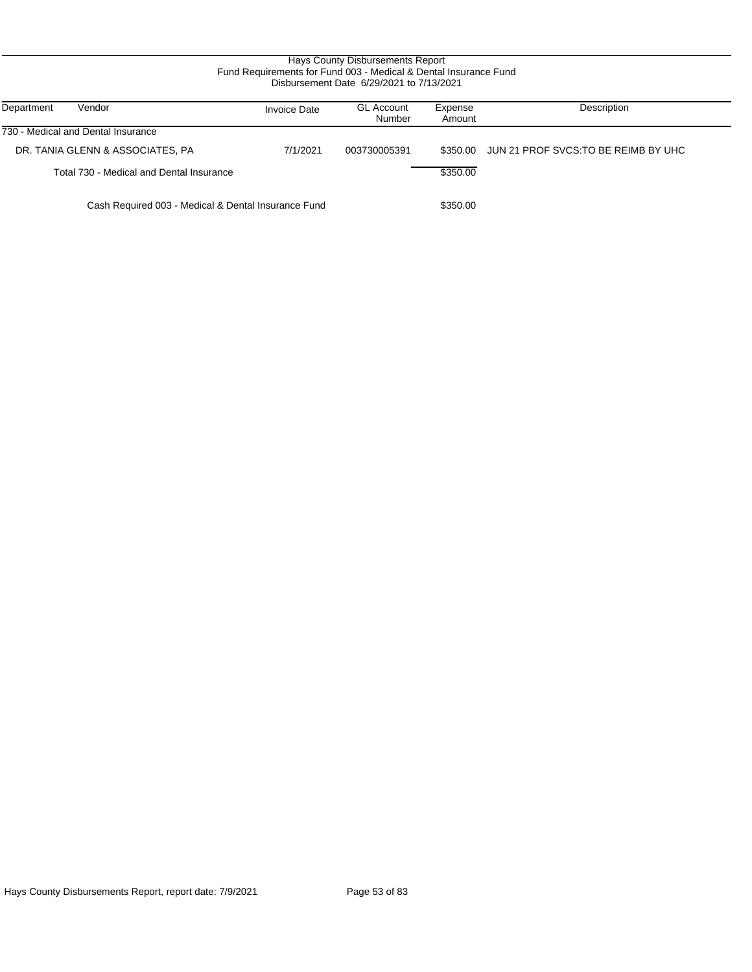# Hays County Disbursements Report Fund Requirements for Fund 003 - Medical & Dental Insurance Fund Disbursement Date 6/29/2021 to 7/13/2021

| Vendor<br>Department                                | <b>Invoice Date</b> | <b>GL Account</b><br>Number | Expense<br>Amount | Description                         |
|-----------------------------------------------------|---------------------|-----------------------------|-------------------|-------------------------------------|
| 730 - Medical and Dental Insurance                  |                     |                             |                   |                                     |
| DR. TANIA GLENN & ASSOCIATES, PA                    | 7/1/2021            | 003730005391                | \$350.00          | JUN 21 PROF SVCS.TO BE REIMB BY UHC |
| Total 730 - Medical and Dental Insurance            |                     |                             | \$350.00          |                                     |
| Cash Required 003 - Medical & Dental Insurance Fund |                     |                             | \$350.00          |                                     |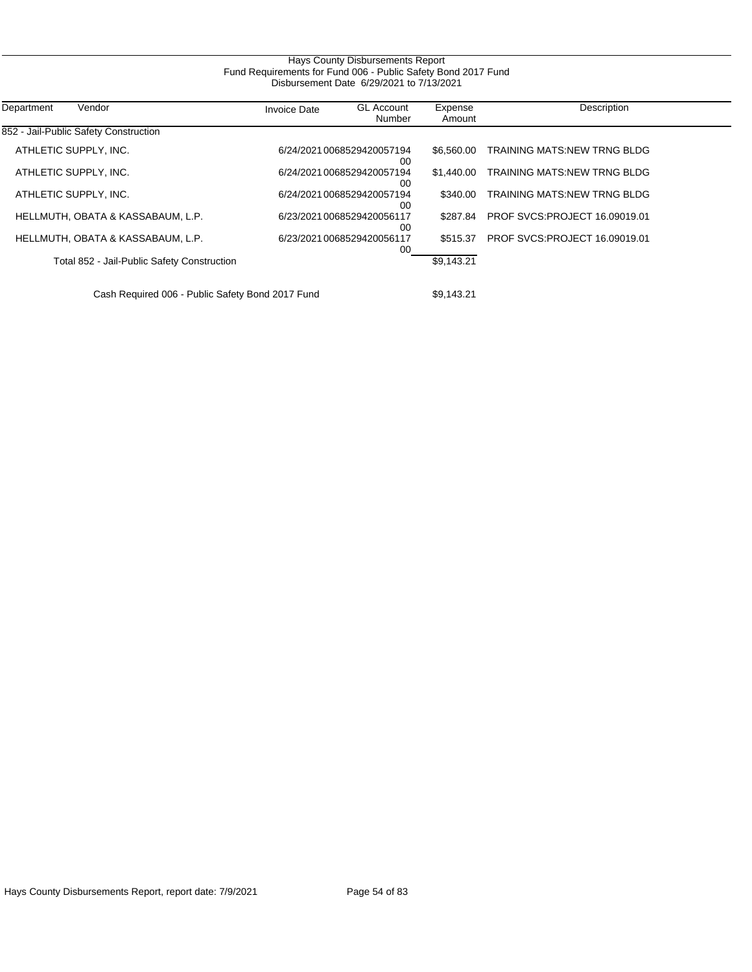| Hays County Disbursements Report<br>Fund Requirements for Fund 006 - Public Safety Bond 2017 Fund |                     |                                  |                   |                                      |  |  |
|---------------------------------------------------------------------------------------------------|---------------------|----------------------------------|-------------------|--------------------------------------|--|--|
| Disbursement Date 6/29/2021 to 7/13/2021                                                          |                     |                                  |                   |                                      |  |  |
| Department<br>Vendor                                                                              | <b>Invoice Date</b> | <b>GL Account</b><br>Number      | Expense<br>Amount | Description                          |  |  |
| 852 - Jail-Public Safety Construction                                                             |                     |                                  |                   |                                      |  |  |
| ATHLETIC SUPPLY, INC.                                                                             |                     | 6/24/2021 0068529420057194<br>00 | \$6,560,00        | <b>TRAINING MATS:NEW TRNG BLDG</b>   |  |  |
| ATHLETIC SUPPLY, INC.                                                                             |                     | 6/24/2021 0068529420057194<br>00 | \$1,440.00        | <b>TRAINING MATS:NEW TRNG BLDG</b>   |  |  |
| ATHLETIC SUPPLY, INC.                                                                             |                     | 6/24/2021 0068529420057194<br>00 | \$340.00          | <b>TRAINING MATS:NEW TRNG BLDG</b>   |  |  |
| HELLMUTH, OBATA & KASSABAUM, L.P.                                                                 |                     | 6/23/2021 0068529420056117<br>00 | \$287.84          | <b>PROF SVCS:PROJECT 16.09019.01</b> |  |  |
| HELLMUTH, OBATA & KASSABAUM, L.P.                                                                 |                     | 6/23/2021 0068529420056117<br>00 | \$515.37          | <b>PROF SVCS:PROJECT 16.09019.01</b> |  |  |
| Total 852 - Jail-Public Safety Construction                                                       |                     |                                  | \$9,143.21        |                                      |  |  |
| Cash Required 006 - Public Safety Bond 2017 Fund                                                  |                     |                                  | \$9,143.21        |                                      |  |  |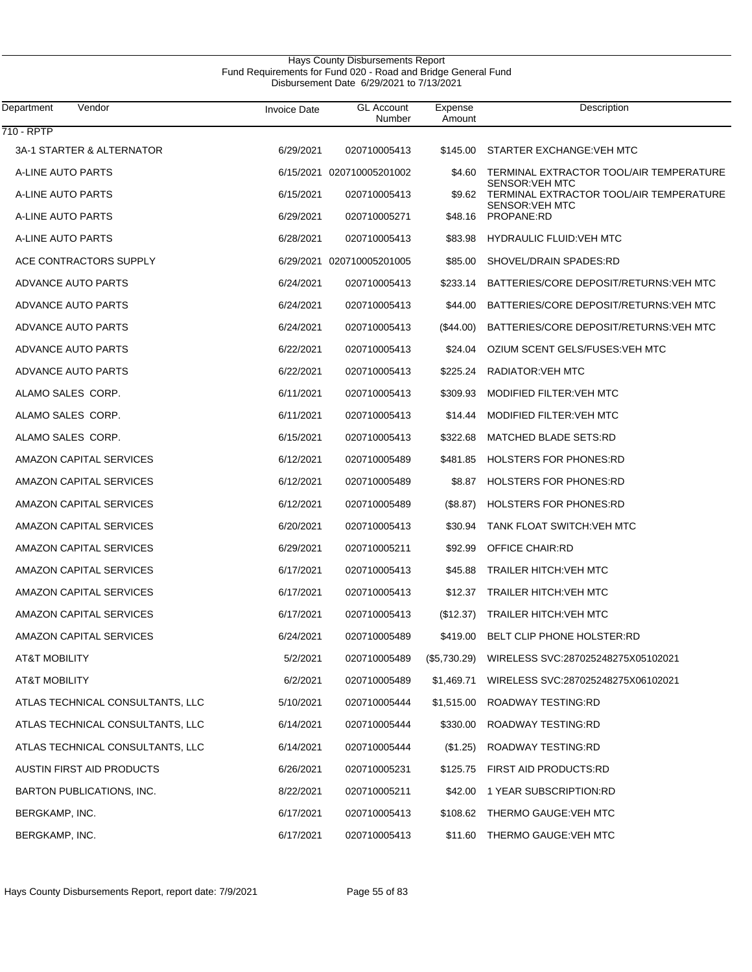$\overline{\phantom{0}}$ 

| Department<br>Vendor             | <b>Invoice Date</b> | <b>GL</b> Account<br>Number | Expense<br>Amount | Description                                                       |
|----------------------------------|---------------------|-----------------------------|-------------------|-------------------------------------------------------------------|
| 710 - RPTP                       |                     |                             |                   |                                                                   |
| 3A-1 STARTER & ALTERNATOR        | 6/29/2021           | 020710005413                | \$145.00          | STARTER EXCHANGE: VEH MTC                                         |
| A-LINE AUTO PARTS                |                     | 6/15/2021 020710005201002   | \$4.60            | TERMINAL EXTRACTOR TOOL/AIR TEMPERATURE<br><b>SENSOR: VEH MTC</b> |
| A-LINE AUTO PARTS                | 6/15/2021           | 020710005413                | \$9.62            | TERMINAL EXTRACTOR TOOL/AIR TEMPERATURE<br><b>SENSOR: VEH MTC</b> |
| A-LINE AUTO PARTS                | 6/29/2021           | 020710005271                | \$48.16           | PROPANE:RD                                                        |
| A-LINE AUTO PARTS                | 6/28/2021           | 020710005413                | \$83.98           | <b>HYDRAULIC FLUID: VEH MTC</b>                                   |
| ACE CONTRACTORS SUPPLY           |                     | 6/29/2021 020710005201005   | \$85.00           | SHOVEL/DRAIN SPADES:RD                                            |
| ADVANCE AUTO PARTS               | 6/24/2021           | 020710005413                | \$233.14          | BATTERIES/CORE DEPOSIT/RETURNS: VEH MTC                           |
| ADVANCE AUTO PARTS               | 6/24/2021           | 020710005413                | \$44.00           | BATTERIES/CORE DEPOSIT/RETURNS: VEH MTC                           |
| <b>ADVANCE AUTO PARTS</b>        | 6/24/2021           | 020710005413                | $(\$44.00)$       | BATTERIES/CORE DEPOSIT/RETURNS: VEH MTC                           |
| ADVANCE AUTO PARTS               | 6/22/2021           | 020710005413                | \$24.04           | OZIUM SCENT GELS/FUSES: VEH MTC                                   |
| ADVANCE AUTO PARTS               | 6/22/2021           | 020710005413                | \$225.24          | <b>RADIATOR: VEH MTC</b>                                          |
| ALAMO SALES CORP.                | 6/11/2021           | 020710005413                | \$309.93          | MODIFIED FILTER: VEH MTC                                          |
| ALAMO SALES CORP.                | 6/11/2021           | 020710005413                | \$14.44           | MODIFIED FILTER: VEH MTC                                          |
| ALAMO SALES CORP.                | 6/15/2021           | 020710005413                | \$322.68          | <b>MATCHED BLADE SETS:RD</b>                                      |
| AMAZON CAPITAL SERVICES          | 6/12/2021           | 020710005489                | \$481.85          | <b>HOLSTERS FOR PHONES:RD</b>                                     |
| AMAZON CAPITAL SERVICES          | 6/12/2021           | 020710005489                | \$8.87            | <b>HOLSTERS FOR PHONES:RD</b>                                     |
| AMAZON CAPITAL SERVICES          | 6/12/2021           | 020710005489                | (\$8.87)          | <b>HOLSTERS FOR PHONES:RD</b>                                     |
| AMAZON CAPITAL SERVICES          | 6/20/2021           | 020710005413                | \$30.94           | <b>TANK FLOAT SWITCH: VEH MTC</b>                                 |
| AMAZON CAPITAL SERVICES          | 6/29/2021           | 020710005211                | \$92.99           | OFFICE CHAIR:RD                                                   |
| AMAZON CAPITAL SERVICES          | 6/17/2021           | 020710005413                | \$45.88           | <b>TRAILER HITCH: VEH MTC</b>                                     |
| AMAZON CAPITAL SERVICES          | 6/17/2021           | 020710005413                | \$12.37           | <b>TRAILER HITCH: VEH MTC</b>                                     |
| AMAZON CAPITAL SERVICES          | 6/17/2021           | 020710005413                | (\$12.37)         | <b>TRAILER HITCH: VEH MTC</b>                                     |
| <b>AMAZON CAPITAL SERVICES</b>   | 6/24/2021           | 020710005489                | \$419.00          | BELT CLIP PHONE HOLSTER:RD                                        |
| <b>AT&amp;T MOBILITY</b>         | 5/2/2021            | 020710005489                | (\$5,730.29)      | WIRELESS SVC:287025248275X05102021                                |
| <b>AT&amp;T MOBILITY</b>         | 6/2/2021            | 020710005489                | \$1,469.71        | WIRELESS SVC:287025248275X06102021                                |
| ATLAS TECHNICAL CONSULTANTS, LLC | 5/10/2021           | 020710005444                | \$1,515.00        | ROADWAY TESTING:RD                                                |
| ATLAS TECHNICAL CONSULTANTS, LLC | 6/14/2021           | 020710005444                | \$330.00          | ROADWAY TESTING:RD                                                |
| ATLAS TECHNICAL CONSULTANTS, LLC | 6/14/2021           | 020710005444                | (\$1.25)          | ROADWAY TESTING:RD                                                |
| AUSTIN FIRST AID PRODUCTS        | 6/26/2021           | 020710005231                | \$125.75          | FIRST AID PRODUCTS:RD                                             |
| <b>BARTON PUBLICATIONS, INC.</b> | 8/22/2021           | 020710005211                | \$42.00           | 1 YEAR SUBSCRIPTION:RD                                            |
| BERGKAMP, INC.                   | 6/17/2021           | 020710005413                | \$108.62          | THERMO GAUGE: VEH MTC                                             |
| BERGKAMP, INC.                   | 6/17/2021           | 020710005413                | \$11.60           | THERMO GAUGE: VEH MTC                                             |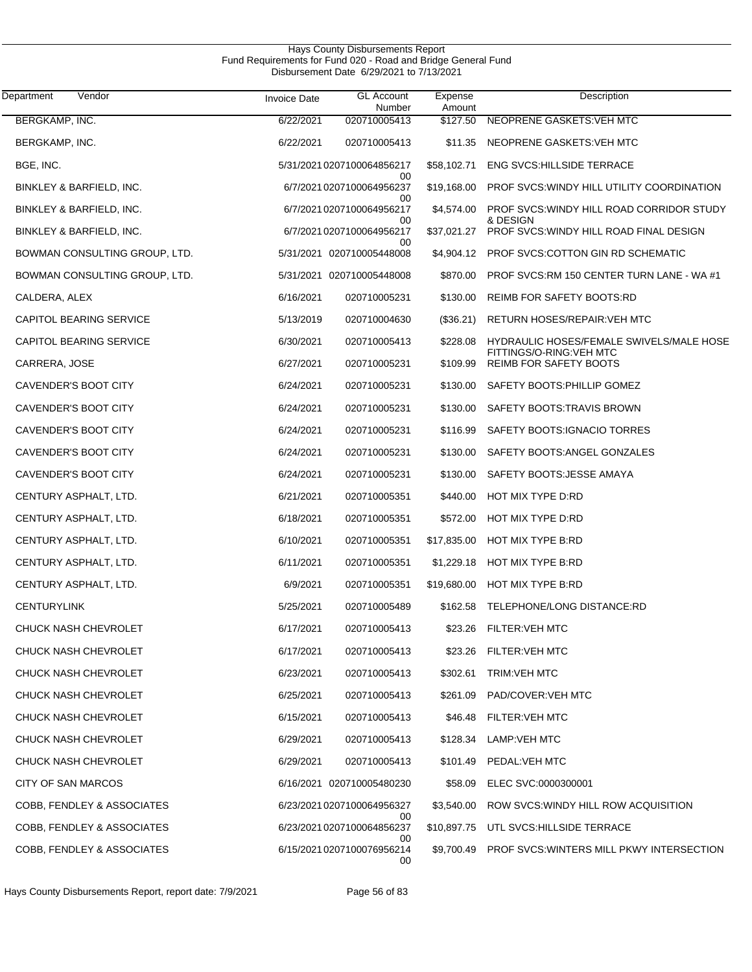| Vendor<br>Department           | <b>Invoice Date</b> | <b>GL Account</b><br>Number      | Expense<br>Amount | Description                                              |
|--------------------------------|---------------------|----------------------------------|-------------------|----------------------------------------------------------|
| BERGKAMP, INC.                 | 6/22/2021           | 020710005413                     | \$127.50          | NEOPRENE GASKETS: VEH MTC                                |
| BERGKAMP, INC.                 | 6/22/2021           | 020710005413                     | \$11.35           | NEOPRENE GASKETS: VEH MTC                                |
| BGE, INC.                      |                     | 5/31/2021 0207100064856217       | \$58,102.71       | <b>ENG SVCS:HILLSIDE TERRACE</b>                         |
| BINKLEY & BARFIELD, INC.       |                     | 00<br>6/7/2021 0207100064956237  | \$19,168.00       | PROF SVCS: WINDY HILL UTILITY COORDINATION               |
| BINKLEY & BARFIELD, INC.       |                     | 00<br>6/7/2021 0207100064956217  | \$4,574.00        | PROF SVCS: WINDY HILL ROAD CORRIDOR STUDY<br>& DESIGN    |
| BINKLEY & BARFIELD, INC.       |                     | 00<br>6/7/2021 0207100064956217  | \$37,021.27       | PROF SVCS: WINDY HILL ROAD FINAL DESIGN                  |
| BOWMAN CONSULTING GROUP, LTD.  |                     | 00<br>5/31/2021 020710005448008  | \$4,904.12        | PROF SVCS: COTTON GIN RD SCHEMATIC                       |
| BOWMAN CONSULTING GROUP, LTD.  |                     | 5/31/2021 020710005448008        | \$870.00          | PROF SVCS:RM 150 CENTER TURN LANE - WA #1                |
| CALDERA, ALEX                  | 6/16/2021           | 020710005231                     | \$130.00          | <b>REIMB FOR SAFETY BOOTS:RD</b>                         |
| CAPITOL BEARING SERVICE        | 5/13/2019           | 020710004630                     | (\$36.21)         | RETURN HOSES/REPAIR: VEH MTC                             |
| <b>CAPITOL BEARING SERVICE</b> | 6/30/2021           | 020710005413                     | \$228.08          | HYDRAULIC HOSES/FEMALE SWIVELS/MALE HOSE                 |
| CARRERA, JOSE                  | 6/27/2021           | 020710005231                     | \$109.99          | FITTINGS/O-RING:VEH MTC<br><b>REIMB FOR SAFETY BOOTS</b> |
| CAVENDER'S BOOT CITY           | 6/24/2021           | 020710005231                     | \$130.00          | SAFETY BOOTS: PHILLIP GOMEZ                              |
| CAVENDER'S BOOT CITY           | 6/24/2021           | 020710005231                     | \$130.00          | SAFETY BOOTS: TRAVIS BROWN                               |
| CAVENDER'S BOOT CITY           | 6/24/2021           | 020710005231                     | \$116.99          | SAFETY BOOTS: IGNACIO TORRES                             |
| CAVENDER'S BOOT CITY           | 6/24/2021           | 020710005231                     | \$130.00          | SAFETY BOOTS: ANGEL GONZALES                             |
| CAVENDER'S BOOT CITY           | 6/24/2021           | 020710005231                     | \$130.00          | SAFETY BOOTS: JESSE AMAYA                                |
| CENTURY ASPHALT, LTD.          | 6/21/2021           | 020710005351                     | \$440.00          | HOT MIX TYPE D:RD                                        |
| CENTURY ASPHALT, LTD.          | 6/18/2021           | 020710005351                     | \$572.00          | HOT MIX TYPE D:RD                                        |
| CENTURY ASPHALT, LTD.          | 6/10/2021           | 020710005351                     | \$17,835.00       | HOT MIX TYPE B:RD                                        |
| CENTURY ASPHALT, LTD.          | 6/11/2021           | 020710005351                     | \$1,229.18        | HOT MIX TYPE B:RD                                        |
| CENTURY ASPHALT, LTD.          | 6/9/2021            | 020710005351                     | \$19,680.00       | <b>HOT MIX TYPE B:RD</b>                                 |
| <b>CENTURYLINK</b>             | 5/25/2021           | 020710005489                     |                   | \$162.58 TELEPHONE/LONG DISTANCE:RD                      |
| CHUCK NASH CHEVROLET           | 6/17/2021           | 020710005413                     |                   | \$23.26 FILTER: VEH MTC                                  |
| CHUCK NASH CHEVROLET           | 6/17/2021           | 020710005413                     |                   | \$23.26 FILTER: VEH MTC                                  |
| CHUCK NASH CHEVROLET           | 6/23/2021           | 020710005413                     | \$302.61          | <b>TRIM: VEH MTC</b>                                     |
| CHUCK NASH CHEVROLET           | 6/25/2021           | 020710005413                     | \$261.09          | PAD/COVER: VEH MTC                                       |
| <b>CHUCK NASH CHEVROLET</b>    | 6/15/2021           | 020710005413                     | \$46.48           | <b>FILTER:VEH MTC</b>                                    |
| <b>CHUCK NASH CHEVROLET</b>    | 6/29/2021           | 020710005413                     | \$128.34          | LAMP:VEH MTC                                             |
| <b>CHUCK NASH CHEVROLET</b>    | 6/29/2021           | 020710005413                     | \$101.49          | PEDAL:VEH MTC                                            |
| CITY OF SAN MARCOS             |                     | 6/16/2021 020710005480230        | \$58.09           | ELEC SVC:0000300001                                      |
| COBB, FENDLEY & ASSOCIATES     |                     | 6/23/2021 0207100064956327<br>00 | \$3,540.00        | ROW SVCS: WINDY HILL ROW ACQUISITION                     |
| COBB, FENDLEY & ASSOCIATES     |                     | 6/23/2021 0207100064856237<br>00 |                   | \$10,897.75 UTL SVCS:HILLSIDE TERRACE                    |
| COBB, FENDLEY & ASSOCIATES     |                     | 6/15/20210207100076956214<br>00  |                   | \$9,700.49 PROF SVCS:WINTERS MILL PKWY INTERSECTION      |

Hays County Disbursements Report, report date: 7/9/2021 Page 56 of 83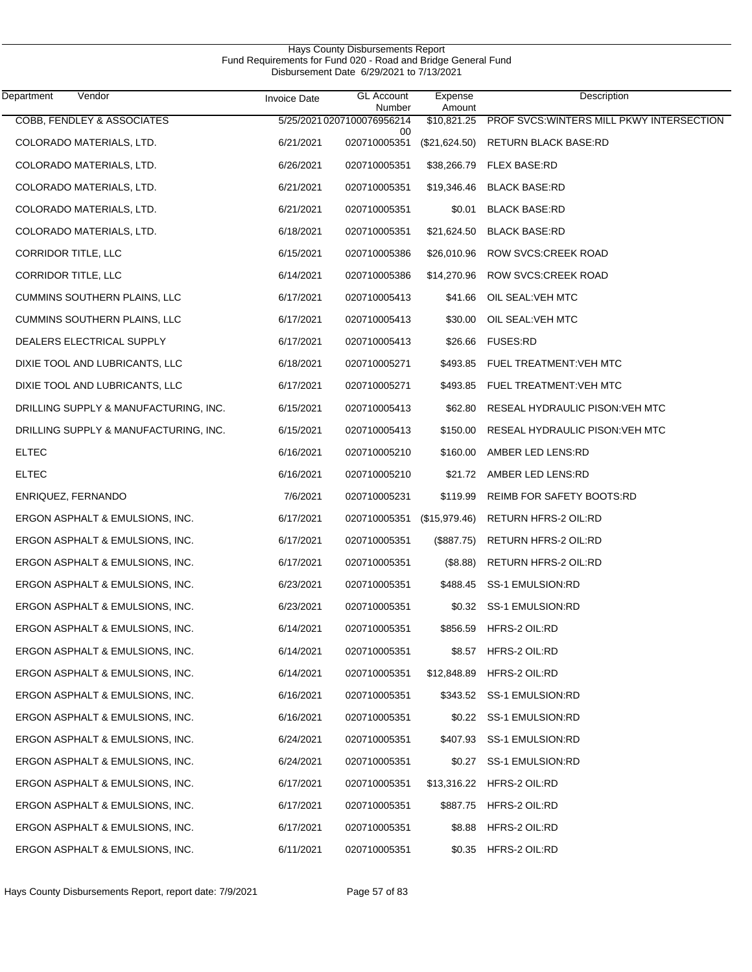|                                       |                     | Disbursement Date 6/29/2021 to 7/13/2021 |                   |                                                       |
|---------------------------------------|---------------------|------------------------------------------|-------------------|-------------------------------------------------------|
| Vendor<br>Department                  | <b>Invoice Date</b> | <b>GL Account</b><br>Number              | Expense<br>Amount | Description                                           |
| COBB, FENDLEY & ASSOCIATES            |                     | 5/25/2021 0207100076956214<br>00         |                   | \$10,821.25 PROF SVCS: WINTERS MILL PKWY INTERSECTION |
| COLORADO MATERIALS, LTD.              | 6/21/2021           | 020710005351                             | (\$21,624.50)     | <b>RETURN BLACK BASE:RD</b>                           |
| COLORADO MATERIALS, LTD.              | 6/26/2021           | 020710005351                             |                   | \$38,266.79 FLEX BASE:RD                              |
| COLORADO MATERIALS, LTD.              | 6/21/2021           | 020710005351                             | \$19,346.46       | <b>BLACK BASE:RD</b>                                  |
| COLORADO MATERIALS, LTD.              | 6/21/2021           | 020710005351                             | \$0.01            | <b>BLACK BASE:RD</b>                                  |
| COLORADO MATERIALS, LTD.              | 6/18/2021           | 020710005351                             | \$21,624.50       | <b>BLACK BASE:RD</b>                                  |
| <b>CORRIDOR TITLE, LLC</b>            | 6/15/2021           | 020710005386                             |                   | \$26,010.96 ROW SVCS:CREEK ROAD                       |
| <b>CORRIDOR TITLE, LLC</b>            | 6/14/2021           | 020710005386                             |                   | \$14,270.96 ROW SVCS:CREEK ROAD                       |
| <b>CUMMINS SOUTHERN PLAINS, LLC</b>   | 6/17/2021           | 020710005413                             |                   | \$41.66 OIL SEAL: VEH MTC                             |
| <b>CUMMINS SOUTHERN PLAINS, LLC</b>   | 6/17/2021           | 020710005413                             | \$30.00           | OIL SEAL: VEH MTC                                     |
| DEALERS ELECTRICAL SUPPLY             | 6/17/2021           | 020710005413                             |                   | \$26.66 FUSES:RD                                      |
| DIXIE TOOL AND LUBRICANTS, LLC        | 6/18/2021           | 020710005271                             |                   | \$493.85 FUEL TREATMENT: VEH MTC                      |
| DIXIE TOOL AND LUBRICANTS, LLC        | 6/17/2021           | 020710005271                             |                   | \$493.85 FUEL TREATMENT: VEH MTC                      |
| DRILLING SUPPLY & MANUFACTURING, INC. | 6/15/2021           | 020710005413                             |                   | \$62.80 RESEAL HYDRAULIC PISON: VEH MTC               |
| DRILLING SUPPLY & MANUFACTURING, INC. | 6/15/2021           | 020710005413                             |                   | \$150.00 RESEAL HYDRAULIC PISON: VEH MTC              |
| <b>ELTEC</b>                          | 6/16/2021           | 020710005210                             | \$160.00          | AMBER LED LENS:RD                                     |
| <b>ELTEC</b>                          | 6/16/2021           | 020710005210                             |                   | \$21.72 AMBER LED LENS:RD                             |
| ENRIQUEZ, FERNANDO                    | 7/6/2021            | 020710005231                             | \$119.99          | REIMB FOR SAFETY BOOTS:RD                             |
| ERGON ASPHALT & EMULSIONS, INC.       | 6/17/2021           | 020710005351 (\$15,979.46)               |                   | RETURN HFRS-2 OIL:RD                                  |
| ERGON ASPHALT & EMULSIONS, INC.       | 6/17/2021           | 020710005351                             | (\$887.75)        | RETURN HFRS-2 OIL:RD                                  |
| ERGON ASPHALT & EMULSIONS, INC.       | 6/17/2021           | 020710005351                             | (\$8.88)          | RETURN HFRS-2 OIL:RD                                  |
| ERGON ASPHALT & EMULSIONS, INC.       | 6/23/2021           | 020710005351                             |                   | \$488.45 SS-1 EMULSION:RD                             |
| ERGON ASPHALT & EMULSIONS, INC.       | 6/23/2021           | 020710005351                             |                   | \$0.32 SS-1 EMULSION:RD                               |
| ERGON ASPHALT & EMULSIONS, INC.       | 6/14/2021           | 020710005351                             | \$856.59          | HFRS-2 OIL:RD                                         |
| ERGON ASPHALT & EMULSIONS, INC.       | 6/14/2021           | 020710005351                             | \$8.57            | HFRS-2 OIL:RD                                         |
| ERGON ASPHALT & EMULSIONS, INC.       | 6/14/2021           | 020710005351                             | \$12,848.89       | HFRS-2 OIL:RD                                         |
| ERGON ASPHALT & EMULSIONS, INC.       | 6/16/2021           | 020710005351                             |                   | \$343.52 SS-1 EMULSION:RD                             |
| ERGON ASPHALT & EMULSIONS, INC.       | 6/16/2021           | 020710005351                             |                   | \$0.22 SS-1 EMULSION:RD                               |
| ERGON ASPHALT & EMULSIONS, INC.       | 6/24/2021           | 020710005351                             |                   | \$407.93 SS-1 EMULSION:RD                             |
| ERGON ASPHALT & EMULSIONS, INC.       | 6/24/2021           | 020710005351                             | \$0.27            | SS-1 EMULSION:RD                                      |
| ERGON ASPHALT & EMULSIONS, INC.       | 6/17/2021           | 020710005351                             | \$13,316.22       | HFRS-2 OIL:RD                                         |
| ERGON ASPHALT & EMULSIONS, INC.       | 6/17/2021           | 020710005351                             | \$887.75          | HFRS-2 OIL:RD                                         |
| ERGON ASPHALT & EMULSIONS, INC.       | 6/17/2021           | 020710005351                             | \$8.88            | HFRS-2 OIL:RD                                         |
| ERGON ASPHALT & EMULSIONS, INC.       | 6/11/2021           | 020710005351                             | \$0.35            | HFRS-2 OIL:RD                                         |

Hays County Disbursements Report Fund Requirements for Fund 020 - Road and Bridge General Fund

J.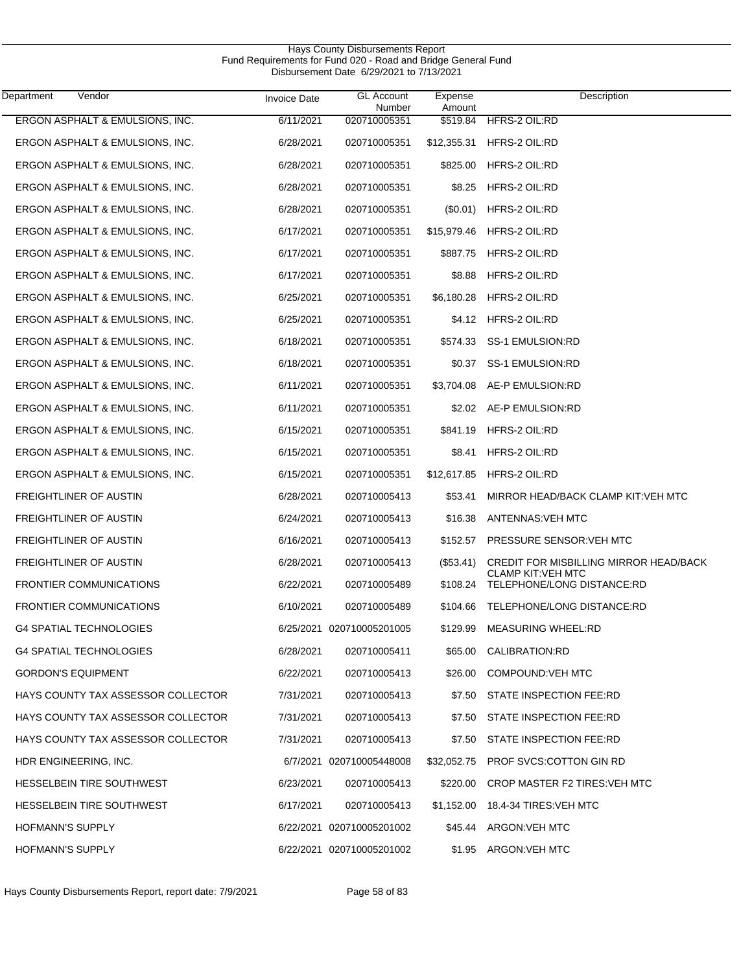|                                    |                     | Disbursement Date 6/29/2021 to 7/13/2021 |                   |                                                        |
|------------------------------------|---------------------|------------------------------------------|-------------------|--------------------------------------------------------|
| Vendor<br>Department               | <b>Invoice Date</b> | <b>GL Account</b><br>Number              | Expense<br>Amount | Description                                            |
| ERGON ASPHALT & EMULSIONS, INC.    | 6/11/2021           | 020710005351                             | \$519.84          | HFRS-2 OIL:RD                                          |
| ERGON ASPHALT & EMULSIONS, INC.    | 6/28/2021           | 020710005351                             | \$12,355.31       | HFRS-2 OIL:RD                                          |
| ERGON ASPHALT & EMULSIONS, INC.    | 6/28/2021           | 020710005351                             | \$825.00          | HFRS-2 OIL:RD                                          |
| ERGON ASPHALT & EMULSIONS, INC.    | 6/28/2021           | 020710005351                             | \$8.25            | HFRS-2 OIL:RD                                          |
| ERGON ASPHALT & EMULSIONS, INC.    | 6/28/2021           | 020710005351                             | (S0.01)           | HFRS-2 OIL:RD                                          |
| ERGON ASPHALT & EMULSIONS, INC.    | 6/17/2021           | 020710005351                             | \$15,979.46       | HFRS-2 OIL:RD                                          |
| ERGON ASPHALT & EMULSIONS, INC.    | 6/17/2021           | 020710005351                             | \$887.75          | HFRS-2 OIL:RD                                          |
| ERGON ASPHALT & EMULSIONS, INC.    | 6/17/2021           | 020710005351                             | \$8.88            | HFRS-2 OIL:RD                                          |
| ERGON ASPHALT & EMULSIONS, INC.    | 6/25/2021           | 020710005351                             | \$6,180.28        | HFRS-2 OIL:RD                                          |
| ERGON ASPHALT & EMULSIONS, INC.    | 6/25/2021           | 020710005351                             |                   | \$4.12 HFRS-2 OIL:RD                                   |
| ERGON ASPHALT & EMULSIONS, INC.    | 6/18/2021           | 020710005351                             |                   | \$574.33 SS-1 EMULSION:RD                              |
| ERGON ASPHALT & EMULSIONS, INC.    | 6/18/2021           | 020710005351                             |                   | \$0.37 SS-1 EMULSION:RD                                |
| ERGON ASPHALT & EMULSIONS, INC.    | 6/11/2021           | 020710005351                             |                   | \$3,704.08 AE-P EMULSION:RD                            |
| ERGON ASPHALT & EMULSIONS, INC.    | 6/11/2021           | 020710005351                             |                   | \$2.02 AE-P EMULSION:RD                                |
| ERGON ASPHALT & EMULSIONS, INC.    | 6/15/2021           | 020710005351                             |                   | \$841.19 HFRS-2 OIL:RD                                 |
| ERGON ASPHALT & EMULSIONS, INC.    | 6/15/2021           | 020710005351                             | \$8.41            | HFRS-2 OIL:RD                                          |
| ERGON ASPHALT & EMULSIONS, INC.    | 6/15/2021           | 020710005351                             | \$12,617.85       | HFRS-2 OIL:RD                                          |
| FREIGHTLINER OF AUSTIN             | 6/28/2021           | 020710005413                             | \$53.41           | MIRROR HEAD/BACK CLAMP KIT: VEH MTC                    |
| FREIGHTLINER OF AUSTIN             | 6/24/2021           | 020710005413                             | \$16.38           | ANTENNAS: VEH MTC                                      |
| FREIGHTLINER OF AUSTIN             | 6/16/2021           | 020710005413                             | \$152.57          | PRESSURE SENSOR: VEH MTC                               |
| FREIGHTLINER OF AUSTIN             | 6/28/2021           | 020710005413                             | $(\$53.41)$       | <b>CREDIT FOR MISBILLING MIRROR HEAD/BACK</b>          |
| <b>FRONTIER COMMUNICATIONS</b>     | 6/22/2021           | 020710005489                             | \$108.24          | <b>CLAMP KIT:VEH MTC</b><br>TELEPHONE/LONG DISTANCE:RD |
| <b>FRONTIER COMMUNICATIONS</b>     | 6/10/2021           | 020710005489                             |                   | \$104.66 TELEPHONE/LONG DISTANCE:RD                    |
| <b>G4 SPATIAL TECHNOLOGIES</b>     |                     | 6/25/2021 020710005201005                |                   | \$129.99 MEASURING WHEEL:RD                            |
| <b>G4 SPATIAL TECHNOLOGIES</b>     | 6/28/2021           | 020710005411                             |                   | \$65.00 CALIBRATION:RD                                 |
| <b>GORDON'S EQUIPMENT</b>          | 6/22/2021           | 020710005413                             |                   | \$26.00 COMPOUND: VEH MTC                              |
| HAYS COUNTY TAX ASSESSOR COLLECTOR | 7/31/2021           | 020710005413                             |                   | \$7.50 STATE INSPECTION FEE:RD                         |
| HAYS COUNTY TAX ASSESSOR COLLECTOR | 7/31/2021           | 020710005413                             |                   | \$7.50 STATE INSPECTION FEE:RD                         |
| HAYS COUNTY TAX ASSESSOR COLLECTOR | 7/31/2021           | 020710005413                             |                   | \$7.50 STATE INSPECTION FEE:RD                         |
| HDR ENGINEERING, INC.              |                     | 6/7/2021 020710005448008                 |                   | \$32,052.75 PROF SVCS:COTTON GIN RD                    |
| HESSELBEIN TIRE SOUTHWEST          | 6/23/2021           | 020710005413                             | \$220.00          | CROP MASTER F2 TIRES: VEH MTC                          |
| HESSELBEIN TIRE SOUTHWEST          | 6/17/2021           | 020710005413                             |                   | \$1,152.00 18.4-34 TIRES: VEH MTC                      |
| <b>HOFMANN'S SUPPLY</b>            |                     | 6/22/2021 020710005201002                |                   | \$45.44 ARGON: VEH MTC                                 |
| HOFMANN'S SUPPLY                   |                     | 6/22/2021 020710005201002                |                   | \$1.95 ARGON: VEH MTC                                  |

Hays County Disbursements Report Fund Requirements for Fund 020 - Road and Bridge General Fund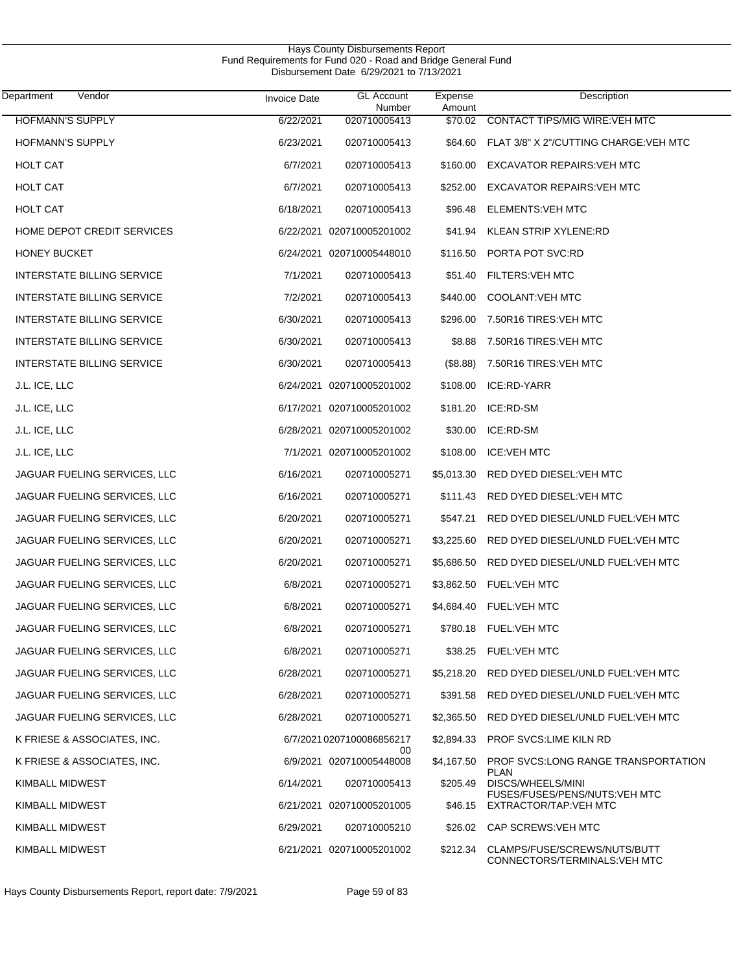| Vendor<br>Department              | <b>Invoice Date</b> | <b>GL Account</b><br>Number    | Expense<br>Amount | Description                                                   |
|-----------------------------------|---------------------|--------------------------------|-------------------|---------------------------------------------------------------|
| <b>HOFMANN'S SUPPLY</b>           | 6/22/2021           | 020710005413                   | \$70.02           | <b>CONTACT TIPS/MIG WIRE: VEH MTC</b>                         |
| <b>HOFMANN'S SUPPLY</b>           | 6/23/2021           | 020710005413                   | \$64.60           | FLAT 3/8" X 2"/CUTTING CHARGE: VEH MTC                        |
| <b>HOLT CAT</b>                   | 6/7/2021            | 020710005413                   | \$160.00          | <b>EXCAVATOR REPAIRS: VEH MTC</b>                             |
| <b>HOLT CAT</b>                   | 6/7/2021            | 020710005413                   | \$252.00          | <b>EXCAVATOR REPAIRS: VEH MTC</b>                             |
| <b>HOLT CAT</b>                   | 6/18/2021           | 020710005413                   | \$96.48           | <b>ELEMENTS: VEH MTC</b>                                      |
| HOME DEPOT CREDIT SERVICES        |                     | 6/22/2021 020710005201002      | \$41.94           | KLEAN STRIP XYLENE:RD                                         |
| <b>HONEY BUCKET</b>               |                     | 6/24/2021 020710005448010      | \$116.50          | PORTA POT SVC:RD                                              |
| <b>INTERSTATE BILLING SERVICE</b> | 7/1/2021            | 020710005413                   | \$51.40           | FILTERS: VEH MTC                                              |
| INTERSTATE BILLING SERVICE        | 7/2/2021            | 020710005413                   | \$440.00          | <b>COOLANT:VEH MTC</b>                                        |
| <b>INTERSTATE BILLING SERVICE</b> | 6/30/2021           | 020710005413                   | \$296.00          | 7.50R16 TIRES: VEH MTC                                        |
| <b>INTERSTATE BILLING SERVICE</b> | 6/30/2021           | 020710005413                   | \$8.88            | 7.50R16 TIRES: VEH MTC                                        |
| <b>INTERSTATE BILLING SERVICE</b> | 6/30/2021           | 020710005413                   | (\$8.88)          | 7.50R16 TIRES: VEH MTC                                        |
| J.L. ICE, LLC                     |                     | 6/24/2021 020710005201002      | \$108.00          | ICE:RD-YARR                                                   |
| J.L. ICE, LLC                     |                     | 6/17/2021 020710005201002      | \$181.20          | ICE:RD-SM                                                     |
| J.L. ICE, LLC                     |                     | 6/28/2021 020710005201002      | \$30.00           | ICE:RD-SM                                                     |
| J.L. ICE, LLC                     |                     | 7/1/2021 020710005201002       | \$108.00          | <b>ICE:VEH MTC</b>                                            |
| JAGUAR FUELING SERVICES, LLC      | 6/16/2021           | 020710005271                   | \$5,013.30        | RED DYED DIESEL: VEH MTC                                      |
| JAGUAR FUELING SERVICES, LLC      | 6/16/2021           | 020710005271                   | \$111.43          | RED DYED DIESEL: VEH MTC                                      |
| JAGUAR FUELING SERVICES, LLC      | 6/20/2021           | 020710005271                   | \$547.21          | RED DYED DIESEL/UNLD FUEL: VEH MTC                            |
| JAGUAR FUELING SERVICES, LLC      | 6/20/2021           | 020710005271                   | \$3,225.60        | RED DYED DIESEL/UNLD FUEL: VEH MTC                            |
| JAGUAR FUELING SERVICES, LLC      | 6/20/2021           | 020710005271                   | \$5,686.50        | RED DYED DIESEL/UNLD FUEL: VEH MTC                            |
| JAGUAR FUELING SERVICES, LLC      | 6/8/2021            | 020710005271                   | \$3,862.50        | <b>FUEL:VEH MTC</b>                                           |
| JAGUAR FUELING SERVICES, LLC      | 6/8/2021            | 020710005271                   |                   | \$4,684.40 FUEL: VEH MTC                                      |
| JAGUAR FUELING SERVICES, LLC      | 6/8/2021            | 020710005271                   | \$780.18          | FUEL:VEH MTC                                                  |
| JAGUAR FUELING SERVICES, LLC      | 6/8/2021            | 020710005271                   | \$38.25           | FUEL:VEH MTC                                                  |
| JAGUAR FUELING SERVICES, LLC      | 6/28/2021           | 020710005271                   | \$5,218.20        | RED DYED DIESEL/UNLD FUEL: VEH MTC                            |
| JAGUAR FUELING SERVICES, LLC      | 6/28/2021           | 020710005271                   | \$391.58          | RED DYED DIESEL/UNLD FUEL: VEH MTC                            |
| JAGUAR FUELING SERVICES, LLC      | 6/28/2021           | 020710005271                   | \$2,365.50        | RED DYED DIESEL/UNLD FUEL: VEH MTC                            |
| K FRIESE & ASSOCIATES, INC.       |                     | 6/7/2021 0207100086856217      | \$2,894.33        | <b>PROF SVCS:LIME KILN RD</b>                                 |
| K FRIESE & ASSOCIATES, INC.       |                     | 00<br>6/9/2021 020710005448008 | \$4,167.50        | PROF SVCS:LONG RANGE TRANSPORTATION                           |
| KIMBALL MIDWEST                   | 6/14/2021           | 020710005413                   | \$205.49          | <b>PLAN</b><br>DISCS/WHEELS/MINI                              |
| KIMBALL MIDWEST                   |                     | 6/21/2021 020710005201005      | \$46.15           | FUSES/FUSES/PENS/NUTS: VEH MTC<br>EXTRACTOR/TAP: VEH MTC      |
| KIMBALL MIDWEST                   | 6/29/2021           | 020710005210                   |                   | \$26.02 CAP SCREWS: VEH MTC                                   |
| <b>KIMBALL MIDWEST</b>            |                     | 6/21/2021 020710005201002      | \$212.34          | CLAMPS/FUSE/SCREWS/NUTS/BUTT<br>CONNECTORS/TERMINALS: VEH MTC |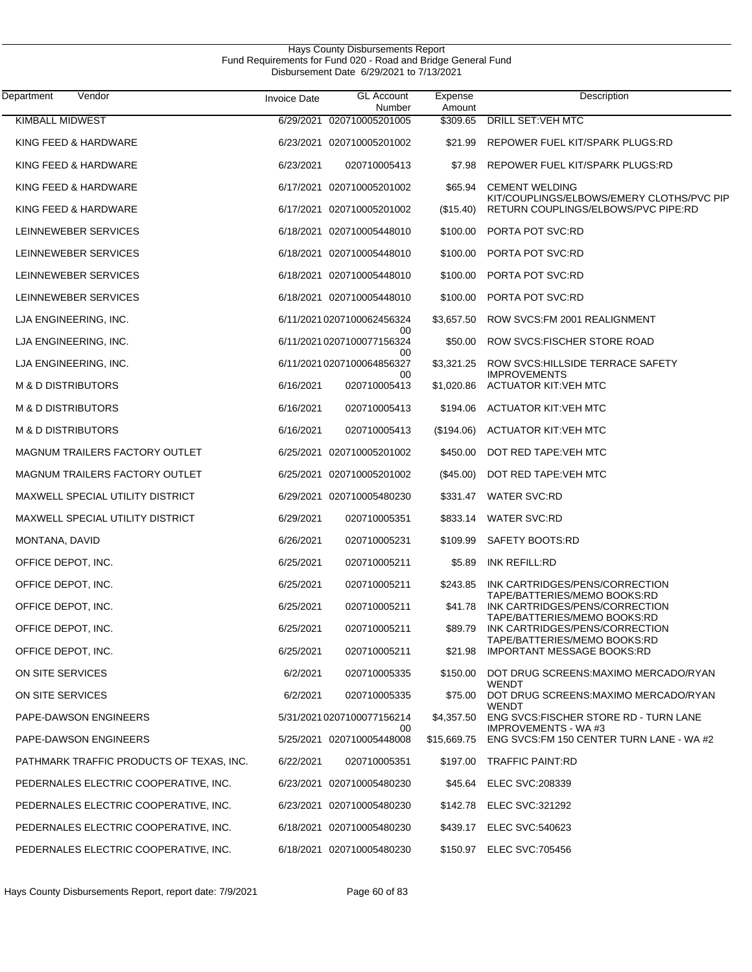| Hays County Disbursements Report                              |  |  |  |  |  |
|---------------------------------------------------------------|--|--|--|--|--|
| Fund Requirements for Fund 020 - Road and Bridge General Fund |  |  |  |  |  |
| Disbursement Date 6/29/2021 to 7/13/2021                      |  |  |  |  |  |

| Department<br>Vendor                     | <b>Invoice Date</b> | <b>GL Account</b><br>Number           | Expense<br>Amount | Description                                                         |
|------------------------------------------|---------------------|---------------------------------------|-------------------|---------------------------------------------------------------------|
| <b>KIMBALL MIDWEST</b>                   | 6/29/2021           | 020710005201005                       | \$309.65          | <b>DRILL SET: VEH MTC</b>                                           |
| KING FEED & HARDWARE                     |                     | 6/23/2021 020710005201002             | \$21.99           | REPOWER FUEL KIT/SPARK PLUGS:RD                                     |
| KING FEED & HARDWARE                     | 6/23/2021           | 020710005413                          | \$7.98            | REPOWER FUEL KIT/SPARK PLUGS:RD                                     |
| KING FEED & HARDWARE                     |                     | 6/17/2021 020710005201002             | \$65.94           | <b>CEMENT WELDING</b><br>KIT/COUPLINGS/ELBOWS/EMERY CLOTHS/PVC PIP  |
| KING FEED & HARDWARE                     |                     | 6/17/2021 020710005201002             | (\$15.40)         | RETURN COUPLINGS/ELBOWS/PVC PIPE:RD                                 |
| LEINNEWEBER SERVICES                     |                     | 6/18/2021 020710005448010             | \$100.00          | PORTA POT SVC:RD                                                    |
| LEINNEWEBER SERVICES                     |                     | 6/18/2021 020710005448010             | \$100.00          | PORTA POT SVC:RD                                                    |
| LEINNEWEBER SERVICES                     |                     | 6/18/2021 020710005448010             | \$100.00          | PORTA POT SVC:RD                                                    |
| LEINNEWEBER SERVICES                     |                     | 6/18/2021 020710005448010             | \$100.00          | PORTA POT SVC:RD                                                    |
| LJA ENGINEERING, INC.                    |                     | 6/11/2021 0207100062456324            | \$3,657.50        | ROW SVCS: FM 2001 REALIGNMENT                                       |
| LJA ENGINEERING, INC.                    |                     | 00<br>6/11/20210207100077156324<br>00 | \$50.00           | ROW SVCS: FISCHER STORE ROAD                                        |
| LJA ENGINEERING, INC.                    |                     | 6/11/20210207100064856327             | \$3,321.25        | ROW SVCS: HILLSIDE TERRACE SAFETY<br><b>IMPROVEMENTS</b>            |
| <b>M &amp; D DISTRIBUTORS</b>            | 6/16/2021           | 00<br>020710005413                    | \$1,020.86        | <b>ACTUATOR KIT:VEH MTC</b>                                         |
| <b>M &amp; D DISTRIBUTORS</b>            | 6/16/2021           | 020710005413                          | \$194.06          | <b>ACTUATOR KIT:VEH MTC</b>                                         |
| <b>M &amp; D DISTRIBUTORS</b>            | 6/16/2021           | 020710005413                          | (\$194.06)        | <b>ACTUATOR KIT:VEH MTC</b>                                         |
| <b>MAGNUM TRAILERS FACTORY OUTLET</b>    |                     | 6/25/2021 020710005201002             | \$450.00          | DOT RED TAPE: VEH MTC                                               |
| MAGNUM TRAILERS FACTORY OUTLET           |                     | 6/25/2021 020710005201002             | $(\$45.00)$       | DOT RED TAPE: VEH MTC                                               |
| <b>MAXWELL SPECIAL UTILITY DISTRICT</b>  |                     | 6/29/2021 020710005480230             | \$331.47          | <b>WATER SVC:RD</b>                                                 |
| <b>MAXWELL SPECIAL UTILITY DISTRICT</b>  | 6/29/2021           | 020710005351                          | \$833.14          | <b>WATER SVC:RD</b>                                                 |
| MONTANA, DAVID                           | 6/26/2021           | 020710005231                          | \$109.99          | SAFETY BOOTS:RD                                                     |
| OFFICE DEPOT, INC.                       | 6/25/2021           | 020710005211                          | \$5.89            | <b>INK REFILL:RD</b>                                                |
| OFFICE DEPOT, INC.                       | 6/25/2021           | 020710005211                          | \$243.85          | INK CARTRIDGES/PENS/CORRECTION<br>TAPE/BATTERIES/MEMO BOOKS:RD      |
| OFFICE DEPOT, INC.                       | 6/25/2021           | 020710005211                          | \$41.78           | INK CARTRIDGES/PENS/CORRECTION<br>TAPE/BATTERIES/MEMO BOOKS:RD      |
| OFFICE DEPOT, INC.                       | 6/25/2021           | 020710005211                          | \$89.79           | INK CARTRIDGES/PENS/CORRECTION                                      |
| OFFICE DEPOT, INC.                       | 6/25/2021           | 020710005211                          | \$21.98           | TAPE/BATTERIES/MEMO BOOKS:RD<br><b>IMPORTANT MESSAGE BOOKS:RD</b>   |
| ON SITE SERVICES                         | 6/2/2021            | 020710005335                          | \$150.00          | DOT DRUG SCREENS: MAXIMO MERCADO/RYAN<br>WENDT                      |
| ON SITE SERVICES                         | 6/2/2021            | 020710005335                          | \$75.00           | DOT DRUG SCREENS: MAXIMO MERCADO/RYAN<br>WENDT                      |
| PAPE-DAWSON ENGINEERS                    |                     | 5/31/2021 0207100077156214<br>00      | \$4,357.50        | ENG SVCS:FISCHER STORE RD - TURN LANE<br><b>IMPROVEMENTS - WA#3</b> |
| PAPE-DAWSON ENGINEERS                    |                     | 5/25/2021 020710005448008             | \$15,669.75       | ENG SVCS: FM 150 CENTER TURN LANE - WA #2                           |
| PATHMARK TRAFFIC PRODUCTS OF TEXAS, INC. | 6/22/2021           | 020710005351                          |                   | \$197.00 TRAFFIC PAINT:RD                                           |
| PEDERNALES ELECTRIC COOPERATIVE, INC.    |                     | 6/23/2021 020710005480230             |                   | \$45.64 ELEC SVC:208339                                             |
| PEDERNALES ELECTRIC COOPERATIVE, INC.    |                     | 6/23/2021 020710005480230             | \$142.78          | ELEC SVC:321292                                                     |
| PEDERNALES ELECTRIC COOPERATIVE, INC.    |                     | 6/18/2021 020710005480230             |                   | \$439.17 ELEC SVC:540623                                            |
| PEDERNALES ELECTRIC COOPERATIVE, INC.    |                     | 6/18/2021 020710005480230             |                   | \$150.97 ELEC SVC:705456                                            |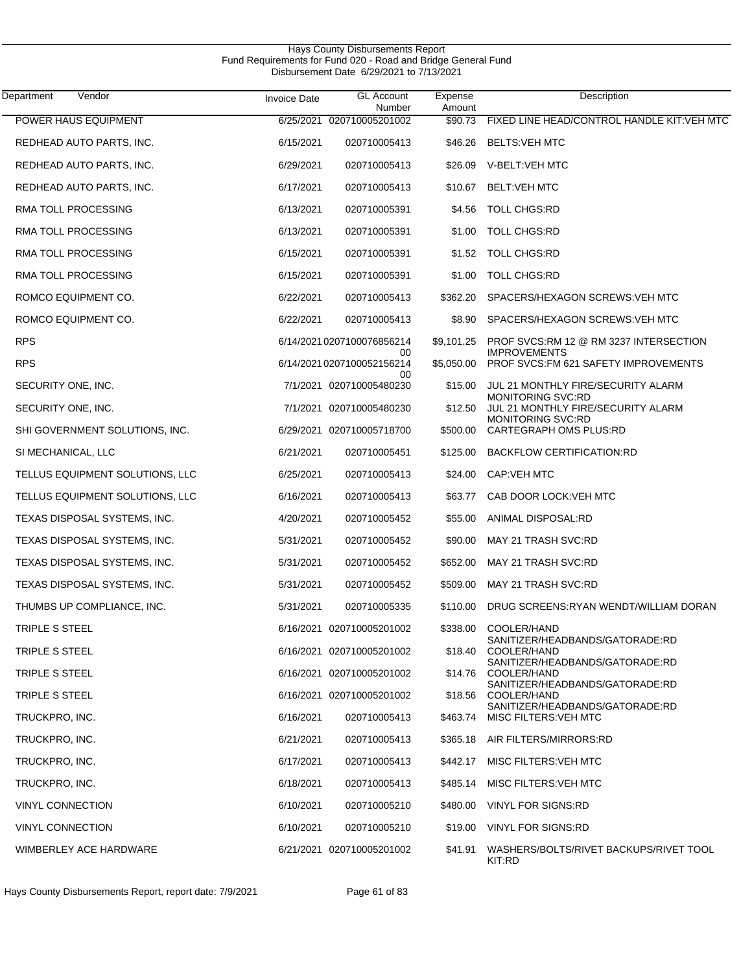| Vendor<br>Department            | <b>Invoice Date</b> | <b>GL Account</b><br>Number     | Expense<br>Amount | Description                                                 |
|---------------------------------|---------------------|---------------------------------|-------------------|-------------------------------------------------------------|
| POWER HAUS EQUIPMENT            | 6/25/2021           | 020710005201002                 | \$90.73           | FIXED LINE HEAD/CONTROL HANDLE KIT: VEH MTC                 |
| REDHEAD AUTO PARTS, INC.        | 6/15/2021           | 020710005413                    | \$46.26           | <b>BELTS:VEH MTC</b>                                        |
| REDHEAD AUTO PARTS, INC.        | 6/29/2021           | 020710005413                    | \$26.09           | V-BELT:VEH MTC                                              |
| REDHEAD AUTO PARTS, INC.        | 6/17/2021           | 020710005413                    | \$10.67           | <b>BELT:VEH MTC</b>                                         |
| RMA TOLL PROCESSING             | 6/13/2021           | 020710005391                    | \$4.56            | <b>TOLL CHGS:RD</b>                                         |
| RMA TOLL PROCESSING             | 6/13/2021           | 020710005391                    | \$1.00            | <b>TOLL CHGS:RD</b>                                         |
| RMA TOLL PROCESSING             | 6/15/2021           | 020710005391                    | \$1.52            | <b>TOLL CHGS:RD</b>                                         |
| RMA TOLL PROCESSING             | 6/15/2021           | 020710005391                    | \$1.00            | <b>TOLL CHGS:RD</b>                                         |
| ROMCO EQUIPMENT CO.             | 6/22/2021           | 020710005413                    | \$362.20          | SPACERS/HEXAGON SCREWS: VEH MTC                             |
| ROMCO EQUIPMENT CO.             | 6/22/2021           | 020710005413                    | \$8.90            | SPACERS/HEXAGON SCREWS: VEH MTC                             |
| <b>RPS</b>                      |                     | 6/14/20210207100076856214       | \$9,101.25        | PROF SVCS:RM 12 @ RM 3237 INTERSECTION                      |
| <b>RPS</b>                      |                     | 00<br>6/14/20210207100052156214 | \$5,050.00        | <b>IMPROVEMENTS</b><br>PROF SVCS:FM 621 SAFETY IMPROVEMENTS |
| SECURITY ONE, INC.              |                     | 00<br>7/1/2021 020710005480230  | \$15.00           | JUL 21 MONTHLY FIRE/SECURITY ALARM                          |
| SECURITY ONE, INC.              |                     | 7/1/2021 020710005480230        | \$12.50           | MONITORING SVC:RD<br>JUL 21 MONTHLY FIRE/SECURITY ALARM     |
| SHI GOVERNMENT SOLUTIONS, INC.  |                     | 6/29/2021 020710005718700       | \$500.00          | MONITORING SVC:RD<br>CARTEGRAPH OMS PLUS:RD                 |
| SI MECHANICAL, LLC              | 6/21/2021           | 020710005451                    | \$125.00          | <b>BACKFLOW CERTIFICATION:RD</b>                            |
| TELLUS EQUIPMENT SOLUTIONS, LLC | 6/25/2021           | 020710005413                    | \$24.00           | <b>CAP:VEH MTC</b>                                          |
| TELLUS EQUIPMENT SOLUTIONS, LLC | 6/16/2021           | 020710005413                    | \$63.77           | CAB DOOR LOCK: VEH MTC                                      |
| TEXAS DISPOSAL SYSTEMS, INC.    | 4/20/2021           | 020710005452                    | \$55.00           | ANIMAL DISPOSAL:RD                                          |
| TEXAS DISPOSAL SYSTEMS, INC.    | 5/31/2021           | 020710005452                    | \$90.00           | <b>MAY 21 TRASH SVC:RD</b>                                  |
| TEXAS DISPOSAL SYSTEMS, INC.    | 5/31/2021           | 020710005452                    | \$652.00          | MAY 21 TRASH SVC:RD                                         |
| TEXAS DISPOSAL SYSTEMS, INC.    | 5/31/2021           | 020710005452                    | \$509.00          | <b>MAY 21 TRASH SVC:RD</b>                                  |
| THUMBS UP COMPLIANCE, INC.      | 5/31/2021           | 020710005335                    |                   | \$110.00 DRUG SCREENS:RYAN WENDT/WILLIAM DORAN              |
| TRIPLE S STEEL                  |                     | 6/16/2021 020710005201002       | \$338.00          | COOLER/HAND                                                 |
| TRIPLE S STEEL                  |                     | 6/16/2021 020710005201002       | \$18.40           | SANITIZER/HEADBANDS/GATORADE:RD<br>COOLER/HAND              |
| TRIPLE S STEEL                  |                     | 6/16/2021 020710005201002       | \$14.76           | SANITIZER/HEADBANDS/GATORADE:RD<br>COOLER/HAND              |
| TRIPLE S STEEL                  |                     | 6/16/2021 020710005201002       | \$18.56           | SANITIZER/HEADBANDS/GATORADE:RD<br>COOLER/HAND              |
| TRUCKPRO, INC.                  | 6/16/2021           | 020710005413                    | \$463.74          | SANITIZER/HEADBANDS/GATORADE:RD<br>MISC FILTERS: VEH MTC    |
| TRUCKPRO, INC.                  | 6/21/2021           | 020710005413                    |                   | \$365.18 AIR FILTERS/MIRRORS:RD                             |
| TRUCKPRO, INC.                  | 6/17/2021           | 020710005413                    | \$442.17          | MISC FILTERS: VEH MTC                                       |
| TRUCKPRO, INC.                  | 6/18/2021           | 020710005413                    | \$485.14          | MISC FILTERS: VEH MTC                                       |
| <b>VINYL CONNECTION</b>         | 6/10/2021           | 020710005210                    | \$480.00          | VINYL FOR SIGNS:RD                                          |
| <b>VINYL CONNECTION</b>         | 6/10/2021           | 020710005210                    | \$19.00           | VINYL FOR SIGNS:RD                                          |
| WIMBERLEY ACE HARDWARE          |                     | 6/21/2021 020710005201002       | \$41.91           | WASHERS/BOLTS/RIVET BACKUPS/RIVET TOOL<br>KIT:RD            |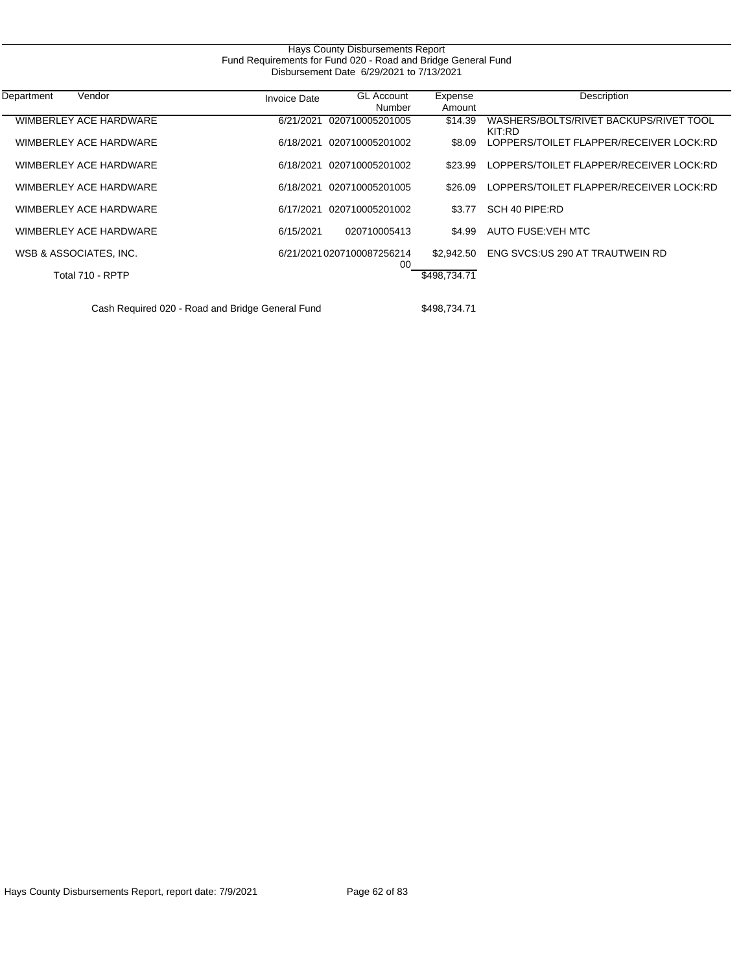| Hays County Disbursements Report<br>Fund Requirements for Fund 020 - Road and Bridge General Fund |                                          |                                  |                   |                                                  |  |  |  |  |
|---------------------------------------------------------------------------------------------------|------------------------------------------|----------------------------------|-------------------|--------------------------------------------------|--|--|--|--|
|                                                                                                   | Disbursement Date 6/29/2021 to 7/13/2021 |                                  |                   |                                                  |  |  |  |  |
| Vendor<br>Department                                                                              | <b>Invoice Date</b>                      | <b>GL Account</b><br>Number      | Expense<br>Amount | Description                                      |  |  |  |  |
| WIMBERLEY ACE HARDWARE                                                                            | 6/21/2021                                | 020710005201005                  | \$14.39           | WASHERS/BOLTS/RIVET BACKUPS/RIVET TOOL<br>KIT:RD |  |  |  |  |
| WIMBERLEY ACE HARDWARE                                                                            | 6/18/2021                                | 020710005201002                  | \$8.09            | LOPPERS/TOILET FLAPPER/RECEIVER LOCK:RD          |  |  |  |  |
| WIMBERLEY ACE HARDWARE                                                                            | 6/18/2021                                | 020710005201002                  | \$23.99           | LOPPERS/TOILET FLAPPER/RECEIVER LOCK:RD          |  |  |  |  |
| WIMBERLEY ACE HARDWARE                                                                            | 6/18/2021                                | 020710005201005                  | \$26.09           | LOPPERS/TOILET FLAPPER/RECEIVER LOCK:RD          |  |  |  |  |
| WIMBERLEY ACE HARDWARE                                                                            | 6/17/2021                                | 020710005201002                  | \$3.77            | SCH 40 PIPE:RD                                   |  |  |  |  |
| WIMBERLEY ACE HARDWARE                                                                            | 6/15/2021                                | 020710005413                     | \$4.99            | AUTO FUSE: VEH MTC                               |  |  |  |  |
| WSB & ASSOCIATES, INC.                                                                            |                                          | 6/21/2021 0207100087256214<br>00 | \$2,942.50        | ENG SVCS:US 290 AT TRAUTWEIN RD                  |  |  |  |  |
| Total 710 - RPTP                                                                                  |                                          |                                  | \$498,734.71      |                                                  |  |  |  |  |
| Cash Required 020 - Road and Bridge General Fund                                                  |                                          |                                  | \$498,734.71      |                                                  |  |  |  |  |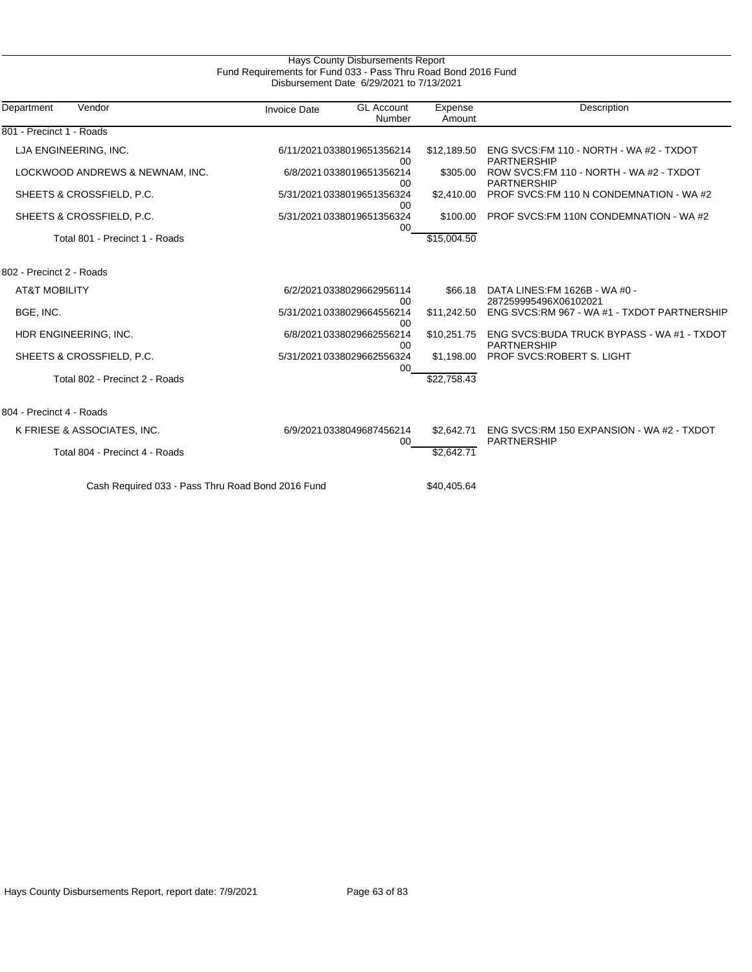| Fund Requirements for Fund 033 - Pass Thru Road Bond 2016 Fund<br>Disbursement Date 6/29/2021 to 7/13/2021 |                     |                                  |                   |                                                                   |  |  |
|------------------------------------------------------------------------------------------------------------|---------------------|----------------------------------|-------------------|-------------------------------------------------------------------|--|--|
| Vendor<br>Department                                                                                       | <b>Invoice Date</b> | <b>GL Account</b><br>Number      | Expense<br>Amount | Description                                                       |  |  |
| 801 - Precinct 1 - Roads                                                                                   |                     |                                  |                   |                                                                   |  |  |
| LJA ENGINEERING, INC.                                                                                      |                     | 6/11/20210338019651356214<br>00  | \$12,189.50       | ENG SVCS: FM 110 - NORTH - WA #2 - TXDOT<br><b>PARTNERSHIP</b>    |  |  |
| LOCKWOOD ANDREWS & NEWNAM, INC.                                                                            |                     | 6/8/2021 0338019651356214<br>00  | \$305.00          | ROW SVCS: FM 110 - NORTH - WA #2 - TXDOT<br><b>PARTNERSHIP</b>    |  |  |
| SHEETS & CROSSFIELD, P.C.                                                                                  |                     | 5/31/2021 0338019651356324<br>00 | \$2,410.00        | PROF SVCS: FM 110 N CONDEMNATION - WA #2                          |  |  |
| SHEETS & CROSSFIELD, P.C.                                                                                  |                     | 5/31/2021 0338019651356324<br>00 | \$100.00          | PROF SVCS: FM 110N CONDEMNATION - WA#2                            |  |  |
| Total 801 - Precinct 1 - Roads                                                                             |                     |                                  | \$15,004.50       |                                                                   |  |  |
| 802 - Precinct 2 - Roads                                                                                   |                     |                                  |                   |                                                                   |  |  |
| <b>AT&amp;T MOBILITY</b>                                                                                   |                     | 6/2/2021 0338029662956114<br>00  | \$66.18           | DATA LINES: FM 1626B - WA #0 -<br>287259995496X06102021           |  |  |
| BGE, INC.                                                                                                  |                     | 5/31/2021 0338029664556214<br>00 | \$11,242.50       | ENG SVCS: RM 967 - WA #1 - TXDOT PARTNERSHIP                      |  |  |
| HDR ENGINEERING, INC.                                                                                      |                     | 6/8/2021 0338029662556214<br>00  | \$10,251.75       | ENG SVCS: BUDA TRUCK BYPASS - WA #1 - TXDOT<br><b>PARTNERSHIP</b> |  |  |
| SHEETS & CROSSFIELD, P.C.                                                                                  |                     | 5/31/2021 0338029662556324<br>00 | \$1,198.00        | PROF SVCS: ROBERT S. LIGHT                                        |  |  |
| Total 802 - Precinct 2 - Roads                                                                             |                     |                                  | \$22,758.43       |                                                                   |  |  |
| 804 - Precinct 4 - Roads                                                                                   |                     |                                  |                   |                                                                   |  |  |
| K FRIESE & ASSOCIATES, INC.                                                                                |                     | 6/9/2021 0338049687456214<br>00  | \$2.642.71        | ENG SVCS:RM 150 EXPANSION - WA #2 - TXDOT<br><b>PARTNERSHIP</b>   |  |  |
| Total 804 - Precinct 4 - Roads                                                                             |                     |                                  | \$2,642.71        |                                                                   |  |  |
| Cash Required 033 - Pass Thru Road Bond 2016 Fund                                                          |                     |                                  | \$40,405.64       |                                                                   |  |  |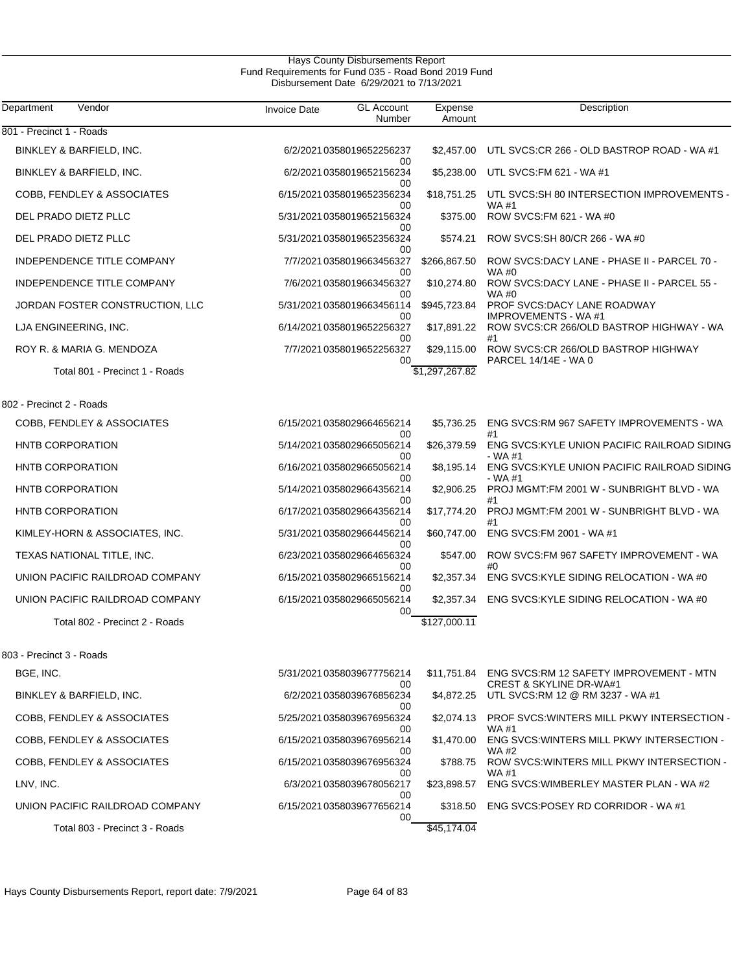| Department<br>Vendor            | <b>Invoice Date</b> | <b>GL Account</b><br>Number      | Expense<br>Amount | Description                                                                               |
|---------------------------------|---------------------|----------------------------------|-------------------|-------------------------------------------------------------------------------------------|
| 801 - Precinct 1 - Roads        |                     |                                  |                   |                                                                                           |
| BINKLEY & BARFIELD, INC.        |                     | 6/2/2021 0358019652256237<br>00  | \$2,457.00        | UTL SVCS:CR 266 - OLD BASTROP ROAD - WA #1                                                |
| BINKLEY & BARFIELD, INC.        |                     | 6/2/2021 0358019652156234<br>00  | \$5,238.00        | UTL SVCS: FM 621 - WA #1                                                                  |
| COBB, FENDLEY & ASSOCIATES      |                     | 6/15/20210358019652356234<br>00  | \$18,751.25       | UTL SVCS:SH 80 INTERSECTION IMPROVEMENTS -<br>WA #1                                       |
| DEL PRADO DIETZ PLLC            |                     | 5/31/2021 0358019652156324<br>00 | \$375.00          | ROW SVCS: FM 621 - WA #0                                                                  |
| DEL PRADO DIETZ PLLC            |                     | 5/31/2021 0358019652356324<br>00 | \$574.21          | ROW SVCS:SH 80/CR 266 - WA #0                                                             |
| INDEPENDENCE TITLE COMPANY      |                     | 7/7/2021 0358019663456327<br>00  | \$266,867.50      | ROW SVCS:DACY LANE - PHASE II - PARCEL 70 -<br>$WA$ #0                                    |
| INDEPENDENCE TITLE COMPANY      |                     | 7/6/2021 0358019663456327<br>00  | \$10,274.80       | ROW SVCS:DACY LANE - PHASE II - PARCEL 55 -<br><b>WA#0</b>                                |
| JORDAN FOSTER CONSTRUCTION, LLC |                     | 5/31/2021 0358019663456114<br>00 | \$945,723.84      | PROF SVCS:DACY LANE ROADWAY<br><b>IMPROVEMENTS - WA#1</b>                                 |
| LJA ENGINEERING, INC.           |                     | 6/14/20210358019652256327        | \$17,891.22       | ROW SVCS:CR 266/OLD BASTROP HIGHWAY - WA<br>#1                                            |
| ROY R. & MARIA G. MENDOZA       |                     | 00<br>7/7/2021 0358019652256327  | \$29,115.00       | ROW SVCS:CR 266/OLD BASTROP HIGHWAY                                                       |
| Total 801 - Precinct 1 - Roads  |                     | 00                               | \$1,297,267.82    | PARCEL 14/14E - WA 0                                                                      |
| 802 - Precinct 2 - Roads        |                     |                                  |                   |                                                                                           |
| COBB, FENDLEY & ASSOCIATES      |                     | 6/15/20210358029664656214        | \$5,736.25        | ENG SVCS:RM 967 SAFETY IMPROVEMENTS - WA                                                  |
| <b>HNTB CORPORATION</b>         |                     | 00<br>5/14/20210358029665056214  | \$26,379.59       | #1<br>ENG SVCS: KYLE UNION PACIFIC RAILROAD SIDING                                        |
| <b>HNTB CORPORATION</b>         |                     | 00<br>6/16/20210358029665056214  | \$8,195.14        | - WA #1<br>ENG SVCS:KYLE UNION PACIFIC RAILROAD SIDING                                    |
| <b>HNTB CORPORATION</b>         |                     | 00<br>5/14/20210358029664356214  | \$2,906.25        | $- W A #1$<br>PROJ MGMT:FM 2001 W - SUNBRIGHT BLVD - WA                                   |
| HNTB CORPORATION                |                     | 00<br>6/17/20210358029664356214  | \$17,774.20       | #1<br>PROJ MGMT:FM 2001 W - SUNBRIGHT BLVD - WA                                           |
| KIMLEY-HORN & ASSOCIATES, INC.  |                     | 00<br>5/31/2021 0358029664456214 | \$60,747.00       | #1<br>ENG SVCS: FM 2001 - WA #1                                                           |
| TEXAS NATIONAL TITLE, INC.      |                     | 00<br>6/23/2021 0358029664656324 | \$547.00          | ROW SVCS:FM 967 SAFETY IMPROVEMENT - WA                                                   |
| UNION PACIFIC RAILDROAD COMPANY |                     | 00<br>6/15/20210358029665156214  | \$2,357.34        | #0<br>ENG SVCS:KYLE SIDING RELOCATION - WA #0                                             |
| UNION PACIFIC RAILDROAD COMPANY |                     | 00<br>6/15/20210358029665056214  | \$2,357.34        | ENG SVCS: KYLE SIDING RELOCATION - WA #0                                                  |
| Total 802 - Precinct 2 - Roads  |                     | 00                               | \$127,000.11      |                                                                                           |
|                                 |                     |                                  |                   |                                                                                           |
| 803 - Precinct 3 - Roads        |                     |                                  |                   |                                                                                           |
| BGE, INC.                       |                     | 5/31/2021 0358039677756214<br>00 |                   | \$11,751.84 ENG SVCS:RM 12 SAFETY IMPROVEMENT - MTN<br><b>CREST &amp; SKYLINE DR-WA#1</b> |
| BINKLEY & BARFIELD, INC.        |                     | 6/2/2021 0358039676856234<br>00  | \$4,872.25        | UTL SVCS: RM 12 @ RM 3237 - WA #1                                                         |
| COBB, FENDLEY & ASSOCIATES      |                     | 5/25/2021 0358039676956324<br>00 | \$2,074.13        | PROF SVCS: WINTERS MILL PKWY INTERSECTION -<br>WA #1                                      |
| COBB, FENDLEY & ASSOCIATES      |                     | 6/15/20210358039676956214<br>00  | \$1,470.00        | ENG SVCS: WINTERS MILL PKWY INTERSECTION -<br>WA #2                                       |
| COBB, FENDLEY & ASSOCIATES      |                     | 6/15/20210358039676956324<br>00  | \$788.75          | ROW SVCS: WINTERS MILL PKWY INTERSECTION -<br>WA #1                                       |
| LNV, INC.                       |                     | 6/3/2021 0358039678056217<br>00  | \$23,898.57       | ENG SVCS: WIMBERLEY MASTER PLAN - WA #2                                                   |
| UNION PACIFIC RAILDROAD COMPANY |                     | 6/15/20210358039677656214<br>00  | \$318.50          | ENG SVCS:POSEY RD CORRIDOR - WA #1                                                        |
| Total 803 - Precinct 3 - Roads  |                     |                                  | \$45,174.04       |                                                                                           |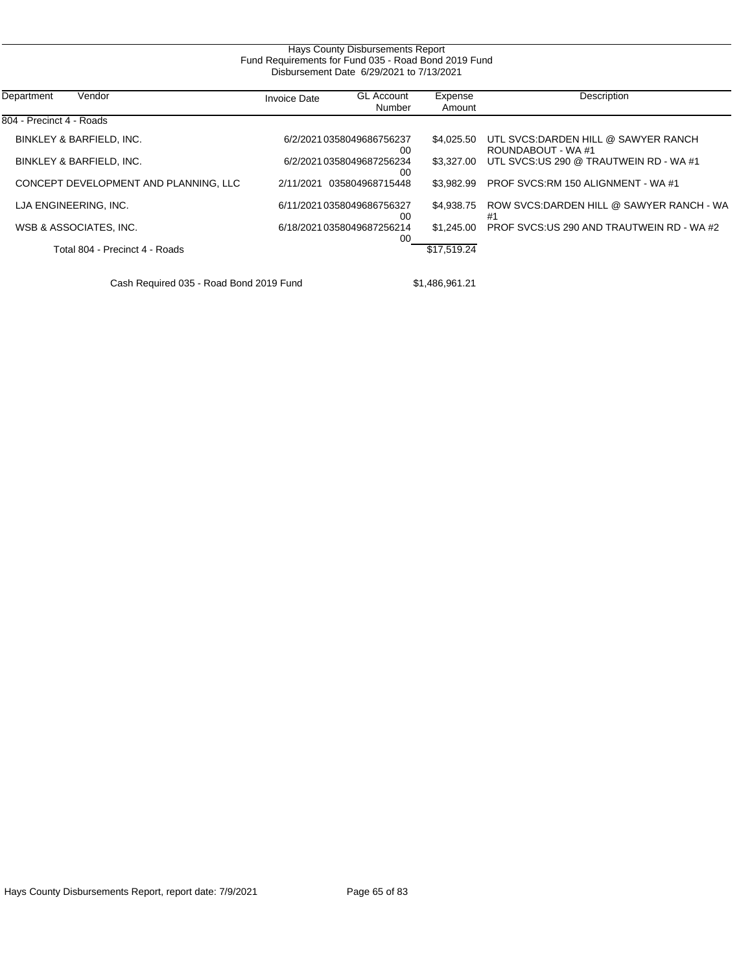|                                         |                     | Hays County Disbursements Report<br>Fund Requirements for Fund 035 - Road Bond 2019 Fund<br>Disbursement Date 6/29/2021 to 7/13/2021 |                   |                                                           |
|-----------------------------------------|---------------------|--------------------------------------------------------------------------------------------------------------------------------------|-------------------|-----------------------------------------------------------|
|                                         |                     |                                                                                                                                      |                   |                                                           |
| Department<br>Vendor                    | <b>Invoice Date</b> | <b>GL Account</b><br>Number                                                                                                          | Expense<br>Amount | Description                                               |
| 804 - Precinct 4 - Roads                |                     |                                                                                                                                      |                   |                                                           |
| BINKLEY & BARFIELD, INC.                |                     | 6/2/2021 0358049686756237<br>00                                                                                                      | \$4,025.50        | UTL SVCS:DARDEN HILL @ SAWYER RANCH<br>ROUNDABOUT - WA #1 |
| BINKLEY & BARFIELD, INC.                |                     | 6/2/2021 0358049687256234<br>00                                                                                                      | \$3.327.00        | UTL SVCS:US 290 @ TRAUTWEIN RD - WA #1                    |
| CONCEPT DEVELOPMENT AND PLANNING, LLC   | 2/11/2021           | 035804968715448                                                                                                                      | \$3.982.99        | PROF SVCS:RM 150 ALIGNMENT - WA #1                        |
| LJA ENGINEERING, INC.                   |                     | 6/11/2021 0358049686756327<br>00                                                                                                     | \$4,938.75        | ROW SVCS: DARDEN HILL @ SAWYER RANCH - WA<br>#1           |
| WSB & ASSOCIATES, INC.                  |                     | 6/18/20210358049687256214<br>00                                                                                                      | \$1.245.00        | PROF SVCS:US 290 AND TRAUTWEIN RD - WA #2                 |
| Total 804 - Precinct 4 - Roads          |                     |                                                                                                                                      | \$17,519.24       |                                                           |
| Cash Required 035 - Road Bond 2019 Fund |                     |                                                                                                                                      | \$1,486,961.21    |                                                           |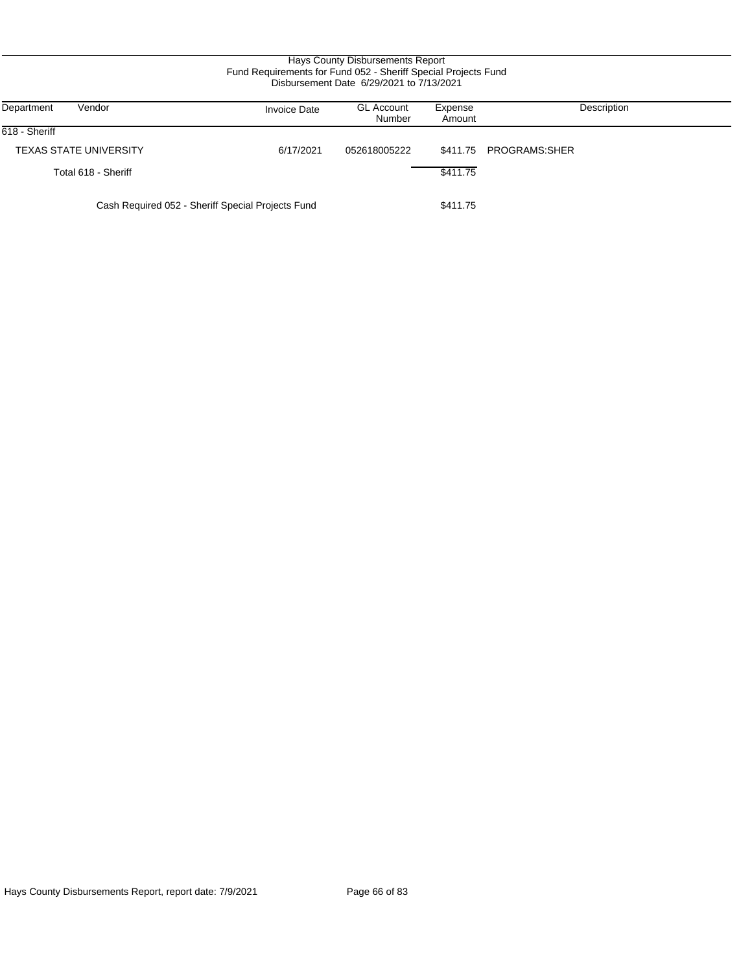# Hays County Disbursements Report Fund Requirements for Fund 052 - Sheriff Special Projects Fund Disbursement Date 6/29/2021 to 7/13/2021

| Vendor<br>Department                              | <b>Invoice Date</b> | <b>GL Account</b><br>Number | Expense<br>Amount | Description   |
|---------------------------------------------------|---------------------|-----------------------------|-------------------|---------------|
| 618 - Sheriff                                     |                     |                             |                   |               |
| <b>TEXAS STATE UNIVERSITY</b>                     | 6/17/2021           | 052618005222                | \$411.75          | PROGRAMS:SHER |
| Total 618 - Sheriff                               |                     |                             | \$411.75          |               |
| Cash Required 052 - Sheriff Special Projects Fund |                     |                             | \$411.75          |               |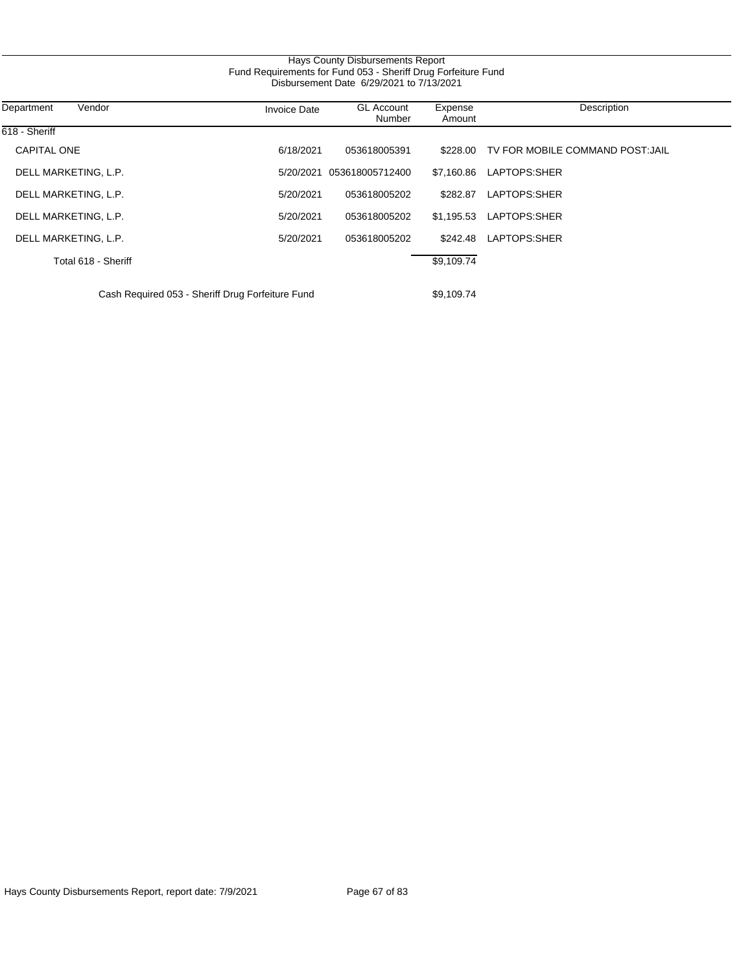|                                                                                                           |                     | Hays County Disbursements Report |                   |                                  |  |  |
|-----------------------------------------------------------------------------------------------------------|---------------------|----------------------------------|-------------------|----------------------------------|--|--|
| Fund Requirements for Fund 053 - Sheriff Drug Forfeiture Fund<br>Disbursement Date 6/29/2021 to 7/13/2021 |                     |                                  |                   |                                  |  |  |
| Department<br>Vendor                                                                                      | <b>Invoice Date</b> | <b>GL Account</b><br>Number      | Expense<br>Amount | Description                      |  |  |
| 618 - Sheriff                                                                                             |                     |                                  |                   |                                  |  |  |
| <b>CAPITAL ONE</b>                                                                                        | 6/18/2021           | 053618005391                     | \$228.00          | TV FOR MOBILE COMMAND POST: JAIL |  |  |
| DELL MARKETING, L.P.                                                                                      | 5/20/2021           | 053618005712400                  | \$7,160.86        | LAPTOPS:SHER                     |  |  |
| DELL MARKETING, L.P.                                                                                      | 5/20/2021           | 053618005202                     | \$282.87          | LAPTOPS:SHER                     |  |  |
| DELL MARKETING, L.P.                                                                                      | 5/20/2021           | 053618005202                     | \$1,195.53        | LAPTOPS:SHER                     |  |  |
| DELL MARKETING, L.P.                                                                                      | 5/20/2021           | 053618005202                     | \$242.48          | LAPTOPS:SHER                     |  |  |
| Total 618 - Sheriff                                                                                       |                     |                                  | \$9,109.74        |                                  |  |  |
| Cash Required 053 - Sheriff Drug Forfeiture Fund                                                          |                     |                                  | \$9,109.74        |                                  |  |  |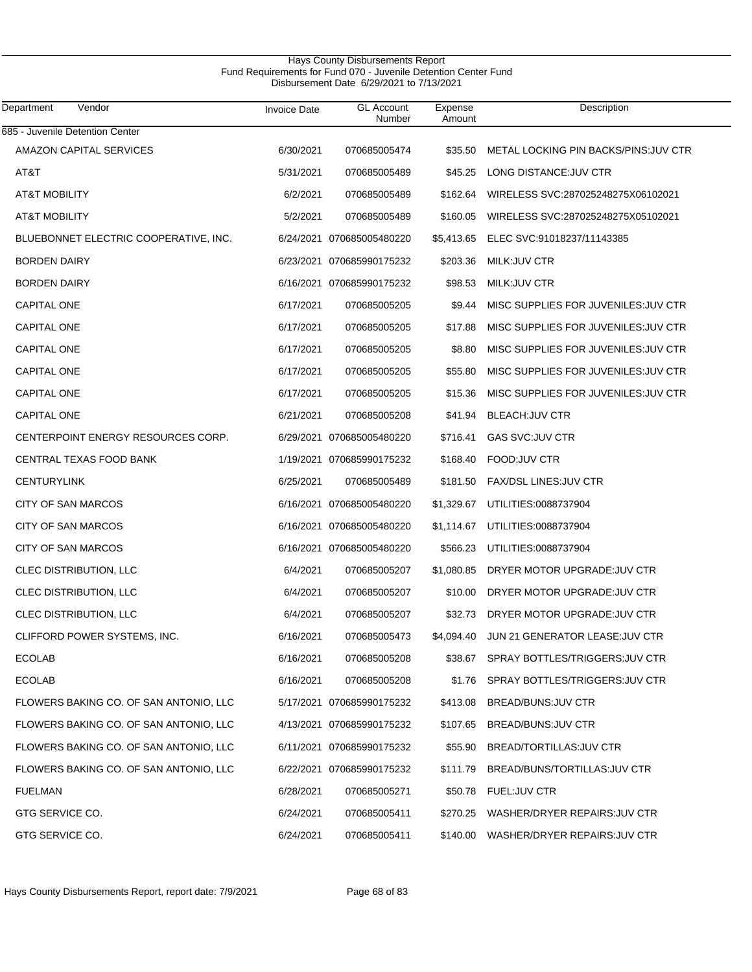# Hays County Disbursements Report Fund Requirements for Fund 070 - Juvenile Detention Center Fund Disbursement Date 6/29/2021 to 7/13/2021

| Department<br>Vendor                   | <b>Invoice Date</b> | <b>GL Account</b><br>Number | Expense<br>Amount | Description                             |
|----------------------------------------|---------------------|-----------------------------|-------------------|-----------------------------------------|
| 685 - Juvenile Detention Center        |                     |                             |                   |                                         |
| AMAZON CAPITAL SERVICES                | 6/30/2021           | 070685005474                | \$35.50           | METAL LOCKING PIN BACKS/PINS: JUV CTR   |
| AT&T                                   | 5/31/2021           | 070685005489                | \$45.25           | LONG DISTANCE: JUV CTR                  |
| <b>AT&amp;T MOBILITY</b>               | 6/2/2021            | 070685005489                | \$162.64          | WIRELESS SVC:287025248275X06102021      |
| <b>AT&amp;T MOBILITY</b>               | 5/2/2021            | 070685005489                | \$160.05          | WIRELESS SVC:287025248275X05102021      |
| BLUEBONNET ELECTRIC COOPERATIVE, INC.  |                     | 6/24/2021 070685005480220   | \$5,413.65        | ELEC SVC:91018237/11143385              |
| <b>BORDEN DAIRY</b>                    |                     | 6/23/2021 070685990175232   | \$203.36          | MILK: JUV CTR                           |
| <b>BORDEN DAIRY</b>                    |                     | 6/16/2021 070685990175232   | \$98.53           | MILK: JUV CTR                           |
| <b>CAPITAL ONE</b>                     | 6/17/2021           | 070685005205                | \$9.44            | MISC SUPPLIES FOR JUVENILES: JUV CTR    |
| CAPITAL ONE                            | 6/17/2021           | 070685005205                | \$17.88           | MISC SUPPLIES FOR JUVENILES: JUV CTR    |
| <b>CAPITAL ONE</b>                     | 6/17/2021           | 070685005205                | \$8.80            | MISC SUPPLIES FOR JUVENILES: JUV CTR    |
| <b>CAPITAL ONE</b>                     | 6/17/2021           | 070685005205                | \$55.80           | MISC SUPPLIES FOR JUVENILES: JUV CTR    |
| <b>CAPITAL ONE</b>                     | 6/17/2021           | 070685005205                | \$15.36           | MISC SUPPLIES FOR JUVENILES: JUV CTR    |
| <b>CAPITAL ONE</b>                     | 6/21/2021           | 070685005208                | \$41.94           | <b>BLEACH:JUV CTR</b>                   |
| CENTERPOINT ENERGY RESOURCES CORP.     |                     | 6/29/2021 070685005480220   | \$716.41          | <b>GAS SVC:JUV CTR</b>                  |
| CENTRAL TEXAS FOOD BANK                |                     | 1/19/2021 070685990175232   | \$168.40          | FOOD: JUV CTR                           |
| <b>CENTURYLINK</b>                     | 6/25/2021           | 070685005489                | \$181.50          | FAX/DSL LINES: JUV CTR                  |
| CITY OF SAN MARCOS                     |                     | 6/16/2021 070685005480220   | \$1,329.67        | UTILITIES:0088737904                    |
| CITY OF SAN MARCOS                     |                     | 6/16/2021 070685005480220   | \$1,114.67        | UTILITIES:0088737904                    |
| CITY OF SAN MARCOS                     |                     | 6/16/2021 070685005480220   | \$566.23          | UTILITIES:0088737904                    |
| CLEC DISTRIBUTION, LLC                 | 6/4/2021            | 070685005207                | \$1,080.85        | DRYER MOTOR UPGRADE: JUV CTR            |
| CLEC DISTRIBUTION, LLC                 | 6/4/2021            | 070685005207                | \$10.00           | DRYER MOTOR UPGRADE:JUV CTR             |
| CLEC DISTRIBUTION, LLC                 | 6/4/2021            | 070685005207                | \$32.73           | DRYER MOTOR UPGRADE: JUV CTR            |
| CLIFFORD POWER SYSTEMS, INC.           | 6/16/2021           | 070685005473                | \$4,094.40        | JUN 21 GENERATOR LEASE: JUV CTR         |
| <b>ECOLAB</b>                          | 6/16/2021           | 070685005208                |                   | \$38.67 SPRAY BOTTLES/TRIGGERS: JUV CTR |
| <b>ECOLAB</b>                          | 6/16/2021           | 070685005208                |                   | \$1.76 SPRAY BOTTLES/TRIGGERS: JUV CTR  |
| FLOWERS BAKING CO. OF SAN ANTONIO, LLC |                     | 5/17/2021 070685990175232   | \$413.08          | BREAD/BUNS: JUV CTR                     |
| FLOWERS BAKING CO. OF SAN ANTONIO, LLC |                     | 4/13/2021 070685990175232   | \$107.65          | BREAD/BUNS: JUV CTR                     |
| FLOWERS BAKING CO. OF SAN ANTONIO, LLC |                     | 6/11/2021 070685990175232   | \$55.90           | BREAD/TORTILLAS: JUV CTR                |
| FLOWERS BAKING CO. OF SAN ANTONIO, LLC |                     | 6/22/2021 070685990175232   | \$111.79          | BREAD/BUNS/TORTILLAS: JUV CTR           |
| <b>FUELMAN</b>                         | 6/28/2021           | 070685005271                |                   | \$50.78 FUEL:JUV CTR                    |
| GTG SERVICE CO.                        | 6/24/2021           | 070685005411                | \$270.25          | WASHER/DRYER REPAIRS: JUV CTR           |
| GTG SERVICE CO.                        | 6/24/2021           | 070685005411                |                   | \$140.00 WASHER/DRYER REPAIRS: JUV CTR  |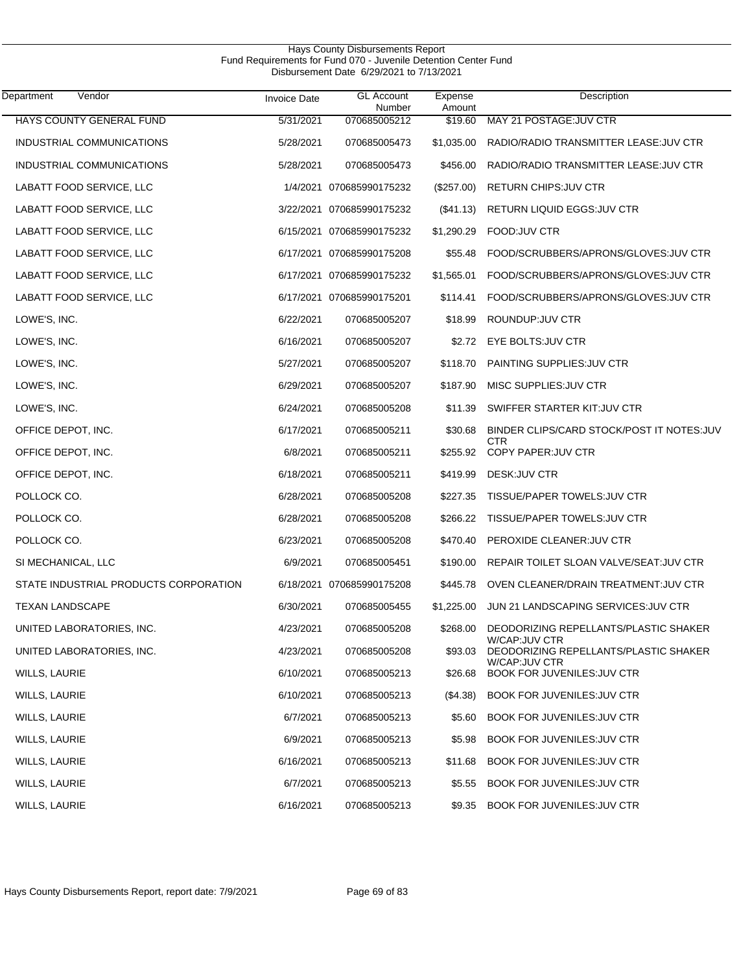| Vendor<br>Department                  | <b>Invoice Date</b> | <b>GL Account</b><br>Number | Expense<br>Amount | Description                                            |
|---------------------------------------|---------------------|-----------------------------|-------------------|--------------------------------------------------------|
| HAYS COUNTY GENERAL FUND              | 5/31/2021           | 070685005212                | \$19.60           | MAY 21 POSTAGE: JUV CTR                                |
| INDUSTRIAL COMMUNICATIONS             | 5/28/2021           | 070685005473                | \$1,035.00        | RADIO/RADIO TRANSMITTER LEASE: JUV CTR                 |
| INDUSTRIAL COMMUNICATIONS             | 5/28/2021           | 070685005473                | \$456.00          | RADIO/RADIO TRANSMITTER LEASE: JUV CTR                 |
| LABATT FOOD SERVICE, LLC              |                     | 1/4/2021 070685990175232    | (\$257.00)        | RETURN CHIPS: JUV CTR                                  |
| LABATT FOOD SERVICE, LLC              |                     | 3/22/2021 070685990175232   | (\$41.13)         | RETURN LIQUID EGGS: JUV CTR                            |
| LABATT FOOD SERVICE, LLC              |                     | 6/15/2021 070685990175232   | \$1,290.29        | FOOD: JUV CTR                                          |
| LABATT FOOD SERVICE, LLC              |                     | 6/17/2021 070685990175208   | \$55.48           | FOOD/SCRUBBERS/APRONS/GLOVES:JUV CTR                   |
| LABATT FOOD SERVICE, LLC              |                     | 6/17/2021 070685990175232   | \$1,565.01        | FOOD/SCRUBBERS/APRONS/GLOVES:JUV CTR                   |
| LABATT FOOD SERVICE, LLC              |                     | 6/17/2021 070685990175201   | \$114.41          | FOOD/SCRUBBERS/APRONS/GLOVES: JUV CTR                  |
| LOWE'S, INC.                          | 6/22/2021           | 070685005207                | \$18.99           | ROUNDUP: JUV CTR                                       |
| LOWE'S, INC.                          | 6/16/2021           | 070685005207                | \$2.72            | EYE BOLTS: JUV CTR                                     |
| LOWE'S, INC.                          | 5/27/2021           | 070685005207                | \$118.70          | PAINTING SUPPLIES: JUV CTR                             |
| LOWE'S, INC.                          | 6/29/2021           | 070685005207                | \$187.90          | MISC SUPPLIES: JUV CTR                                 |
| LOWE'S, INC.                          | 6/24/2021           | 070685005208                | \$11.39           | SWIFFER STARTER KIT: JUV CTR                           |
| OFFICE DEPOT, INC.                    | 6/17/2021           | 070685005211                | \$30.68           | BINDER CLIPS/CARD STOCK/POST IT NOTES: JUV<br>CTR      |
| OFFICE DEPOT, INC.                    | 6/8/2021            | 070685005211                | \$255.92          | COPY PAPER: JUV CTR                                    |
| OFFICE DEPOT, INC.                    | 6/18/2021           | 070685005211                | \$419.99          | DESK: JUV CTR                                          |
| POLLOCK CO.                           | 6/28/2021           | 070685005208                | \$227.35          | TISSUE/PAPER TOWELS: JUV CTR                           |
| POLLOCK CO.                           | 6/28/2021           | 070685005208                | \$266.22          | TISSUE/PAPER TOWELS: JUV CTR                           |
| POLLOCK CO.                           | 6/23/2021           | 070685005208                | \$470.40          | PEROXIDE CLEANER: JUV CTR                              |
| SI MECHANICAL, LLC                    | 6/9/2021            | 070685005451                | \$190.00          | REPAIR TOILET SLOAN VALVE/SEAT: JUV CTR                |
| STATE INDUSTRIAL PRODUCTS CORPORATION |                     | 6/18/2021 070685990175208   | \$445.78          | OVEN CLEANER/DRAIN TREATMENT: JUV CTR                  |
| <b>TEXAN LANDSCAPE</b>                | 6/30/2021           | 070685005455                |                   | \$1,225.00 JUN 21 LANDSCAPING SERVICES:JUV CTR         |
| UNITED LABORATORIES, INC.             | 4/23/2021           | 070685005208                | \$268.00          | DEODORIZING REPELLANTS/PLASTIC SHAKER<br>W/CAP:JUV CTR |
| UNITED LABORATORIES, INC.             | 4/23/2021           | 070685005208                | \$93.03           | DEODORIZING REPELLANTS/PLASTIC SHAKER<br>W/CAP:JUV CTR |
| WILLS, LAURIE                         | 6/10/2021           | 070685005213                | \$26.68           | BOOK FOR JUVENILES: JUV CTR                            |
| <b>WILLS, LAURIE</b>                  | 6/10/2021           | 070685005213                | (S4.38)           | BOOK FOR JUVENILES: JUV CTR                            |
| WILLS, LAURIE                         | 6/7/2021            | 070685005213                | \$5.60            | BOOK FOR JUVENILES: JUV CTR                            |
| <b>WILLS, LAURIE</b>                  | 6/9/2021            | 070685005213                | \$5.98            | BOOK FOR JUVENILES: JUV CTR                            |
| WILLS, LAURIE                         | 6/16/2021           | 070685005213                | \$11.68           | BOOK FOR JUVENILES: JUV CTR                            |
| <b>WILLS, LAURIE</b>                  | 6/7/2021            | 070685005213                | \$5.55            | BOOK FOR JUVENILES: JUV CTR                            |
| WILLS, LAURIE                         | 6/16/2021           | 070685005213                | \$9.35            | BOOK FOR JUVENILES: JUV CTR                            |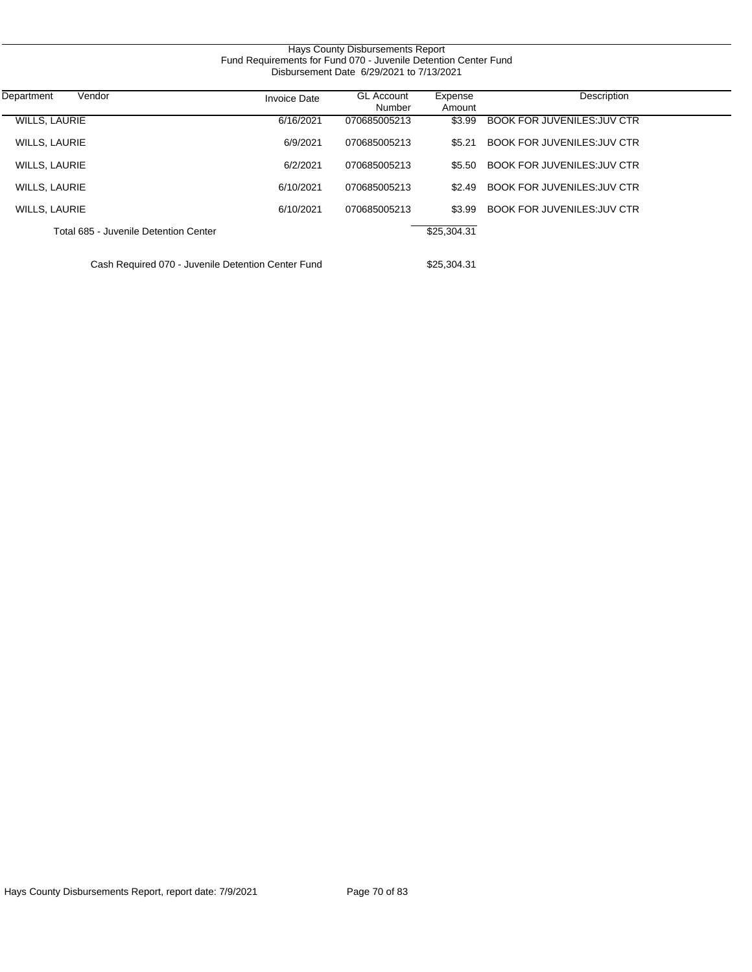|                                                    | Fund Requirements for Fund 070 - Juvenile Detention Center Fund | Hays County Disbursements Report<br>Disbursement Date 6/29/2021 to 7/13/2021 |                   |                                    |  |
|----------------------------------------------------|-----------------------------------------------------------------|------------------------------------------------------------------------------|-------------------|------------------------------------|--|
| Vendor<br>Department                               | <b>Invoice Date</b>                                             | <b>GL Account</b><br>Number                                                  | Expense<br>Amount | Description                        |  |
| <b>WILLS, LAURIE</b>                               | 6/16/2021                                                       | 070685005213                                                                 | \$3.99            | <b>BOOK FOR JUVENILES: JUV CTR</b> |  |
| <b>WILLS, LAURIE</b>                               | 6/9/2021                                                        | 070685005213                                                                 | \$5.21            | <b>BOOK FOR JUVENILES: JUV CTR</b> |  |
| <b>WILLS, LAURIE</b>                               | 6/2/2021                                                        | 070685005213                                                                 | \$5.50            | <b>BOOK FOR JUVENILES: JUV CTR</b> |  |
| <b>WILLS, LAURIE</b>                               | 6/10/2021                                                       | 070685005213                                                                 | \$2.49            | <b>BOOK FOR JUVENILES: JUV CTR</b> |  |
| <b>WILLS, LAURIE</b>                               | 6/10/2021                                                       | 070685005213                                                                 | \$3.99            | <b>BOOK FOR JUVENILES: JUV CTR</b> |  |
| Total 685 - Juvenile Detention Center              |                                                                 |                                                                              | \$25,304.31       |                                    |  |
| Cash Required 070 - Juvenile Detention Center Fund |                                                                 |                                                                              | \$25,304.31       |                                    |  |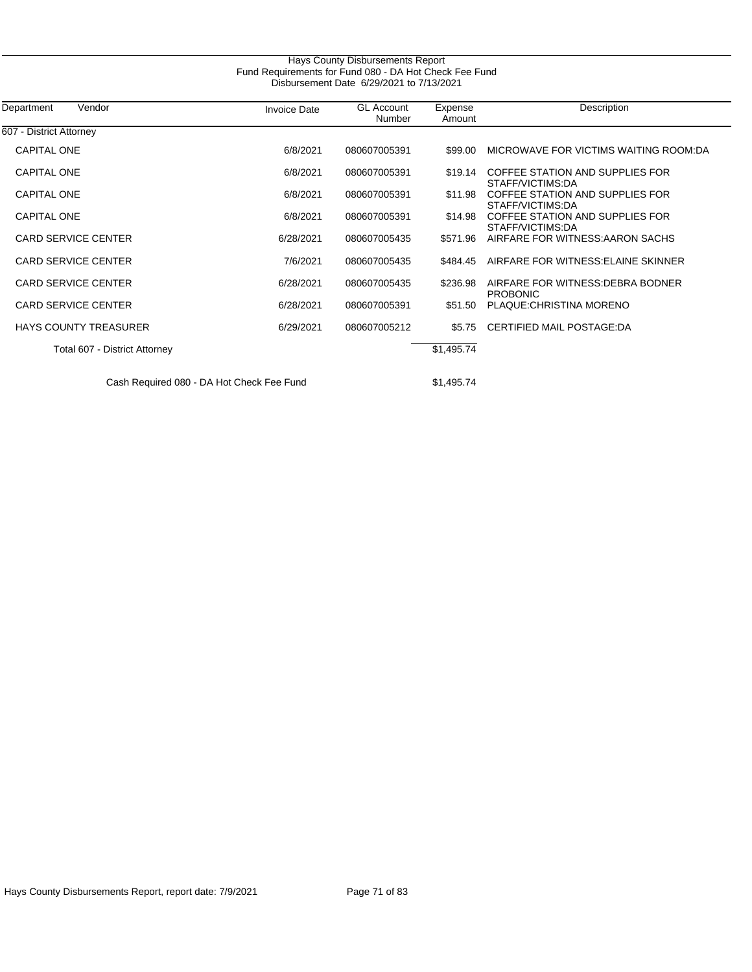| Department<br>Vendor          | <b>Invoice Date</b> | <b>GL Account</b><br>Number | Expense<br>Amount | Description                                          |
|-------------------------------|---------------------|-----------------------------|-------------------|------------------------------------------------------|
| 607 - District Attorney       |                     |                             |                   |                                                      |
| <b>CAPITAL ONE</b>            | 6/8/2021            | 080607005391                | \$99.00           | MICROWAVE FOR VICTIMS WAITING ROOM:DA                |
| <b>CAPITAL ONE</b>            | 6/8/2021            | 080607005391                | \$19.14           | COFFEE STATION AND SUPPLIES FOR<br>STAFF/VICTIMS:DA  |
| <b>CAPITAL ONE</b>            | 6/8/2021            | 080607005391                | \$11.98           | COFFEE STATION AND SUPPLIES FOR<br>STAFF/VICTIMS:DA  |
| <b>CAPITAL ONE</b>            | 6/8/2021            | 080607005391                | \$14.98           | COFFEE STATION AND SUPPLIES FOR<br>STAFF/VICTIMS:DA  |
| <b>CARD SERVICE CENTER</b>    | 6/28/2021           | 080607005435                | \$571.96          | AIRFARE FOR WITNESS: AARON SACHS                     |
| <b>CARD SERVICE CENTER</b>    | 7/6/2021            | 080607005435                | \$484.45          | AIRFARE FOR WITNESS: ELAINE SKINNER                  |
| <b>CARD SERVICE CENTER</b>    | 6/28/2021           | 080607005435                | \$236.98          | AIRFARE FOR WITNESS: DEBRA BODNER<br><b>PROBONIC</b> |
| <b>CARD SERVICE CENTER</b>    | 6/28/2021           | 080607005391                | \$51.50           | PLAQUE: CHRISTINA MORENO                             |
| <b>HAYS COUNTY TREASURER</b>  | 6/29/2021           | 080607005212                | \$5.75            | CERTIFIED MAIL POSTAGE:DA                            |
| Total 607 - District Attorney |                     |                             | \$1,495.74        |                                                      |

Hays County Disbursements Report, report date: 7/9/2021 Page 71 of 83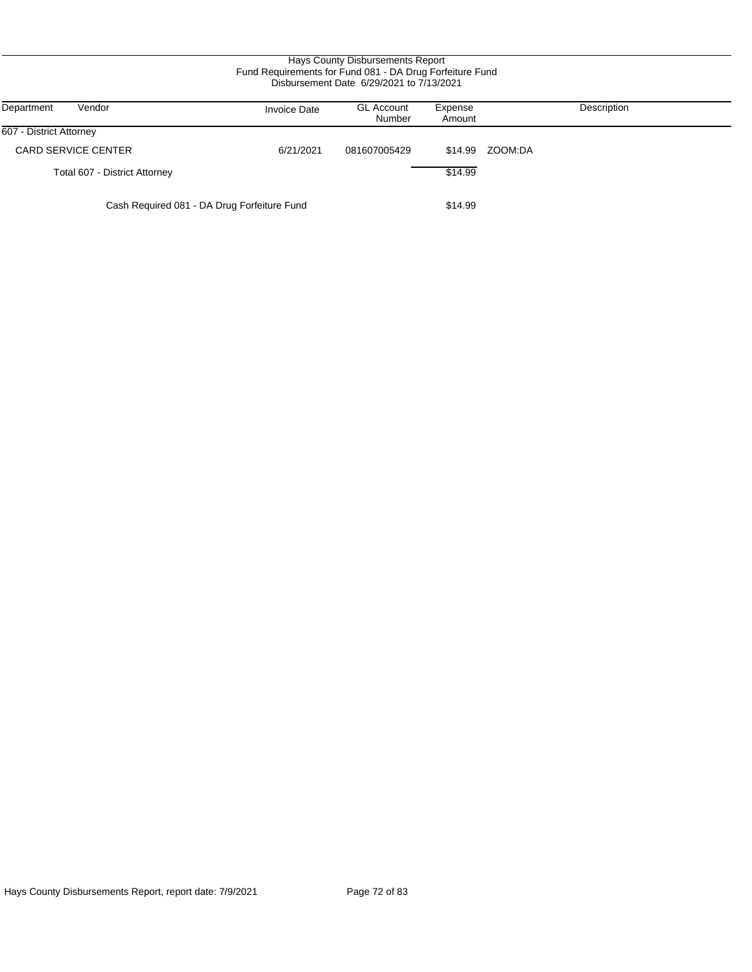| Hays County Disbursements Report<br>Fund Requirements for Fund 081 - DA Drug Forfeiture Fund<br>Disbursement Date 6/29/2021 to 7/13/2021 |                     |                             |                   |             |  |  |
|------------------------------------------------------------------------------------------------------------------------------------------|---------------------|-----------------------------|-------------------|-------------|--|--|
| Department<br>Vendor                                                                                                                     | <b>Invoice Date</b> | <b>GL Account</b><br>Number | Expense<br>Amount | Description |  |  |
| 607 - District Attorney                                                                                                                  |                     |                             |                   |             |  |  |
| <b>CARD SERVICE CENTER</b>                                                                                                               | 6/21/2021           | 081607005429                | \$14.99           | ZOOM:DA     |  |  |
| Total 607 - District Attorney                                                                                                            |                     |                             | \$14.99           |             |  |  |
| Cash Required 081 - DA Drug Forfeiture Fund                                                                                              |                     |                             | \$14.99           |             |  |  |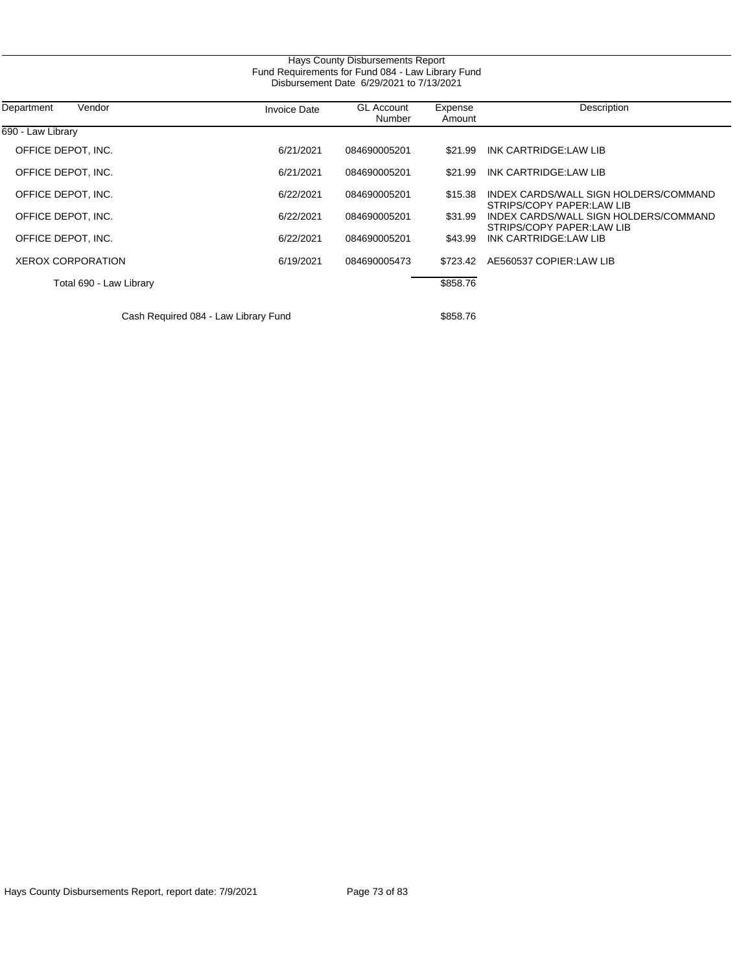| Hays County Disbursements Report<br>Fund Requirements for Fund 084 - Law Library Fund<br>Disbursement Date 6/29/2021 to 7/13/2021 |                     |                             |                   |                                                                    |  |  |
|-----------------------------------------------------------------------------------------------------------------------------------|---------------------|-----------------------------|-------------------|--------------------------------------------------------------------|--|--|
| Department<br>Vendor                                                                                                              | <b>Invoice Date</b> | <b>GL Account</b><br>Number | Expense<br>Amount | Description                                                        |  |  |
| 690 - Law Library                                                                                                                 |                     |                             |                   |                                                                    |  |  |
| OFFICE DEPOT, INC.                                                                                                                | 6/21/2021           | 084690005201                | \$21.99           | INK CARTRIDGE:LAW LIB                                              |  |  |
| OFFICE DEPOT, INC.                                                                                                                | 6/21/2021           | 084690005201                | \$21.99           | INK CARTRIDGE:LAW LIB                                              |  |  |
| OFFICE DEPOT, INC.                                                                                                                | 6/22/2021           | 084690005201                | \$15.38           | INDEX CARDS/WALL SIGN HOLDERS/COMMAND<br>STRIPS/COPY PAPER:LAW LIB |  |  |
| OFFICE DEPOT, INC.                                                                                                                | 6/22/2021           | 084690005201                | \$31.99           | INDEX CARDS/WALL SIGN HOLDERS/COMMAND<br>STRIPS/COPY PAPER:LAW LIB |  |  |
| OFFICE DEPOT, INC.                                                                                                                | 6/22/2021           | 084690005201                | \$43.99           | INK CARTRIDGE:LAW LIB                                              |  |  |
| <b>XEROX CORPORATION</b>                                                                                                          | 6/19/2021           | 084690005473                | \$723.42          | AE560537 COPIER:LAW LIB                                            |  |  |
| Total 690 - Law Library                                                                                                           |                     |                             | \$858.76          |                                                                    |  |  |
| Cash Required 084 - Law Library Fund                                                                                              |                     |                             | \$858.76          |                                                                    |  |  |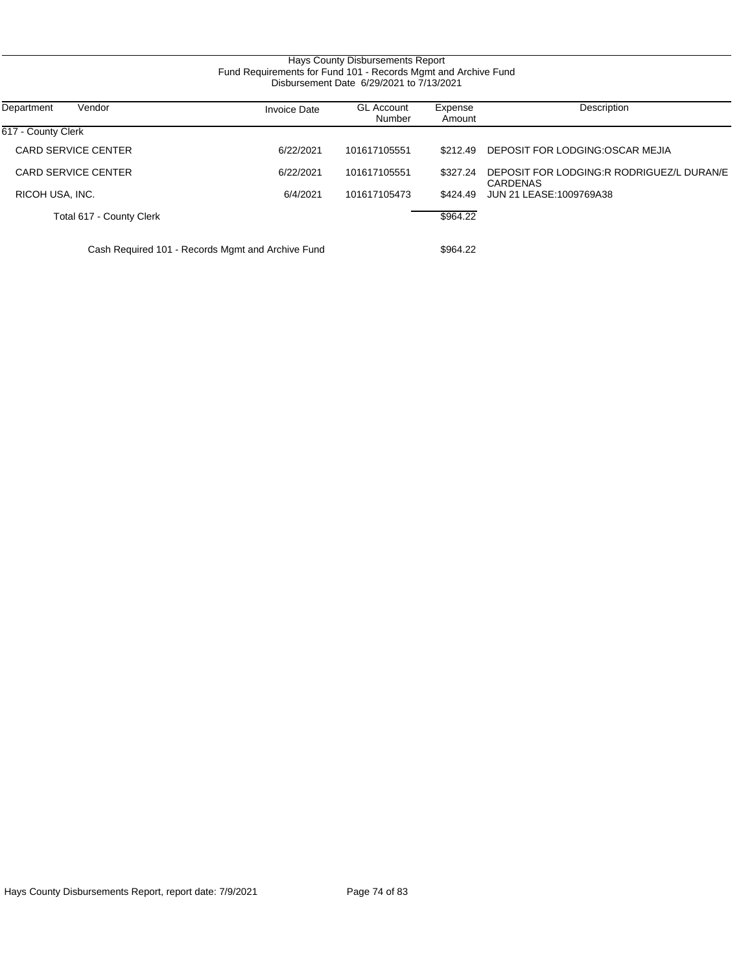### Hays County Disbursements Report Fund Requirements for Fund 101 - Records Mgmt and Archive Fund Disbursement Date 6/29/2021 to 7/13/2021

| Department<br>Vendor                              | <b>Invoice Date</b> | <b>GL Account</b><br>Number | Expense<br>Amount | Description                                           |
|---------------------------------------------------|---------------------|-----------------------------|-------------------|-------------------------------------------------------|
| 617 - County Clerk                                |                     |                             |                   |                                                       |
| CARD SERVICE CENTER                               | 6/22/2021           | 101617105551                | \$212.49          | DEPOSIT FOR LODGING OSCAR MEJIA                       |
| CARD SERVICE CENTER                               | 6/22/2021           | 101617105551                | \$327.24          | DEPOSIT FOR LODGING:R RODRIGUEZ/L DURAN/E<br>CARDENAS |
| RICOH USA, INC.                                   | 6/4/2021            | 101617105473                | \$424.49          | JUN 21 LEASE: 1009769A38                              |
| Total 617 - County Clerk                          |                     |                             | \$964.22          |                                                       |
| Cash Required 101 - Records Mgmt and Archive Fund |                     |                             | \$964.22          |                                                       |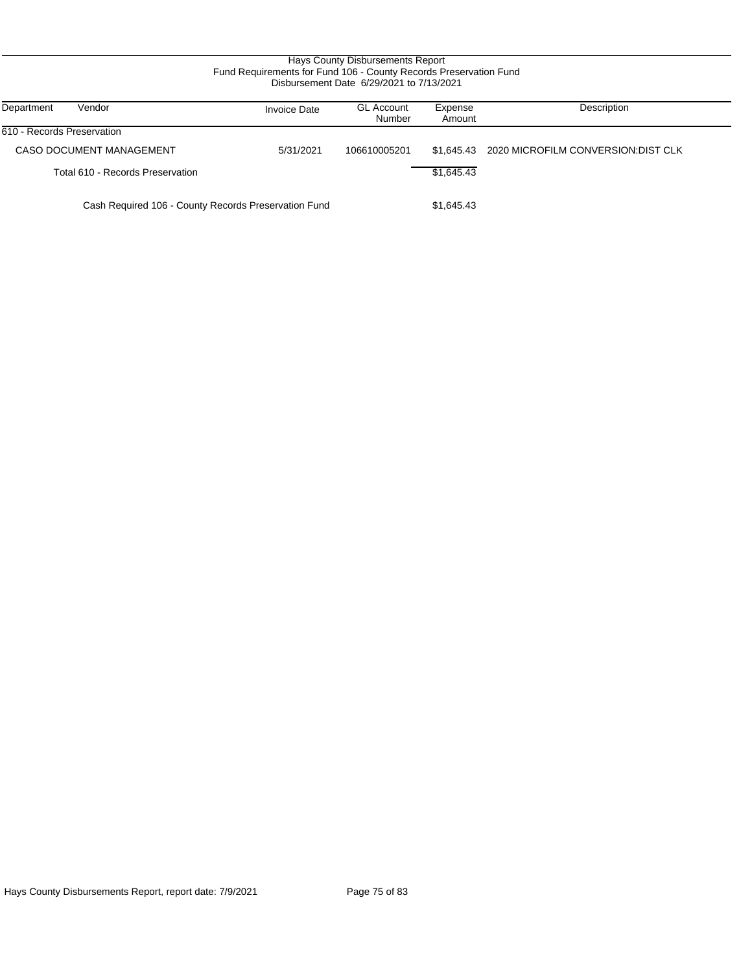### Hays County Disbursements Report Fund Requirements for Fund 106 - County Records Preservation Fund Disbursement Date 6/29/2021 to 7/13/2021

| Department<br>Vendor                                 | <b>Invoice Date</b> | <b>GL Account</b><br>Number | Expense<br>Amount | Description                         |
|------------------------------------------------------|---------------------|-----------------------------|-------------------|-------------------------------------|
| 610 - Records Preservation                           |                     |                             |                   |                                     |
| CASO DOCUMENT MANAGEMENT                             | 5/31/2021           | 106610005201                | \$1.645.43        | 2020 MICROFILM CONVERSION: DIST CLK |
| Total 610 - Records Preservation                     |                     |                             | \$1.645.43        |                                     |
| Cash Required 106 - County Records Preservation Fund |                     | \$1,645.43                  |                   |                                     |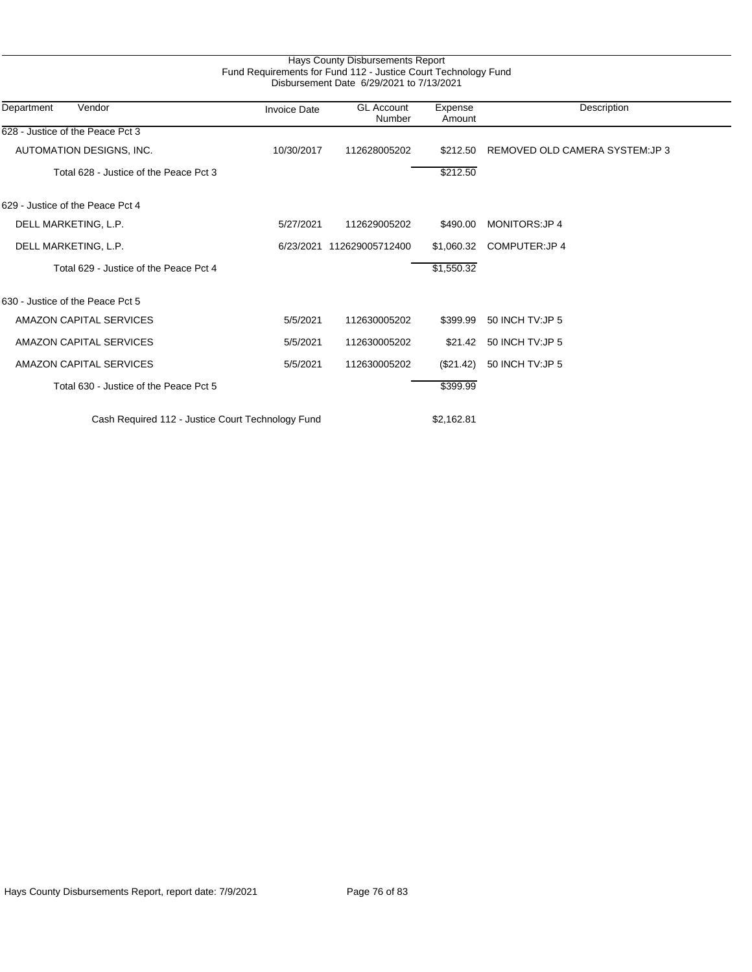| Vendor<br>Department                              | <b>Invoice Date</b> | <b>GL Account</b><br>Number | Expense<br>Amount | Description                     |
|---------------------------------------------------|---------------------|-----------------------------|-------------------|---------------------------------|
| 628 - Justice of the Peace Pct 3                  |                     |                             |                   |                                 |
| AUTOMATION DESIGNS, INC.                          | 10/30/2017          | 112628005202                | \$212.50          | REMOVED OLD CAMERA SYSTEM: JP 3 |
| Total 628 - Justice of the Peace Pct 3            |                     |                             | \$212.50          |                                 |
| 629 - Justice of the Peace Pct 4                  |                     |                             |                   |                                 |
| DELL MARKETING, L.P.                              | 5/27/2021           | 112629005202                | \$490.00          | <b>MONITORS:JP4</b>             |
| DELL MARKETING, L.P.                              |                     | 6/23/2021 112629005712400   | \$1,060.32        | COMPUTER: JP 4                  |
| Total 629 - Justice of the Peace Pct 4            |                     |                             | \$1,550.32        |                                 |
| 630 - Justice of the Peace Pct 5                  |                     |                             |                   |                                 |
| AMAZON CAPITAL SERVICES                           | 5/5/2021            | 112630005202                | \$399.99          | 50 INCH TV: JP 5                |
| <b>AMAZON CAPITAL SERVICES</b>                    | 5/5/2021            | 112630005202                | \$21.42           | 50 INCH TV: JP 5                |
| AMAZON CAPITAL SERVICES                           | 5/5/2021            | 112630005202                | $(\$21.42)$       | 50 INCH TV: JP 5                |
| Total 630 - Justice of the Peace Pct 5            |                     |                             | \$399.99          |                                 |
| Cash Required 112 - Justice Court Technology Fund |                     |                             | \$2,162.81        |                                 |

Hays County Disbursements Report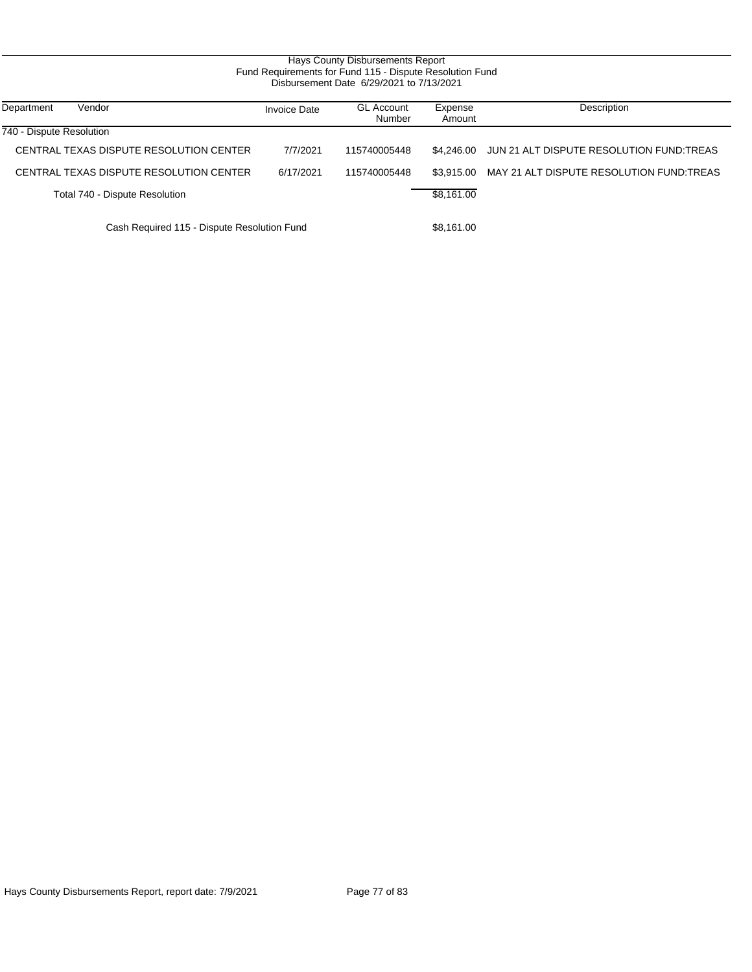### Hays County Disbursements Report Fund Requirements for Fund 115 - Dispute Resolution Fund Disbursement Date 6/29/2021 to 7/13/2021

| Department<br>Vendor                        | <b>Invoice Date</b> | <b>GL Account</b><br>Number | Expense<br>Amount | Description                              |
|---------------------------------------------|---------------------|-----------------------------|-------------------|------------------------------------------|
| 740 - Dispute Resolution                    |                     |                             |                   |                                          |
| CENTRAL TEXAS DISPUTE RESOLUTION CENTER     | 7/7/2021            | 115740005448                | \$4.246.00        | JUN 21 ALT DISPUTE RESOLUTION FUND:TREAS |
| CENTRAL TEXAS DISPUTE RESOLUTION CENTER     | 6/17/2021           | 115740005448                | \$3.915.00        | MAY 21 ALT DISPUTE RESOLUTION FUND:TREAS |
| Total 740 - Dispute Resolution              |                     |                             | \$8.161.00        |                                          |
| Cash Required 115 - Dispute Resolution Fund |                     |                             | \$8.161.00        |                                          |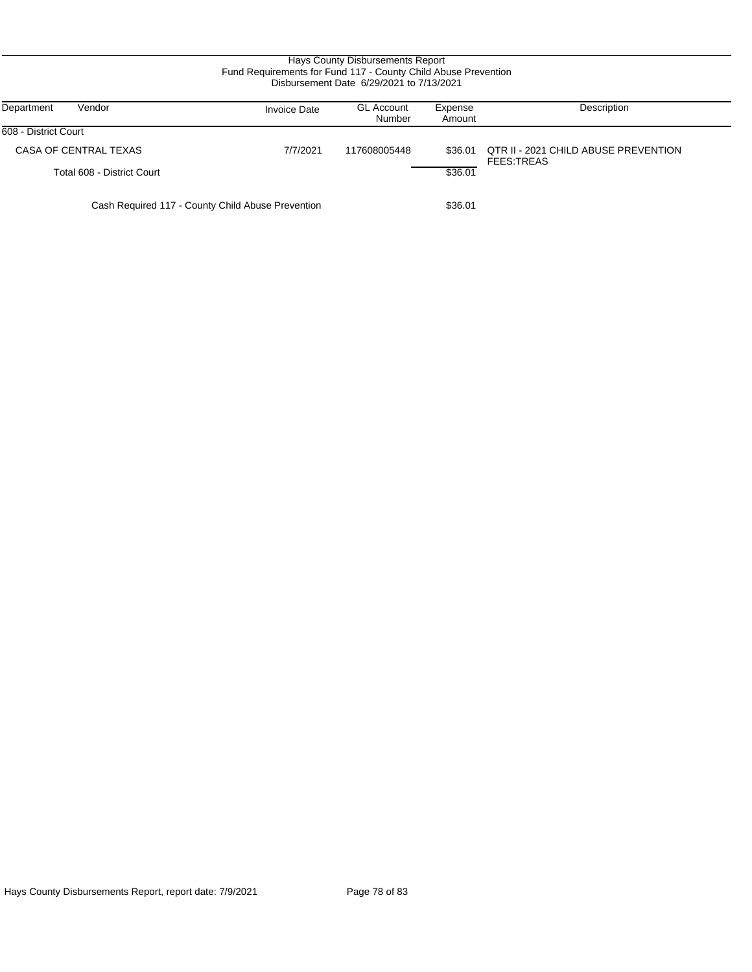### Hays County Disbursements Report Fund Requirements for Fund 117 - County Child Abuse Prevention Disbursement Date 6/29/2021 to 7/13/2021

| Vendor<br>Department                              | <b>Invoice Date</b> | <b>GL Account</b><br>Number | Expense<br>Amount | Description                                               |
|---------------------------------------------------|---------------------|-----------------------------|-------------------|-----------------------------------------------------------|
| 608 - District Court                              |                     |                             |                   |                                                           |
| CASA OF CENTRAL TEXAS                             | 7/7/2021            | 117608005448                | \$36.01           | QTR II - 2021 CHILD ABUSE PREVENTION<br><b>FEES:TREAS</b> |
| Total 608 - District Court                        |                     |                             | \$36.01           |                                                           |
| Cash Required 117 - County Child Abuse Prevention |                     |                             | \$36.01           |                                                           |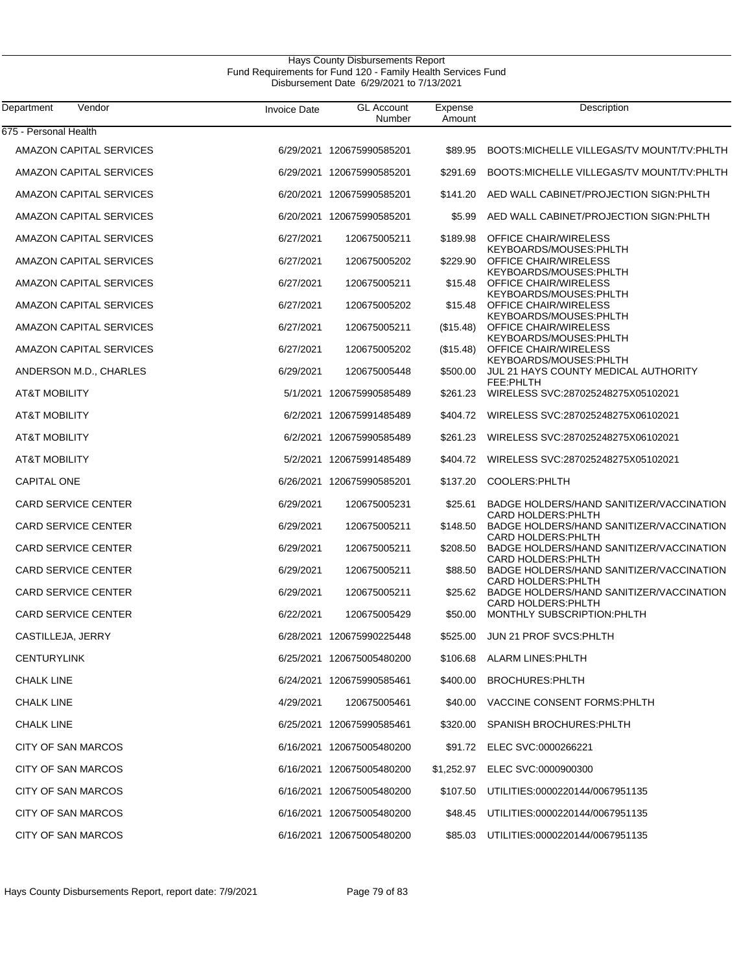#### Hays County Disbursements Report Fund Requirements for Fund 120 - Family Health Services Fund Disbursement Date 6/29/2021 to 7/13/2021

| Vendor<br>Department           | <b>Invoice Date</b> | <b>GL Account</b><br>Number | Expense<br>Amount | Description                                                            |
|--------------------------------|---------------------|-----------------------------|-------------------|------------------------------------------------------------------------|
| 675 - Personal Health          |                     |                             |                   |                                                                        |
| AMAZON CAPITAL SERVICES        |                     | 6/29/2021 120675990585201   | \$89.95           | BOOTS: MICHELLE VILLEGAS/TV MOUNT/TV: PHLTH                            |
| AMAZON CAPITAL SERVICES        |                     | 6/29/2021 120675990585201   | \$291.69          | BOOTS: MICHELLE VILLEGAS/TV MOUNT/TV: PHLTH                            |
| AMAZON CAPITAL SERVICES        |                     | 6/20/2021 120675990585201   | \$141.20          | AED WALL CABINET/PROJECTION SIGN: PHLTH                                |
| AMAZON CAPITAL SERVICES        |                     | 6/20/2021 120675990585201   | \$5.99            | AED WALL CABINET/PROJECTION SIGN: PHLTH                                |
| <b>AMAZON CAPITAL SERVICES</b> | 6/27/2021           | 120675005211                | \$189.98          | <b>OFFICE CHAIR/WIRELESS</b><br>KEYBOARDS/MOUSES:PHLTH                 |
| <b>AMAZON CAPITAL SERVICES</b> | 6/27/2021           | 120675005202                | \$229.90          | <b>OFFICE CHAIR/WIRELESS</b><br>KEYBOARDS/MOUSES:PHLTH                 |
| <b>AMAZON CAPITAL SERVICES</b> | 6/27/2021           | 120675005211                | \$15.48           | <b>OFFICE CHAIR/WIRELESS</b><br>KEYBOARDS/MOUSES:PHLTH                 |
| AMAZON CAPITAL SERVICES        | 6/27/2021           | 120675005202                | \$15.48           | <b>OFFICE CHAIR/WIRELESS</b><br>KEYBOARDS/MOUSES:PHLTH                 |
| AMAZON CAPITAL SERVICES        | 6/27/2021           | 120675005211                | (\$15.48)         | <b>OFFICE CHAIR/WIRELESS</b><br>KEYBOARDS/MOUSES:PHLTH                 |
| <b>AMAZON CAPITAL SERVICES</b> | 6/27/2021           | 120675005202                | (\$15.48)         | <b>OFFICE CHAIR/WIRELESS</b><br>KEYBOARDS/MOUSES:PHLTH                 |
| ANDERSON M.D., CHARLES         | 6/29/2021           | 120675005448                | \$500.00          | JUL 21 HAYS COUNTY MEDICAL AUTHORITY<br>FEE:PHLTH                      |
| <b>AT&amp;T MOBILITY</b>       |                     | 5/1/2021 120675990585489    | \$261.23          | WIRELESS SVC:287025248275X05102021                                     |
| <b>AT&amp;T MOBILITY</b>       |                     | 6/2/2021 120675991485489    | \$404.72          | WIRELESS SVC:287025248275X06102021                                     |
| <b>AT&amp;T MOBILITY</b>       |                     | 6/2/2021 120675990585489    | \$261.23          | WIRELESS SVC:287025248275X06102021                                     |
| <b>AT&amp;T MOBILITY</b>       |                     | 5/2/2021 120675991485489    | \$404.72          | WIRELESS SVC:287025248275X05102021                                     |
| <b>CAPITAL ONE</b>             |                     | 6/26/2021 120675990585201   | \$137.20          | COOLERS: PHLTH                                                         |
| <b>CARD SERVICE CENTER</b>     | 6/29/2021           | 120675005231                | \$25.61           | BADGE HOLDERS/HAND SANITIZER/VACCINATION<br><b>CARD HOLDERS: PHLTH</b> |
| <b>CARD SERVICE CENTER</b>     | 6/29/2021           | 120675005211                | \$148.50          | BADGE HOLDERS/HAND SANITIZER/VACCINATION<br><b>CARD HOLDERS: PHLTH</b> |
| <b>CARD SERVICE CENTER</b>     | 6/29/2021           | 120675005211                | \$208.50          | BADGE HOLDERS/HAND SANITIZER/VACCINATION<br><b>CARD HOLDERS: PHLTH</b> |
| <b>CARD SERVICE CENTER</b>     | 6/29/2021           | 120675005211                | \$88.50           | BADGE HOLDERS/HAND SANITIZER/VACCINATION<br><b>CARD HOLDERS: PHLTH</b> |
| <b>CARD SERVICE CENTER</b>     | 6/29/2021           | 120675005211                | \$25.62           | BADGE HOLDERS/HAND SANITIZER/VACCINATION<br><b>CARD HOLDERS: PHLTH</b> |
| <b>CARD SERVICE CENTER</b>     | 6/22/2021           | 120675005429                | \$50.00           | MONTHLY SUBSCRIPTION: PHLTH                                            |
| CASTILLEJA, JERRY              |                     | 6/28/2021 120675990225448   | \$525.00          | <b>JUN 21 PROF SVCS: PHLTH</b>                                         |
| <b>CENTURYLINK</b>             |                     | 6/25/2021 120675005480200   |                   | \$106.68 ALARM LINES: PHLTH                                            |
| <b>CHALK LINE</b>              |                     | 6/24/2021 120675990585461   | \$400.00          | <b>BROCHURES:PHLTH</b>                                                 |
| <b>CHALK LINE</b>              | 4/29/2021           | 120675005461                |                   | \$40.00 VACCINE CONSENT FORMS: PHLTH                                   |
| <b>CHALK LINE</b>              |                     | 6/25/2021 120675990585461   |                   | \$320.00 SPANISH BROCHURES: PHLTH                                      |
| <b>CITY OF SAN MARCOS</b>      |                     | 6/16/2021 120675005480200   |                   | \$91.72 ELEC SVC:0000266221                                            |
| CITY OF SAN MARCOS             |                     | 6/16/2021 120675005480200   |                   | \$1,252.97 ELEC SVC:0000900300                                         |
| CITY OF SAN MARCOS             |                     | 6/16/2021 120675005480200   |                   | \$107.50 UTILITIES:0000220144/0067951135                               |
| CITY OF SAN MARCOS             |                     | 6/16/2021 120675005480200   | \$48.45           | UTILITIES:0000220144/0067951135                                        |
| CITY OF SAN MARCOS             |                     | 6/16/2021 120675005480200   |                   | \$85.03 UTILITIES:0000220144/0067951135                                |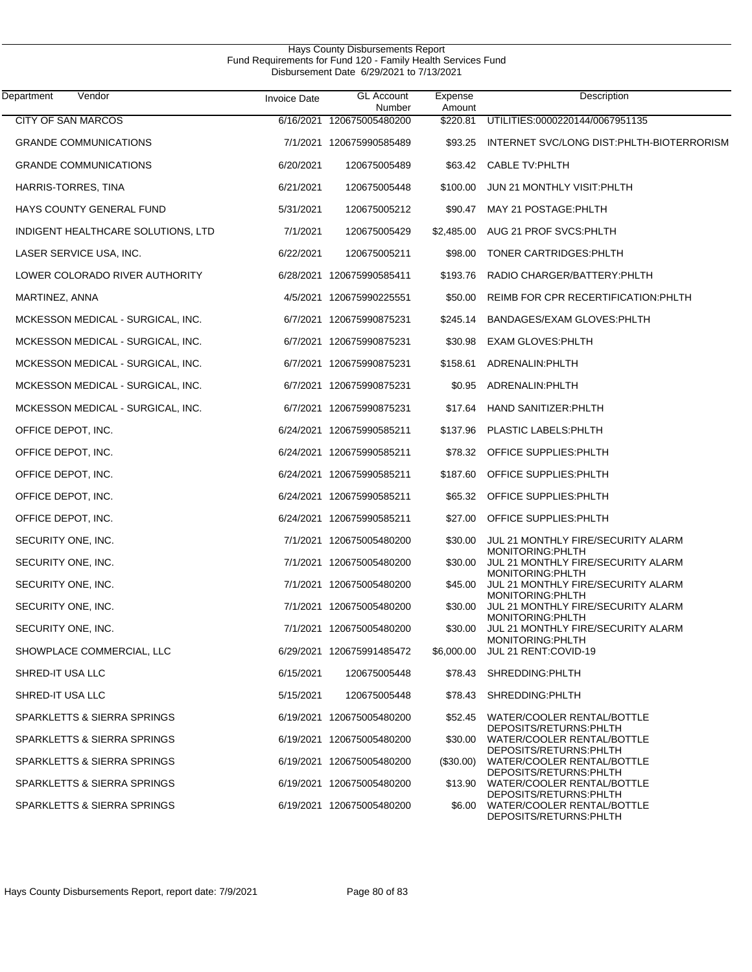| Vendor<br>Department               | Invoice Date | <b>GL Account</b><br>Number | Expense<br>Amount | Description                                                                           |
|------------------------------------|--------------|-----------------------------|-------------------|---------------------------------------------------------------------------------------|
| <b>CITY OF SAN MARCOS</b>          |              | 6/16/2021 120675005480200   | \$220.81          | UTILITIES:0000220144/0067951135                                                       |
| <b>GRANDE COMMUNICATIONS</b>       |              | 7/1/2021 120675990585489    | \$93.25           | INTERNET SVC/LONG DIST: PHLTH-BIOTERRORISM                                            |
| <b>GRANDE COMMUNICATIONS</b>       | 6/20/2021    | 120675005489                | \$63.42           | <b>CABLE TV:PHLTH</b>                                                                 |
| HARRIS-TORRES, TINA                | 6/21/2021    | 120675005448                | \$100.00          | JUN 21 MONTHLY VISIT: PHLTH                                                           |
| HAYS COUNTY GENERAL FUND           | 5/31/2021    | 120675005212                | \$90.47           | MAY 21 POSTAGE: PHLTH                                                                 |
| INDIGENT HEALTHCARE SOLUTIONS, LTD | 7/1/2021     | 120675005429                | \$2,485.00        | AUG 21 PROF SVCS: PHLTH                                                               |
| LASER SERVICE USA, INC.            | 6/22/2021    | 120675005211                | \$98.00           | TONER CARTRIDGES: PHLTH                                                               |
| LOWER COLORADO RIVER AUTHORITY     |              | 6/28/2021 120675990585411   | \$193.76          | RADIO CHARGER/BATTERY: PHLTH                                                          |
| MARTINEZ, ANNA                     |              | 4/5/2021 120675990225551    | \$50.00           | REIMB FOR CPR RECERTIFICATION: PHLTH                                                  |
| MCKESSON MEDICAL - SURGICAL, INC.  |              | 6/7/2021 120675990875231    | \$245.14          | BANDAGES/EXAM GLOVES: PHLTH                                                           |
| MCKESSON MEDICAL - SURGICAL, INC.  |              | 6/7/2021 120675990875231    | \$30.98           | <b>EXAM GLOVES: PHLTH</b>                                                             |
| MCKESSON MEDICAL - SURGICAL, INC.  |              | 6/7/2021 120675990875231    | \$158.61          | ADRENALIN: PHLTH                                                                      |
| MCKESSON MEDICAL - SURGICAL, INC.  |              | 6/7/2021 120675990875231    | \$0.95            | ADRENALIN: PHLTH                                                                      |
| MCKESSON MEDICAL - SURGICAL, INC.  |              | 6/7/2021 120675990875231    | \$17.64           | HAND SANITIZER: PHLTH                                                                 |
| OFFICE DEPOT, INC.                 |              | 6/24/2021 120675990585211   | \$137.96          | PLASTIC LABELS: PHLTH                                                                 |
| OFFICE DEPOT, INC.                 |              | 6/24/2021 120675990585211   | \$78.32           | OFFICE SUPPLIES: PHLTH                                                                |
| OFFICE DEPOT, INC.                 |              | 6/24/2021 120675990585211   | \$187.60          | OFFICE SUPPLIES: PHLTH                                                                |
| OFFICE DEPOT, INC.                 |              | 6/24/2021 120675990585211   | \$65.32           | OFFICE SUPPLIES: PHLTH                                                                |
| OFFICE DEPOT, INC.                 |              | 6/24/2021 120675990585211   | \$27.00           | OFFICE SUPPLIES: PHLTH                                                                |
| SECURITY ONE, INC.                 |              | 7/1/2021 120675005480200    | \$30.00           | JUL 21 MONTHLY FIRE/SECURITY ALARM                                                    |
| SECURITY ONE, INC.                 |              | 7/1/2021 120675005480200    | \$30.00           | MONITORING: PHLTH<br>JUL 21 MONTHLY FIRE/SECURITY ALARM                               |
| SECURITY ONE, INC.                 |              | 7/1/2021 120675005480200    | \$45.00           | MONITORING: PHLTH<br>JUL 21 MONTHLY FIRE/SECURITY ALARM                               |
| SECURITY ONE, INC.                 |              | 7/1/2021 120675005480200    |                   | MONITORING: PHLTH<br>\$30.00 JUL 21 MONTHLY FIRE/SECURITY ALARM                       |
| SECURITY ONE, INC.                 |              | 7/1/2021 120675005480200    | \$30.00           | <b>MONITORING: PHLTH</b><br>JUL 21 MONTHLY FIRE/SECURITY ALARM                        |
| SHOWPLACE COMMERCIAL, LLC          |              | 6/29/2021 120675991485472   | \$6,000.00        | <b>MONITORING: PHLTH</b><br>JUL 21 RENT:COVID-19                                      |
| SHRED-IT USA LLC                   | 6/15/2021    | 120675005448                |                   | \$78.43 SHREDDING: PHLTH                                                              |
| SHRED-IT USA LLC                   | 5/15/2021    | 120675005448                |                   | \$78.43 SHREDDING: PHLTH                                                              |
| SPARKLETTS & SIERRA SPRINGS        |              | 6/19/2021 120675005480200   | \$52.45           | WATER/COOLER RENTAL/BOTTLE                                                            |
| SPARKLETTS & SIERRA SPRINGS        |              | 6/19/2021 120675005480200   | \$30.00           | DEPOSITS/RETURNS:PHLTH<br>WATER/COOLER RENTAL/BOTTLE                                  |
| SPARKLETTS & SIERRA SPRINGS        |              | 6/19/2021 120675005480200   | (\$30.00)         | DEPOSITS/RETURNS:PHLTH<br>WATER/COOLER RENTAL/BOTTLE                                  |
| SPARKLETTS & SIERRA SPRINGS        |              | 6/19/2021 120675005480200   | \$13.90           | DEPOSITS/RETURNS:PHLTH<br>WATER/COOLER RENTAL/BOTTLE                                  |
| SPARKLETTS & SIERRA SPRINGS        |              | 6/19/2021 120675005480200   |                   | DEPOSITS/RETURNS:PHLTH<br>\$6.00 WATER/COOLER RENTAL/BOTTLE<br>DEPOSITS/RETURNS:PHLTH |

Hays County Disbursements Report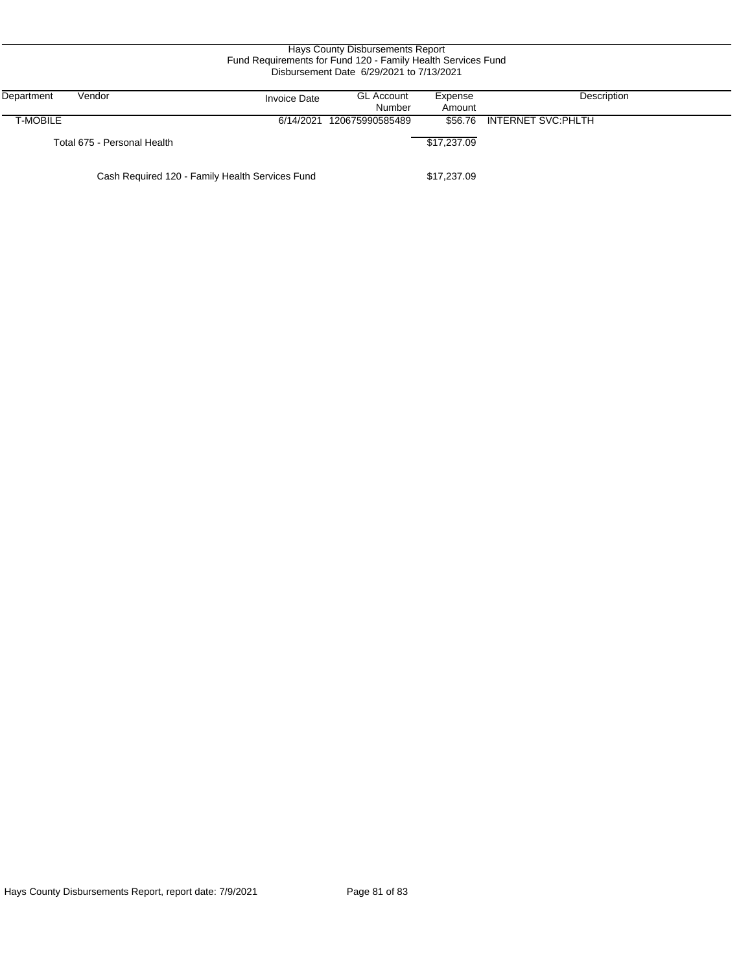| Hays County Disbursements Report<br>Fund Requirements for Fund 120 - Family Health Services Fund<br>Disbursement Date 6/29/2021 to 7/13/2021 |                             |                     |                             |                   |                    |  |
|----------------------------------------------------------------------------------------------------------------------------------------------|-----------------------------|---------------------|-----------------------------|-------------------|--------------------|--|
| Department                                                                                                                                   | Vendor                      | <b>Invoice Date</b> | <b>GL Account</b><br>Number | Expense<br>Amount | Description        |  |
| T-MOBILE                                                                                                                                     |                             | 6/14/2021           | 120675990585489             | \$56.76           | INTERNET SVC:PHLTH |  |
|                                                                                                                                              | Total 675 - Personal Health |                     |                             | \$17,237.09       |                    |  |
| Cash Required 120 - Family Health Services Fund                                                                                              |                             |                     |                             |                   |                    |  |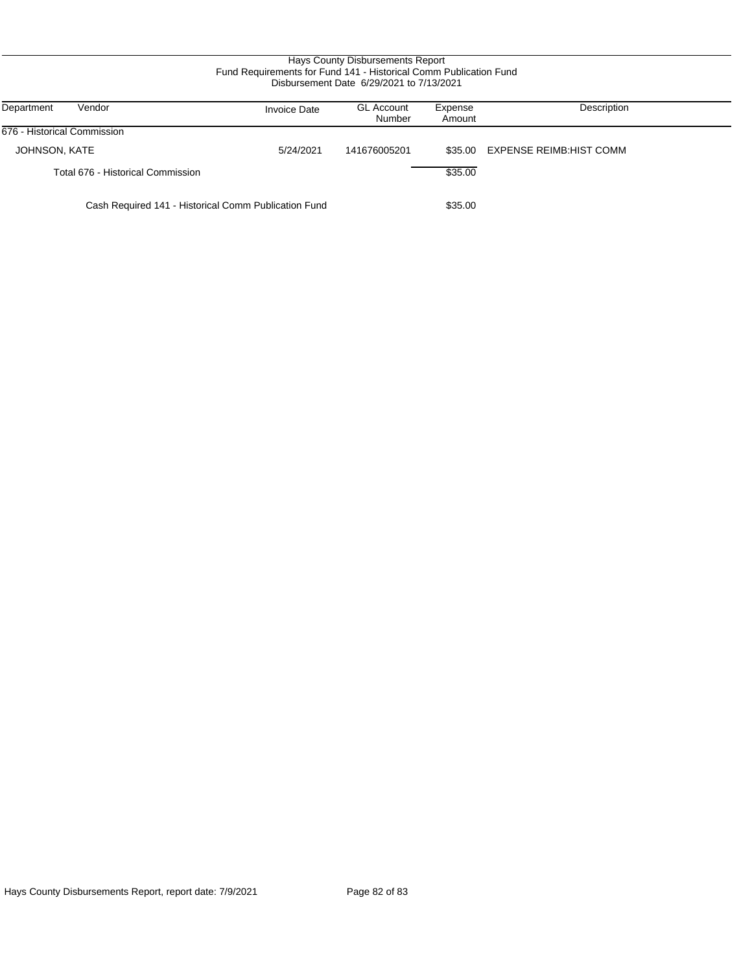### Hays County Disbursements Report Fund Requirements for Fund 141 - Historical Comm Publication Fund Disbursement Date 6/29/2021 to 7/13/2021

| Department<br>Vendor                                 | <b>Invoice Date</b> | <b>GL Account</b><br>Number | Expense<br>Amount | Description              |
|------------------------------------------------------|---------------------|-----------------------------|-------------------|--------------------------|
| 676 - Historical Commission                          |                     |                             |                   |                          |
| JOHNSON, KATE                                        | 5/24/2021           | 141676005201                | \$35.00           | EXPENSE REIMB: HIST COMM |
| Total 676 - Historical Commission                    |                     |                             | \$35.00           |                          |
| Cash Required 141 - Historical Comm Publication Fund |                     |                             | \$35.00           |                          |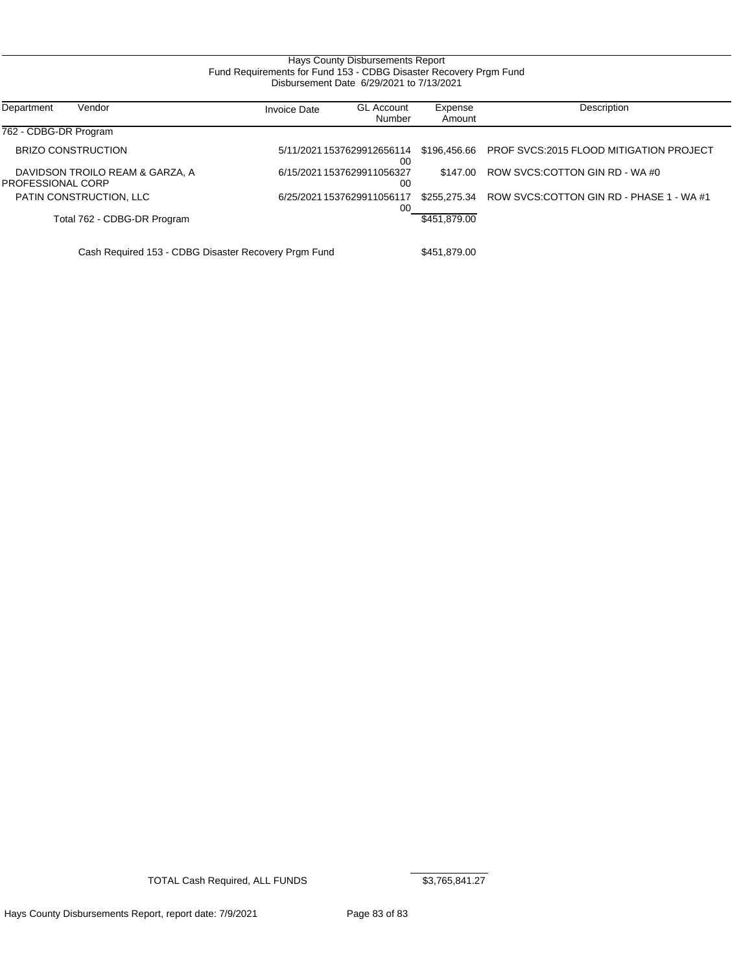### Hays County Disbursements Report Fund Requirements for Fund 153 - CDBG Disaster Recovery Prgm Fund Disbursement Date 6/29/2021 to 7/13/2021

| Vendor<br>Department                                 | <b>Invoice Date</b> | <b>GL Account</b><br>Number      | Expense<br>Amount | Description                                    |
|------------------------------------------------------|---------------------|----------------------------------|-------------------|------------------------------------------------|
| 762 - CDBG-DR Program                                |                     |                                  |                   |                                                |
| <b>BRIZO CONSTRUCTION</b>                            |                     | 5/11/2021 1537629912656114<br>00 | \$196,456,66      | <b>PROF SVCS:2015 FLOOD MITIGATION PROJECT</b> |
| DAVIDSON TROILO REAM & GARZA, A<br>PROFESSIONAL CORP |                     | 6/15/20211537629911056327<br>00  | \$147.00          | ROW SVCS:COTTON GIN RD - WA #0                 |
| PATIN CONSTRUCTION, LLC                              |                     | 6/25/2021 1537629911056117<br>00 | \$255.275.34      | ROW SVCS.COTTON GIN RD - PHASE 1 - WA #1       |
| Total 762 - CDBG-DR Program                          |                     |                                  | \$451,879.00      |                                                |
| Cash Required 153 - CDBG Disaster Recovery Prgm Fund |                     |                                  | \$451,879.00      |                                                |

TOTAL Cash Required, ALL FUNDS \$3,765,841.27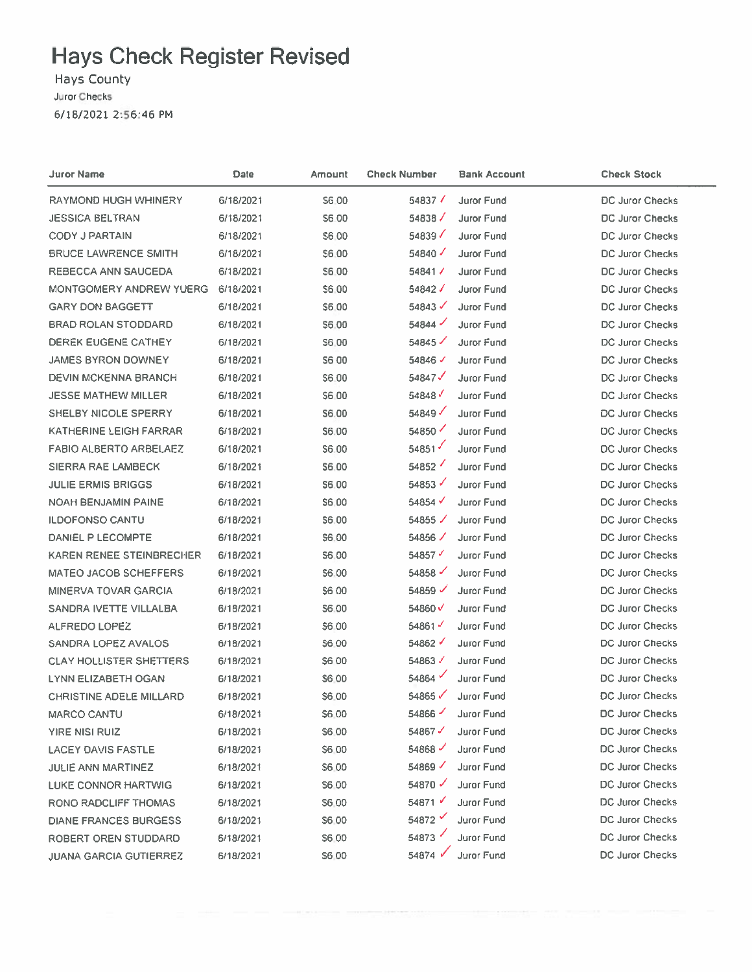Hays County Juror Checks 6/18/2021 2:56:46 PM

| <b>Juror Name</b>              | Date      | Amount       | <b>Check Number</b>  | <b>Bank Account</b> | <b>Check Stock</b>     |
|--------------------------------|-----------|--------------|----------------------|---------------------|------------------------|
| RAYMOND HUGH WHINERY           | 6/18/2021 | S6.00        | $54837$ $\sqrt{ }$   | Juror Fund          | DC Juror Checks        |
| <b>JESSICA BELTRAN</b>         | 6/18/2021 | S6.00        | 54838 $/$            | Juror Fund          | DC Juror Checks        |
| <b>CODY J PARTAIN</b>          | 6/18/2021 | S6.00        | 54839 $\checkmark$   | Juror Fund          | DC Juror Checks        |
| <b>BRUCE LAWRENCE SMITH</b>    | 6/18/2021 | S6.00        | 54840 $\checkmark$   | Juror Fund          | DC Juror Checks        |
| REBECCA ANN SAUCEDA            | 6/18/2021 | \$6.00       | 54841                | Juror Fund          | DC Juror Checks        |
| <b>MONTGOMERY ANDREW YUERG</b> | 6/18/2021 | \$6.00       | 54842 J              | Juror Fund          | <b>DC Juror Checks</b> |
| <b>GARY DON BAGGETT</b>        | 6/18/2021 | \$6.00       | 54843 $\checkmark$   | <b>Juror Fund</b>   | DC Juror Checks        |
| BRAD ROLAN STODDARD            | 6/18/2021 | S6.00        | 54844                | Juror Fund          | DC Juror Checks        |
| DEREK EUGENE CATHEY            | 6/18/2021 | S6.00        | 54845                | Juror Fund          | DC Juror Checks        |
| JAMES BYRON DOWNEY             | 6/18/2021 | S6 00        | 54846√               | Juror Fund          | DC Juror Checks        |
| <b>DEVIN MCKENNA BRANCH</b>    | 6/18/2021 | S6.00        | 54847 $\checkmark$   | <b>Juror Fund</b>   | DC Juror Checks        |
| <b>JESSE MATHEW MILLER</b>     | 6/18/2021 | \$6.00       | 54848                | Juror Fund          | <b>DC Juror Checks</b> |
| <b>SHELBY NICOLE SPERRY</b>    | 6/18/2021 | \$6.00       | 54849                | Juror Fund          | <b>DC Juror Checks</b> |
| KATHERINE LEIGH FARRAR         | 6/18/2021 | \$6.00       | 54850                | Juror Fund          | <b>DC Juror Checks</b> |
| <b>FABIO ALBERTO ARBELAEZ</b>  | 6/18/2021 | S6.00        | 54851                | Juror Fund          | <b>DC Juror Checks</b> |
| <b>SIERRA RAE LAMBECK</b>      | 6/18/2021 | \$6.00       | 54852                | Juror Fund          | <b>DC Juror Checks</b> |
| <b>JULIE ERMIS BRIGGS</b>      | 6/18/2021 | \$6,00       | 54853                | Juror Fund          | <b>DC Juror Checks</b> |
| <b>NOAH BENJAMIN PAINE</b>     | 6/18/2021 | \$6,00       | $54854$ $\checkmark$ | Juror Fund          | DC Juror Checks        |
| <b>ILDOFONSO CANTU</b>         | 6/18/2021 | \$6,00       | 54855 $\sqrt{}$      | Juror Fund          | <b>DC Juror Checks</b> |
| DANIEL P LECOMPTE              | 6/18/2021 | \$6.00       | 54856 /              | Juror Fund          | DC Juror Checks        |
| KAREN RENEE STEINBRECHER       | 6/18/2021 | S6.00        | 54857 $\checkmark$   | Juror Fund          | DC Juror Checks        |
| MATEO JACOB SCHEFFERS          | 6/18/2021 | \$6.00       | 54858                | Juror Fund          | <b>DC Juror Checks</b> |
| <b>MINERVA TOVAR GARCIA</b>    | 6/18/2021 | <b>S600</b>  | 54859 $\checkmark$   | <b>Juror Fund</b>   | DC Juror Checks        |
| SANDRA IVETTE VILLALBA         | 6/18/2021 | \$6.00       | 54860V               | <b>Juror Fund</b>   | DC Juror Checks        |
| ALFREDO LOPEZ                  | 6/18/2021 | \$6.00       | 54861                | <b>Juror Fund</b>   | DC Juror Checks        |
| SANDRA LOPEZ AVALOS            | 6/18/2021 | \$6.00       | $54862$ $\checkmark$ | <b>Juror Fund</b>   | DC Juror Checks        |
| <b>CLAY HOLLISTER SHETTERS</b> | 6/18/2021 | S6 00        | 54863                | Juror Fund          | DC Juror Checks        |
| <b>LYNN ELIZABETH OGAN</b>     | 6/18/2021 | <b>S6.00</b> | 54864                | Juror Fund          | <b>DC Juror Checks</b> |
| <b>CHRISTINE ADELE MILLARD</b> | 6/18/2021 | \$6.00       | 54865                | Juror Fund          | <b>DC Juror Checks</b> |
| <b>MARCO CANTU</b>             | 6/18/2021 | S6.00        | 54866 $-$            | <b>Juror Fund</b>   | <b>DC Juror Checks</b> |
| YIRE NISI RUIZ                 | 6/18/2021 | \$6.00       | 54867                | <b>Juror Fund</b>   | DC Juror Checks        |
| <b>LACEY DAVIS FASTLE</b>      | 6/18/2021 | <b>S6.00</b> | 54868                | Juror Fund          | <b>DC Juror Checks</b> |
| JULIE ANN MARTINEZ             | 6/18/2021 | S6.00        | 54869                | Juror Fund          | <b>DC Juror Checks</b> |
| <b>LUKE CONNOR HARTWIG</b>     | 6/18/2021 | S6.00        | 54870                | Juror Fund          | DC Juror Checks        |
| RONO RADCLIFF THOMAS           | 6/18/2021 | S6.00        | 54871                | <b>Juror Fund</b>   | DC Juror Checks        |
| <b>DIANE FRANCES BURGESS</b>   | 6/18/2021 | S6.00        | 54872 V              | Juror Fund          | DC Juror Checks        |
| ROBERT OREN STUDDARD           | 6/18/2021 | S6.00        | 54873                | <b>Juror Fund</b>   | <b>DC Juror Checks</b> |
| <b>JUANA GARCIA GUTIERREZ</b>  | 6/18/2021 | <b>S6.00</b> | 54874 V              | Juror Fund          | <b>DC Juror Checks</b> |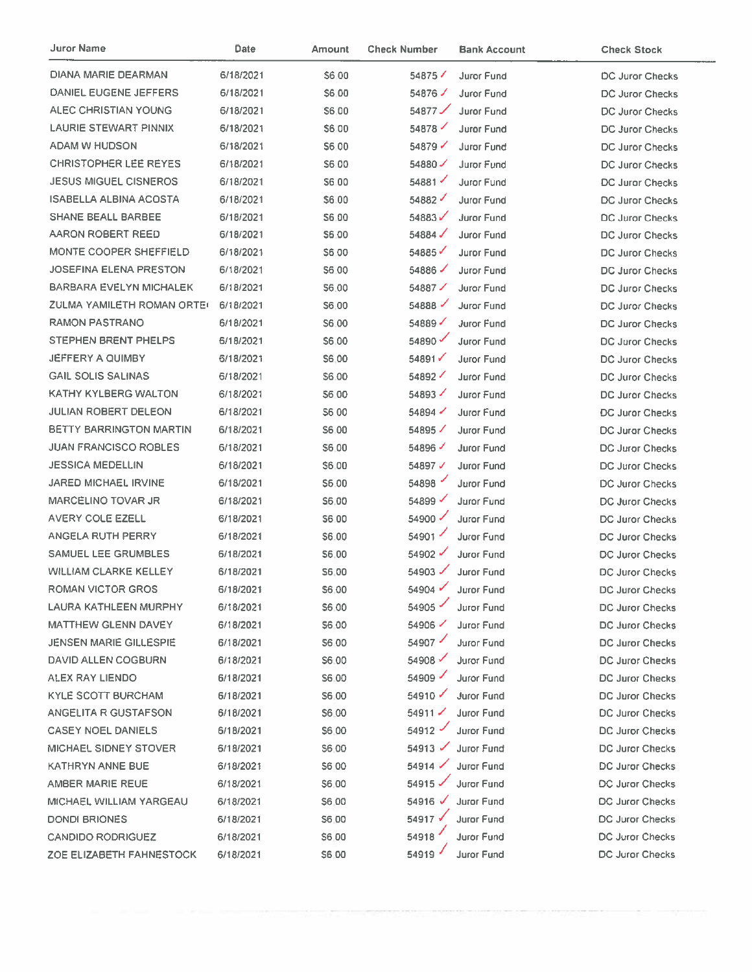| Juror Name                     | Date      | <b>Amount</b> | <b>Check Number</b>  | <b>Bank Account</b> | <b>Check Stock</b>     |
|--------------------------------|-----------|---------------|----------------------|---------------------|------------------------|
| DIANA MARIE DEARMAN            | 6/18/2021 | S6.00         | 54875                | <b>Juror Fund</b>   | DC Juror Checks        |
| DANIEL EUGENE JEFFERS          | 6/18/2021 | \$6,00        | 54876 $\angle$       | <b>Juror Fund</b>   | DC Juror Checks        |
| ALEC CHRISTIAN YOUNG           | 6/18/2021 | \$6,00        | 54877                | <b>Juror Fund</b>   | DC Juror Checks        |
| <b>LAURIE STEWART PINNIX</b>   | 6/18/2021 | \$6,00        | 54878                | <b>Juror Fund</b>   | <b>DC Juror Checks</b> |
| ADAM W HUDSON                  | 6/18/2021 | <b>S600</b>   | 54879 $\checkmark$   | <b>Juror Fund</b>   | <b>DC Juror Checks</b> |
| <b>CHRISTOPHER LEE REYES</b>   | 6/18/2021 | S6.00         | 54880                | Juror Fund          | DC Juror Checks        |
| <b>JESUS MIGUEL CISNEROS</b>   | 6/18/2021 | S6 00         | 54881                | Juror Fund          | <b>DC Juror Checks</b> |
| <b>ISABELLA ALBINA ACOSTA</b>  | 6/18/2021 | \$6.00        | 54882 $\overline{'}$ | <b>Juror Fund</b>   | DC Juror Checks        |
| <b>SHANE BEALL BARBEE</b>      | 6/18/2021 | \$6.00        | 54883                | <b>Juror Fund</b>   | DC Juror Checks        |
| AARON ROBERT REED              | 6/18/2021 | \$6.00        | 54884 $\checkmark$   | <b>Juror Fund</b>   | DC Juror Checks        |
| MONTE COOPER SHEFFIELD         | 6/18/2021 | \$6.00        | 54885                | Juror Fund          | DC Juror Checks        |
| <b>JOSEFINA ELENA PRESTON</b>  | 6/18/2021 | \$6.00        | 54886                | <b>Juror Fund</b>   | <b>DC Juror Checks</b> |
| BARBARA EVELYN MICHALEK        | 6/18/2021 | \$6.00        | 54887                | Juror Fund          | <b>DC Juror Checks</b> |
| ZULMA YAMILETH ROMAN ORTE(     | 6/18/2021 | \$6.00        | 54888                | <b>Juror Fund</b>   | <b>DC Juror Checks</b> |
| <b>RAMON PASTRANO</b>          | 6/18/2021 | S6.00         | 54889                | <b>Juror Fund</b>   | DC Juror Checks        |
| <b>STEPHEN BRENT PHELPS</b>    | 6/18/2021 | S6.00         | 54890                | <b>Juror Fund</b>   | DC Juror Checks        |
| JEFFERY A QUIMBY               | 6/18/2021 | \$6.00        | 54891                | <b>Juror Fund</b>   | DC Juror Checks        |
| <b>GAIL SOLIS SALINAS</b>      | 6/18/2021 | \$6.00        | 54892                | Juror Fund          | DC Juror Checks        |
| <b>KATHY KYLBERG WALTON</b>    | 6/18/2021 | <b>S6 00</b>  | 54893                | Juror Fund          | <b>DC Juror Checks</b> |
| <b>JULIAN ROBERT DELEON</b>    | 6/18/2021 | <b>S600</b>   | 54894                | Juror Fund          | <b>DC Juror Checks</b> |
| <b>BETTY BARRINGTON MARTIN</b> | 6/18/2021 | S6.00         | 54895 $\checkmark$   | Juror Fund          | <b>DC Juror Checks</b> |
| <b>JUAN FRANCISCO ROBLES</b>   | 6/18/2021 | \$6.00        | 54896                | <b>Juror Fund</b>   | DC Juror Checks        |
| <b>JESSICA MEDELLIN</b>        | 6/18/2021 | \$6.00        | 54897√               | Juror Fund          | DC Juror Checks        |
| <b>JARED MICHAEL IRVINE</b>    | 6/18/2021 | \$6.00        | 54898                | <b>Juror Fund</b>   | DC Juror Checks        |
| <b>MARCELINO TOVAR JR</b>      | 6/18/2021 | \$6.00        | 54899                | Juror Fund          | <b>DC Juror Checks</b> |
| AVERY COLE EZELL               | 6/18/2021 | S6.00         | 54900 $\checkmark$   | <b>Juror Fund</b>   | DC Juror Checks        |
| <b>ANGELA RUTH PERRY</b>       | 6/18/2021 | \$6.00        | 54901 $\checkmark$   | <b>Juror Fund</b>   | DC Juror Checks        |
| SAMUEL LEE GRUMBLES            | 6/18/2021 | S6.00         | 54902 $\checkmark$   | <b>Juror Fund</b>   | DC Juror Checks        |
| <b>WILLIAM CLARKE KELLEY</b>   | 6/18/2021 | S6.00         | $54903$ $\checkmark$ | <b>Juror Fund</b>   | DC Juror Checks        |
| ROMAN VICTOR GROS              | 6/18/2021 | S6.00         |                      | 54904 Juror Fund    | DC Juror Checks        |
| LAURA KATHLEEN MURPHY          | 6/18/2021 | S6.00         | 54905                | Juror Fund          | DC Juror Checks        |
| <b>MATTHEW GLENN DAVEY</b>     | 6/18/2021 | \$6.00        | 54906 $\checkmark$   | Juror Fund          | DC Juror Checks        |
| <b>JENSEN MARIE GILLESPIE</b>  | 6/18/2021 | S6.00         | 54907                | <b>Juror Fund</b>   | DC Juror Checks        |
| DAVID ALLEN COGBURN            | 6/18/2021 | S6.00         | 54908                | Juror Fund          | DC Juror Checks        |
| ALEX RAY LIENDO                | 6/18/2021 | S6.00         | 54909                | Juror Fund          | <b>DC Juror Checks</b> |
| KYLE SCOTT BURCHAM             | 6/18/2021 | S6.00         | 54910 $\checkmark$   | <b>Juror Fund</b>   | DC Juror Checks        |
| ANGELITA R GUSTAFSON           | 6/18/2021 | S6.00         | 54911                | <b>Juror Fund</b>   | DC Juror Checks        |
| <b>CASEY NOEL DANIELS</b>      | 6/18/2021 | \$6.00        | 54912                | <b>Juror Fund</b>   | DC Juror Checks        |
| MICHAEL SIDNEY STOVER          | 6/18/2021 | \$6.00        | $54913$ $\checkmark$ | Juror Fund          | DC Juror Checks        |
| KATHRYN ANNE BUE               | 6/18/2021 | <b>S600</b>   | $54914$ $\checkmark$ | <b>Juror Fund</b>   | <b>DC Juror Checks</b> |
| AMBER MARIE REUE               | 6/18/2021 | \$6.00        | 54915                | <b>Juror Fund</b>   | <b>DC Juror Checks</b> |
| MICHAEL WILLIAM YARGEAU        | 6/18/2021 | \$6,00        | 54916 $\checkmark$   | Juror Fund          | <b>DC Juror Checks</b> |
| DONDI BRIONES                  | 6/18/2021 | \$6.00        | 54917√               | <b>Juror Fund</b>   | DC Juror Checks        |
| <b>CANDIDO RODRIGUEZ</b>       | 6/18/2021 | \$6,00        | 54918                | <b>Juror Fund</b>   | <b>DC Juror Checks</b> |
| ZOE ELIZABETH FAHNESTOCK       | 6/18/2021 | \$6,00        | 54919                | <b>Juror Fund</b>   | DC Juror Checks        |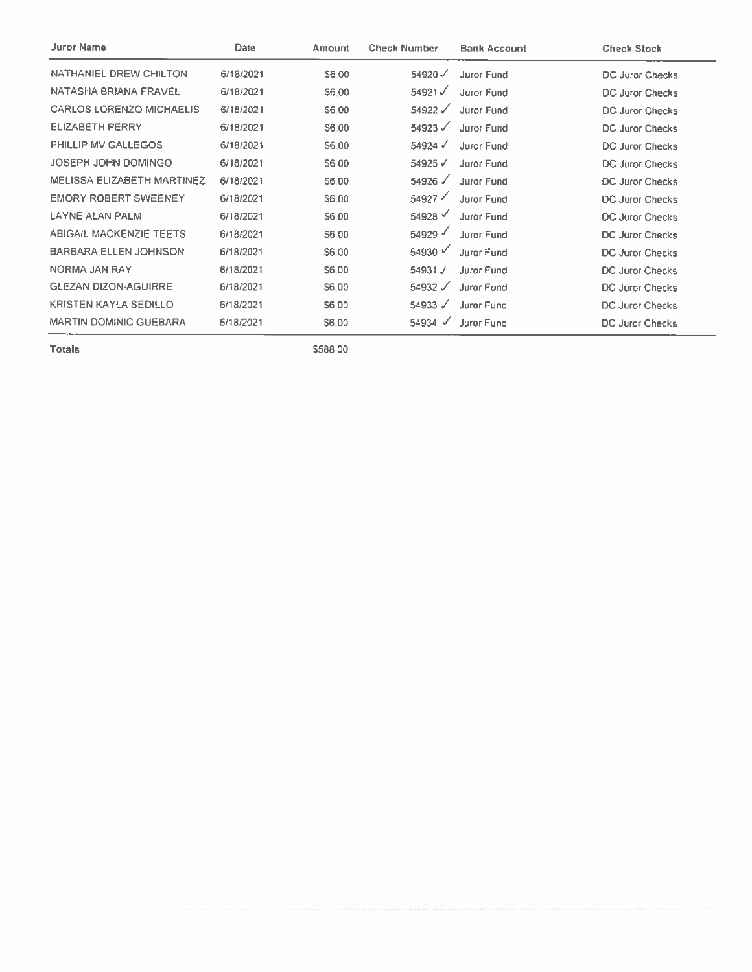| <b>Juror Name</b>                 | Date      | Amount       | <b>Check Number</b>  | <b>Bank Account</b> | <b>Check Stock</b>     |
|-----------------------------------|-----------|--------------|----------------------|---------------------|------------------------|
| NATHANIEL DREW CHILTON            | 6/18/2021 | S6.00        | $54920$ $\checkmark$ | <b>Juror Fund</b>   | DC Juror Checks        |
| NATASHA BRIANA FRAVEL             | 6/18/2021 | S6.00        | 54921√               | Juror Fund          | DC Juror Checks        |
| <b>CARLOS LORENZO MICHAELIS</b>   | 6/18/2021 | S6.00        | $54922$ $\checkmark$ | <b>Juror Fund</b>   | <b>DC Juror Checks</b> |
| <b>ELIZABETH PERRY</b>            | 6/18/2021 | S6.00        | 54923 $\checkmark$   | Juror Fund          | DC Juror Checks        |
| PHILLIP MV GALLEGOS               | 6/18/2021 | S6.00        | $54924$ $\checkmark$ | Juror Fund          | DC Juror Checks        |
| JOSEPH JOHN DOMINGO               | 6/18/2021 | S6 00        | $54925$ $\checkmark$ | Juror Fund          | DC Juror Checks        |
| <b>MELISSA ELIZABETH MARTINEZ</b> | 6/18/2021 | \$6.00       | $54926$ $\checkmark$ | Juror Fund          | <b>DC Juror Checks</b> |
| <b>EMORY ROBERT SWEENEY</b>       | 6/18/2021 | S6.00        | $54927$ $\checkmark$ | <b>Juror Fund</b>   | DC Juror Checks        |
| <b>LAYNE ALAN PALM</b>            | 6/18/2021 | \$6.00       | 54928                | <b>Juror Fund</b>   | <b>DC Juror Checks</b> |
| <b>ABIGAIL MACKENZIE TEETS</b>    | 6/18/2021 | <b>S6.00</b> | 54929                | Juror Fund          | <b>DC Juror Checks</b> |
| <b>BARBARA ELLEN JOHNSON</b>      | 6/18/2021 | S6.00        | 54930 $\sqrt{ }$     | Juror Fund          | <b>DC Juror Checks</b> |
| NORMA JAN RAY                     | 6/18/2021 | S6.00        | 54931 J              | <b>Juror Fund</b>   | <b>DC Juror Checks</b> |
| <b>GLEZAN DIZON-AGUIRRE</b>       | 6/18/2021 | S6.00        | $54932$ $\checkmark$ | Juror Fund          | DC Juror Checks        |
| <b>KRISTEN KAYLA SEDILLO</b>      | 6/18/2021 | S6.00        | 54933 $\sqrt{ }$     | Juror Fund          | DC Juror Checks        |
| <b>MARTIN DOMINIC GUEBARA</b>     | 6/18/2021 | <b>S6.00</b> | $54934$ $\checkmark$ | <b>Juror Fund</b>   | DC Juror Checks        |

\$588,00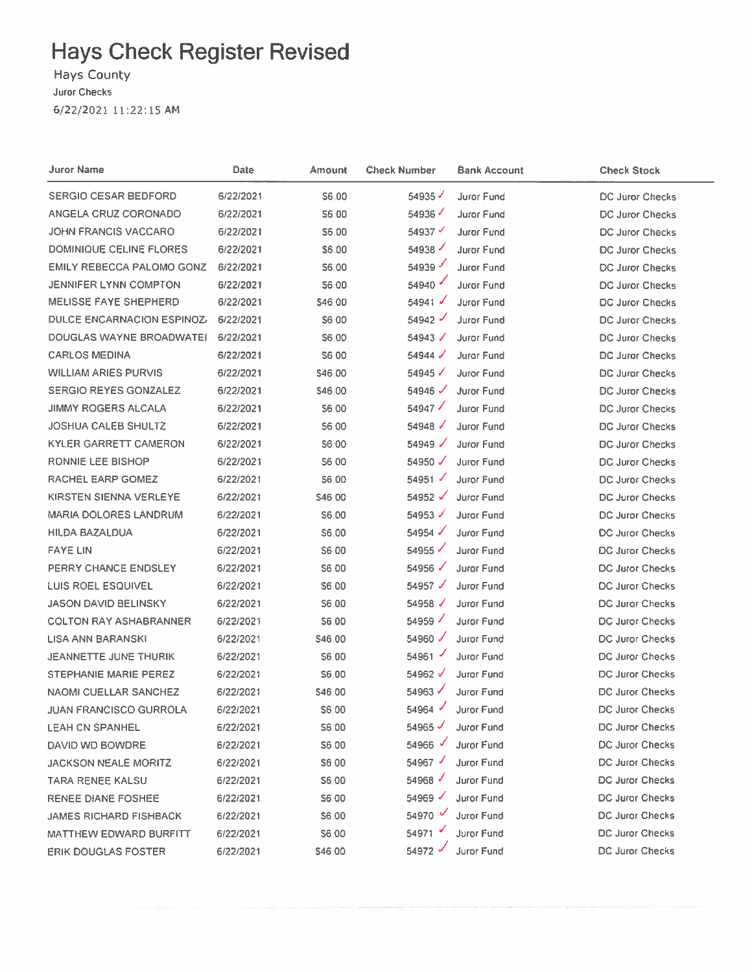Hays County

Juror Checks

6/22/2021 11:22:15 AM

| Juror Name                    | Date      | Amount        | Check Number         | <b>Bank Account</b> | <b>Check Stock</b>     |
|-------------------------------|-----------|---------------|----------------------|---------------------|------------------------|
| <b>SERGIO CESAR BEDFORD</b>   | 6/22/2021 | <b>S6.00</b>  | 54935 $\checkmark$   | Juror Fund          | DC Juror Checks        |
| ANGELA CRUZ CORONADO          | 6/22/2021 | S6.00         | 54936√               | <b>Juror Fund</b>   | DC Juror Checks        |
| JOHN FRANCIS VACCARO          | 6/22/2021 | \$6,00        | 54937 $\checkmark$   | <b>Juror Fund</b>   | DC Juror Checks        |
| DOMINIQUE CELINE FLORES       | 6/22/2021 | S6.00         | 54938                | <b>Juror Fund</b>   | DC Juror Checks        |
| EMILY REBECCA PALOMO GONZ     | 6/22/2021 | S6.00         | 54939                | Juror Fund          | <b>DC Juror Checks</b> |
| <b>JENNIFER LYNN COMPTON</b>  | 6/22/2021 | \$6.00        | 54940                | Juror Fund          | DC Juror Checks        |
| <b>MELISSE FAYE SHEPHERD</b>  | 6/22/2021 | \$46.00       | 54941                | Juror Fund          | DC Juror Checks        |
| DULCE ENCARNACION ESPINOZ/    | 6/22/2021 | S6 00         | 54942                | <b>Juror Fund</b>   | DC Juror Checks        |
| DOUGLAS WAYNE BROADWATEI      | 6/22/2021 | S6.00         | $54943$ $\checkmark$ | Juror Fund          | DC Juror Checks        |
| <b>CARLOS MEDINA</b>          | 6/22/2021 | <b>S600</b>   | $54944$ $\checkmark$ | Juror Fund          | <b>DC Juror Checks</b> |
| <b>WILLIAM ARIES PURVIS</b>   | 6/22/2021 | <b>S46.00</b> | 54945                | <b>Juror Fund</b>   | DC Juror Checks        |
| <b>SERGIO REYES GONZALEZ</b>  | 6/22/2021 | S46.00        | 54946 $\checkmark$   | <b>Juror Fund</b>   | DC Juror Checks        |
| <b>JIMMY ROGERS ALCALA</b>    | 6/22/2021 | S6.00         | 54947                | <b>Juror Fund</b>   | DC Juror Checks        |
| <b>JOSHUA CALEB SHULTZ</b>    | 6/22/2021 | S6.00         | 54948                | <b>Juror Fund</b>   | <b>DC Juror Checks</b> |
| <b>KYLER GARRETT CAMERON</b>  | 6/22/2021 | \$6.00        | 54949 $\sqrt$        | Juror Fund          | DC Juror Checks        |
| RONNIE LEE BISHOP             | 6/22/2021 | \$6.00        | 54950 $\checkmark$   | Juror Fund          | DC Juror Checks        |
| RACHEL EARP GOMEZ             | 6/22/2021 | S6.00         | 54951                | Juror Fund          | <b>DC Juror Checks</b> |
| <b>KIRSTEN SIENNA VERLEYE</b> | 6/22/2021 | \$46.00       | 54952 $\checkmark$   | Juror Fund          | DC Juror Checks        |
| <b>MARIA DOLORES LANDRUM</b>  | 6/22/2021 | S6.00         | 54953√               | <b>Juror Fund</b>   | DC Juror Checks        |
| HILDA BAZALDUA                | 6/22/2021 | S6.00         | 54954                | <b>Juror Fund</b>   | <b>DC Juror Checks</b> |
| <b>FAYE LIN</b>               | 6/22/2021 | S6.00         | 54955                | <b>Juror Fund</b>   | <b>DC Juror Checks</b> |
| PERRY CHANCE ENDSLEY          | 6/22/2021 | <b>S6.00</b>  | 54956 √              | <b>Juror Fund</b>   | DC Juror Checks        |
| <b>LUIS ROEL ESQUIVEL</b>     | 6/22/2021 | S6 00         | 54957 $\checkmark$   | <b>Juror Fund</b>   | DC Juror Checks        |
| <b>JASON DAVID BELINSKY</b>   | 6/22/2021 | S6.00         | $54958$ $\checkmark$ | <b>Juror Fund</b>   | DC Juror Checks        |
| <b>COLTON RAY ASHABRANNER</b> | 6/22/2021 | S6.00         | 54959                | Juror Fund          | DC Juror Checks        |
| <b>LISA ANN BARANSKI</b>      | 6/22/2021 | S46.00        | 54960 $J$            | <b>Juror Fund</b>   | DC Juror Checks        |
| <b>JEANNETTE JUNE THURIK</b>  | 6/22/2021 | \$6.00        | 54961                | Juror Fund          | DC Juror Checks        |
| <b>STEPHANIE MARIE PEREZ</b>  | 6/22/2021 | S6.00         | 54962 V              | Juror Fund          | DC Juror Checks        |
| <b>NAOMI CUELLAR SANCHEZ</b>  | 6/22/2021 | \$46.00       | 54963√               | Juror Fund          | DC Juror Checks        |
| <b>JUAN FRANCISCO GURROLA</b> | 6/22/2021 | \$6.00        | 54964                | Juror Fund          | <b>DC Juror Checks</b> |
| <b>LEAH CN SPANHEL</b>        | 6/22/2021 | S6.00         | 54965 $\sqrt$        | <b>Juror Fund</b>   | <b>DC Juror Checks</b> |
| DAVID WD BOWDRE               | 6/22/2021 | S6.00         | 54966 √              | <b>Juror Fund</b>   | <b>DC Juror Checks</b> |
| <b>JACKSON NEALE MORITZ</b>   | 6/22/2021 | \$6.00        | 54967 √              | <b>Juror Fund</b>   | <b>DC Juror Checks</b> |
| <b>TARA RENEE KALSU</b>       | 6/22/2021 | S6.00         | 54968 √              | Juror Fund          | <b>DC Juror Checks</b> |
| RENEE DIANE FOSHEE            | 6/22/2021 | <b>S6.00</b>  | $54969$ $\checkmark$ | Juror Fund          | <b>DC Juror Checks</b> |
| <b>JAMES RICHARD FISHBACK</b> | 6/22/2021 | <b>S6.00</b>  | 54970 $\overline{V}$ | Juror Fund          | DC Juror Checks        |
| MATTHEW EDWARD BURFITT        | 6/22/2021 | \$6.00        | 54971                | Juror Fund          | DC Juror Checks        |
| <b>ERIK DOUGLAS FOSTER</b>    | 6/22/2021 | \$46.00       | 54972 -              | Juror Fund          | DC Juror Checks        |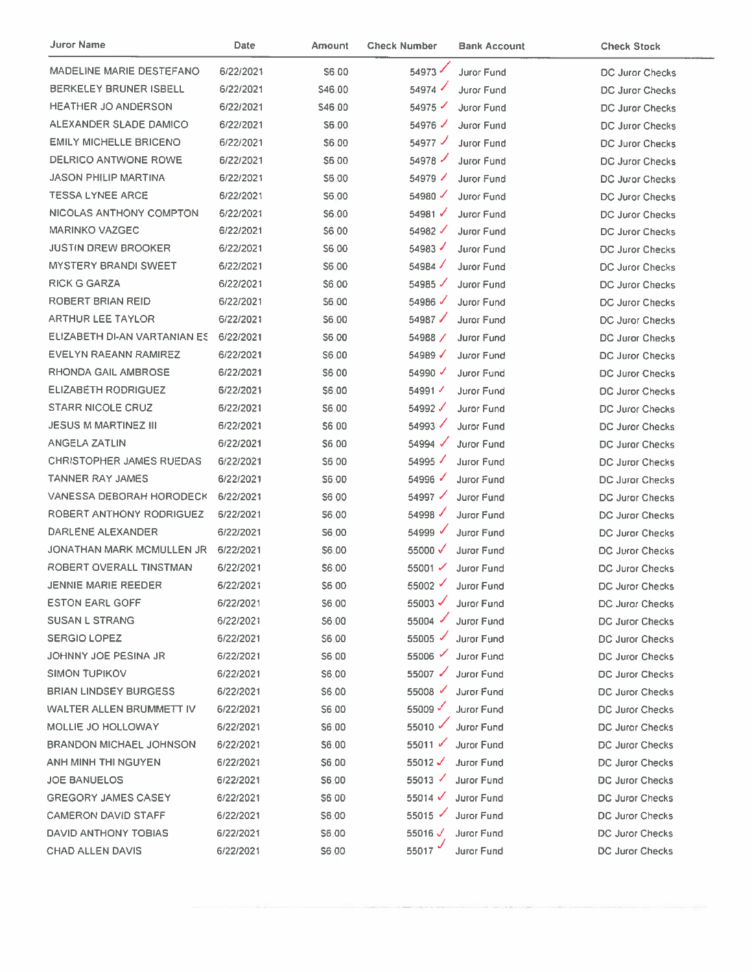| Juror Name                      | Date      | Amount        | <b>Check Number</b>  | <b>Bank Account</b> | <b>Check Stock</b>     |
|---------------------------------|-----------|---------------|----------------------|---------------------|------------------------|
| MADELINE MARIE DESTEFANO        | 6/22/2021 | S6.00         | 54973                | Juror Fund          | DC Juror Checks        |
| BERKELEY BRUNER ISBELL          | 6/22/2021 | \$46.00       | 54974                | Juror Fund          | DC Juror Checks        |
| <b>HEATHER JO ANDERSON</b>      | 6/22/2021 | \$46.00       | 54975                | Juror Fund          | DC Juror Checks        |
| ALEXANDER SLADE DAMICO          | 6/22/2021 | S6.00         | 54976                | Juror Fund          | DC Juror Checks        |
| <b>EMILY MICHELLE BRICENO</b>   | 6/22/2021 | \$6.00        | $54977$ $\checkmark$ | Juror Fund          | <b>DC Juror Checks</b> |
| DELRICO ANTWONE ROWE            | 6/22/2021 | <b>\$600</b>  | 54978                | Juror Fund          | DC Juror Checks        |
| <b>JASON PHILIP MARTINA</b>     | 6/22/2021 | \$6.00        | 54979 $\checkmark$   | Juror Fund          | DC Juror Checks        |
| <b>TESSA LYNEE ARCE</b>         | 6/22/2021 | S6.00         | 54980 $\checkmark$   | Juror Fund          | <b>DC Juror Checks</b> |
| NICOLAS ANTHONY COMPTON         | 6/22/2021 | S6.00         | 54981 $\checkmark$   | Juror Fund          | DC Juror Checks        |
| <b>MARINKO VAZGEC</b>           | 6/22/2021 | S6.00         | $54982$ $\checkmark$ | Juror Fund          | <b>DC Juror Checks</b> |
| <b>JUSTIN DREW BROOKER</b>      | 6/22/2021 | \$6.00        | 54983                | <b>Juror Fund</b>   | <b>DC Juror Checks</b> |
| <b>MYSTERY BRANDI SWEET</b>     | 6/22/2021 | S6.00         | 54984 $\checkmark$   | Juror Fund          | DC Juror Checks        |
| <b>RICK G GARZA</b>             | 6/22/2021 | S6.00         | 54985                | Juror Fund          | <b>DC Juror Checks</b> |
| ROBERT BRIAN REID               | 6/22/2021 | \$6.00        | 54986 $\checkmark$   | Juror Fund          | DC Juror Checks        |
| <b>ARTHUR LEE TAYLOR</b>        | 6/22/2021 | \$6.00        | 54987√               | <b>Juror Fund</b>   | <b>DC Juror Checks</b> |
| ELIZABETH DI-AN VARTANIAN ES    | 6/22/2021 | S6.00         | 54988 /              | Juror Fund          | DC Juror Checks        |
| <b>EVELYN RAEANN RAMIREZ</b>    | 6/22/2021 | S6.00         | 54989 $\checkmark$   | Juror Fund          | <b>DC Juror Checks</b> |
| RHONDA GAIL AMBROSE             | 6/22/2021 | S6 00         | 54990                | Juror Fund          | DC Juror Checks        |
| <b>ELIZABETH RODRIGUEZ</b>      | 6/22/2021 | \$6.00        | 54991                | Juror Fund          | DC Juror Checks        |
| <b>STARR NICOLE CRUZ</b>        | 6/22/2021 | \$6,00        | 54992 √              | <b>Juror Fund</b>   | <b>DC Juror Checks</b> |
| <b>JESUS M MARTINEZ III</b>     | 6/22/2021 | <b>\$6,00</b> | 54993 √              | Juror Fund          | DC Juror Checks        |
| ANGELA ZATLIN                   | 6/22/2021 | \$6,00        | 54994 √              | <b>Juror Fund</b>   | DC Juror Checks        |
| <b>CHRISTOPHER JAMES RUEDAS</b> | 6/22/2021 | S6 00         | 54995                | Juror Fund          | <b>DC Juror Checks</b> |
| <b>TANNER RAY JAMES</b>         | 6/22/2021 | S6.00         | 54996 $\checkmark$   | Juror Fund          | DC Juror Checks        |
| VANESSA DEBORAH HORODECK        | 6/22/2021 | S6 00         | 54997 $\checkmark$   | Juror Fund          | DC Juror Checks        |
| ROBERT ANTHONY RODRIGUEZ        | 6/22/2021 | S6.00         | 54998 $\checkmark$   | Juror Fund          | DC Juror Checks        |
| DARLENE ALEXANDER               | 6/22/2021 | S6.00         | 54999                | <b>Juror Fund</b>   | DC Juror Checks        |
| JONATHAN MARK MCMULLEN JR       | 6/22/2021 | \$6.00        | 55000 √              | Juror Fund          | <b>DC Juror Checks</b> |
| ROBERT OVERALL TINSTMAN         | 6/22/2021 | S6.00         | 55001 $\checkmark$   | Juror Fund          | <b>DC Juror Checks</b> |
| <b>JENNIE MARIE REEDER</b>      | 6/22/2021 | S6 00         | 55002 $\checkmark$   | Juror Fund          | DC Juror Checks        |
| <b>ESTON EARL GOFF</b>          | 6/22/2021 | \$6.00        | $55003 \checkmark$   | Juror Fund          | DC Juror Checks        |
| <b>SUSAN L STRANG</b>           | 6/22/2021 | \$6:00        | $55004$ $\checkmark$ | Juror Fund          | DC Juror Checks        |
| <b>SERGIO LOPEZ</b>             | 6/22/2021 | \$6.00        | 55005 $\checkmark$   | <b>Juror Fund</b>   | <b>DC Juror Checks</b> |
| JOHNNY JOE PESINA JR            | 6/22/2021 | S6.00         | 55006                | <b>Juror Fund</b>   | DC Juror Checks        |
| SIMON TUPIKOV                   | 6/22/2021 | \$6.00        | 55007 ✔              | <b>Juror Fund</b>   | <b>DC Juror Checks</b> |
| <b>BRIAN LINDSEY BURGESS</b>    | 6/22/2021 | \$6,00        | 55008                | Juror Fund          | DC Juror Checks        |
| WALTER ALLEN BRUMMETT IV        | 6/22/2021 | S6.00         | 55009                | Juror Fund          | <b>DC Juror Checks</b> |
| MOLLIE JO HOLLOWAY              | 6/22/2021 | <b>S6.00</b>  | 55010 √              | Juror Fund          | DC Juror Checks        |
| BRANDON MICHAEL JOHNSON         | 6/22/2021 | 56.00         | 55011 $\sqrt$        | <b>Juror Fund</b>   | DC Juror Checks        |
| ANH MINH THI NGUYEN             | 6/22/2021 | S6.00         | 55012 $\checkmark$   | <b>Juror Fund</b>   | DC Juror Checks        |
| <b>JOE BANUELOS</b>             | 6/22/2021 | \$6.00        | $55013$ $\checkmark$ | Juror Fund          | <b>DC Juror Checks</b> |
| <b>GREGORY JAMES CASEY</b>      | 6/22/2021 | <b>S600</b>   | 55014 $\checkmark$   | Juror Fund          | DC Juror Checks        |
| <b>CAMERON DAVID STAFF</b>      | 6/22/2021 | \$6.00        | $55015$ $\checkmark$ | Juror Fund          | DC Juror Checks        |
| DAVID ANTHONY TOBIAS            | 6/22/2021 | \$6.00        | 55016 $\checkmark$   | Juror Fund          | DC Juror Checks        |
| <b>CHAD ALLEN DAVIS</b>         | 6/22/2021 | \$6.00        | 55017 $\degree$      | Juror Fund          | DC Juror Checks        |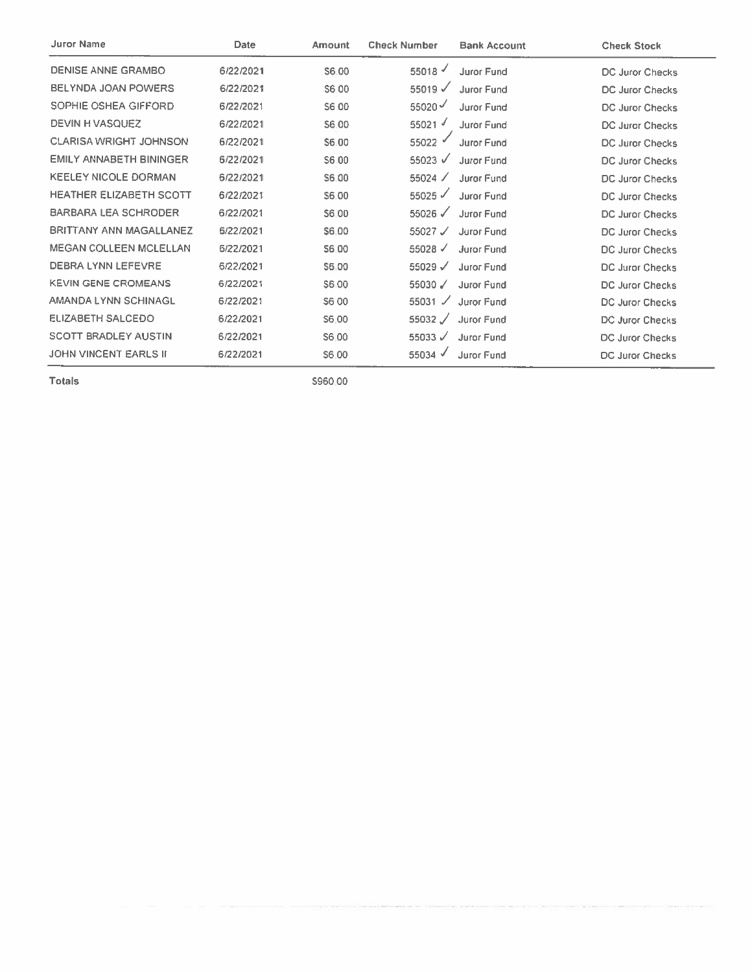| <b>Juror Name</b>              | Date      | Amount       | <b>Check Number</b>  | <b>Bank Account</b> | <b>Check Stock</b>     |
|--------------------------------|-----------|--------------|----------------------|---------------------|------------------------|
| DENISE ANNE GRAMBO             | 6/22/2021 | S6.00        | 55018                | Juror Fund          | DC Juror Checks        |
| <b>BELYNDA JOAN POWERS</b>     | 6/22/2021 | S6 00        | 55019 $\checkmark$   | <b>Juror Fund</b>   | DC Juror Checks        |
| SOPHIE OSHEA GIFFORD           | 6/22/2021 | S6 00        | 55020 $\checkmark$   | <b>Juror Fund</b>   | <b>DC Juror Checks</b> |
| DEVIN H VASQUEZ                | 6/22/2021 | S6.00        | 55021 $\sqrt$        | Juror Fund          | <b>DC Juror Checks</b> |
| <b>CLARISA WRIGHT JOHNSON</b>  | 6/22/2021 | S6.00        | 55022                | Juror Fund          | <b>DC Juror Checks</b> |
| <b>EMILY ANNABETH BININGER</b> | 6/22/2021 | S6.00        | 55023 $\sqrt{ }$     | Juror Fund          | <b>DC Juror Checks</b> |
| <b>KEELEY NICOLE DORMAN</b>    | 6/22/2021 | S6.00        | 55024 /              | <b>Juror Fund</b>   | <b>DC Juror Checks</b> |
| <b>HEATHER ELIZABETH SCOTT</b> | 6/22/2021 | S6.00        | $55025$ $\checkmark$ | <b>Juror Fund</b>   | <b>DC Juror Checks</b> |
| BARBARA LEA SCHRODER           | 6/22/2021 | S6.00        | $55026$ $\checkmark$ | Juror Fund          | <b>DC Juror Checks</b> |
| <b>BRITTANY ANN MAGALLANEZ</b> | 6/22/2021 | S6.00        | 55027 $\mathcal{L}$  | Juror Fund          | <b>DC Juror Checks</b> |
| <b>MEGAN COLLEEN MCLELLAN</b>  | 6/22/2021 | S6.00        | $55028$ $\checkmark$ | <b>Juror Fund</b>   | <b>DC Juror Checks</b> |
| <b>DEBRA LYNN LEFEVRE</b>      | 6/22/2021 | S6.00        | 55029 $\checkmark$   | Juror Fund          | <b>DC Juror Checks</b> |
| <b>KEVIN GENE CROMEANS</b>     | 6/22/2021 | <b>S6.00</b> | 55030 $\sqrt{ }$     | Juror Fund          | DC Juror Checks        |
| AMANDA LYNN SCHINAGL           | 6/22/2021 | S6 00        | 55031 $\checkmark$   | Juror Fund          | <b>DC Juror Checks</b> |
| <b>ELIZABETH SALCEDO</b>       | 6/22/2021 | S6.00        | 55032 /              | Juror Fund          | <b>DC Juror Checks</b> |
| <b>SCOTT BRADLEY AUSTIN</b>    | 6/22/2021 | S6.00        | 55033 $\sqrt{ }$     | <b>Juror Fund</b>   | <b>DC Juror Checks</b> |
| <b>JOHN VINCENT EARLS II</b>   | 6/22/2021 | S6.00        | 55034 √              | <b>Juror Fund</b>   | <b>DC Juror Checks</b> |

\$960.00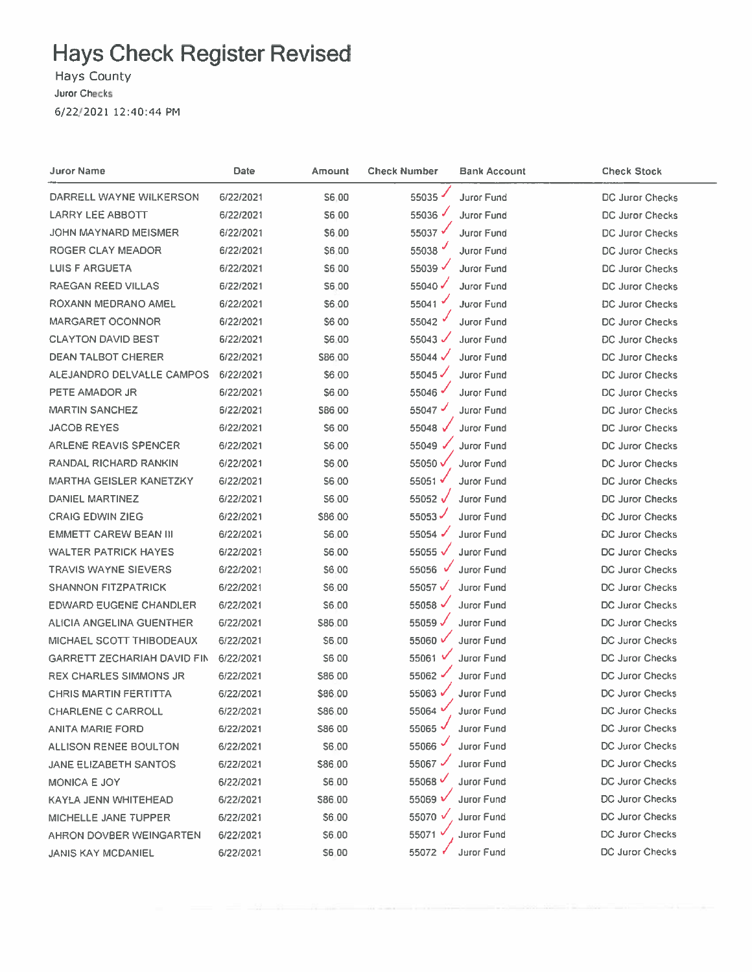Hays County

Juror Checks

6/22/2021 12:40:44 PM

| Juror Name                         | Date      | Amount       | <b>Check Number</b> | <b>Bank Account</b> | <b>Check Stock</b>     |
|------------------------------------|-----------|--------------|---------------------|---------------------|------------------------|
| DARRELL WAYNE WILKERSON            | 6/22/2021 | <b>S6.00</b> | 55035               | Juror Fund          | DC Juror Checks        |
| LARRY LEE ABBOTT                   | 6/22/2021 | S6.00        | 55036 $\sqrt$       | <b>Juror Fund</b>   | DC Juror Checks        |
| JOHN MAYNARD MEISMER               | 6/22/2021 | \$6.00       | 55037√              | <b>Juror Fund</b>   | DC Juror Checks        |
| ROGER CLAY MEADOR                  | 6/22/2021 | \$6.00       | 55038               | Juror Fund          | DC Juror Checks        |
| <b>LUIS F ARGUETA</b>              | 6/22/2021 | \$6:00       | 55039 √             | Juror Fund          | <b>DC Juror Checks</b> |
| RAEGAN REED VILLAS                 | 6/22/2021 | S6.00        | 55040               | Juror Fund          | DC Juror Checks        |
| ROXANN MEDRANO AMEL                | 6/22/2021 | \$6.00       | 55041               | <b>Juror Fund</b>   | <b>DC Juror Checks</b> |
| <b>MARGARET OCONNOR</b>            | 6/22/2021 | <b>S600</b>  | 55042               | Juror Fund          | <b>DC Juror Checks</b> |
| <b>CLAYTON DAVID BEST</b>          | 6/22/2021 | \$6.00       | 55043 $\checkmark$  | Juror Fund          | <b>DC Juror Checks</b> |
| <b>DEAN TALBOT CHERER</b>          | 6/22/2021 | \$86.00      | 55044 $\sqrt$       | Juror Fund          | DC Juror Checks        |
| ALEJANDRO DELVALLE CAMPOS          | 6/22/2021 | \$6.00       | 55045               | Juror Fund          | DC Juror Checks        |
| PETE AMADOR JR                     | 6/22/2021 | \$6.00       | 55046               | Juror Fund          | DC Juror Checks        |
| <b>MARTIN SANCHEZ</b>              | 6/22/2021 | \$86.00      | 55047               | Juror Fund          | DC Juror Checks        |
| <b>JACOB REYES</b>                 | 6/22/2021 | <b>\$600</b> | 55048 $\sqrt$       | Juror Fund          | <b>DC Juror Checks</b> |
| ARLENE REAVIS SPENCER              | 6/22/2021 | S6.00        | 55049 √             | <b>Juror Fund</b>   | <b>DC Juror Checks</b> |
| <b>RANDAL RICHARD RANKIN</b>       | 6/22/2021 | S6.00        | 55050 V             | Juror Fund          | <b>DC Juror Checks</b> |
| <b>MARTHA GEISLER KANETZKY</b>     | 6/22/2021 | S6.00        | 55051√              | <b>Juror Fund</b>   | <b>DC Juror Checks</b> |
| <b>DANIEL MARTINEZ</b>             | 6/22/2021 | <b>S6.00</b> | 55052 √             | <b>Juror Fund</b>   | <b>DC Juror Checks</b> |
| <b>CRAIG EDWIN ZIEG</b>            | 6/22/2021 | \$86.00      | 55053               | Juror Fund          | <b>DC Juror Checks</b> |
| <b>EMMETT CAREW BEAN III</b>       | 6/22/2021 | 56.00        | 55054               | Juror Fund          | <b>DC Juror Checks</b> |
| <b>WALTER PATRICK HAYES</b>        | 6/22/2021 | <b>S6.00</b> | 55055 $\sqrt$       | <b>Juror Fund</b>   | DC Juror Checks        |
| <b>TRAVIS WAYNE SIEVERS</b>        | 6/22/2021 | \$6.00       | 55056               | Juror Fund          | DC Juror Checks        |
| <b>SHANNON FITZPATRICK</b>         | 6/22/2021 | \$6.00       | 55057√              | <b>Juror Fund</b>   | <b>DC Juror Checks</b> |
| <b>EDWARD EUGENE CHANDLER</b>      | 6/22/2021 | \$6.00       | 55058 √             | Juror Fund          | DC Juror Checks        |
| ALICIA ANGELINA GUENTHER           | 6/22/2021 | \$86.00      | 55059√              | Juror Fund          | DC Juror Checks        |
| MICHAEL SCOTT THIBODEAUX           | 6/22/2021 | \$6.00       | 55060 V             | <b>Juror Fund</b>   | DC Juror Checks        |
| <b>GARRETT ZECHARIAH DAVID FIN</b> | 6/22/2021 | \$6.00       | 55061 $V$           | <b>Juror Fund</b>   | DC Juror Checks        |
| <b>REX CHARLES SIMMONS JR</b>      | 6/22/2021 | \$86.00      | 55062               | <b>Juror Fund</b>   | DC Juror Checks        |
| <b>CHRIS MARTIN FERTITTA</b>       | 6/22/2021 | \$86.00      | 55063 ₩             | Juror Fund          | DC Juror Checks        |
| <b>CHARLENE C CARROLL</b>          | 6/22/2021 | \$86.00      | 55064               | <b>Juror Fund</b>   | DC Juror Checks        |
| ANITA MARIE FORD                   | 6/22/2021 | \$86.00      | 55065               | <b>Juror Fund</b>   | <b>DC Juror Checks</b> |
| ALLISON RENEE BOULTON              | 6/22/2021 | \$6.00       | 55066 *             | <b>Juror Fund</b>   | DC Juror Checks        |
| JANE ELIZABETH SANTOS              | 6/22/2021 | \$86.00      | 55067               | Juror Fund          | <b>DC Juror Checks</b> |
| <b>MONICA E JOY</b>                | 6/22/2021 | \$6.00       | 55068 €             | Juror Fund          | <b>DC Juror Checks</b> |
| KAYLA JENN WHITEHEAD               | 6/22/2021 | \$86.00      | 55069               | Juror Fund          | <b>DC Juror Checks</b> |
| MICHELLE JANE TUPPER               | 6/22/2021 | <b>S6.00</b> | 55070               | Juror Fund          | <b>DC Juror Checks</b> |
| AHRON DOVBER WEINGARTEN            | 6/22/2021 | \$6.00       | 55071               | Juror Fund          | DC Juror Checks        |
| <b>JANIS KAY MCDANIEL</b>          | 6/22/2021 | \$6.00       | 55072               | Juror Fund          | DC Juror Checks        |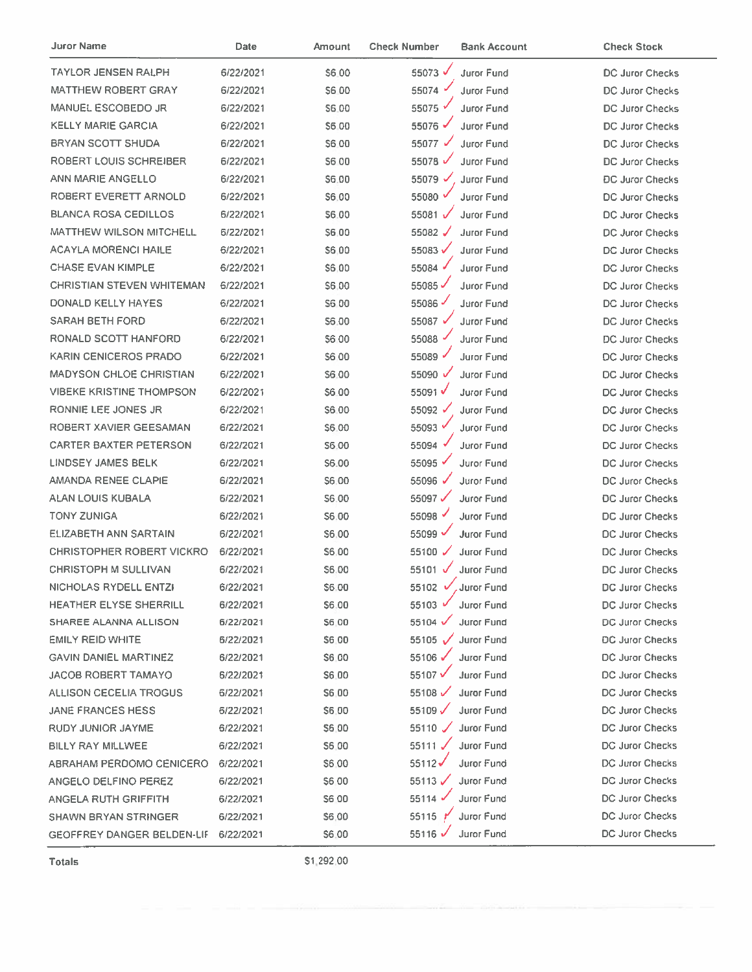| Juror Name                       | Date      | <b>Amount</b> | <b>Check Number</b>  | <b>Bank Account</b>           | <b>Check Stock</b>     |
|----------------------------------|-----------|---------------|----------------------|-------------------------------|------------------------|
| TAYLOR JENSEN RALPH              | 6/22/2021 | \$6.00        | 55073 V              | <b>Juror Fund</b>             | DC Juror Checks        |
| <b>MATTHEW ROBERT GRAY</b>       | 6/22/2021 | \$6.00        | 55074                | Juror Fund                    | DC Juror Checks        |
| <b>MANUEL ESCOBEDO JR</b>        | 6/22/2021 | \$6.00        | 55075                | Juror Fund                    | DC Juror Checks        |
| <b>KELLY MARIE GARCIA</b>        | 6/22/2021 | \$6.00        | 55076 ✔              | Juror Fund                    | DC Juror Checks        |
| <b>BRYAN SCOTT SHUDA</b>         | 6/22/2021 | \$6.00        | 55077 √              | Juror Fund                    | DC Juror Checks        |
| ROBERT LOUIS SCHREIBER           | 6/22/2021 | \$6.00        | 55078 √              | Juror Fund                    | DC Juror Checks        |
| ANN MARIE ANGELLO                | 6/22/2021 | \$6.00        | 55079 √              | Juror Fund                    | <b>DC Juror Checks</b> |
| ROBERT EVERETT ARNOLD            | 6/22/2021 | \$6.00        | 55080 $\overline{v}$ | Juror Fund                    | <b>DC Juror Checks</b> |
| <b>BLANCA ROSA CEDILLOS</b>      | 6/22/2021 | \$6.00        | 55081√               | Juror Fund                    | DC Juror Checks        |
| <b>MATTHEW WILSON MITCHELL</b>   | 6/22/2021 | \$6.00        | 55082 √              | <b>Juror Fund</b>             | DC Juror Checks        |
| <b>ACAYLA MORENCI HAILE</b>      | 6/22/2021 | \$6.00        | 55083√               | <b>Juror Fund</b>             | DC Juror Checks        |
| <b>CHASE EVAN KIMPLE</b>         | 6/22/2021 | \$6,00        | 55084                | Juror Fund                    | DC Juror Checks        |
| CHRISTIAN STEVEN WHITEMAN        | 6/22/2021 | \$6,00        | 55085                | Juror Fund                    | DC Juror Checks        |
| <b>DONALD KELLY HAYES</b>        | 6/22/2021 | S6 00         | 55086                | Juror Fund                    | <b>DC Juror Checks</b> |
| <b>SARAH BETH FORD</b>           | 6/22/2021 | S6.00         | 55087 V              | Juror Fund                    | DC Juror Checks        |
| <b>RONALD SCOTT HANFORD</b>      | 6/22/2021 | \$6.00        | 55088                | <b>Juror Fund</b>             | DC Juror Checks        |
| <b>KARIN CENICEROS PRADO</b>     | 6/22/2021 | \$6.00        | 55089                | Juror Fund                    | <b>DC Juror Checks</b> |
| <b>MADYSON CHLOE CHRISTIAN</b>   | 6/22/2021 | \$6.00        | 55090 √              | Juror Fund                    | <b>DC Juror Checks</b> |
| <b>VIBEKE KRISTINE THOMPSON</b>  | 6/22/2021 | \$6.00        | 55091√               | <b>Juror Fund</b>             | <b>DC Juror Checks</b> |
| RONNIE LEE JONES JR              | 6/22/2021 | \$6.00        | 55092 √              | <b>Juror Fund</b>             | DC Juror Checks        |
| ROBERT XAVIER GEESAMAN           | 6/22/2021 | \$6.00        | 55093                | Juror Fund                    | DC Juror Checks        |
| <b>CARTER BAXTER PETERSON</b>    | 6/22/2021 | S6.00         | 55094 $\sqrt{ }$     | <b>Juror Fund</b>             | DC Juror Checks        |
| LINDSEY JAMES BELK               | 6/22/2021 | <b>S6.00</b>  | 55095 √              | Juror Fund                    | DC Juror Checks        |
| <b>AMANDA RENEE CLAPIE</b>       | 6/22/2021 | S6:00         | 55096 √              | Juror Fund                    | <b>DC Juror Checks</b> |
| ALAN LOUIS KUBALA                | 6/22/2021 | <b>S6.00</b>  | 55097 $\checkmark$   | Juror Fund                    | <b>DC Juror Checks</b> |
| <b>TONY ZUNIGA</b>               | 6/22/2021 | \$6.00        | 55098                | Juror Fund                    | <b>DC Juror Checks</b> |
| ELIZABETH ANN SARTAIN            | 6/22/2021 | S6.00         | 55099 V              | <b>Juror Fund</b>             | <b>DC Juror Checks</b> |
| <b>CHRISTOPHER ROBERT VICKRO</b> | 6/22/2021 | S6.00         | 55100 $\checkmark$   | <b>Juror Fund</b>             | DC Juror Checks        |
| <b>CHRISTOPH M SULLIVAN</b>      | 6/22/2021 | \$6.00        | 55101 $\sqrt$        | Juror Fund                    | DC Juror Checks        |
| NICHOLAS RYDELL ENTZI            | 6/22/2021 | \$6.00        |                      | 55102 $\sqrt{ }$ , Juror Fund | DC Juror Checks        |
| HEATHER ELYSE SHERRILL           | 6/22/2021 | \$6.00        | 55103 $\overline{v}$ | Juror Fund                    | DC Juror Checks        |
| <b>SHAREE ALANNA ALLISON</b>     | 6/22/2021 | \$6.00        | 55104 √              | <b>Juror Fund</b>             | <b>DC Juror Checks</b> |
| <b>EMILY REID WHITE</b>          | 6/22/2021 | <b>S6.00</b>  | 55105 V              | Juror Fund                    | <b>DC Juror Checks</b> |
| <b>GAVIN DANIEL MARTINEZ</b>     | 6/22/2021 | S6.00         | 55106 √              | <b>Juror Fund</b>             | <b>DC Juror Checks</b> |
| <b>JACOB ROBERT TAMAYO</b>       | 6/22/2021 | <b>S6.00</b>  | 55107 V              | <b>Juror Fund</b>             | <b>DC Juror Checks</b> |
| ALLISON CECELIA TROGUS           | 6/22/2021 | \$6.00        | 55108                | <b>Juror Fund</b>             | <b>DC Juror Checks</b> |
| <b>JANE FRANCES HESS</b>         | 6/22/2021 | \$6.00        | 55109 $\checkmark$   | <b>Juror Fund</b>             | <b>DC Juror Checks</b> |
| RUDY JUNIOR JAYME                | 6/22/2021 | \$6.00        | 55110 $\checkmark$   | Juror Fund                    | DC Juror Checks        |
| BILLY RAY MILLWEE                | 6/22/2021 | \$6.00        | 55111√               | <b>Juror Fund</b>             | <b>DC Juror Checks</b> |
| ABRAHAM PERDOMO CENICERO         | 6/22/2021 | <b>S6.00</b>  | 55112√               | Juror Fund                    | DC Juror Checks        |
| ANGELO DELFINO PEREZ             | 6/22/2021 | \$6,00        | $55113 \checkmark$   | Juror Fund                    | DC Juror Checks        |
| ANGELA RUTH GRIFFITH             | 6/22/2021 | <b>S6 00</b>  | 55114 $\checkmark$   | Juror Fund                    | DC Juror Checks        |
| SHAWN BRYAN STRINGER             | 6/22/2021 | \$6,00        | 55115 $\gamma$       | Juror Fund                    | DC Juror Checks        |
| GEOFFREY DANGER BELDEN-LIF       | 6/22/2021 | \$6.00        | 55116 √              | Juror Fund                    | DC Juror Checks        |

\$1,292.00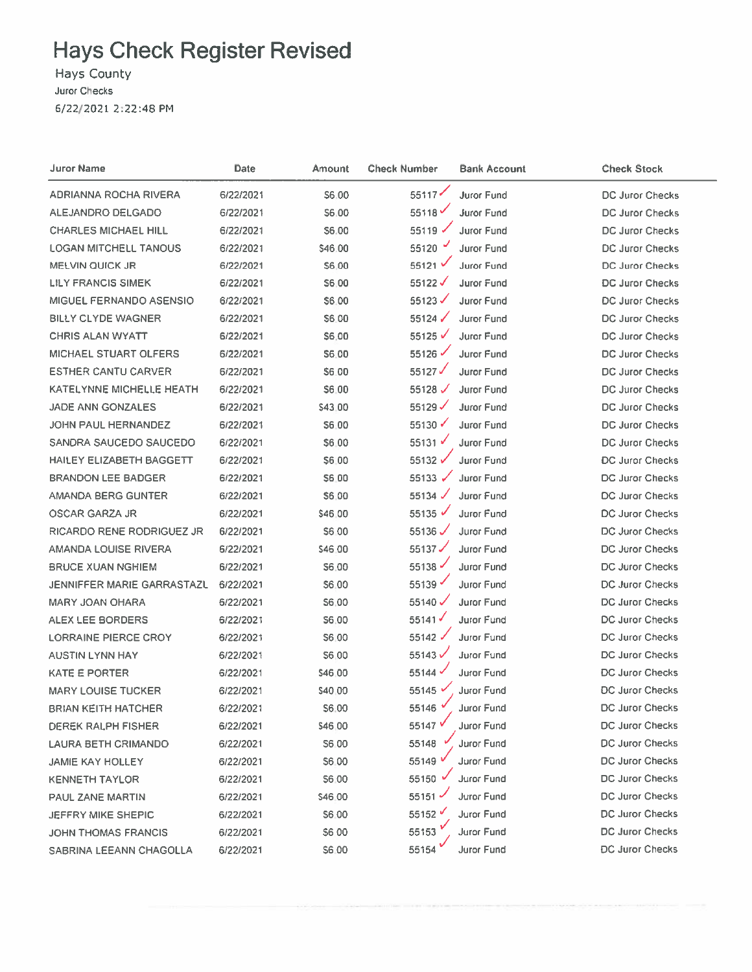Hays County

Juror Checks

6/22/2021 2:22:48 PM

| Juror Name                        | Date      | Amount       | <b>Check Number</b> | <b>Bank Account</b> | <b>Check Stock</b>     |
|-----------------------------------|-----------|--------------|---------------------|---------------------|------------------------|
| ADRIANNA ROCHA RIVERA             | 6/22/2021 | <b>S6,00</b> | 55117               | <b>Juror Fund</b>   | DC Juror Checks        |
| ALEJANDRO DELGADO                 | 6/22/2021 | \$6.00       | 55118               | <b>Juror Fund</b>   | DC Juror Checks        |
| <b>CHARLES MICHAEL HILL</b>       | 6/22/2021 | \$6.00       | 55119 $\checkmark$  | <b>Juror Fund</b>   | <b>DC Juror Checks</b> |
| <b>LOGAN MITCHELL TANOUS</b>      | 6/22/2021 | \$46.00      | 55120 $\degree$     | <b>Juror Fund</b>   | <b>DC Juror Checks</b> |
| MELVIN QUICK JR                   | 6/22/2021 | \$6.00       | 55121               | <b>Juror Fund</b>   | <b>DC Juror Checks</b> |
| LILY FRANCIS SIMEK                | 6/22/2021 | <b>S6.00</b> | 55122 $√$           | Juror Fund          | <b>DC Juror Checks</b> |
| MIGUEL FERNANDO ASENSIO           | 6/22/2021 | \$6.00       | 55123               | <b>Juror Fund</b>   | <b>DC Juror Checks</b> |
| <b>BILLY CLYDE WAGNER</b>         | 6/22/2021 | \$6.00       | $55124 \checkmark$  | Juror Fund          | DC Juror Checks        |
| <b>CHRIS ALAN WYATT</b>           | 6/22/2021 | \$6.00       | 55125               | <b>Juror Fund</b>   | DC Juror Checks        |
| <b>MICHAEL STUART OLFERS</b>      | 6/22/2021 | \$6.00       | 55126               | Juror Fund          | <b>DC Juror Checks</b> |
| <b>ESTHER CANTU CARVER</b>        | 6/22/2021 | \$6.00       | 55127               | Juror Fund          | DC Juror Checks        |
| KATELYNNE MICHELLE HEATH          | 6/22/2021 | \$6.00       | 55128 $\checkmark$  | <b>Juror Fund</b>   | DC Juror Checks        |
| <b>JADE ANN GONZALES</b>          | 6/22/2021 | \$43.00      | 55129               | <b>Juror Fund</b>   | DC Juror Checks        |
| <b>JOHN PAUL HERNANDEZ</b>        | 6/22/2021 | \$6.00       | $55130 \checkmark$  | Juror Fund          | DC Juror Checks        |
| SANDRA SAUCEDO SAUCEDO            | 6/22/2021 | \$6.00       | 55131               | Juror Fund          | DC Juror Checks        |
| <b>HAILEY ELIZABETH BAGGETT</b>   | 6/22/2021 | \$6.00       | 55132 V             | Juror Fund          | DC Juror Checks        |
| <b>BRANDON LEE BADGER</b>         | 6/22/2021 | \$6.00       | 55133 $\checkmark$  | Juror Fund          | DC Juror Checks        |
| AMANDA BERG GUNTER                | 6/22/2021 | \$6.00       | 55134 $\checkmark$  | Juror Fund          | DC Juror Checks        |
| OSCAR GARZA JR                    | 6/22/2021 | \$46.00      | 55135 $\sqrt$       | Juror Fund          | DC Juror Checks        |
| <b>RICARDO RENE RODRIGUEZ JR</b>  | 6/22/2021 | S6 00        | 55136               | Juror Fund          | <b>DC Juror Checks</b> |
| AMANDA LOUISE RIVERA              | 6/22/2021 | \$46.00      | 55137 $\checkmark$  | Juror Fund          | DC Juror Checks        |
| <b>BRUCE XUAN NGHIEM</b>          | 6/22/2021 | \$6.00       | 55138               | Juror Fund          | DC Juror Checks        |
| <b>JENNIFFER MARIE GARRASTAZL</b> | 6/22/2021 | 56.00        | 55139               | Juror Fund          | <b>DC Juror Checks</b> |
| <b>MARY JOAN OHARA</b>            | 6/22/2021 | \$6.00       | 55140√              | <b>Juror Fund</b>   | DC Juror Checks        |
| ALEX LEE BORDERS                  | 6/22/2021 | S6.00        | $55141 \checkmark$  | Juror Fund          | DC Juror Checks        |
| <b>LORRAINE PIERCE CROY</b>       | 6/22/2021 | S6.00        | 55142               | <b>Juror Fund</b>   | DC Juror Checks        |
| <b>AUSTIN LYNN HAY</b>            | 6/22/2021 | S6.00        | 55143√              | <b>Juror Fund</b>   | DC Juror Checks        |
| <b>KATE E PORTER</b>              | 6/22/2021 | \$46.00      | 55144               | <b>Juror Fund</b>   | <b>DC Juror Checks</b> |
| <b>MARY LOUISE TUCKER</b>         | 6/22/2021 | S40.00       | 55145               | <b>Juror Fund</b>   | <b>DC Juror Checks</b> |
| <b>BRIAN KEITH HATCHER</b>        | 6/22/2021 | S6:00        | 55146               | Juror Fund          | <b>DC Juror Checks</b> |
| <b>DEREK RALPH FISHER</b>         | 6/22/2021 | \$46,00      | 55147 <sup>V</sup>  | Juror Fund          | <b>DC Juror Checks</b> |
| LAURA BETH CRIMANDO               | 6/22/2021 | S6.00        | 55148               | <b>Juror Fund</b>   | <b>DC Juror Checks</b> |
| <b>JAMIE KAY HOLLEY</b>           | 6/22/2021 | S6.00        | 55149               | Juror Fund          | <b>DC Juror Checks</b> |
| <b>KENNETH TAYLOR</b>             | 6/22/2021 | \$6.00       | 55150               | <b>Juror Fund</b>   | DC Juror Checks        |
| PAUL ZANE MARTIN                  | 6/22/2021 | \$46.00      | $55151 -$           | Juror Fund          | <b>DC Juror Checks</b> |
| <b>JEFFRY MIKE SHEPIC</b>         | 6/22/2021 | <b>S6.00</b> | 55152               | Juror Fund          | <b>DC Juror Checks</b> |
| <b>JOHN THOMAS FRANCIS</b>        | 6/22/2021 | \$6 00       | 55153               | Juror Fund          | <b>DC Juror Checks</b> |
| SABRINA LEEANN CHAGOLLA           | 6/22/2021 | \$6.00       | 55154               | Juror Fund          | <b>DC Juror Checks</b> |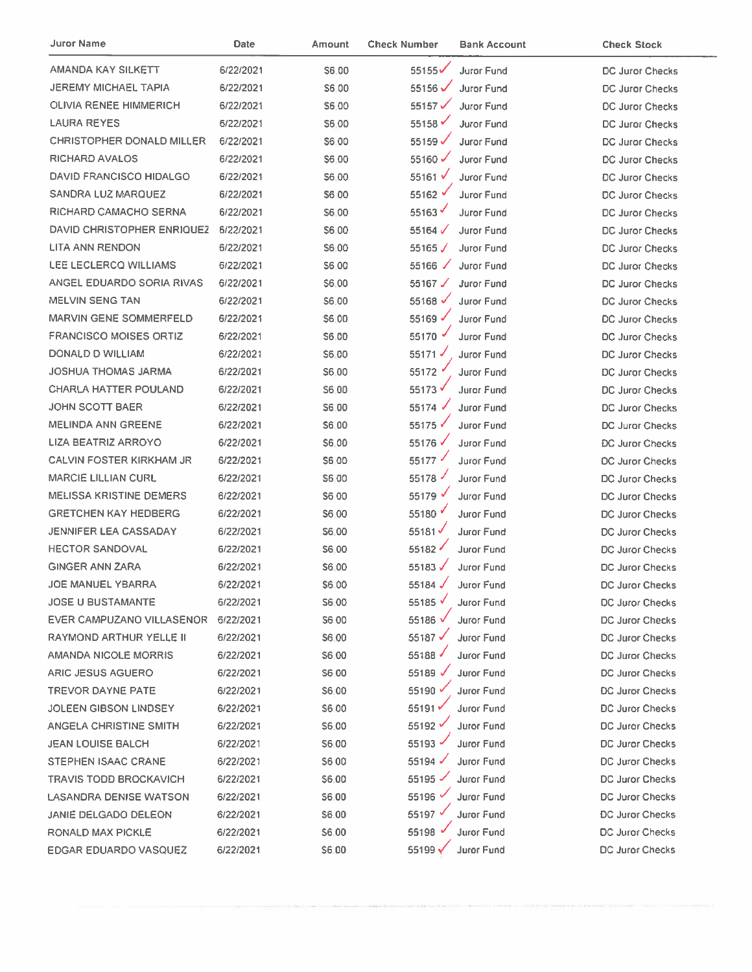| Juror Name                       | <b>Date</b> | Amount       | <b>Check Number</b>  | <b>Bank Account</b> | <b>Check Stock</b>     |
|----------------------------------|-------------|--------------|----------------------|---------------------|------------------------|
| AMANDA KAY SILKETT               | 6/22/2021   | S6.00        | 55155                | <b>Juror Fund</b>   | <b>DC Juror Checks</b> |
| <b>JEREMY MICHAEL TAPIA</b>      | 6/22/2021   | S6.00        | $55156$ $\checkmark$ | Juror Fund          | DC Juror Checks        |
| <b>OLIVIA RENEE HIMMERICH</b>    | 6/22/2021   | S6.00        | 55157 $\checkmark$   | Juror Fund          | DC Juror Checks        |
| LAURA REYES                      | 6/22/2021   | \$6.00       | 55158                | <b>Juror Fund</b>   | <b>DC Juror Checks</b> |
| <b>CHRISTOPHER DONALD MILLER</b> | 6/22/2021   | \$6,00       | 55159                | <b>Juror Fund</b>   | <b>DC Juror Checks</b> |
| <b>RICHARD AVALOS</b>            | 6/22/2021   | \$6.00       | 55160 $\checkmark$   | Juror Fund          | DC Juror Checks        |
| <b>DAVID FRANCISCO HIDALGO</b>   | 6/22/2021   | \$6.00       | 55161 $V$            | Juror Fund          | <b>DC Juror Checks</b> |
| <b>SANDRA LUZ MARQUEZ</b>        | 6/22/2021   | S6 00        | 55162 $\sqrt$        | <b>Juror Fund</b>   | <b>DC Juror Checks</b> |
| RICHARD CAMACHO SERNA            | 6/22/2021   | S6.00        | 55163                | <b>Juror Fund</b>   | DC Juror Checks        |
| DAVID CHRISTOPHER ENRIQUEZ       | 6/22/2021   | S6.00        | 55164 $\checkmark$   | Juror Fund          | DC Juror Checks        |
| LITA ANN RENDON                  | 6/22/2021   | S6.00        | 55165 $\sqrt{}$      | Juror Fund          | <b>DC Juror Checks</b> |
| LEE LECLERCQ WILLIAMS            | 6/22/2021   | <b>S6.00</b> | $55166$ $\checkmark$ | <b>Juror Fund</b>   | <b>DC Juror Checks</b> |
| ANGEL EDUARDO SORIA RIVAS        | 6/22/2021   | \$6.00       | 55167 $\checkmark$   | <b>Juror Fund</b>   | <b>DC Juror Checks</b> |
| <b>MELVIN SENG TAN</b>           | 6/22/2021   | \$6.00       | 55168 $\checkmark$   | Juror Fund          | <b>DC Juror Checks</b> |
| MARVIN GENE SOMMERFELD           | 6/22/2021   | \$6.00       | 55169 √              | Juror Fund          | <b>DC Juror Checks</b> |
| <b>FRANCISCO MOISES ORTIZ</b>    | 6/22/2021   | \$6.00       | 55170 →              | Juror Fund          | DC Juror Checks        |
| DONALD D WILLIAM                 | 6/22/2021   | S6.00        | $55171$ $\checkmark$ | Juror Fund          | DC Juror Checks        |
| JOSHUA THOMAS JARMA              | 6/22/2021   | S6.00        | 55172                | Juror Fund          | DC Juror Checks        |
| <b>CHARLA HATTER POULAND</b>     | 6/22/2021   | S6.00        | 55173√               | <b>Juror Fund</b>   | <b>DC Juror Checks</b> |
| JOHN SCOTT BAER                  | 6/22/2021   | S6.00        | 55174                | <b>Juror Fund</b>   | <b>DC Juror Checks</b> |
| <b>MELINDA ANN GREENE</b>        | 6/22/2021   | <b>S6.00</b> | 55175                | <b>Juror Fund</b>   | DC Juror Checks        |
| LIZA BEATRIZ ARROYO              | 6/22/2021   | \$6.00       | 55176 √              | Juror Fund          | DC Juror Checks        |
| <b>CALVIN FOSTER KIRKHAM JR</b>  | 6/22/2021   | \$6.00       | 55177                | Juror Fund          | DC Juror Checks        |
| <b>MARCIE LILLIAN CURL</b>       | 6/22/2021   | \$6.00       | 55178                | Juror Fund          | DC Juror Checks        |
| <b>MELISSA KRISTINE DEMERS</b>   | 6/22/2021   | <b>S600</b>  | 55179 √              | Juror Fund          | DC Juror Checks        |
| <b>GRETCHEN KAY HEDBERG</b>      | 6/22/2021   | <b>S600</b>  | 55180                | <b>Juror Fund</b>   | <b>DC Juror Checks</b> |
| JENNIFER LEA CASSADAY            | 6/22/2021   | S6.00        | 55181                | Juror Fund          | DC Juror Checks        |
| <b>HECTOR SANDOVAL</b>           | 6/22/2021   | S6.00        | 55182                | Juror Fund          | <b>DC Juror Checks</b> |
| <b>GINGER ANN ZARA</b>           | 6/22/2021   | \$6.00       | 55183 $\checkmark$   | Juror Fund          | DC Juror Checks        |
| <b>JOE MANUEL YBARRA</b>         | 6/22/2021   | \$6,00       | 55184                | Juror Fund          | DC Juror Checks        |
| <b>JOSE U BUSTAMANTE</b>         | 6/22/2021   | S6.00        | 55185 $\checkmark$   | <b>Juror Fund</b>   | DC Juror Checks        |
| EVER CAMPUZANO VILLASENOR        | 6/22/2021   | <b>S600</b>  | 55186 √              | <b>Juror Fund</b>   | DC Juror Checks        |
| RAYMOND ARTHUR YELLE II          | 6/22/2021   | S6.00        | 55187 $\checkmark$   | Juror Fund          | DC Juror Checks        |
| AMANDA NICOLE MORRIS             | 6/22/2021   | S6.00        | 55188 $\sqrt$        | <b>Juror Fund</b>   | <b>DC Juror Checks</b> |
| ARIC JESUS AGUERO                | 6/22/2021   | S6.00        | 55189 $\checkmark$   | Juror Fund          | DC Juror Checks        |
| <b>TREVOR DAYNE PATE</b>         | 6/22/2021   | S6.00        | 55190 $\checkmark$   | Juror Fund          | <b>DC Juror Checks</b> |
| JOLEEN GIBSON LINDSEY            | 6/22/2021   | S6 00        | 55191                | Juror Fund          | <b>DC Juror Checks</b> |
| <b>ANGELA CHRISTINE SMITH</b>    | 6/22/2021   | <b>S6.00</b> | 55192                | Juror Fund          | <b>DC Juror Checks</b> |
| JEAN LOUISE BALCH                | 6/22/2021   | S6.00        | 55193 $\checkmark$   | <b>Juror Fund</b>   | <b>DC Juror Checks</b> |
| <b>STEPHEN ISAAC CRANE</b>       | 6/22/2021   | S6 00        | 55194 $\checkmark$   | <b>Juror Fund</b>   | <b>DC Juror Checks</b> |
| <b>TRAVIS TODD BROCKAVICH</b>    | 6/22/2021   | \$6.00       | 55195                | <b>Juror Fund</b>   | <b>DC Juror Checks</b> |
| LASANDRA DENISE WATSON           | 6/22/2021   | \$6.00       | 55196 $\checkmark$   | Juror Fund          | <b>DC Juror Checks</b> |
| JANIE DELGADO DELEON             | 6/22/2021   | \$6.00       | 55197 √              | Juror Fund          | <b>DC Juror Checks</b> |
| RONALD MAX PICKLE                | 6/22/2021   | \$6.00       | 55198 $\sqrt$        | <b>Juror Fund</b>   | <b>DC Juror Checks</b> |
| EDGAR EDUARDO VASQUEZ            | 6/22/2021   | \$6.00       | 55199 Y              | Juror Fund          | DC Juror Checks        |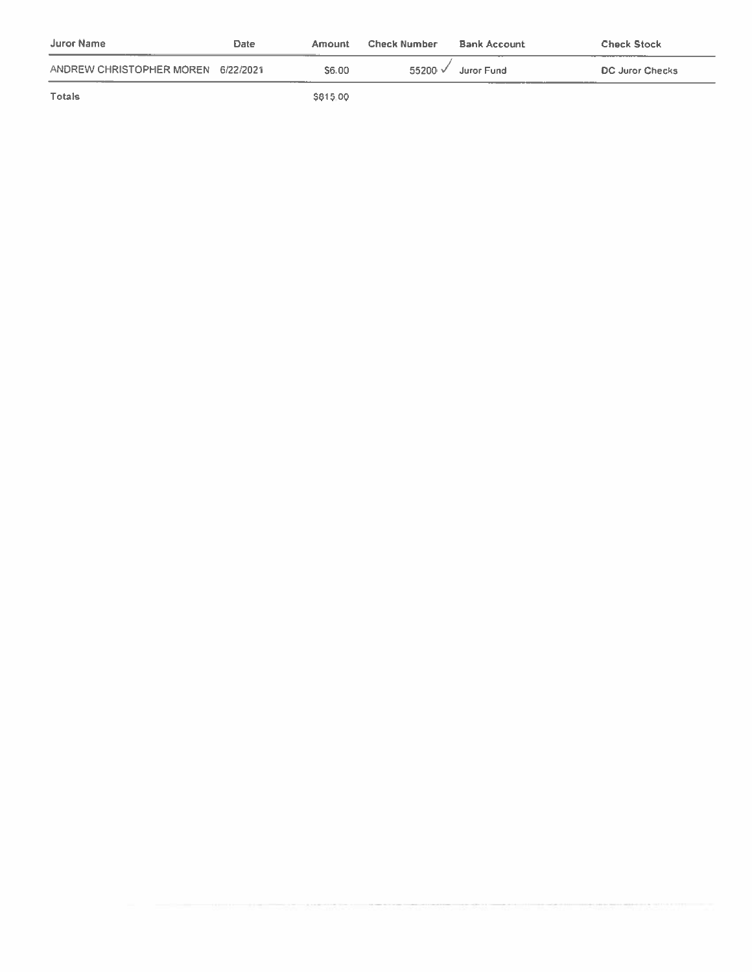| Juror Name                         | Date | Amount   | <b>Check Number</b> | <b>Bank Account</b> | <b>Check Stock</b> |
|------------------------------------|------|----------|---------------------|---------------------|--------------------|
| ANDREW CHRISTOPHER MOREN 6/22/2021 |      | \$6.00   | $55200 \checkmark$  | Juror Fund          | DC Juror Checks    |
| Totals                             |      | \$815.00 |                     |                     |                    |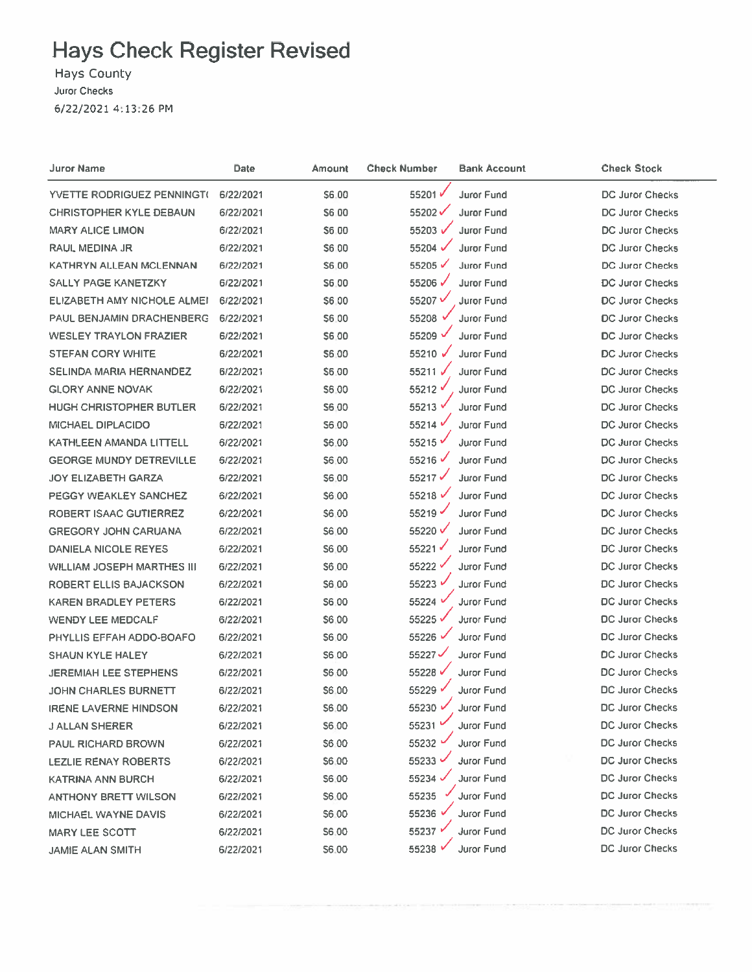Hays County

Juror Checks

6/22/2021 4:13:26 PM

| Juror Name                     | Date      | Amount       | <b>Check Number</b> | <b>Bank Account</b> | <b>Check Stock</b>     |
|--------------------------------|-----------|--------------|---------------------|---------------------|------------------------|
| YVETTE RODRIGUEZ PENNINGT(     | 6/22/2021 | 56.00        | 55201√              | Juror Fund          | <b>DC Juror Checks</b> |
| <b>CHRISTOPHER KYLE DEBAUN</b> | 6/22/2021 | S6 00        | 55202√              | Juror Fund          | DC Juror Checks        |
| <b>MARY ALICE LIMON</b>        | 6/22/2021 | S6.00        | 55203 √             | Juror Fund          | <b>DC Juror Checks</b> |
| RAUL MEDINA JR                 | 6/22/2021 | S6 00        | 55204 √             | Juror Fund          | <b>DC Juror Checks</b> |
| KATHRYN ALLEAN MCLENNAN        | 6/22/2021 | <b>S6.00</b> | 55205 √             | Juror Fund          | <b>DC Juror Checks</b> |
| <b>SALLY PAGE KANETZKY</b>     | 6/22/2021 | S6.00        | 55206√              | <b>Juror Fund</b>   | <b>DC Juror Checks</b> |
| ELIZABETH AMY NICHOLE ALMEI    | 6/22/2021 | S6.00        | 55207√              | Juror Fund          | <b>DC Juror Checks</b> |
| PAUL BENJAMIN DRACHENBERG      | 6/22/2021 | \$6.00       | 55208 v             | Juror Fund          | <b>DC Juror Checks</b> |
| <b>WESLEY TRAYLON FRAZIER</b>  | 6/22/2021 | \$6.00       | 55209 V             | Juror Fund          | DC Juror Checks        |
| <b>STEFAN CORY WHITE</b>       | 6/22/2021 | \$6.00       | 55210 $\checkmark$  | <b>Juror Fund</b>   | DC Juror Checks        |
| <b>SELINDA MARIA HERNANDEZ</b> | 6/22/2021 | \$6.00       | 55211 √             | <b>Juror Fund</b>   | DC Juror Checks        |
| <b>GLORY ANNE NOVAK</b>        | 6/22/2021 | S6.00        | 55212 √             | Juror Fund          | <b>DC Juror Checks</b> |
| <b>HUGH CHRISTOPHER BUTLER</b> | 6/22/2021 | S6.00        | 55213 V             | <b>Juror Fund</b>   | <b>DC Juror Checks</b> |
| <b>MICHAEL DIPLACIDO</b>       | 6/22/2021 | S6.00        | 55214               | Juror Fund          | <b>DC Juror Checks</b> |
| KATHLEEN AMANDA LITTELL        | 6/22/2021 | <b>S6.00</b> | 55215               | <b>Juror Fund</b>   | <b>DC Juror Checks</b> |
| <b>GEORGE MUNDY DETREVILLE</b> | 6/22/2021 | \$6.00       | 55216               | Juror Fund          | <b>DC Juror Checks</b> |
| JOY ELIZABETH GARZA            | 6/22/2021 | 56.00        | 55217√              | <b>Juror Fund</b>   | <b>DC Juror Checks</b> |
| PEGGY WEAKLEY SANCHEZ          | 6/22/2021 | \$6.00       | 55218 $\checkmark$  | <b>Juror Fund</b>   | DC Juror Checks        |
| <b>ROBERT ISAAC GUTIERREZ</b>  | 6/22/2021 | \$6.00       | 55219               | Juror Fund          | <b>DC Juror Checks</b> |
| <b>GREGORY JOHN CARUANA</b>    | 6/22/2021 | \$6,00       | 55220               | <b>Juror Fund</b>   | <b>DC Juror Checks</b> |
| DANIELA NICOLE REYES           | 6/22/2021 | \$6.00       | 55221               | Juror Fund          | <b>DC Juror Checks</b> |
| WILLIAM JOSEPH MARTHES III     | 6/22/2021 | \$6.00       | 55222 V             | Juror Fund          | <b>DC Juror Checks</b> |
| ROBERT ELLIS BAJACKSON         | 6/22/2021 | \$6.00       | 55223               | Juror Fund          | <b>DC Juror Checks</b> |
| <b>KAREN BRADLEY PETERS</b>    | 6/22/2021 | \$6.00       | 55224 V             | Juror Fund          | <b>DC Juror Checks</b> |
| <b>WENDY LEE MEDCALF</b>       | 6/22/2021 | \$6.00       | 55225 V             | Juror Fund          | <b>DC Juror Checks</b> |
| PHYLLIS EFFAH ADDO-BOAFO       | 6/22/2021 | \$6.00       | 55226 √             | Juror Fund          | <b>DC Juror Checks</b> |
| <b>SHAUN KYLE HALEY</b>        | 6/22/2021 | S6.00        | 55227√              | <b>Juror Fund</b>   | <b>DC Juror Checks</b> |
| <b>JEREMIAH LEE STEPHENS</b>   | 6/22/2021 | S6 00        | 55228 √             | <b>Juror Fund</b>   | <b>DC Juror Checks</b> |
| <b>JOHN CHARLES BURNETT</b>    | 6/22/2021 | \$6.00       | 55229√              | <b>Juror Fund</b>   | <b>DC Juror Checks</b> |
| <b>IRENE LAVERNE HINDSON</b>   | 6/22/2021 | \$6.00       | 55230               | Juror Fund          | <b>DC Juror Checks</b> |
| <b>J ALLAN SHERER</b>          | 6/22/2021 | \$6.00       | 55231               | Juror Fund          | <b>DC Juror Checks</b> |
| <b>PAUL RICHARD BROWN</b>      | 6/22/2021 | \$6.00       | 55232               | Juror Fund          | <b>DC Juror Checks</b> |
| <b>LEZLIE RENAY ROBERTS</b>    | 6/22/2021 | \$6.00       | 55233 .             | Juror Fund          | DC Juror Checks        |
| <b>KATRINA ANN BURCH</b>       | 6/22/2021 | \$6.00       | 55234               | <b>Juror Fund</b>   | <b>DC Juror Checks</b> |
| <b>ANTHONY BRETT WILSON</b>    | 6/22/2021 | S6.00        | 55235               | Juror Fund          | <b>DC Juror Checks</b> |
| MICHAEL WAYNE DAVIS            | 6/22/2021 | \$6.00       | 55236               | Juror Fund          | <b>DC Juror Checks</b> |
| <b>MARY LEE SCOTT</b>          | 6/22/2021 | S6.00        | 55237 *             | Juror Fund          | <b>DC Juror Checks</b> |
| <b>JAMIE ALAN SMITH</b>        | 6/22/2021 | \$6.00       | 55238               | Juror Fund          | <b>DC Juror Checks</b> |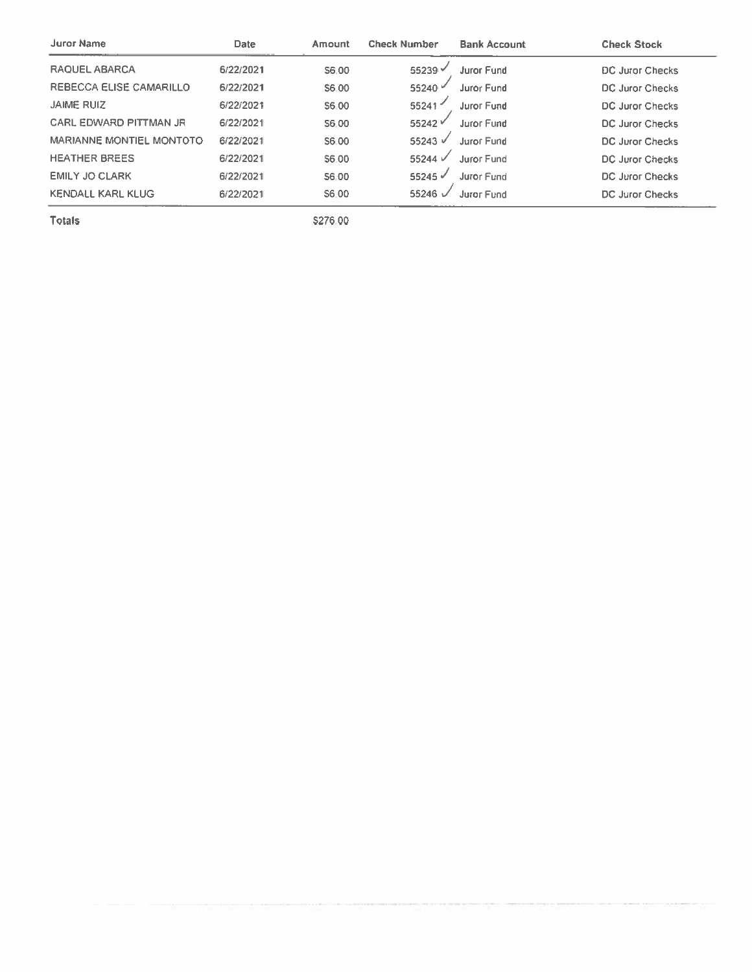| Juror Name                     | Date      | Amount | <b>Check Number</b>  | <b>Bank Account</b> | <b>Check Stock</b>     |
|--------------------------------|-----------|--------|----------------------|---------------------|------------------------|
| RAQUEL ABARCA                  | 6/22/2021 | S6.00  | $55239$ $\sim$       | Juror Fund          | <b>DC Juror Checks</b> |
| <b>REBECCA ELISE CAMARILLO</b> | 6/22/2021 | S6.00  | 55240 $\degree$      | Juror Fund          | DC Juror Checks        |
| <b>JAIME RUIZ</b>              | 6/22/2021 | S6.00  | 55241                | Juror Fund          | DC Juror Checks        |
| <b>CARL EDWARD PITTMAN JR</b>  | 6/22/2021 | S6.00  | $55242$ $\checkmark$ | Juror Eund          | DC Juror Checks        |
| MARIANNE MONTIEL MONTOTO       | 6/22/2021 | S6.00  | 55243 V              | Juror Fund          | DC Juror Checks        |
| <b>HEATHER BREES</b>           | 6/22/2021 | S6.00  | 55244 V              | <b>Juror Fund</b>   | DC Juror Checks        |
| <b>EMILY JO CLARK</b>          | 6/22/2021 | S6.00  | $55245$ $\checkmark$ | Juror Fund          | <b>DC Juror Checks</b> |
| <b>KENDALL KARL KLUG</b>       | 6/22/2021 | S6.00  | 55246                | <b>Juror Fund</b>   | DC Juror Checks        |

\$276.00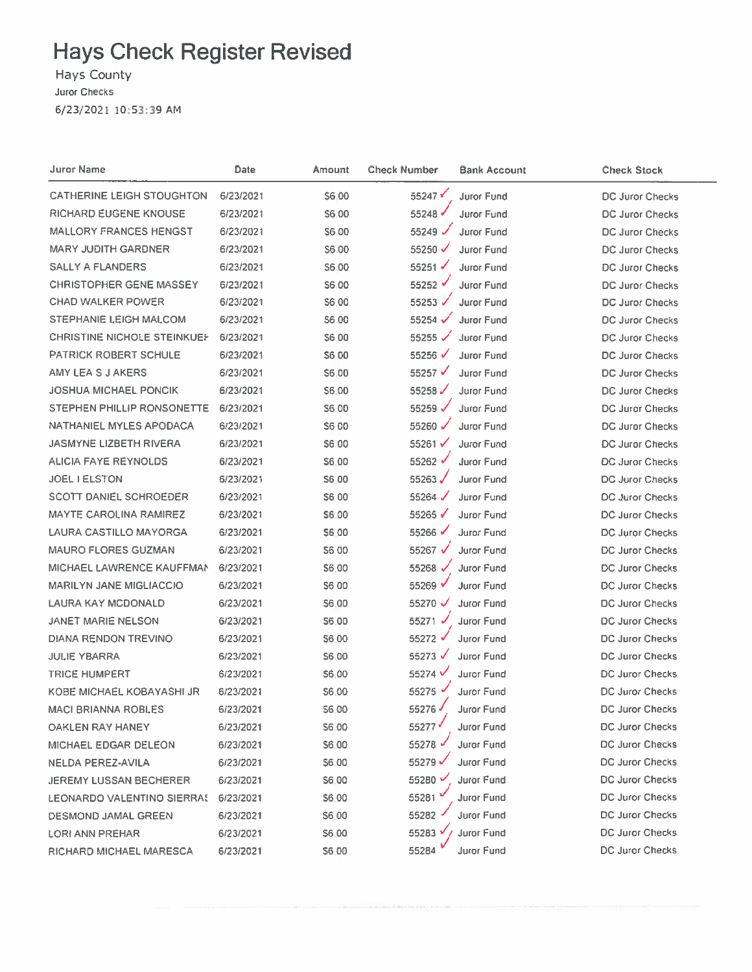Hays County

Juror Checks

6/23/2021 10:53:39 AM

| Juror Name                         | Date      | Amount | <b>Check Number</b>  | <b>Bank Account</b> | <b>Check Stock</b>     |
|------------------------------------|-----------|--------|----------------------|---------------------|------------------------|
| <b>CATHERINE LEIGH STOUGHTON</b>   | 6/23/2021 | S6.00  | 55247                | Juror Fund          | DC Juror Checks        |
| RICHARD EUGENE KNOUSE              | 6/23/2021 | S6.00  | 55248 √              | Juror Fund          | DC Juror Checks        |
| <b>MALLORY FRANCES HENGST</b>      | 6/23/2021 | \$6.00 | 55249 $\checkmark$   | Juror Fund          | <b>DC Juror Checks</b> |
| <b>MARY JUDITH GARDNER</b>         | 6/23/2021 | \$6.00 | 55250 $\checkmark$   | Juror Fund          | DC Juror Checks        |
| <b>SALLY A FLANDERS</b>            | 6/23/2021 | S6.00  | $55251 \checkmark$   | Juror Fund          | <b>DC Juror Checks</b> |
| <b>CHRISTOPHER GENE MASSEY</b>     | 6/23/2021 | \$6.00 | $55252$ $\checkmark$ | Juror Fund          | <b>DC Juror Checks</b> |
| <b>CHAD WALKER POWER</b>           | 6/23/2021 | \$6.00 | 55253 $\checkmark$   | <b>Juror Fund</b>   | <b>DC Juror Checks</b> |
| STEPHANIE LEIGH MALCOM             | 6/23/2021 | \$6.00 | 55254 $\checkmark$   | <b>Juror Fund</b>   | <b>DC Juror Checks</b> |
| <b>CHRISTINE NICHOLE STEINKUEH</b> | 6/23/2021 | \$6,00 | $55255$ $\checkmark$ | <b>Juror Fund</b>   | DC Juror Checks        |
| PATRICK ROBERT SCHULE              | 6/23/2021 | S6 00  | 55256                | <b>Juror Fund</b>   | DC Juror Checks        |
| AMY LEA S J AKERS                  | 6/23/2021 | \$6.00 | 55257 √              | Juror Fund          | <b>DC Juror Checks</b> |
| <b>JOSHUA MICHAEL PONCIK</b>       | 6/23/2021 | \$6,00 | 55258 $\checkmark$   | <b>Juror Fund</b>   | <b>DC Juror Checks</b> |
| STEPHEN PHILLIP RONSONETTE         | 6/23/2021 | S6 00  | 55259 $\checkmark$   | Juror Fund          | <b>DC Juror Checks</b> |
| NATHANIEL MYLES APODACA            | 6/23/2021 | S6 00  | 55260 $\checkmark$   | Juror Fund          | <b>DC Juror Checks</b> |
| <b>JASMYNE LIZBETH RIVERA</b>      | 6/23/2021 | S6.00  | 55261 $\checkmark$   | Juror Fund          | <b>DC Juror Checks</b> |
| <b>ALICIA FAYE REYNOLDS</b>        | 6/23/2021 | S6.00  | 55262 √              | <b>Juror Fund</b>   | <b>DC Juror Checks</b> |
| <b>JOEL I ELSTON</b>               | 6/23/2021 | S6.00  | 55263                | <b>Juror Fund</b>   | <b>DC Juror Checks</b> |
| SCOTT DANIEL SCHROEDER             | 6/23/2021 | S6 00  | 55264 $\sqrt$        | Juror Fund          | <b>DC Juror Checks</b> |
| <b>MAYTE CAROLINA RAMIREZ</b>      | 6/23/2021 | S6.00  | 55265                | <b>Juror Fund</b>   | DC Juror Checks        |
| LAURA CASTILLO MAYORGA             | 6/23/2021 | \$6.00 | 55266 $\checkmark$   | Juror Fund          | DC Juror Checks        |
| <b>MAURO FLORES GUZMAN</b>         | 6/23/2021 | \$6 00 | 55267 $\sqrt{ }$     | Juror Fund          | DC Juror Checks        |
| MICHAEL LAWRENCE KAUFFMAN          | 6/23/2021 | \$6.00 | 55268 $\checkmark$   | <b>Juror Fund</b>   | DC Juror Checks        |
| <b>MARILYN JANE MIGLIACCIO</b>     | 6/23/2021 | \$6.00 | 55269 V              | <b>Juror Fund</b>   | <b>DC Juror Checks</b> |
| LAURA KAY MCDONALD                 | 6/23/2021 | \$6.00 | 55270 $\checkmark$   | <b>Juror Fund</b>   | DC Juror Checks        |
| <b>JANET MARIE NELSON</b>          | 6/23/2021 | \$6.00 | $55271$ $\checkmark$ | Juror Fund          | <b>DC Juror Checks</b> |
| DIANA RENDON TREVINO               | 6/23/2021 | \$6.00 | 55272 √              | Juror Fund          | DC Juror Checks        |
| <b>JULIE YBARRA</b>                | 6/23/2021 | \$6.00 | 55273 $\sqrt$        | Juror Fund          | <b>DC Juror Checks</b> |
| <b>TRICE HUMPERT</b>               | 6/23/2021 | \$6.00 | 55274 V              | Juror Fund          | <b>DC Juror Checks</b> |
| KOBE MICHAEL KOBAYASHI JR          | 6/23/2021 | \$6.00 | 55275 ·              | Juror Fund          | <b>DC Juror Checks</b> |
| <b>MACI BRIANNA ROBLES</b>         | 6/23/2021 | \$6,00 | 55276                | Juror Fund          | <b>DC Juror Checks</b> |
| OAKLEN RAY HANEY                   | 6/23/2021 | \$6,00 | 55277                | Juror Fund          | <b>DC Juror Checks</b> |
| MICHAEL EDGAR DELEON               | 6/23/2021 | \$6,00 | $55278$ $\sim$       | <b>Juror Fund</b>   | DC Juror Checks        |
| NELDA PEREZ-AVILA                  | 6/23/2021 | \$6.00 | 55279√               | Juror Fund          | <b>DC Juror Checks</b> |
| <b>JEREMY LUSSAN BECHERER</b>      | 6/23/2021 | \$6.00 | 55280 $V$            | Juror Fund          | DC Juror Checks        |
| LEONARDO VALENTINO SIERRAS         | 6/23/2021 | \$6.00 | 55281                | <b>Juror Fund</b>   | DC Juror Checks        |
| DESMOND JAMAL GREEN                | 6/23/2021 | S6.00  | 55282                | <b>Juror Fund</b>   | DC Juror Checks        |
| LORI ANN PREHAR                    | 6/23/2021 | \$6.00 | 55283 V              | <b>Juror Fund</b>   | <b>DC Juror Checks</b> |
| RICHARD MICHAEL MARESCA            | 6/23/2021 | \$6.00 | 55284                | Juror Fund          | <b>DC Juror Checks</b> |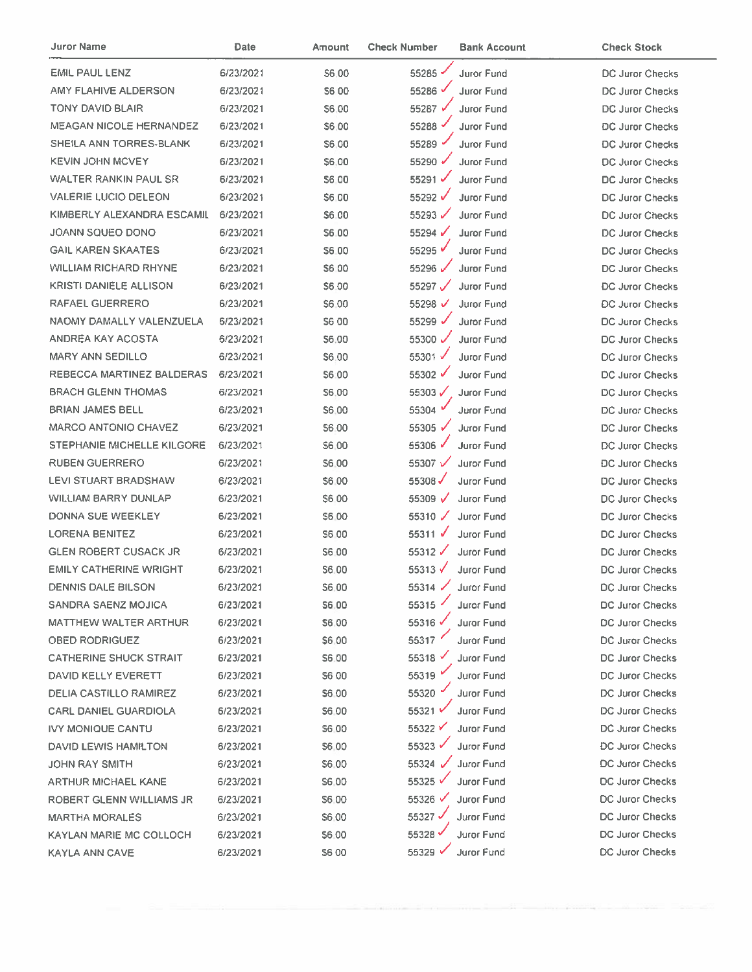| Juror Name                     | Date      | Amount        | <b>Check Number</b>  | <b>Bank Account</b> | <b>Check Stock</b>     |
|--------------------------------|-----------|---------------|----------------------|---------------------|------------------------|
| EMIL PAUL LENZ                 | 6/23/2021 | <b>S6.00</b>  | 55285                | Juror Fund          | <b>DC Juror Checks</b> |
| AMY FLAHIVE ALDERSON           | 6/23/2021 | S6 00         | 55286 V              | Juror Fund          | DC Juror Checks        |
| TONY DAVID BLAIR               | 6/23/2021 | \$6.00        | 55287 ₽              | Juror Fund          | DC Juror Checks        |
| <b>MEAGAN NICOLE HERNANDEZ</b> | 6/23/2021 | S6:00         | 55288                | <b>Juror Fund</b>   | <b>DC Juror Checks</b> |
| SHEILA ANN TORRES-BLANK        | 6/23/2021 | S6.00         | 55289 -              | <b>Juror Fund</b>   | <b>DC Juror Checks</b> |
| <b>KEVIN JOHN MCVEY</b>        | 6/23/2021 | \$6.00        | 55290 √              | Juror Fund          | <b>DC Juror Checks</b> |
| <b>WALTER RANKIN PAUL SR</b>   | 6/23/2021 | <b>\$6.00</b> | 55291√               | Juror Fund          | <b>DC Juror Checks</b> |
| <b>VALERIE LUCIO DELEON</b>    | 6/23/2021 | S6 00         | 55292 √              | <b>Juror Fund</b>   | <b>DC Juror Checks</b> |
| KIMBERLY ALEXANDRA ESCAMIL     | 6/23/2021 | \$6.00        | 55293                | Juror Fund          | <b>DC Juror Checks</b> |
| <b>JOANN SQUEO DONO</b>        | 6/23/2021 | S6.00         | 55294√               | <b>Juror Fund</b>   | DC Juror Checks        |
| <b>GAIL KAREN SKAATES</b>      | 6/23/2021 | S6.00         | 55295                | Juror Fund          | <b>DC Juror Checks</b> |
| <b>WILLIAM RICHARD RHYNE</b>   | 6/23/2021 | S6 00         | 55296 V              | Juror Fund          | DC Juror Checks        |
| <b>KRISTI DANIELE ALLISON</b>  | 6/23/2021 | <b>S6.00</b>  | 55297 $\checkmark$   | Juror Fund          | <b>DC Juror Checks</b> |
| RAFAEL GUERRERO                | 6/23/2021 | S6.00         | 55298 √              | <b>Juror Fund</b>   | <b>DC Juror Checks</b> |
| NAOMY DAMALLY VALENZUELA       | 6/23/2021 | S6 00         | 55299 √              | Juror Fund          | <b>DC Juror Checks</b> |
| ANDREA KAY ACOSTA              | 6/23/2021 | \$6.00        | 55300 √              | <b>Juror Fund</b>   | <b>DC Juror Checks</b> |
| <b>MARY ANN SEDILLO</b>        | 6/23/2021 | S6.00         | 55301√               | <b>Juror Fund</b>   | <b>DC Juror Checks</b> |
| REBECCA MARTINEZ BALDERAS      | 6/23/2021 | S6:00         | 55302 √              | Juror Fund          | DC Juror Checks        |
| <b>BRACH GLENN THOMAS</b>      | 6/23/2021 | S6.00         | 55303 $\checkmark$   | Juror Fund          | DC Juror Checks        |
| <b>BRIAN JAMES BELL</b>        | 6/23/2021 | S6.00         | 55304                | <b>Juror Fund</b>   | DC Juror Checks        |
| <b>MARCO ANTONIO CHAVEZ</b>    | 6/23/2021 | <b>S6.00</b>  | 55305 √              | <b>Juror Fund</b>   | DC Juror Checks        |
| STEPHANIE MICHELLE KILGORE     | 6/23/2021 | \$6,00        | 55306 √              | <b>Juror Fund</b>   | DC Juror Checks        |
| <b>RUBEN GUERRERO</b>          | 6/23/2021 | \$6.00        | 55307 ↓              | <b>Juror Fund</b>   | <b>DC Juror Checks</b> |
| LEVI STUART BRADSHAW           | 6/23/2021 | \$6,00        | 55308 $\checkmark$   | <b>Juror Fund</b>   | <b>DC Juror Checks</b> |
| WILLIAM BARRY DUNLAP           | 6/23/2021 | \$6.00        | 55309 $\sqrt{ }$     | <b>Juror Fund</b>   | <b>DC Juror Checks</b> |
| DONNA SUE WEEKLEY              | 6/23/2021 | \$6,00        | 55310 $\sqrt$        | Juror Fund          | <b>DC Juror Checks</b> |
| <b>LORENA BENITEZ</b>          | 6/23/2021 | S6.00         | 55311 $\sqrt$        | Juror Fund          | <b>DC Juror Checks</b> |
| <b>GLEN ROBERT CUSACK JR</b>   | 6/23/2021 | S6.00         | 55312                | Juror Fund          | DC Juror Checks        |
| <b>EMILY CATHERINE WRIGHT</b>  | 6/23/2021 | <b>S6.00</b>  | 55313 $\sqrt{}$      | <b>Juror Fund</b>   | DC Juror Checks        |
| DENNIS DALE BILSON             | 6/23/2021 | S6.00         |                      | 55314 Juror Fund    | <b>DC Juror Checks</b> |
| SANDRA SAENZ MOJICA            | 6/23/2021 | \$6,00        | 55315 $\degree$      | Juror Fund          | DC Juror Checks        |
| <b>MATTHEW WALTER ARTHUR</b>   | 6/23/2021 | \$6.00        | 55316 V              | <b>Juror Fund</b>   | <b>DC Juror Checks</b> |
| OBED RODRIGUEZ                 | 6/23/2021 | \$6.00        | 55317                | Juror Fund          | DC Juror Checks        |
| <b>CATHERINE SHUCK STRAIT</b>  | 6/23/2021 | S6.00         | 55318 $\overline{ }$ | Juror Fund          | DC Juror Checks        |
| DAVID KELLY EVERETT            | 6/23/2021 | S6 00         | 55319 "              | Juror Fund          | DC Juror Checks        |
| <b>DELIA CASTILLO RAMIREZ</b>  | 6/23/2021 | S6.00         | 55320                | <b>Juror Fund</b>   | DC Juror Checks        |
| <b>CARL DANIEL GUARDIOLA</b>   | 6/23/2021 | <b>S6.00</b>  | 55321 ₩              | <b>Juror Fund</b>   | DC Juror Checks        |
| <b>IVY MONIQUE CANTU</b>       | 6/23/2021 | \$6.00        | 55322 <del>√</del>   | <b>Juror Fund</b>   | DC Juror Checks        |
| DAVID LEWIS HAMILTON           | 6/23/2021 | <b>S6.00</b>  | 55323 ₽              | Juror Fund          | <b>DC Juror Checks</b> |
| JOHN RAY SMITH                 | 6/23/2021 | S6.00         | 55324 $\sqrt$        | Juror Fund          | DC Juror Checks        |
| ARTHUR MICHAEL KANE            | 6/23/2021 | S6.00         | 55325 ₩              | <b>Juror Fund</b>   | <b>DC Juror Checks</b> |
| ROBERT GLENN WILLIAMS JR       | 6/23/2021 | S6.00         | 55326 √              | Juror Fund          | <b>DC Juror Checks</b> |
| <b>MARTHA MORALES</b>          | 6/23/2021 | S6.00         | 55327                | Juror Fund          | <b>DC Juror Checks</b> |
| KAYLAN MARIE MC COLLOCH        | 6/23/2021 | \$6.00        | 55328                | <b>Juror Fund</b>   | <b>DC Juror Checks</b> |
| KAYLA ANN CAVE                 | 6/23/2021 | S6 00         | 55329 $\overline{v}$ | Juror Fund          | DC Juror Checks        |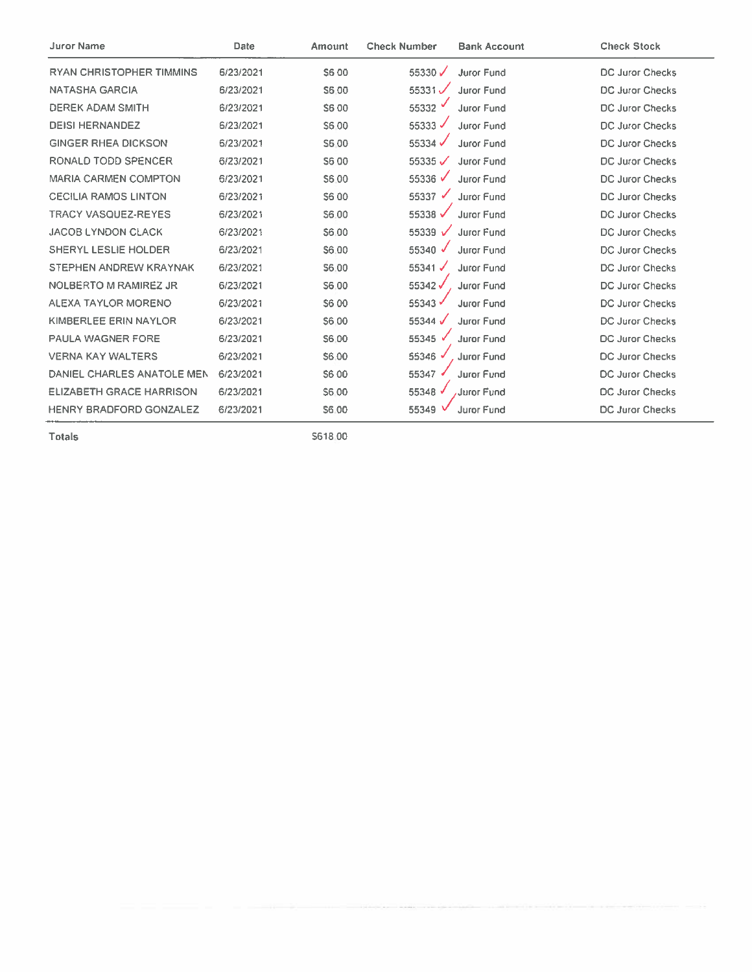| <b>Juror Name</b>               | Date      | Amount       | <b>Check Number</b> | <b>Bank Account</b> | <b>Check Stock</b>     |
|---------------------------------|-----------|--------------|---------------------|---------------------|------------------------|
| <b>RYAN CHRISTOPHER TIMMINS</b> | 6/23/2021 | S6 00        | 55330 $V$           | <b>Juror Fund</b>   | <b>DC Juror Checks</b> |
| <b>NATASHA GARCIA</b>           | 6/23/2021 | S6.00        | 55331 $\checkmark$  | <b>Juror Fund</b>   | <b>DC Juror Checks</b> |
| <b>DEREK ADAM SMITH</b>         | 6/23/2021 | S6 00        | 55332               | <b>Juror Fund</b>   | <b>DC Juror Checks</b> |
| <b>DEISI HERNANDEZ</b>          | 6/23/2021 | <b>S6.00</b> | 55333               | <b>Juror Fund</b>   | <b>DC Juror Checks</b> |
| <b>GINGER RHEA DICKSON</b>      | 6/23/2021 | S6.00        | 55334 $\checkmark$  | <b>Juror Fund</b>   | <b>DC Juror Checks</b> |
| RONALD TODD SPENCER             | 6/23/2021 | S6 00        | 55335 $\checkmark$  | Juror Fund          | <b>DC Juror Checks</b> |
| <b>MARIA CARMEN COMPTON</b>     | 6/23/2021 | S6.00        | 55336 √             | Juror Fund          | <b>DC Juror Checks</b> |
| <b>CECILIA RAMOS LINTON</b>     | 6/23/2021 | S6 00        | 55337<br>✔          | Juror Fund          | <b>DC Juror Checks</b> |
| <b>TRACY VASQUEZ-REYES</b>      | 6/23/2021 | S6.00        | 55338 $\checkmark$  | <b>Juror Fund</b>   | <b>DC Juror Checks</b> |
| <b>JACOB LYNDON CLACK</b>       | 6/23/2021 | S6.00        | 55339 $\sqrt{ }$    | Juror Fund          | <b>DC Juror Checks</b> |
| <b>SHERYL LESLIE HOLDER</b>     | 6/23/2021 | \$6.00       | 55340 $\sqrt$       | <b>Juror Fund</b>   | <b>DC Juror Checks</b> |
| <b>STEPHEN ANDREW KRAYNAK</b>   | 6/23/2021 | \$6.00       | 55341               | <b>Juror Fund</b>   | <b>DC Juror Checks</b> |
| <b>NOLBERTO M RAMIREZ JR</b>    | 6/23/2021 | S6.00        | 55342√              | <b>Juror Fund</b>   | DC Juror Checks        |
| ALEXA TAYLOR MORENO             | 6/23/2021 | <b>S600</b>  | 55343 √             | <b>Juror Fund</b>   | <b>DC Juror Checks</b> |
| <b>KIMBERLEE ERIN NAYLOR</b>    | 6/23/2021 | S6.00        | 55344 $\sqrt$       | <b>Juror Fund</b>   | <b>DC Juror Checks</b> |
| <b>PAULA WAGNER FORE</b>        | 6/23/2021 | S6:00        | 55345 √             | <b>Juror Fund</b>   | <b>DC Juror Checks</b> |
| <b>VERNA KAY WALTERS</b>        | 6/23/2021 | S6.00        | 55346               | Juror Fund          | <b>DC Juror Checks</b> |
| DANIEL CHARLES ANATOLE MEN      | 6/23/2021 | S6 00        | 55347               | Juror Fund          | <b>DC Juror Checks</b> |
| <b>ELIZABETH GRACE HARRISON</b> | 6/23/2021 | S6.00        | 55348 √             | Juror Fund          | <b>DC Juror Checks</b> |
| <b>HENRY BRADFORD GONZALEZ</b>  | 6/23/2021 | S6.00        | 55349               | Juror Fund          | <b>DC Juror Checks</b> |

\$618.00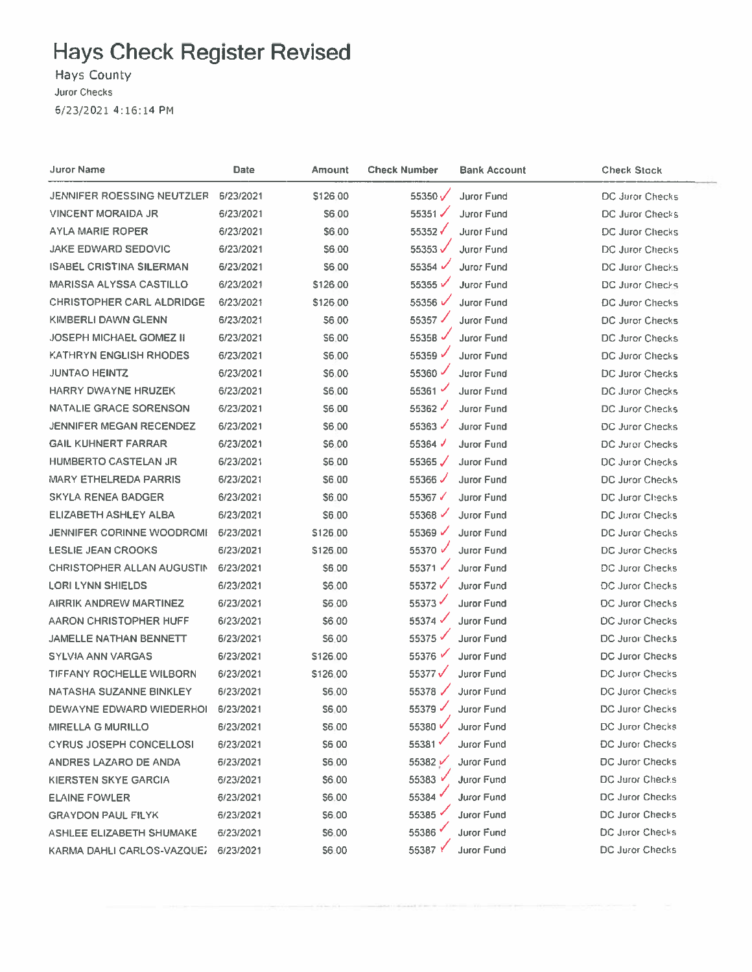Hays County

Juror Checks

6/23/2021 4:16:14 PM

| Juror Name                        | <b>Date</b> | Amount       | Check Number         | Bank Account      | <b>Check Stock</b>     |
|-----------------------------------|-------------|--------------|----------------------|-------------------|------------------------|
| JENNIFER ROESSING NEUTZLER        | 6/23/2021   | \$126.00     | 55350 $V$            | Juror Fund        | DC Juror Checks        |
| <b>VINCENT MORAIDA JR</b>         | 6/23/2021   | \$6,00       | 55351                | Juror Fund        | DC Juror Checks        |
| AYLA MARIE ROPER                  | 6/23/2021   | \$6.00       | 55352√               | Juror Fund        | DC Juror Checks        |
| <b>JAKE EDWARD SEDOVIC</b>        | 6/23/2021   | \$6.00       | 55353√               | Juror Fund        | DC Juror Checks        |
| <b>ISABEL CRISTINA SILERMAN</b>   | 6/23/2021   | \$6,00       | 55354                | <b>Juror Fund</b> | DC Juror Checks        |
| <b>MARISSA ALYSSA CASTILLO</b>    | 6/23/2021   | \$126.00     | 55355√               | <b>Juror Fund</b> | DC Juror Checks        |
| <b>CHRISTOPHER CARL ALDRIDGE</b>  | 6/23/2021   | \$126.00     | 55356 √              | <b>Juror Fund</b> | <b>DC Juror Checks</b> |
| KIMBERLI DAWN GLENN               | 6/23/2021   | <b>S600</b>  | 55357 √              | Juror Fund        | DC Juror Checks        |
| <b>JOSEPH MICHAEL GOMEZ II</b>    | 6/23/2021   | S6.00        | 55358 $\overline{v}$ | Juror Fund        | DC Juror Checks        |
| <b>KATHRYN ENGLISH RHODES</b>     | 6/23/2021   | S6.00        | 55359 ₽              | Juror Fund        | DC Juror Checks        |
| <b>JUNTAO HEINTZ</b>              | 6/23/2021   | \$6.00       | 55360                | Juror Fund        | DC Juror Checks        |
| <b>HARRY DWAYNE HRUZEK</b>        | 6/23/2021   | S6.00        | 55361                | <b>Juror Fund</b> | <b>DC Juror Checks</b> |
| NATALIE GRACE SORENSON            | 6/23/2021   | \$6.00       | 55362√               | Juror Fund        | DC Juror Checks        |
| <b>JENNIFER MEGAN RECENDEZ</b>    | 6/23/2021   | \$6.00       | 55363 $\checkmark$   | <b>Juror Fund</b> | <b>DC Juror Checks</b> |
| <b>GAIL KUHNERT FARRAR</b>        | 6/23/2021   | \$6.00       | 55364                | <b>Juror Fund</b> | DC Juror Checks        |
| HUMBERTO CASTELAN JR              | 6/23/2021   | \$6.00       | 55365 $\sqrt{}$      | <b>Juror Fund</b> | DC Juror Checks        |
| <b>MARY ETHELREDA PARRIS</b>      | 6/23/2021   | \$6.00       | 55366 $\checkmark$   | <b>Juror Fund</b> | <b>DC Juror Checks</b> |
| <b>SKYLA RENEA BADGER</b>         | 6/23/2021   | S6.00        | 55367 √              | Juror Fund        | DC Juror Checks        |
| ELIZABETH ASHLEY ALBA             | 6/23/2021   | S6.00        | 55368 √              | Juror Fund        | <b>DC Juror Checks</b> |
| <b>JENNIFER CORINNE WOODROMI</b>  | 6/23/2021   | \$126.00     | 55369 √              | Juror Fund        | DC Juror Checks        |
| <b>LESLIE JEAN CROOKS</b>         | 6/23/2021   | \$126.00     | 55370 √              | <b>Juror Fund</b> | DC Juror Checks        |
| <b>CHRISTOPHER ALLAN AUGUSTIN</b> | 6/23/2021   | \$6.00       | 55371 √              | <b>Juror Fund</b> | DC Juror Checks        |
| LORI LYNN SHIELDS                 | 6/23/2021   | S6.00        | 55372√               | <b>Juror Fund</b> | DC Juror Checks        |
| AIRRIK ANDREW MARTINEZ            | 6/23/2021   | \$6.00       | 55373                | <b>Juror Fund</b> | DC Juror Checks        |
| AARON CHRISTOPHER HUFF            | 6/23/2021   | \$6.00       | 55374                | <b>Juror Fund</b> | DC Juror Checks        |
| <b>JAMELLE NATHAN BENNETT</b>     | 6/23/2021   | 56.00        | 55375                | <b>Juror Fund</b> | DC Juror Checks        |
| <b>SYLVIA ANN VARGAS</b>          | 6/23/2021   | \$126.00     | 55376                | Juror Fund        | <b>DC Juror Checks</b> |
| <b>TIFFANY ROCHELLE WILBORN</b>   | 6/23/2021   | \$126.00     | 55377√               | Juror Fund        | DC Juror Checks        |
| NATASHA SUZANNE BINKLEY           | 6/23/2021   | <b>S6.00</b> | 55378 $\checkmark$   | Juror Fund        | DC Juror Checks        |
| DEWAYNE EDWARD WIEDERHOL          | 6/23/2021   | S6,00        | 55379 ₽              | <b>Juror Fund</b> | DC Juror Checks        |
| MIRELLA G MURILLO                 | 6/23/2021   | S6,00        | 55380 V              | Juror Fund        | DC Juror Checks        |
| <b>CYRUS JOSEPH CONCELLOSI</b>    | 6/23/2021   | \$6,00       | 55381                | Juror Fund        | <b>DC Juror Checks</b> |
| ANDRES LAZARO DE ANDA             | 6/23/2021   | \$6,00       | 55382 V              | Juror Fund        | DC Juror Checks        |
| KIERSTEN SKYE GARCIA              | 6/23/2021   | \$6,00       | 55383 v              | Juror Fund        | DC Juror Checks        |
| <b>ELAINE FOWLER</b>              | 6/23/2021   | \$6.00       | 55384                | <b>Juror Fund</b> | DC Juror Checks        |
| <b>GRAYDON PAUL FILYK</b>         | 6/23/2021   | \$6.00       | 55385                | <b>Juror Fund</b> | DC Juror Checks        |
| ASHLEE ELIZABETH SHUMAKE          | 6/23/2021   | <b>S6.00</b> | 55386 <sup>V</sup>   | Juror Fund        | DC Juror Checks        |
| KARMA DAHLI CARLOS-VAZQUEZ        | 6/23/2021   | S6.00        | 55387 \              | Juror Fund        | DC Juror Checks        |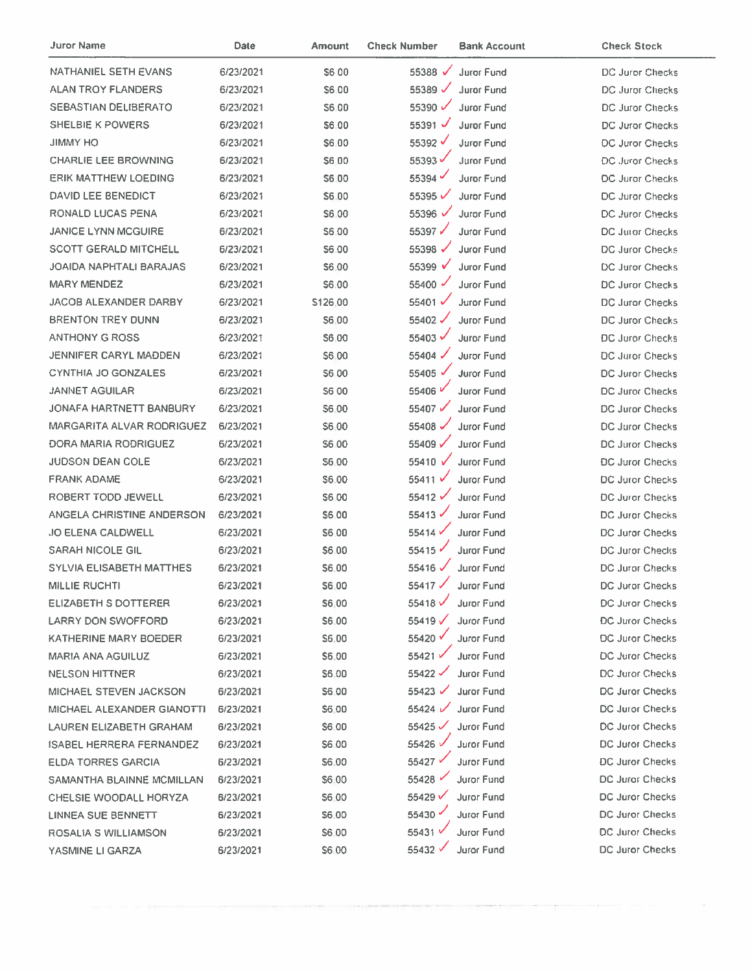| Juror Name                      | Date      | Amount       | <b>Check Number</b> | <b>Bank Account</b> | <b>Check Stock</b>     |
|---------------------------------|-----------|--------------|---------------------|---------------------|------------------------|
| <b>NATHANIEL SETH EVANS</b>     | 6/23/2021 | S6 00        | 55388 √             | <b>Juror Fund</b>   | DC Juror Checks        |
| <b>ALAN TROY FLANDERS</b>       | 6/23/2021 | \$6.00       | 55389 $\checkmark$  | <b>Juror Fund</b>   | DC Juror Checks        |
| <b>SEBASTIAN DELIBERATO</b>     | 6/23/2021 | S6.00        | 55390               | <b>Juror Fund</b>   | DC Juror Checks        |
| SHELBIE K POWERS                | 6/23/2021 | \$6.00       | 55391 $\sqrt$       | Juror Fund          | DC Juror Checks        |
| <b>JIMMY HO</b>                 | 6/23/2021 | \$6.00       | 55392 √             | Juror Fund          | <b>DC Juror Checks</b> |
| <b>CHARLIE LEE BROWNING</b>     | 6/23/2021 | \$6.00       | 55393 $\checkmark$  | Juror Fund          | DC Juror Checks        |
| <b>ERIK MATTHEW LOEDING</b>     | 6/23/2021 | S6.00        | 55394               | Juror Fund          | DC Juror Checks        |
| DAVID LEE BENEDICT              | 6/23/2021 | \$6.00       | 55395√              | <b>Juror Fund</b>   | DC Juror Checks        |
| RONALD LUCAS PENA               | 6/23/2021 | S6.00        | 55396 $\sqrt$       | Juror Fund          | DC Juror Checks        |
| <b>JANICE LYNN MCGUIRE</b>      | 6/23/2021 | S6.00        | 55397√              | <b>Juror Fund</b>   | DC Juror Checks        |
| <b>SCOTT GERALD MITCHELL</b>    | 6/23/2021 | \$6.00       | 55398 $\checkmark$  | Juror Fund          | <b>DC Juror Checks</b> |
| JOAIDA NAPHTALI BARAJAS         | 6/23/2021 | <b>S6.00</b> | 55399 √             | Juror Fund          | <b>DC Juror Checks</b> |
| <b>MARY MENDEZ</b>              | 6/23/2021 | S6.00        | 55400 $\sqrt$       | <b>Juror Fund</b>   | <b>DC Juror Checks</b> |
| JACOB ALEXANDER DARBY           | 6/23/2021 | \$126.00     | 55401 √             | Juror Fund          | DC Juror Checks        |
| <b>BRENTON TREY DUNN</b>        | 6/23/2021 | \$6,00       | 55402 √             | Juror Fund          | DC Juror Checks        |
| <b>ANTHONY G ROSS</b>           | 6/23/2021 | \$6.00       | 55403 √             | Juror Fund          | <b>DC Juror Checks</b> |
| <b>JENNIFER CARYL MADDEN</b>    | 6/23/2021 | \$6.00       | 55404               | <b>Juror Fund</b>   | <b>DC Juror Checks</b> |
| <b>CYNTHIA JO GONZALES</b>      | 6/23/2021 | S6 00        | 55405 √             | <b>Juror Fund</b>   | DC Juror Checks        |
| <b>JANNET AGUILAR</b>           | 6/23/2021 | S6 00        | 55406 <sup>V</sup>  | Juror Fund          | DC Juror Checks        |
| JONAFA HARTNETT BANBURY         | 6/23/2021 | \$6.00       | 55407 √             | Juror Fund          | DC Juror Checks        |
| MARGARITA ALVAR RODRIGUEZ       | 6/23/2021 | S6.00        | 55408               | Juror Fund          | DC Juror Checks        |
| DORA MARIA RODRIGUEZ            | 6/23/2021 | \$6.00       | 55409√              | Juror Fund          | DC Juror Checks        |
| <b>JUDSON DEAN COLE</b>         | 6/23/2021 | S6.00        | 55410 √             | Juror Fund          | <b>DC Juror Checks</b> |
| <b>FRANK ADAME</b>              | 6/23/2021 | \$6.00       | 55411 V             | Juror Fund          | <b>DC Juror Checks</b> |
| ROBERT TODD JEWELL              | 6/23/2021 | \$6.00       | 55412 √             | Juror Fund          | DC Juror Checks        |
| ANGELA CHRISTINE ANDERSON       | 6/23/2021 | \$6.00       | 55413               | <b>Juror Fund</b>   | DC Juror Checks        |
| <b>JO ELENA CALDWELL</b>        | 6/23/2021 | \$6.00       | 55414               | <b>Juror Fund</b>   | <b>DC Juror Checks</b> |
| <b>SARAH NICOLE GIL</b>         | 6/23/2021 | \$6.00       | 55415               | Juror Fund          | DC Juror Checks        |
| <b>SYLVIA ELISABETH MATTHES</b> | 6/23/2021 | \$6.00       | 55416 V             | Juror Fund          | <b>DC Juror Checks</b> |
| <b>MILLIE RUCHTI</b>            | 6/23/2021 | \$6.00       | 55417 √             | Juror Fund          | DC Juror Checks        |
| ELIZABETH S DOTTERER            | 6/23/2021 | \$6.00       | 55418√              | Juror Fund          | <b>DC Juror Checks</b> |
| <b>LARRY DON SWOFFORD</b>       | 6/23/2021 | S6.00        | 55419 $\checkmark$  | Juror Fund          | <b>DC Juror Checks</b> |
| <b>KATHERINE MARY BOEDER</b>    | 6/23/2021 | <b>S6.00</b> | 55420 V             | <b>Juror Fund</b>   | <b>DC Juror Checks</b> |
| MARIA ANA AGUILUZ               | 6/23/2021 | \$6.00       | 55421√              | <b>Juror Fund</b>   | <b>DC Juror Checks</b> |
| <b>NELSON HITTNER</b>           | 6/23/2021 | \$6,00       | 55422               | <b>Juror Fund</b>   | DC Juror Checks        |
| MICHAEL STEVEN JACKSON          | 6/23/2021 | \$6.00       | 55423 $\checkmark$  | Juror Fund          | DC Juror Checks        |
| MICHAEL ALEXANDER GIANOTTI      | 6/23/2021 | \$6.00       | $55424$ $\sqrt{2}$  | Juror Fund          | DC Juror Checks        |
| LAUREN ELIZABETH GRAHAM         | 6/23/2021 | \$6,00       | 55425 $\checkmark$  | Juror Fund          | DC Juror Checks        |
| <b>ISABEL HERRERA FERNANDEZ</b> | 6/23/2021 | S6.00        | 55426 V             | <b>Juror Fund</b>   | DC Juror Checks        |
| <b>ELDA TORRES GARCIA</b>       | 6/23/2021 | \$6.00       | 55427 €             | Juror Fund          | <b>DC Juror Checks</b> |
| SAMANTHA BLAINNE MCMILLAN       | 6/23/2021 | \$6.00       | 55428               | <b>Juror Fund</b>   | DC Juror Checks        |
| CHELSIE WOODALL HORYZA          | 6/23/2021 | \$6.00       | 55429√              | Juror Fund          | DC Juror Checks        |
| <b>LINNEA SUE BENNETT</b>       | 6/23/2021 | \$6.00       | 55430               | <b>Juror Fund</b>   | DC Juror Checks        |
| ROSALIA S WILLIAMSON            | 6/23/2021 | <b>S6.00</b> | 55431 √             | Juror Fund          | DC Juror Checks        |
| YASMINE LI GARZA                | 6/23/2021 | \$6.00       | 55432 √             | Juror Fund          | <b>DC Juror Checks</b> |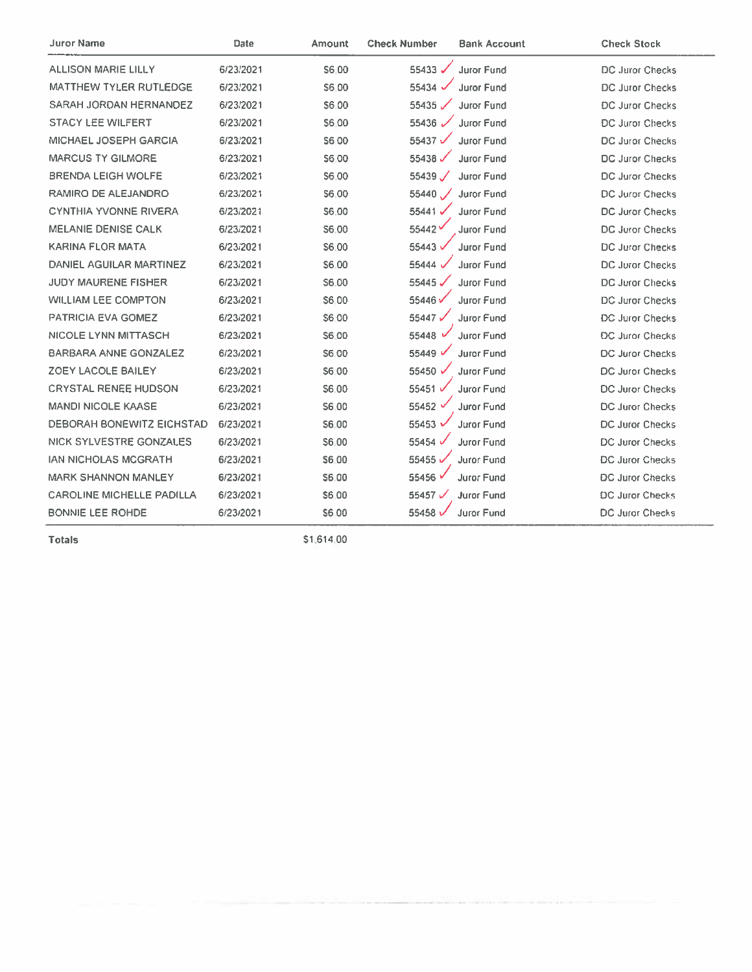| <b>Juror Name</b>                | <b>Date</b> | Amount       | <b>Check Number</b>  | <b>Bank Account</b> | <b>Check Stock</b>     |
|----------------------------------|-------------|--------------|----------------------|---------------------|------------------------|
| <b>ALLISON MARIE LILLY</b>       | 6/23/2021   | \$6.00       | 55433 √              | Juror Fund          | DC Juror Checks        |
| <b>MATTHEW TYLER RUTLEDGE</b>    | 6/23/2021   | S6.00        | 55434 V              | <b>Juror Fund</b>   | DC Juror Checks        |
| <b>SARAH JORDAN HERNANDEZ</b>    | 6/23/2021   | S6.00        | 55435 $\checkmark$   | <b>Juror Fund</b>   | <b>DC Juror Checks</b> |
| <b>STACY LEE WILFERT</b>         | 6/23/2021   | S6.00        | 55436 $\sqrt{ }$     | Juror Fund          | <b>DC Juror Checks</b> |
| MICHAEL JOSEPH GARCIA            | 6/23/2021   | <b>S600</b>  | 55437 $\checkmark$   | <b>Juror Fund</b>   | <b>DC Juror Checks</b> |
| <b>MARCUS TY GILMORE</b>         | 6/23/2021   | <b>S6.00</b> | 55438                | Juror Fund          | DC Juror Checks        |
| <b>BRENDA LEIGH WOLFE</b>        | 6/23/2021   | S6.00        | $55439$ $\checkmark$ | Juror Fund          | <b>DC Juror Checks</b> |
| RAMIRO DE ALEJANDRO              | 6/23/2021   | \$6.00       | $55440$ /            | Juror Fund          | DC Juror Checks        |
| <b>CYNTHIA YVONNE RIVERA</b>     | 6/23/2021   | <b>S6.00</b> | 55441                | <b>Juror Fund</b>   | <b>DC Juror Checks</b> |
| <b>MELANIE DENISE CALK</b>       | 6/23/2021   | S6.00        | 55442                | Juror Fund          | DC Juror Checks        |
| <b>KARINA FLOR MATA</b>          | 6/23/2021   | S6.00        | 55443 v              | <b>Juror Fund</b>   | <b>DC Juror Checks</b> |
| DANIEL AGUILAR MARTINEZ          | 6/23/2021   | S6.00        | 55444 V              | <b>Juror Fund</b>   | <b>DC Juror Checks</b> |
| <b>JUDY MAURENE FISHER</b>       | 6/23/2021   | S6.00        | 55445 $\checkmark$   | <b>Juror Fund</b>   | DC Juror Checks        |
| <b>WILLIAM LEE COMPTON</b>       | 6/23/2021   | S6.00        | 55446V               | Juror Fund          | DC Juror Checks        |
| PATRICIA EVA GOMEZ               | 6/23/2021   | \$6.00       | 55447√               | Juror Fund          | <b>DC Juror Checks</b> |
| <b>NICOLE LYNN MITTASCH</b>      | 6/23/2021   | S6.00        | 55448 $\overline{v}$ | Juror Fund          | <b>DC Juror Checks</b> |
| <b>BARBARA ANNE GONZALEZ</b>     | 6/23/2021   | S6.00        | 55449 V              | <b>Juror Fund</b>   | DC Juror Checks        |
| ZOEY LACOLE BAILEY               | 6/23/2021   | \$6.00       | 55450 √              | <b>Juror Fund</b>   | <b>DC Juror Checks</b> |
| <b>CRYSTAL RENEE HUDSON</b>      | 6/23/2021   | S6.00        | 55451 √              | Juror Fund          | <b>DC Juror Checks</b> |
| <b>MANDI NICOLE KAASE</b>        | 6/23/2021   | S6.00        | 55452 V              | <b>Juror Fund</b>   | <b>DC Juror Checks</b> |
| <b>DEBORAH BONEWITZ EICHSTAD</b> | 6/23/2021   | S6.00        | 55453                | Juror Fund          | <b>DC Juror Checks</b> |
| NICK SYLVESTRE GONZALES          | 6/23/2021   | S6.00        | 55454 V              | Juror Fund          | <b>DC Juror Checks</b> |
| <b>IAN NICHOLAS MCGRATH</b>      | 6/23/2021   | S6.00        | 55455                | Juror Fund          | <b>DC Juror Checks</b> |
| <b>MARK SHANNON MANLEY</b>       | 6/23/2021   | \$6.00       | 55456                | <b>Juror Fund</b>   | <b>DC Juror Checks</b> |
| <b>CAROLINE MICHELLE PADILLA</b> | 6/23/2021   | \$6.00       | 55457                | <b>Juror Fund</b>   | <b>DC Juror Checks</b> |
| <b>BONNIE LEE ROHDE</b>          | 6/23/2021   | S6.00        | 55458 <sub>v</sub>   | <b>Juror Fund</b>   | <b>DC Juror Checks</b> |

\$1,614,00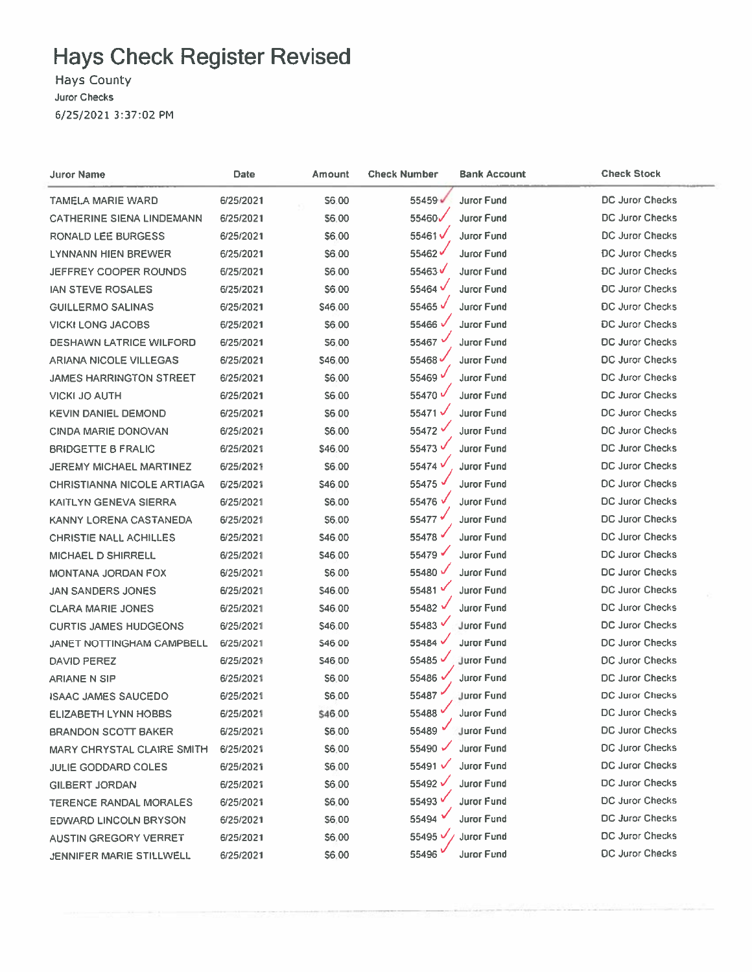**Hays County** Juror Checks 6/25/2021 3:37:02 PM

| Juror Name                        | Date      | Amount  | <b>Check Number</b>  | <b>Bank Account</b> | <b>Check Stock</b>     |
|-----------------------------------|-----------|---------|----------------------|---------------------|------------------------|
| TAMELA MARIE WARD                 | 6/25/2021 | S6.00   | 55459 ₩              | <b>Juror Fund</b>   | DC Juror Checks        |
| <b>CATHERINE SIENA LINDEMANN</b>  | 6/25/2021 | \$6.00  | 55460√               | <b>Juror Fund</b>   | DC Juror Checks        |
| RONALD LEE BURGESS                | 6/25/2021 | \$6,00  | 55461√               | <b>Juror Fund</b>   | DC Juror Checks        |
| LYNNANN HIEN BREWER               | 6/25/2021 | \$6.00  | 55462√               | <b>Juror Fund</b>   | DC Juror Checks        |
| JEFFREY COOPER ROUNDS             | 6/25/2021 | \$6.00  | 55463√               | <b>Juror Fund</b>   | <b>DC Juror Checks</b> |
| <b>IAN STEVE ROSALES</b>          | 6/25/2021 | \$6.00  | 55464 <sup>V</sup>   | <b>Juror Fund</b>   | DC Juror Checks        |
| <b>GUILLERMO SALINAS</b>          | 6/25/2021 | \$46.00 | 55465V               | <b>Juror Fund</b>   | DC Juror Checks        |
| <b>VICKI LONG JACOBS</b>          | 6/25/2021 | \$6,00  | 55466 <sup>V</sup>   | <b>Juror Fund</b>   | DC Juror Checks        |
| <b>DESHAWN LATRICE WILFORD</b>    | 6/25/2021 | 56.00   | 55467 V              | <b>Juror Fund</b>   | <b>DC Juror Checks</b> |
| <b>ARIANA NICOLE VILLEGAS</b>     | 6/25/2021 | \$46,00 | 55468                | <b>Juror Fund</b>   | DC Juror Checks        |
| <b>JAMES HARRINGTON STREET</b>    | 6/25/2021 | \$6.00  | 55469 V              | Juror Fund          | DC Juror Checks        |
| <b>VICKI JO AUTH</b>              | 6/25/2021 | \$6.00  | 55470 V              | <b>Juror Fund</b>   | DC Juror Checks        |
| <b>KEVIN DANIEL DEMOND</b>        | 6/25/2021 | \$6.00  | 55471√               | Juror Fund          | DC Juror Checks        |
| <b>CINDA MARIE DONOVAN</b>        | 6/25/2021 | \$6.00  | 55472 V              | <b>Juror Fund</b>   | DC Juror Checks        |
| <b>BRIDGETTE B FRALIC</b>         | 6/25/2021 | \$46.00 | 55473 V              | Juror Fund          | DC Juror Checks        |
| JEREMY MICHAEL MARTINEZ           | 6/25/2021 | \$6.00  | 55474 V              | Juror Fund          | <b>DC Juror Checks</b> |
| <b>CHRISTIANNA NICOLE ARTIAGA</b> | 6/25/2021 | \$46.00 | 55475 →              | <b>Juror Fund</b>   | DC Juror Checks        |
| <b>KAITLYN GENEVA SIERRA</b>      | 6/25/2021 | \$6.00  | 55476 V              | Juror Fund          | DC Juror Checks        |
| KANNY LORENA CASTANEDA            | 6/25/2021 | S6.00   | 55477√               | <b>Juror Fund</b>   | DC Juror Checks        |
| <b>CHRISTIE NALL ACHILLES</b>     | 6/25/2021 | \$46.00 | 55478 V              | <b>Juror Fund</b>   | DC Juror Checks        |
| <b>MICHAEL D SHIRRELL</b>         | 6/25/2021 | \$46.00 | 55479 ✔              | <b>Juror Fund</b>   | DC Juror Checks        |
| <b>MONTANA JORDAN FOX</b>         | 6/25/2021 | S6.00   | 55480                | Juror Fund          | DC Juror Checks        |
| <b>JAN SANDERS JONES</b>          | 6/25/2021 | \$46.00 | 55481 V              | <b>Juror Fund</b>   | DC Juror Checks        |
| <b>CLARA MARIE JONES</b>          | 6/25/2021 | \$46.00 | 55482 V              | <b>Juror Fund</b>   | <b>DC Juror Checks</b> |
| <b>CURTIS JAMES HUDGEONS</b>      | 6/25/2021 | \$46.00 | 55483 V              | Juror Fund          | DC Juror Checks        |
| <b>JANET NOTTINGHAM CAMPBELL</b>  | 6/25/2021 | \$46.00 | 55484                | Juror Fund          | DC Juror Checks        |
| DAVID PEREZ                       | 6/25/2021 | \$46.00 | 55485                | Juror Fund          | DC Juror Checks        |
| <b>ARIANE N SIP</b>               | 6/25/2021 | \$6.00  | 55486                | Juror Fund          | DC Juror Checks        |
| <b>ISAAC JAMES SAUCEDO</b>        | 6/25/2021 | \$6.00  | 55487                | <b>Juror Fund</b>   | DC Juror Checks        |
| <b>ELIZABETH LYNN HOBBS</b>       | 6/25/2021 | \$46.00 | 55488                | <b>Juror Fund</b>   | DC Juror Checks        |
| BRANDON SCOTT BAKER               | 6/25/2021 | \$6.00  | 55489                | Juror Fund          | DC Juror Checks        |
| <b>MARY CHRYSTAL CLAIRE SMITH</b> | 6/25/2021 | \$6.00  | 55490 $\overline{v}$ | <b>Juror Fund</b>   | <b>DC Juror Checks</b> |
| <b>JULIE GODDARD COLES</b>        | 6/25/2021 | \$6.00  | 55491 √              | <b>Juror Fund</b>   | <b>DC Juror Checks</b> |
| <b>GILBERT JORDAN</b>             | 6/25/2021 | \$6.00  | 55492V               | Juror Fund          | <b>DC Juror Checks</b> |
| <b>TERENCE RANDAL MORALES</b>     | 6/25/2021 | \$6,00  | 55493 <sup>V</sup>   | Juror Fund          | DC Juror Checks        |
| EDWARD LINCOLN BRYSON             | 6/25/2021 | \$6.00  | 55494                | Juror Fund          | DC Juror Checks        |
| <b>AUSTIN GREGORY VERRET</b>      | 6/25/2021 | \$6.00  | 55495 <sup>v</sup>   | Juror Fund          | DC Juror Checks        |
| JENNIFER MARIE STILLWELL          | 6/25/2021 | \$6,00  | 55496                | Juror Fund          | <b>DC Juror Checks</b> |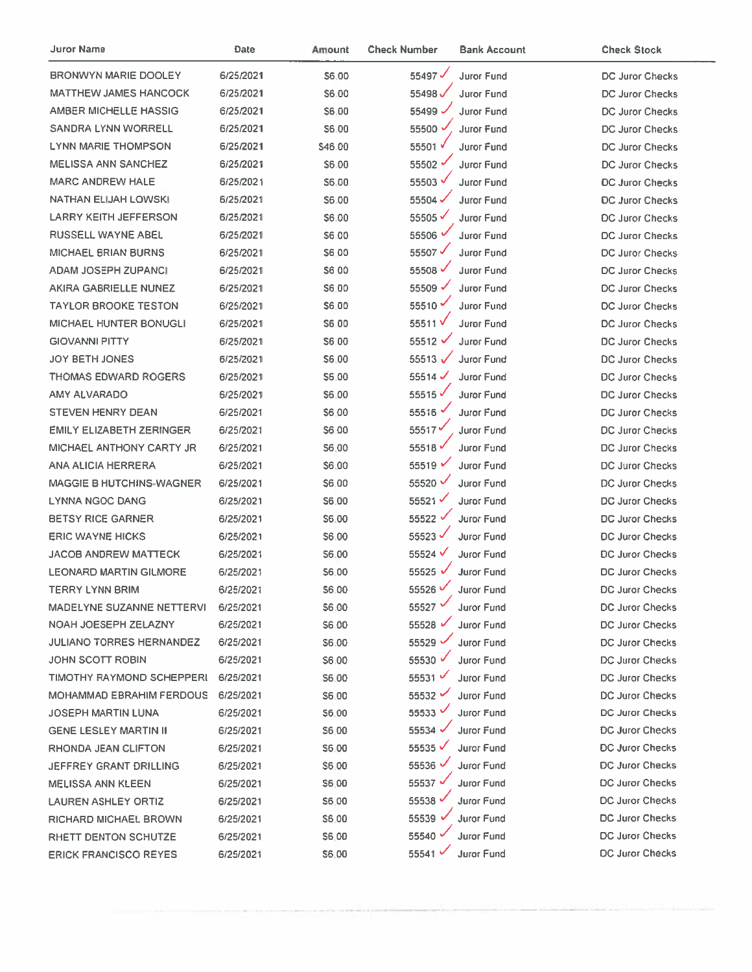| Juror Name                      | Date      | Amount       | <b>Check Number</b>  | <b>Bank Account</b> | <b>Check Stock</b>     |
|---------------------------------|-----------|--------------|----------------------|---------------------|------------------------|
| BRONWYN MARIE DOOLEY            | 6/25/2021 | \$6.00       | 55497 $\checkmark$   | Juror Fund          | DC Juror Checks        |
| <b>MATTHEW JAMES HANCOCK</b>    | 6/25/2021 | \$6:00       | 55498                | Juror Fund          | DC Juror Checks        |
| AMBER MICHELLE HASSIG           | 6/25/2021 | \$6.00       | 55499                | <b>Juror Fund</b>   | <b>DC Juror Checks</b> |
| <b>SANDRA LYNN WORRELL</b>      | 6/25/2021 | S6.00        | 55500 √              | Juror Fund          | <b>DC Juror Checks</b> |
| <b>LYNN MARIE THOMPSON</b>      | 6/25/2021 | \$46.00      | 55501 √              | Juror Fund          | <b>DC Juror Checks</b> |
| <b>MELISSA ANN SANCHEZ</b>      | 6/25/2021 | \$6.00       | 55502                | Juror Fund          | <b>DC Juror Checks</b> |
| <b>MARC ANDREW HALE</b>         | 6/25/2021 | \$6.00       | 55503 √              | <b>Juror Fund</b>   | <b>DC Juror Checks</b> |
| NATHAN ELIJAH LOWSKI            | 6/25/2021 | S6.00        | 55504                | Juror Fund          | <b>DC Juror Checks</b> |
| <b>LARRY KEITH JEFFERSON</b>    | 6/25/2021 | <b>S6.00</b> | 55505√               | <b>Juror Fund</b>   | DC Juror Checks        |
| RUSSELL WAYNE ABEL              | 6/25/2021 | \$6.00       | 55506 V              | <b>Juror Fund</b>   | <b>DC Juror Checks</b> |
| <b>MICHAEL BRIAN BURNS</b>      | 6/25/2021 | <b>S6.00</b> | 55507√               | Juror Fund          | DC Juror Checks        |
| ADAM JOSEPH ZUPANCI             | 6/25/2021 | <b>\$600</b> | 55508 √              | Juror Fund          | DC Juror Checks        |
| AKIRA GABRIELLE NUNEZ           | 6/25/2021 | \$6.00       | 55509                | Juror Fund          | DC Juror Checks        |
| <b>TAYLOR BROOKE TESTON</b>     | 6/25/2021 | \$6.00       | 55510                | <b>Juror Fund</b>   | <b>DC Juror Checks</b> |
| <b>MICHAEL HUNTER BONUGLI</b>   | 6/25/2021 | S6.00        | 55511V               | Juror Fund          | DC Juror Checks        |
| <b>GIOVANNI PITTY</b>           | 6/25/2021 | <b>S6 00</b> | 55512 √              | Juror Fund          | <b>DC Juror Checks</b> |
| <b>JOY BETH JONES</b>           | 6/25/2021 | \$6.00       | 55513 $\sqrt$        | <b>Juror Fund</b>   | DC Juror Checks        |
| <b>THOMAS EDWARD ROGERS</b>     | 6/25/2021 | <b>S6.00</b> | 55514 $\checkmark$   | Juror Fund          | <b>DC Juror Checks</b> |
| AMY ALVARADO                    | 6/25/2021 | \$6.00       | 55515                | <b>Juror Fund</b>   | <b>DC Juror Checks</b> |
| <b>STEVEN HENRY DEAN</b>        | 6/25/2021 | \$6.00       | 55516                | <b>Juror Fund</b>   | <b>DC Juror Checks</b> |
| <b>EMILY ELIZABETH ZERINGER</b> | 6/25/2021 | \$6.00       | 55517                | Juror Fund          | DC Juror Checks        |
| MICHAEL ANTHONY CARTY JR        | 6/25/2021 | \$6.00       | 55518                | Juror Fund          | DC Juror Checks        |
| <b>ANA ALICIA HERRERA</b>       | 6/25/2021 | \$6.00       | 55519 $\vee$         | <b>Juror Fund</b>   | DC Juror Checks        |
| <b>MAGGIE B HUTCHINS-WAGNER</b> | 6/25/2021 | \$6.00       | 55520 V              | Juror Fund          | DC Juror Checks        |
| <b>LYNNA NGOC DANG</b>          | 6/25/2021 | \$6.00       | 55521                | Juror Fund          | <b>DC Juror Checks</b> |
| <b>BETSY RICE GARNER</b>        | 6/25/2021 | S6.00        | 55522 V              | <b>Juror Fund</b>   | <b>DC Juror Checks</b> |
| <b>ERIC WAYNE HICKS</b>         | 6/25/2021 | S6:00        | 55523√               | Juror Fund          | <b>DC Juror Checks</b> |
| <b>JACOB ANDREW MATTECK</b>     | 6/25/2021 | S6.00        | 55524 V              | <b>Juror Fund</b>   | <b>DC Juror Checks</b> |
| <b>LEONARD MARTIN GILMORE</b>   | 6/25/2021 | \$6.00       | 55525 √              | Juror Fund          | <b>DC Juror Checks</b> |
| TERRY LYNN BRIM                 | 6/25/2021 | \$6.00       | 55526 <sup>V</sup>   | <b>Juror Fund</b>   | <b>DC Juror Checks</b> |
| MADELYNE SUZANNE NETTERVI       | 6/25/2021 | \$6.00       | 55527 V              | Juror Fund          | DC Juror Checks        |
| NOAH JOESEPH ZELAZNY            | 6/25/2021 | \$6.00       | 55528 √              | <b>Juror Fund</b>   | DC Juror Checks        |
| <b>JULIANO TORRES HERNANDEZ</b> | 6/25/2021 | \$6.00       | 55529                | <b>Juror Fund</b>   | DC Juror Checks        |
| <b>JOHN SCOTT ROBIN</b>         | 6/25/2021 | S6.00        | 55530 V              | <b>Juror Fund</b>   | DC Juror Checks        |
| TIMOTHY RAYMOND SCHEPPERI       | 6/25/2021 | S6.00        | 55531                | <b>Juror Fund</b>   | <b>DC Juror Checks</b> |
| <b>MOHAMMAD EBRAHIM FERDOUS</b> | 6/25/2021 | \$6.00       | 55532                | Juror Fund          | DC Juror Checks        |
| <b>JOSEPH MARTIN LUNA</b>       | 6/25/2021 | \$6.00       | 55533 $\overline{v}$ | <b>Juror Fund</b>   | <b>DC Juror Checks</b> |
| <b>GENE LESLEY MARTIN II</b>    | 6/25/2021 | S6.00        | 55534 $\vee$         | Juror Fund          | <b>DC Juror Checks</b> |
| RHONDA JEAN CLIFTON             | 6/25/2021 | S6.00        | 55535                | <b>Juror Fund</b>   | <b>DC Juror Checks</b> |
| JEFFREY GRANT DRILLING          | 6/25/2021 | \$6.00       | 55536 $\sim$         | Juror Fund          | <b>DC Juror Checks</b> |
| <b>MELISSA ANN KLEEN</b>        | 6/25/2021 | \$6.00       | 55537 √              | Juror Fund          | <b>DC Juror Checks</b> |
| LAUREN ASHLEY ORTIZ             | 6/25/2021 | \$6.00       | 55538                | <b>Juror Fund</b>   | <b>DC Juror Checks</b> |
| RICHARD MICHAEL BROWN           | 6/25/2021 | \$6.00       | 55539 $\cdot$        | <b>Juror Fund</b>   | <b>DC Juror Checks</b> |
| RHETT DENTON SCHUTZE            | 6/25/2021 | \$6.00       | 55540 $\cdot$        | <b>Juror Fund</b>   | <b>DC Juror Checks</b> |
| <b>ERICK FRANCISCO REYES</b>    | 6/25/2021 | \$6.00       | 55541 $\sim$         | <b>Juror Fund</b>   | <b>DC Juror Checks</b> |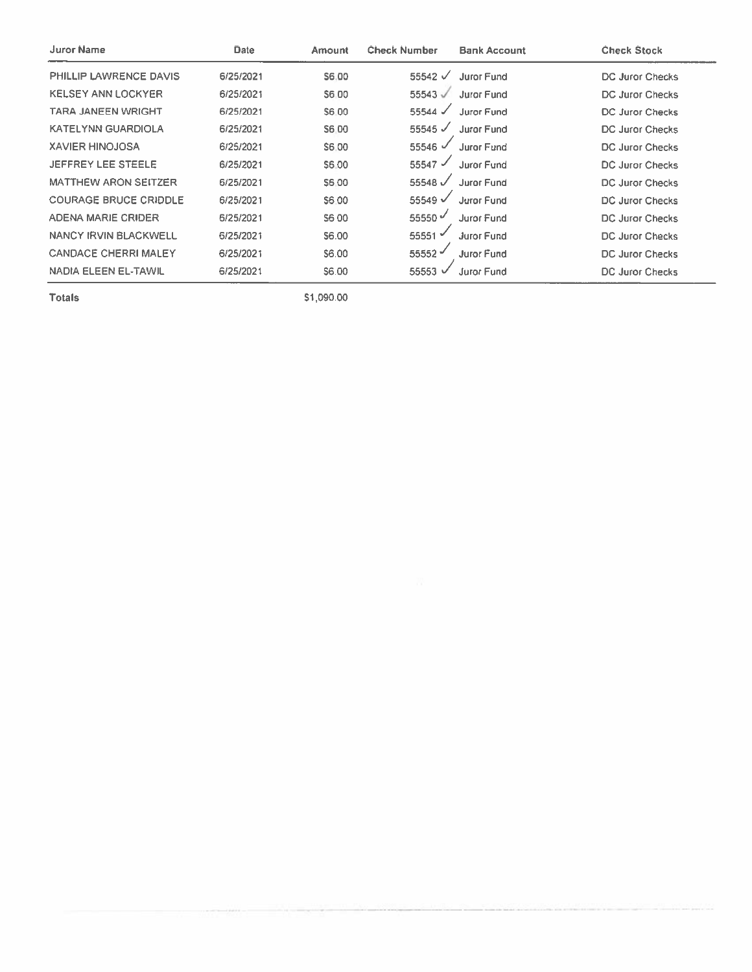| Juror Name                   | <b>Date</b> | Amount | <b>Check Number</b> | <b>Bank Account</b> | <b>Check Stock</b>     |
|------------------------------|-------------|--------|---------------------|---------------------|------------------------|
| PHILLIP LAWRENCE DAVIS       | 6/25/2021   | S6.00  | 55542 $\sqrt{ }$    | <b>Juror Fund</b>   | <b>DC Juror Checks</b> |
| <b>KELSEY ANN LOCKYER</b>    | 6/25/2021   | S6 00  | $55543$ $\sqrt{2}$  | <b>Juror Fund</b>   | <b>DC Juror Checks</b> |
| TARA JANEEN WRIGHT           | 6/25/2021   | S6.00  | $55544 \checkmark$  | <b>Juror Fund</b>   | DC Juror Checks        |
| <b>KATELYNN GUARDIOLA</b>    | 6/25/2021   | S6 00  | 55545 $\checkmark$  | <b>Juror Fund</b>   | <b>DC Juror Checks</b> |
| <b>XAVIER HINOJOSA</b>       | 6/25/2021   | S6.00  | 55546 $\checkmark$  | Juror Fund          | <b>DC Juror Checks</b> |
| JEFFREY LEE STEELE           | 6/25/2021   | S6.00  | 55547 $\checkmark$  | Juror Fund          | DC Juror Checks        |
| <b>MATTHEW ARON SEITZER</b>  | 6/25/2021   | S6.00  | 55548 $\sqrt$       | Juror Fund          | DC Juror Checks        |
| <b>COURAGE BRUCE CRIDDLE</b> | 6/25/2021   | S6.00  | 55549 V             | <b>Juror Fund</b>   | DC Juror Checks        |
| <b>ADENA MARIE CRIDER</b>    | 6/25/2021   | S6 00  | 55550 $\sqrt$       | Juror Fund          | DC Juror Checks        |
| <b>NANCY IRVIN BLACKWELL</b> | 6/25/2021   | S6.00  | 55551 $\checkmark$  | <b>Juror Fund</b>   | <b>DC Juror Checks</b> |
| <b>CANDACE CHERRI MALEY</b>  | 6/25/2021   | S6.00  | 55552 $-$           | <b>Juror Fund</b>   | DC Juror Checks        |
| NADIA ELEEN EL-TAWIL         | 6/25/2021   | S6.00  | 55553               | <b>Juror Fund</b>   | <b>DC Juror Checks</b> |

\$1,090.00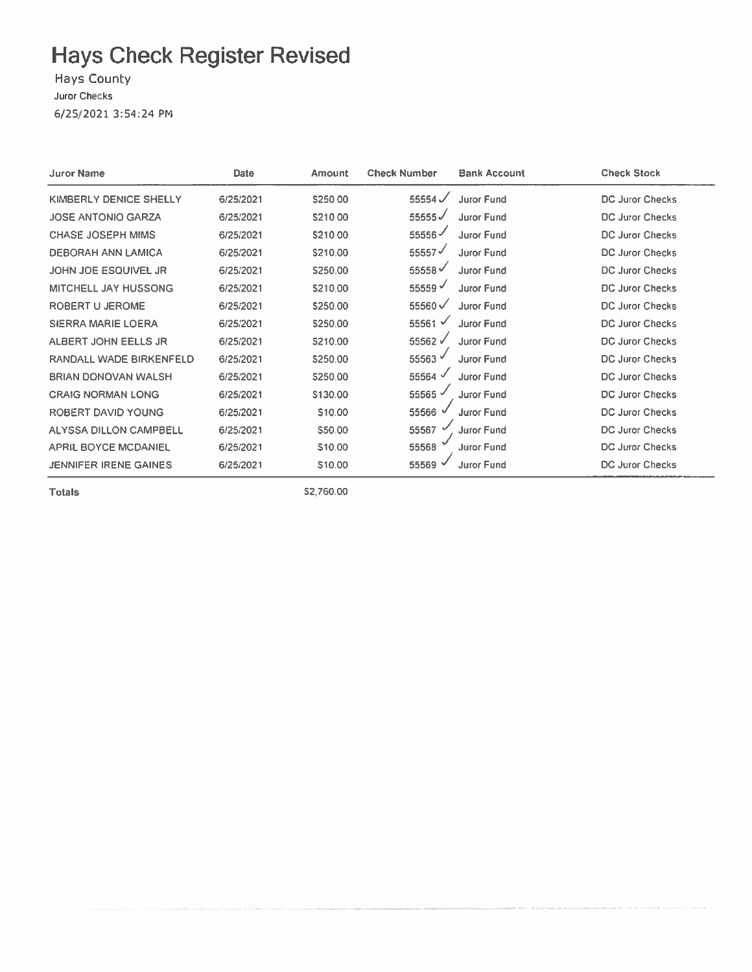Hays County Juror Checks 6/25/2021 3:54:24 PM

| <b>Juror Name</b>            | <b>Date</b> | Amount   | <b>Check Number</b> | <b>Bank Account</b> | <b>Check Stock</b>     |
|------------------------------|-------------|----------|---------------------|---------------------|------------------------|
| KIMBERLY DENICE SHELLY       | 6/25/2021   | \$250.00 | 55554 $\checkmark$  | <b>Juror Fund</b>   | DC Juror Checks        |
| <b>JOSE ANTONIO GARZA</b>    | 6/25/2021   | S210.00  | 55555√              | Juror Fund          | DC Juror Checks        |
| <b>CHASE JOSEPH MIMS</b>     | 6/25/2021   | \$210.00 | 55556               | Juror Fund          | DC Juror Checks        |
| <b>DEBORAH ANN LAMICA</b>    | 6/25/2021   | \$210.00 | 55557               | Juror Fund          | <b>DC Juror Checks</b> |
| JOHN JOE ESQUIVEL JR         | 6/25/2021   | \$250.00 | 55558√              | Juror Fund          | <b>DC Juror Checks</b> |
| <b>MITCHELL JAY HUSSONG</b>  | 6/25/2021   | \$210.00 | 55559               | <b>Juror Fund</b>   | <b>DC Juror Checks</b> |
| ROBERT U JEROME              | 6/25/2021   | \$250.00 | 55560√              | Juror Fund          | <b>DC Juror Checks</b> |
| <b>SIERRA MARIE LOERA</b>    | 6/25/2021   | \$250.00 | 55561 $\checkmark$  | Juror Fund          | <b>DC Juror Checks</b> |
| ALBERT JOHN EELLS JR         | 6/25/2021   | S210.00  | 55562√              | Juror Fund          | DC Juror Checks        |
| RANDALL WADE BIRKENFELD      | 6/25/2021   | \$250.00 | 55563 V             | Juror Fund          | <b>DC Juror Checks</b> |
| <b>BRIAN DONOVAN WALSH</b>   | 6/25/2021   | \$250.00 | 55564               | Juror Fund          | DC Juror Checks        |
| <b>CRAIG NORMAN LONG</b>     | 6/25/2021   | \$130.00 | 55565 -             | Juror Fund          | DC Juror Checks        |
| ROBERT DAVID YOUNG           | 6/25/2021   | \$10.00  | 55566               | Juror Fund          | DC Juror Checks        |
| ALYSSA DILLON CAMPBELL       | 6/25/2021   | \$50.00  | 55567               | Juror Fund          | DC Juror Checks        |
| <b>APRIL BOYCE MCDANIEL</b>  | 6/25/2021   | \$10.00  | 55568               | <b>Juror Fund</b>   | DC Juror Checks        |
| <b>JENNIFER IRENE GAINES</b> | 6/25/2021   | \$10.00  | 55569               | <b>Juror Fund</b>   | DC Juror Checks        |

**Totals** 

\$2,760.00